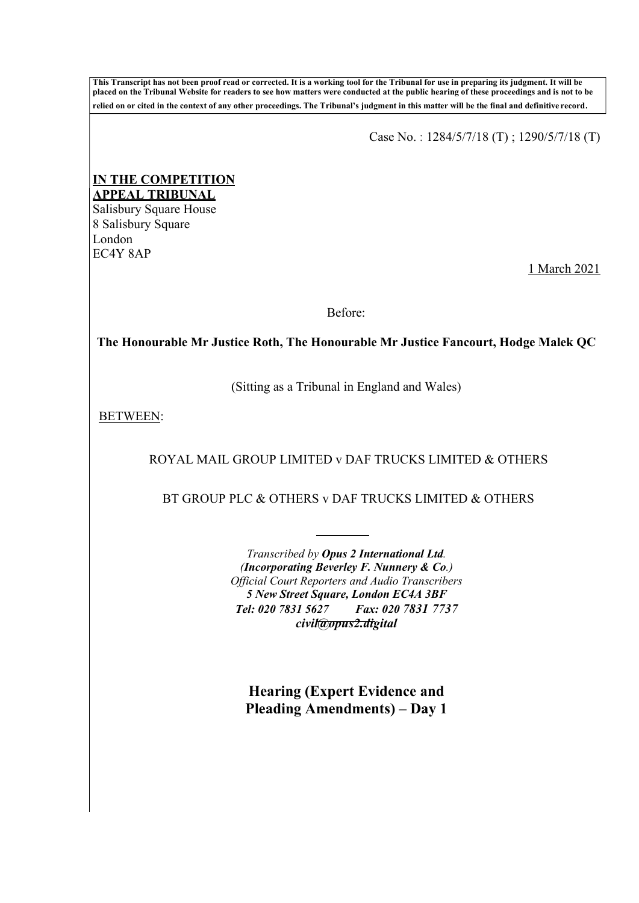**This Transcript has not been proof read or corrected. It is a working tool for the Tribunal for use in preparing its judgment. It will be placed on the Tribunal Website for readers to see how matters were conducted at the public hearing of these proceedings and is not to be relied on or cited in the context of any other proceedings. The Tribunal's judgment in this matter will be the final and definitive record**.

Case No. : 1284/5/7/18 (T) ; 1290/5/7/18 (T)

## **IN THE COMPETITION APPEAL TRIBUNAL**

Salisbury Square House 8 Salisbury Square London EC4Y 8AP

1 March 2021

Before:

**The Honourable Mr Justice Roth, The Honourable Mr Justice Fancourt, Hodge Malek QC**

(Sitting as a Tribunal in England and Wales)

BETWEEN:

ROYAL MAIL GROUP LIMITED v DAF TRUCKS LIMITED & OTHERS

BT GROUP PLC & OTHERS v DAF TRUCKS LIMITED & OTHERS

*Transcribed by Opus 2 International Ltd. (Incorporating Beverley F. Nunnery & Co.) Official Court Reporters and Audio Transcribers 5 New Street Square, London EC4A 3BF Tel: 020 7831 5627 Fax: 020 7831 7737 [civil@opus2.digital](mailto:civil@opus2.digital)*

**Hearing (Expert Evidence and Pleading Amendments) – Day 1**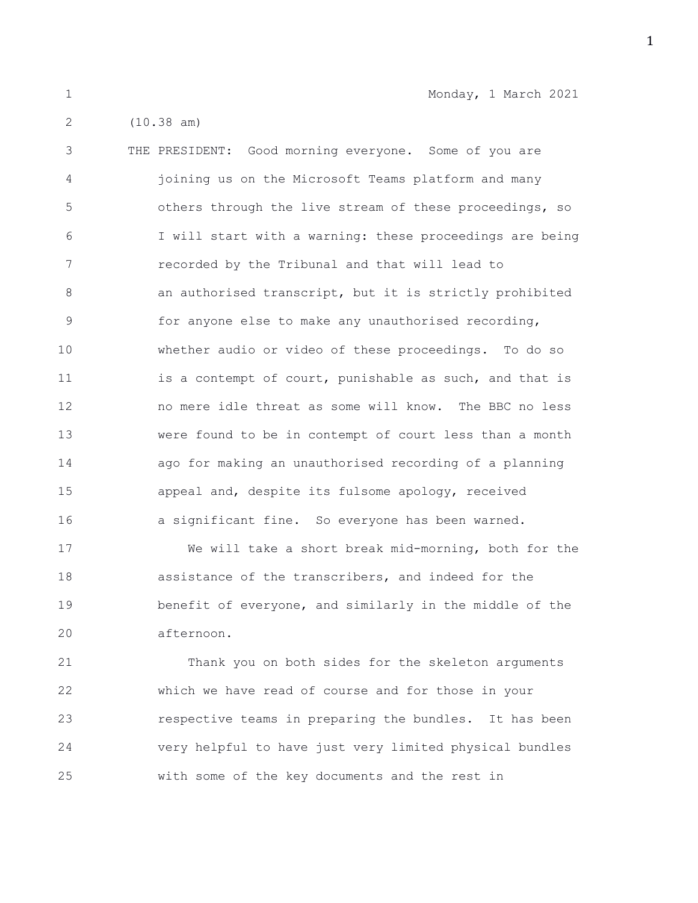1 Monday, 1 March 2021

2 (10.38 am)

3 THE PRESIDENT: Good morning everyone. Some of you are 4 joining us on the Microsoft Teams platform and many 5 others through the live stream of these proceedings, so 6 I will start with a warning: these proceedings are being 7 recorded by the Tribunal and that will lead to 8 **an authorised transcript, but it is strictly prohibited** 9 for anyone else to make any unauthorised recording, 10 whether audio or video of these proceedings. To do so 11 is a contempt of court, punishable as such, and that is 12 no mere idle threat as some will know. The BBC no less 13 were found to be in contempt of court less than a month 14 ago for making an unauthorised recording of a planning 15 appeal and, despite its fulsome apology, received 16 a significant fine. So everyone has been warned.

17 We will take a short break mid-morning, both for the 18 assistance of the transcribers, and indeed for the 19 benefit of everyone, and similarly in the middle of the 20 afternoon.

21 Thank you on both sides for the skeleton arguments 22 which we have read of course and for those in your 23 respective teams in preparing the bundles. It has been 24 very helpful to have just very limited physical bundles 25 with some of the key documents and the rest in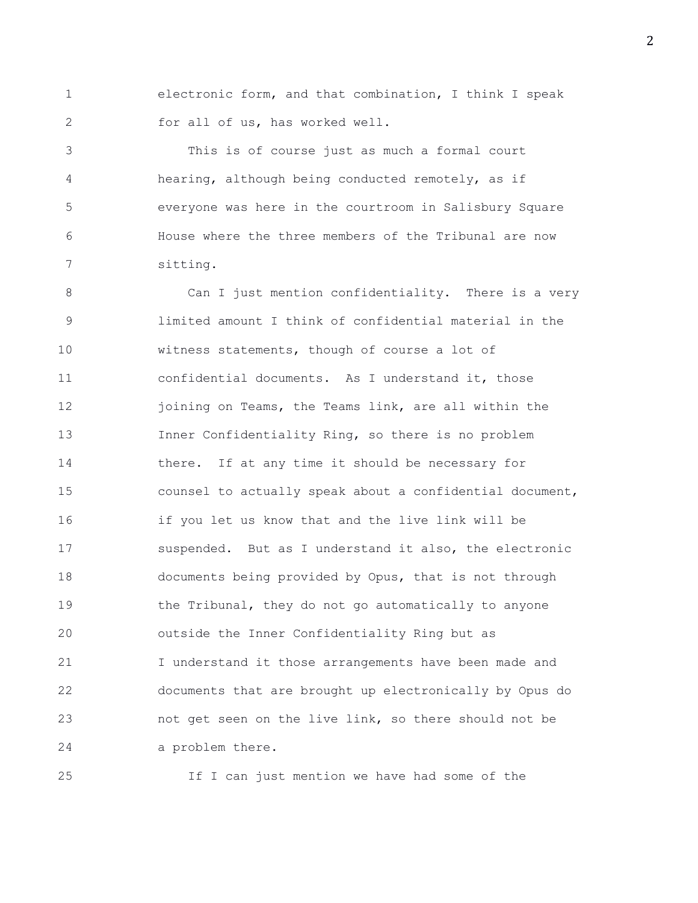1 electronic form, and that combination, I think I speak 2 for all of us, has worked well.

3 This is of course just as much a formal court 4 hearing, although being conducted remotely, as if 5 everyone was here in the courtroom in Salisbury Square 6 House where the three members of the Tribunal are now 7 sitting.

8 Can I just mention confidentiality. There is a very 9 limited amount I think of confidential material in the 10 witness statements, though of course a lot of 11 confidential documents. As I understand it, those 12 ioining on Teams, the Teams link, are all within the 13 Inner Confidentiality Ring, so there is no problem 14 there. If at any time it should be necessary for 15 counsel to actually speak about a confidential document, 16 if you let us know that and the live link will be 17 suspended. But as I understand it also, the electronic 18 documents being provided by Opus, that is not through 19 the Tribunal, they do not go automatically to anyone 20 outside the Inner Confidentiality Ring but as 21 I understand it those arrangements have been made and 22 documents that are brought up electronically by Opus do 23 not get seen on the live link, so there should not be 24 a problem there.

25 If I can just mention we have had some of the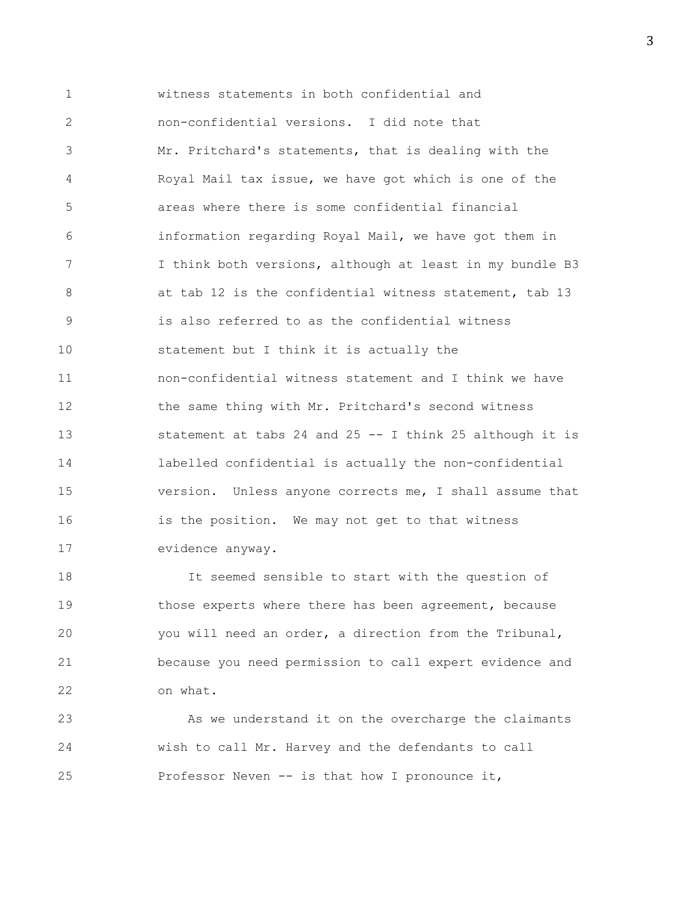1 witness statements in both confidential and 2 non-confidential versions. I did note that 3 Mr. Pritchard's statements, that is dealing with the 4 Royal Mail tax issue, we have got which is one of the 5 areas where there is some confidential financial 6 information regarding Royal Mail, we have got them in 7 I think both versions, although at least in my bundle B3 8 at tab 12 is the confidential witness statement, tab 13 9 is also referred to as the confidential witness 10 statement but I think it is actually the 11 non-confidential witness statement and I think we have 12 the same thing with Mr. Pritchard's second witness 13 statement at tabs 24 and 25 -- I think 25 although it is 14 labelled confidential is actually the non-confidential 15 version. Unless anyone corrects me, I shall assume that 16 is the position. We may not get to that witness 17 evidence anyway.

18 It seemed sensible to start with the question of 19 those experts where there has been agreement, because 20 you will need an order, a direction from the Tribunal, 21 because you need permission to call expert evidence and 22 on what.

23 As we understand it on the overcharge the claimants 24 wish to call Mr. Harvey and the defendants to call 25 Professor Neven -- is that how I pronounce it,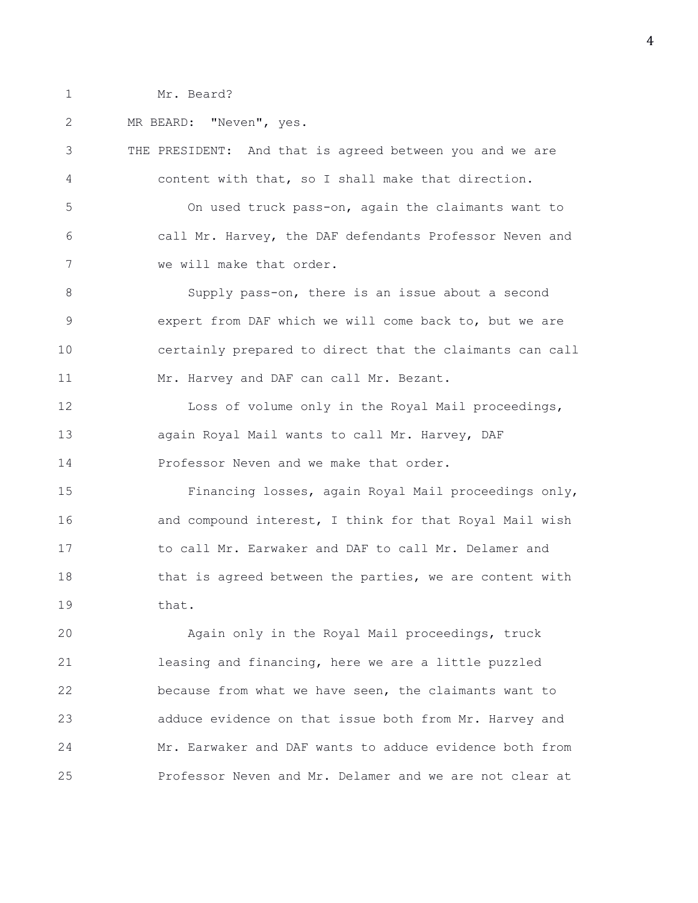1 Mr. Beard?

2 MR BEARD: "Neven", yes.

3 THE PRESIDENT: And that is agreed between you and we are 4 content with that, so I shall make that direction. 5 On used truck pass-on, again the claimants want to 6 call Mr. Harvey, the DAF defendants Professor Neven and 7 we will make that order. 8 Supply pass-on, there is an issue about a second 9 expert from DAF which we will come back to, but we are 10 certainly prepared to direct that the claimants can call 11 Mr. Harvey and DAF can call Mr. Bezant. 12 Loss of volume only in the Royal Mail proceedings, 13 again Royal Mail wants to call Mr. Harvey, DAF 14 Professor Neven and we make that order. 15 Financing losses, again Royal Mail proceedings only, 16 **and compound interest, I think for that Royal Mail wish** 17 to call Mr. Earwaker and DAF to call Mr. Delamer and 18 that is agreed between the parties, we are content with 19 that. 20 Again only in the Royal Mail proceedings, truck 21 leasing and financing, here we are a little puzzled 22 because from what we have seen, the claimants want to 23 adduce evidence on that issue both from Mr. Harvey and 24 Mr. Earwaker and DAF wants to adduce evidence both from

25 Professor Neven and Mr. Delamer and we are not clear at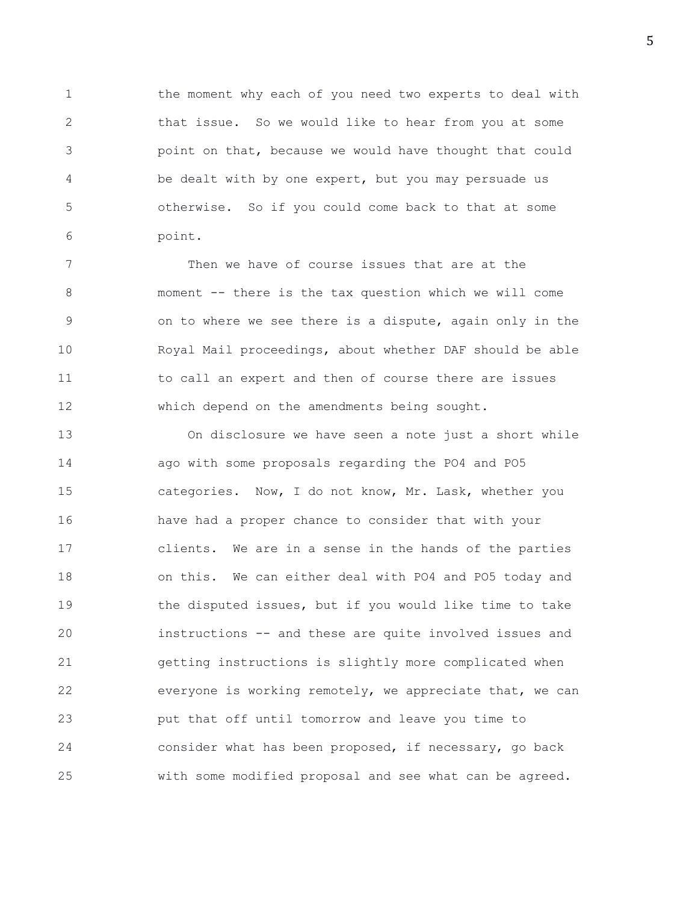1 the moment why each of you need two experts to deal with 2 that issue. So we would like to hear from you at some 3 point on that, because we would have thought that could 4 be dealt with by one expert, but you may persuade us 5 otherwise. So if you could come back to that at some 6 point.

7 Then we have of course issues that are at the 8 moment -- there is the tax question which we will come 9 on to where we see there is a dispute, again only in the 10 Royal Mail proceedings, about whether DAF should be able 11 to call an expert and then of course there are issues 12 which depend on the amendments being sought.

13 On disclosure we have seen a note just a short while 14 ago with some proposals regarding the PO4 and PO5 15 categories. Now, I do not know, Mr. Lask, whether you 16 have had a proper chance to consider that with your 17 clients. We are in a sense in the hands of the parties 18 on this. We can either deal with PO4 and PO5 today and 19 the disputed issues, but if you would like time to take 20 instructions -- and these are quite involved issues and 21 getting instructions is slightly more complicated when 22 everyone is working remotely, we appreciate that, we can 23 put that off until tomorrow and leave you time to 24 consider what has been proposed, if necessary, go back 25 with some modified proposal and see what can be agreed.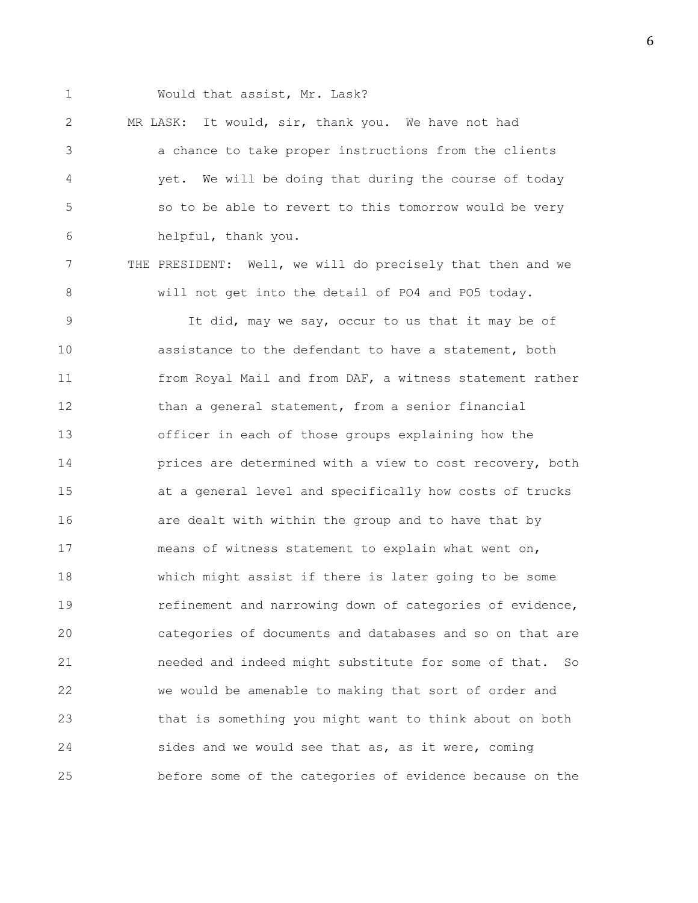1 Would that assist, Mr. Lask?

2 MR LASK: It would, sir, thank you. We have not had 3 a chance to take proper instructions from the clients 4 yet. We will be doing that during the course of today 5 so to be able to revert to this tomorrow would be very 6 helpful, thank you.

7 THE PRESIDENT: Well, we will do precisely that then and we 8 will not get into the detail of PO4 and PO5 today.

9 It did, may we say, occur to us that it may be of 10 assistance to the defendant to have a statement, both 11 from Royal Mail and from DAF, a witness statement rather 12 than a general statement, from a senior financial 13 officer in each of those groups explaining how the 14 prices are determined with a view to cost recovery, both 15 at a general level and specifically how costs of trucks 16 are dealt with within the group and to have that by 17 means of witness statement to explain what went on, 18 which might assist if there is later going to be some 19 refinement and narrowing down of categories of evidence, 20 categories of documents and databases and so on that are 21 needed and indeed might substitute for some of that. So 22 we would be amenable to making that sort of order and 23 that is something you might want to think about on both 24 sides and we would see that as, as it were, coming 25 before some of the categories of evidence because on the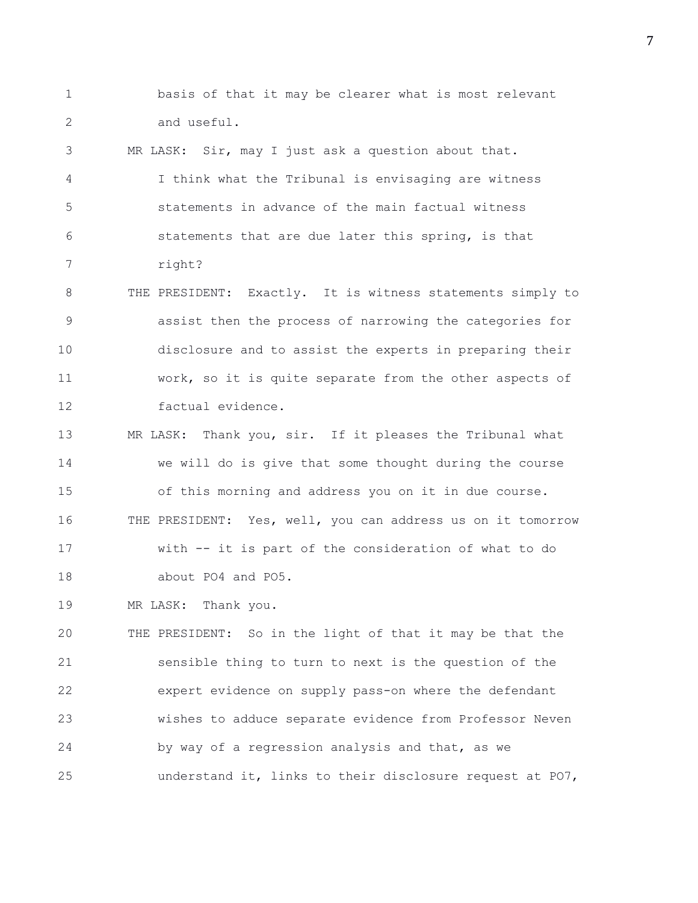1 basis of that it may be clearer what is most relevant 2 and useful.

3 MR LASK: Sir, may I just ask a question about that. 4 I think what the Tribunal is envisaging are witness 5 statements in advance of the main factual witness 6 statements that are due later this spring, is that 7 right?

8 THE PRESIDENT: Exactly. It is witness statements simply to 9 assist then the process of narrowing the categories for 10 disclosure and to assist the experts in preparing their 11 work, so it is quite separate from the other aspects of 12 factual evidence.

13 MR LASK: Thank you, sir. If it pleases the Tribunal what 14 we will do is give that some thought during the course 15 of this morning and address you on it in due course. 16 THE PRESIDENT: Yes, well, you can address us on it tomorrow 17 with -- it is part of the consideration of what to do 18 about PO4 and PO5.

19 MR LASK: Thank you.

20 THE PRESIDENT: So in the light of that it may be that the 21 sensible thing to turn to next is the question of the 22 expert evidence on supply pass-on where the defendant 23 wishes to adduce separate evidence from Professor Neven 24 by way of a regression analysis and that, as we 25 understand it, links to their disclosure request at PO7,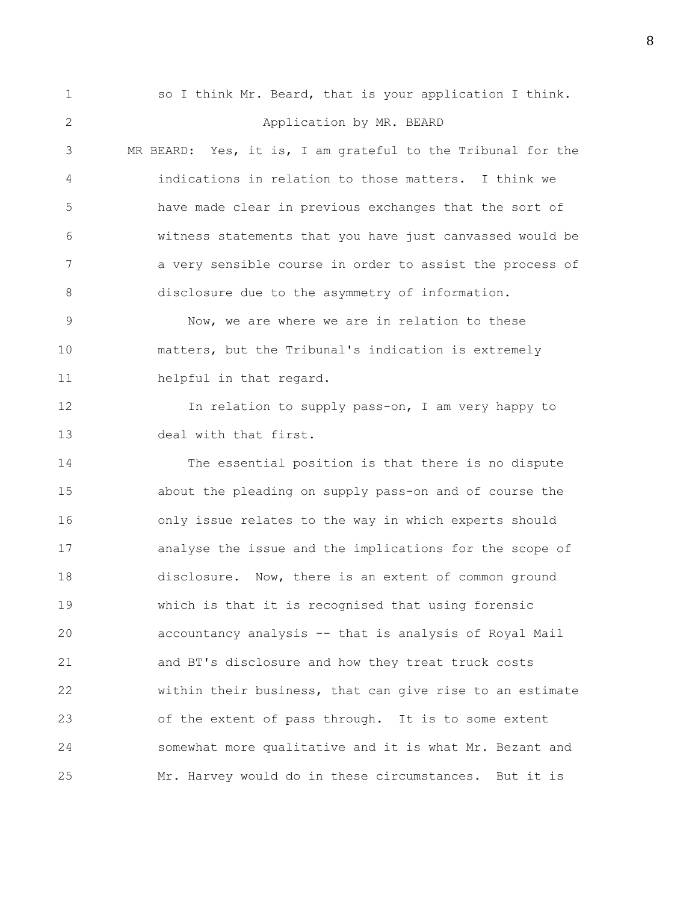1 so I think Mr. Beard, that is your application I think. 2 Application by MR. BEARD 3 MR BEARD: Yes, it is, I am grateful to the Tribunal for the 4 indications in relation to those matters. I think we 5 have made clear in previous exchanges that the sort of 6 witness statements that you have just canvassed would be 7 a very sensible course in order to assist the process of 8 disclosure due to the asymmetry of information. 9 Now, we are where we are in relation to these 10 matters, but the Tribunal's indication is extremely 11 helpful in that regard. 12 In relation to supply pass-on, I am very happy to 13 deal with that first. 14 The essential position is that there is no dispute 15 about the pleading on supply pass-on and of course the 16 only issue relates to the way in which experts should 17 analyse the issue and the implications for the scope of 18 disclosure. Now, there is an extent of common ground 19 which is that it is recognised that using forensic 20 accountancy analysis -- that is analysis of Royal Mail 21 and BT's disclosure and how they treat truck costs 22 within their business, that can give rise to an estimate 23 of the extent of pass through. It is to some extent 24 somewhat more qualitative and it is what Mr. Bezant and 25 Mr. Harvey would do in these circumstances. But it is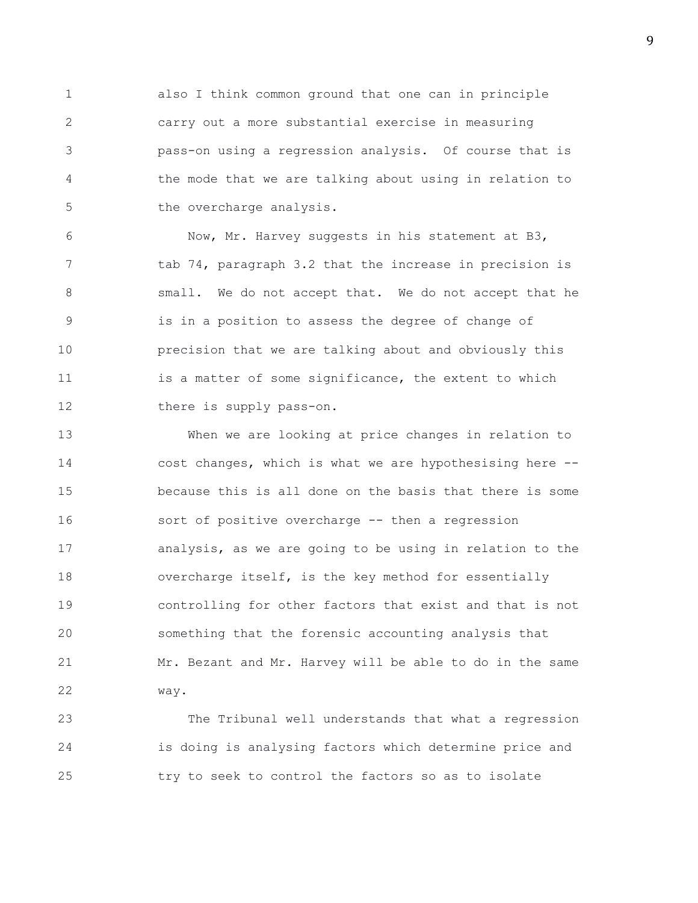1 also I think common ground that one can in principle 2 carry out a more substantial exercise in measuring 3 pass-on using a regression analysis. Of course that is 4 the mode that we are talking about using in relation to 5 the overcharge analysis.

6 Now, Mr. Harvey suggests in his statement at B3, 7 tab 74, paragraph 3.2 that the increase in precision is 8 small. We do not accept that. We do not accept that he 9 is in a position to assess the degree of change of 10 precision that we are talking about and obviously this 11 is a matter of some significance, the extent to which 12 there is supply pass-on.

13 When we are looking at price changes in relation to 14 cost changes, which is what we are hypothesising here -- 15 because this is all done on the basis that there is some 16 sort of positive overcharge -- then a regression 17 analysis, as we are going to be using in relation to the 18 overcharge itself, is the key method for essentially 19 controlling for other factors that exist and that is not 20 something that the forensic accounting analysis that 21 Mr. Bezant and Mr. Harvey will be able to do in the same 22 way.

23 The Tribunal well understands that what a regression 24 is doing is analysing factors which determine price and 25 try to seek to control the factors so as to isolate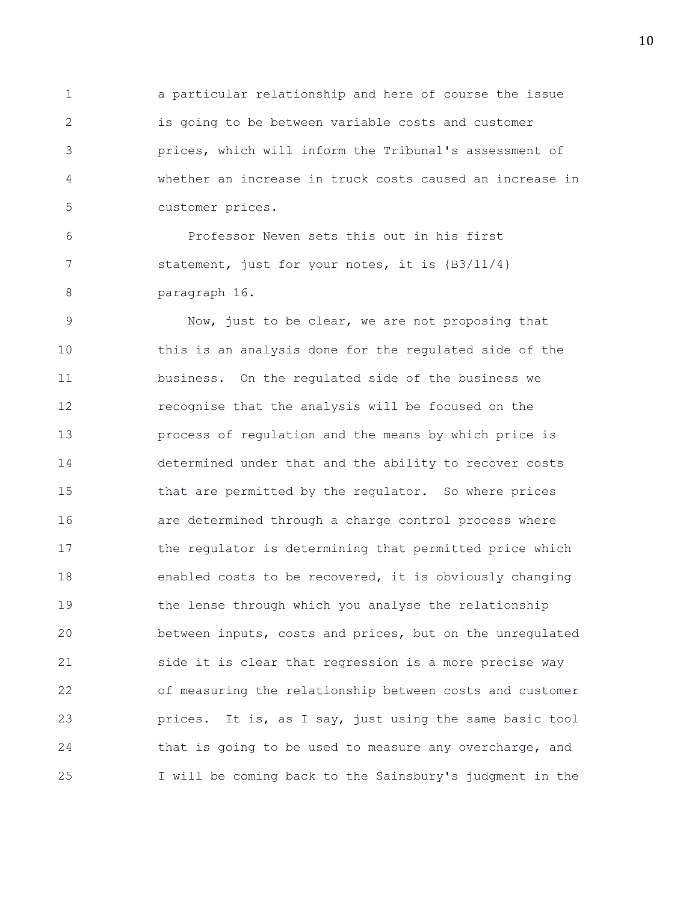1 a particular relationship and here of course the issue 2 is going to be between variable costs and customer 3 prices, which will inform the Tribunal's assessment of 4 whether an increase in truck costs caused an increase in 5 customer prices.

6 Professor Neven sets this out in his first 7 statement, just for your notes, it is  ${B3/11/4}$ 8 paragraph 16.

9 Now, just to be clear, we are not proposing that 10 this is an analysis done for the regulated side of the 11 business. On the regulated side of the business we 12 recognise that the analysis will be focused on the 13 process of regulation and the means by which price is 14 determined under that and the ability to recover costs 15 that are permitted by the regulator. So where prices 16 are determined through a charge control process where 17 the regulator is determining that permitted price which 18 enabled costs to be recovered, it is obviously changing 19 the lense through which you analyse the relationship 20 between inputs, costs and prices, but on the unregulated 21 side it is clear that regression is a more precise way 22 of measuring the relationship between costs and customer 23 prices. It is, as I say, just using the same basic tool 24 that is going to be used to measure any overcharge, and 25 I will be coming back to the Sainsbury's judgment in the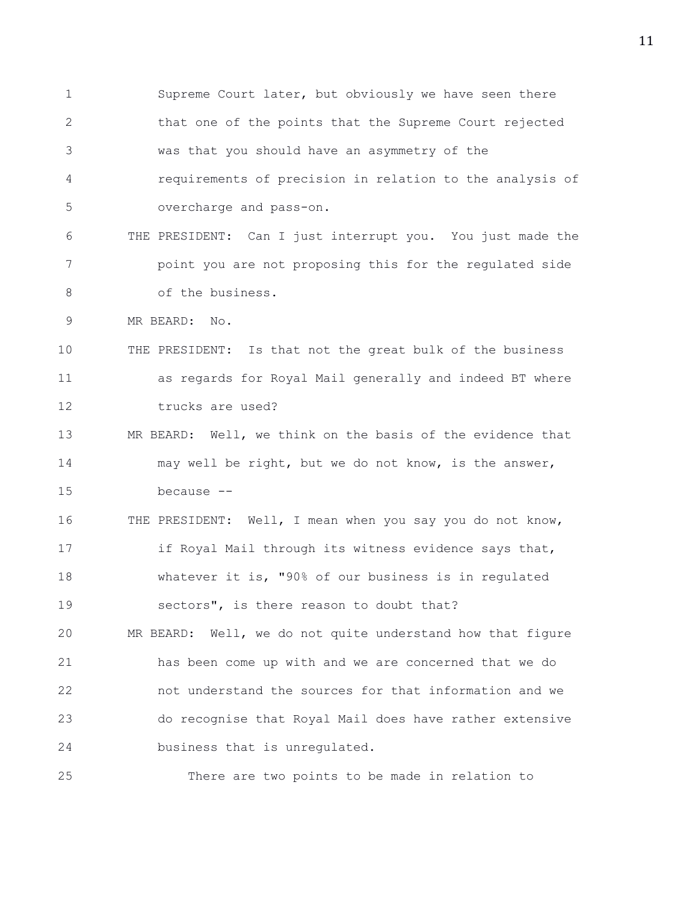1 Supreme Court later, but obviously we have seen there 2 that one of the points that the Supreme Court rejected 3 was that you should have an asymmetry of the 4 requirements of precision in relation to the analysis of 5 overcharge and pass-on. 6 THE PRESIDENT: Can I just interrupt you. You just made the 7 point you are not proposing this for the regulated side 8 of the business. 9 MR BEARD: No. 10 THE PRESIDENT: Is that not the great bulk of the business 11 as regards for Royal Mail generally and indeed BT where 12 trucks are used? 13 MR BEARD: Well, we think on the basis of the evidence that 14 may well be right, but we do not know, is the answer, 15 because -- 16 THE PRESIDENT: Well, I mean when you say you do not know, 17 if Royal Mail through its witness evidence says that, 18 whatever it is, "90% of our business is in regulated 19 sectors", is there reason to doubt that? 20 MR BEARD: Well, we do not quite understand how that figure 21 has been come up with and we are concerned that we do 22 not understand the sources for that information and we 23 do recognise that Royal Mail does have rather extensive 24 business that is unregulated. 25 There are two points to be made in relation to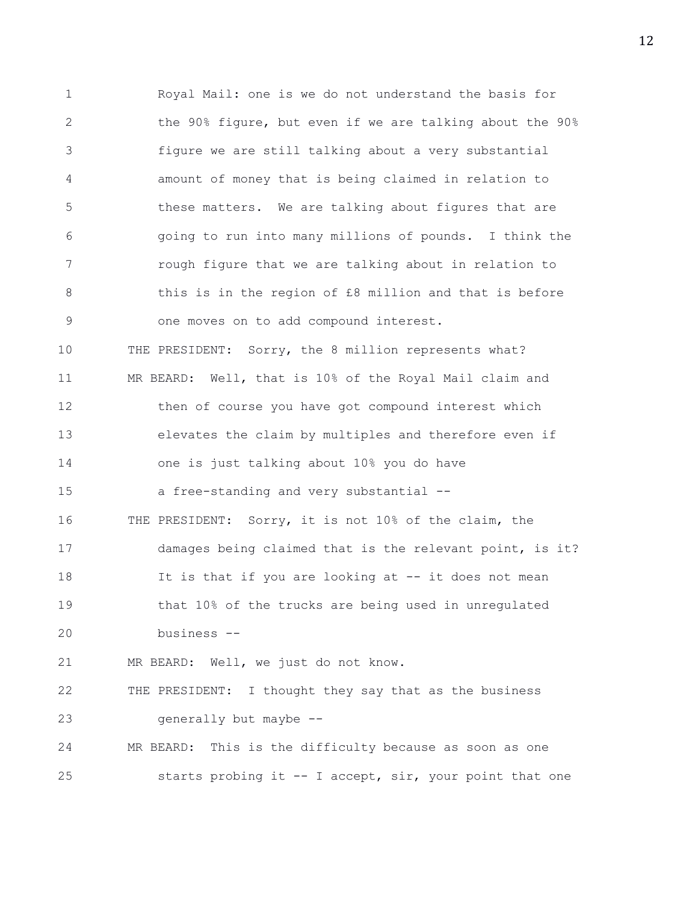1 Royal Mail: one is we do not understand the basis for 2 the 90% figure, but even if we are talking about the 90% 3 figure we are still talking about a very substantial 4 amount of money that is being claimed in relation to 5 these matters. We are talking about figures that are 6 going to run into many millions of pounds. I think the 7 rough figure that we are talking about in relation to 8 this is in the region of £8 million and that is before 9 one moves on to add compound interest. 10 THE PRESIDENT: Sorry, the 8 million represents what? 11 MR BEARD: Well, that is 10% of the Royal Mail claim and 12 then of course you have got compound interest which 13 elevates the claim by multiples and therefore even if 14 one is just talking about 10% you do have 15 a free-standing and very substantial -- 16 THE PRESIDENT: Sorry, it is not 10% of the claim, the 17 damages being claimed that is the relevant point, is it? 18 It is that if you are looking at -- it does not mean 19 that 10% of the trucks are being used in unregulated 20 business -- 21 MR BEARD: Well, we just do not know. 22 THE PRESIDENT: I thought they say that as the business 23 generally but maybe -- 24 MR BEARD: This is the difficulty because as soon as one 25 starts probing it -- I accept, sir, your point that one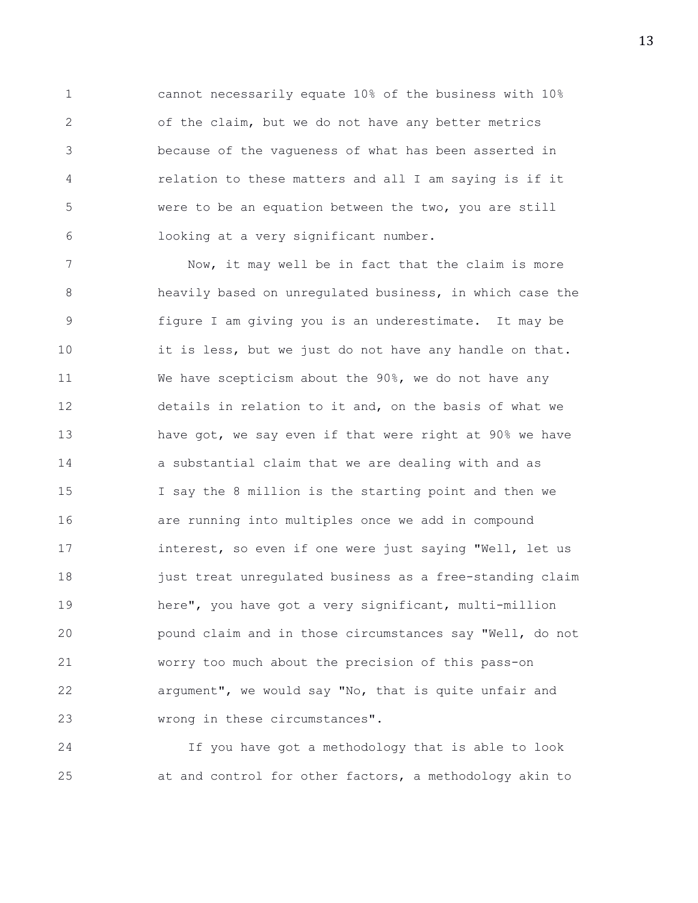1 cannot necessarily equate 10% of the business with 10% 2 of the claim, but we do not have any better metrics 3 because of the vagueness of what has been asserted in 4 relation to these matters and all I am saying is if it 5 were to be an equation between the two, you are still 6 looking at a very significant number.

7 Now, it may well be in fact that the claim is more 8 heavily based on unregulated business, in which case the 9 figure I am giving you is an underestimate. It may be 10 it is less, but we just do not have any handle on that. 11 We have scepticism about the 90%, we do not have any 12 details in relation to it and, on the basis of what we 13 have got, we say even if that were right at 90% we have 14 a substantial claim that we are dealing with and as 15 I say the 8 million is the starting point and then we 16 are running into multiples once we add in compound 17 interest, so even if one were just saying "Well, let us 18 just treat unregulated business as a free-standing claim 19 here", you have got a very significant, multi-million 20 pound claim and in those circumstances say "Well, do not 21 worry too much about the precision of this pass-on 22 argument", we would say "No, that is quite unfair and 23 wrong in these circumstances".

24 If you have got a methodology that is able to look 25 at and control for other factors, a methodology akin to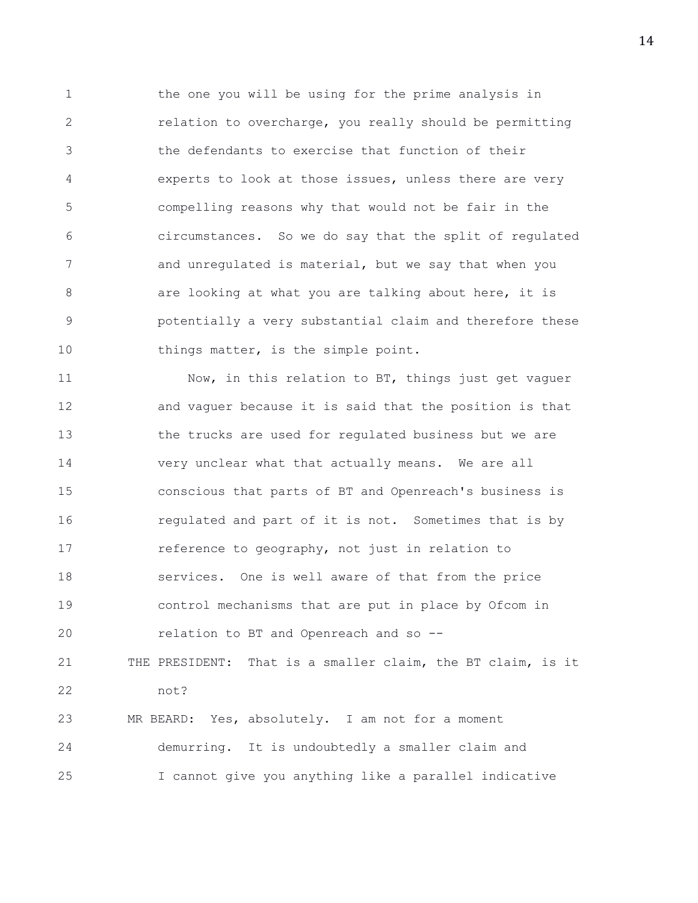1 the one you will be using for the prime analysis in 2 relation to overcharge, you really should be permitting 3 the defendants to exercise that function of their 4 experts to look at those issues, unless there are very 5 compelling reasons why that would not be fair in the 6 circumstances. So we do say that the split of regulated 7 and unregulated is material, but we say that when you 8 are looking at what you are talking about here, it is 9 potentially a very substantial claim and therefore these 10 things matter, is the simple point.

11 Now, in this relation to BT, things just get vaguer 12 and vaguer because it is said that the position is that 13 the trucks are used for regulated business but we are 14 very unclear what that actually means. We are all 15 conscious that parts of BT and Openreach's business is 16 regulated and part of it is not. Sometimes that is by 17 **reference to geography, not just in relation to** 18 services. One is well aware of that from the price 19 control mechanisms that are put in place by Ofcom in 20 relation to BT and Openreach and so -- 21 THE PRESIDENT: That is a smaller claim, the BT claim, is it 22 not? 23 MR BEARD: Yes, absolutely. I am not for a moment 24 demurring. It is undoubtedly a smaller claim and 25 I cannot give you anything like a parallel indicative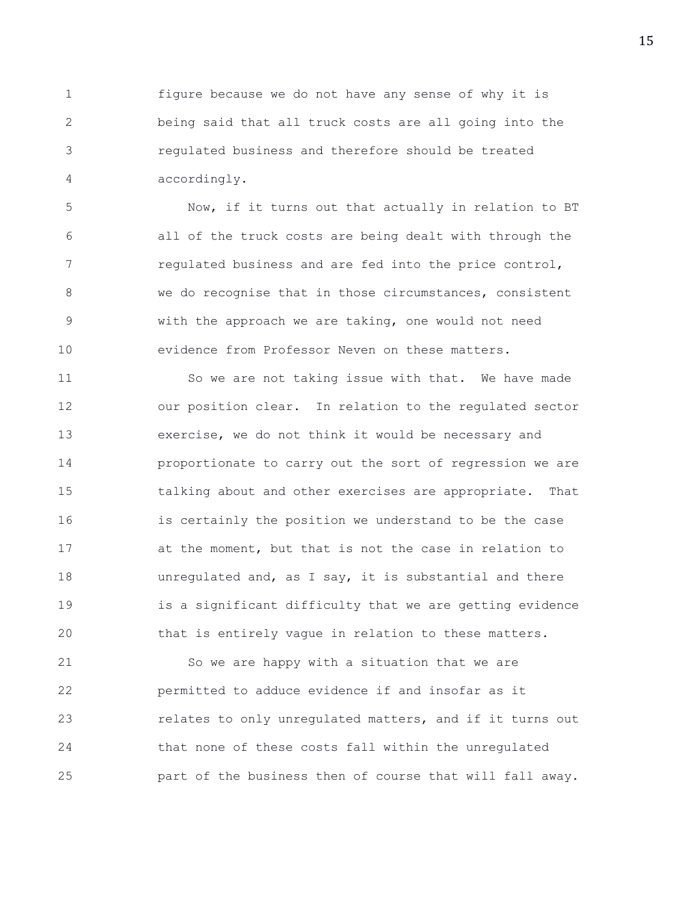1 figure because we do not have any sense of why it is 2 being said that all truck costs are all going into the 3 regulated business and therefore should be treated 4 accordingly.

5 Now, if it turns out that actually in relation to BT 6 all of the truck costs are being dealt with through the 7 regulated business and are fed into the price control, 8 we do recognise that in those circumstances, consistent 9 with the approach we are taking, one would not need 10 evidence from Professor Neven on these matters.

11 So we are not taking issue with that. We have made 12 our position clear. In relation to the regulated sector 13 exercise, we do not think it would be necessary and 14 proportionate to carry out the sort of regression we are 15 talking about and other exercises are appropriate. That 16 is certainly the position we understand to be the case 17 at the moment, but that is not the case in relation to 18 unregulated and, as I say, it is substantial and there 19 is a significant difficulty that we are getting evidence 20 that is entirely vague in relation to these matters.

21 So we are happy with a situation that we are 22 permitted to adduce evidence if and insofar as it 23 relates to only unregulated matters, and if it turns out 24 that none of these costs fall within the unregulated 25 part of the business then of course that will fall away.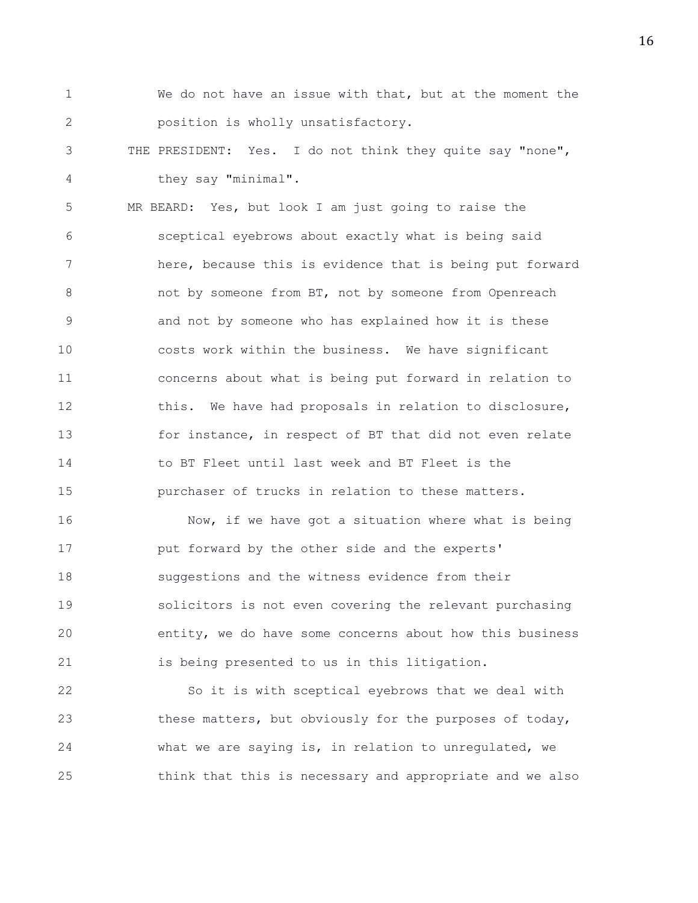- 1 We do not have an issue with that, but at the moment the 2 position is wholly unsatisfactory.
- 3 THE PRESIDENT: Yes. I do not think they quite say "none", 4 they say "minimal".

5 MR BEARD: Yes, but look I am just going to raise the 6 sceptical eyebrows about exactly what is being said 7 here, because this is evidence that is being put forward 8 not by someone from BT, not by someone from Openreach 9 and not by someone who has explained how it is these 10 costs work within the business. We have significant 11 concerns about what is being put forward in relation to 12 this. We have had proposals in relation to disclosure, 13 for instance, in respect of BT that did not even relate 14 to BT Fleet until last week and BT Fleet is the 15 purchaser of trucks in relation to these matters.

16 Now, if we have got a situation where what is being 17 **put forward by the other side and the experts'** 18 suggestions and the witness evidence from their 19 solicitors is not even covering the relevant purchasing 20 entity, we do have some concerns about how this business 21 is being presented to us in this litigation.

22 So it is with sceptical eyebrows that we deal with 23 these matters, but obviously for the purposes of today, 24 what we are saying is, in relation to unregulated, we 25 think that this is necessary and appropriate and we also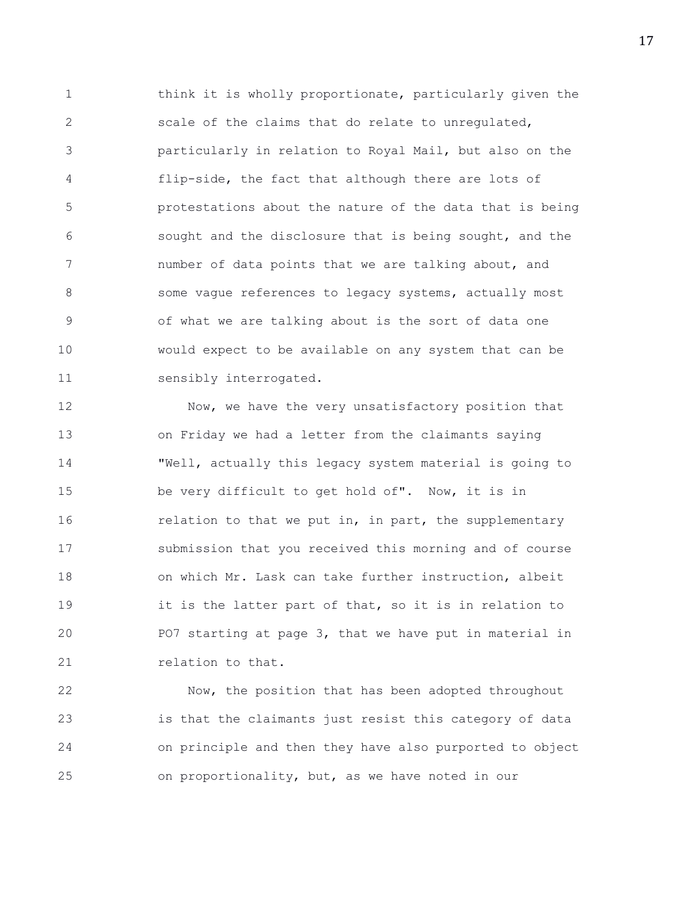1 think it is wholly proportionate, particularly given the 2 scale of the claims that do relate to unregulated, 3 particularly in relation to Royal Mail, but also on the 4 flip-side, the fact that although there are lots of 5 protestations about the nature of the data that is being 6 sought and the disclosure that is being sought, and the 7 humber of data points that we are talking about, and 8 some vague references to legacy systems, actually most 9 of what we are talking about is the sort of data one 10 would expect to be available on any system that can be 11 sensibly interrogated.

12 Now, we have the very unsatisfactory position that 13 on Friday we had a letter from the claimants saying 14 "Well, actually this legacy system material is going to 15 be very difficult to get hold of". Now, it is in 16 **relation to that we put in, in part, the supplementary** 17 submission that you received this morning and of course 18 on which Mr. Lask can take further instruction, albeit 19 it is the latter part of that, so it is in relation to 20 PO7 starting at page 3, that we have put in material in 21 relation to that.

22 Now, the position that has been adopted throughout 23 is that the claimants just resist this category of data 24 on principle and then they have also purported to object 25 on proportionality, but, as we have noted in our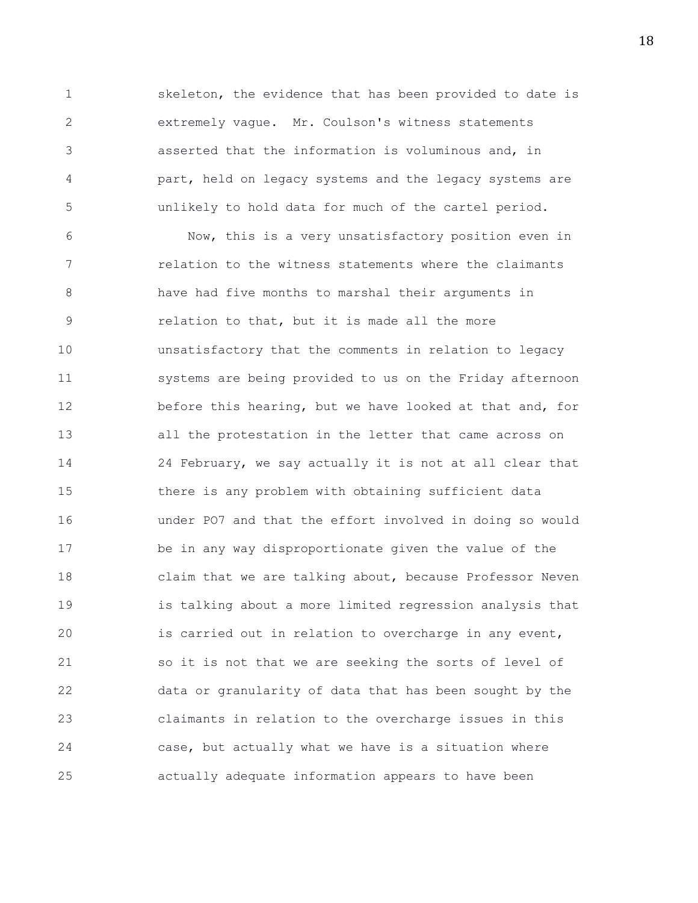1 skeleton, the evidence that has been provided to date is 2 extremely vague. Mr. Coulson's witness statements 3 asserted that the information is voluminous and, in 4 part, held on legacy systems and the legacy systems are 5 unlikely to hold data for much of the cartel period.

6 Now, this is a very unsatisfactory position even in 7 relation to the witness statements where the claimants 8 have had five months to marshal their arguments in 9 relation to that, but it is made all the more 10 unsatisfactory that the comments in relation to legacy 11 systems are being provided to us on the Friday afternoon 12 before this hearing, but we have looked at that and, for 13 all the protestation in the letter that came across on 14 24 February, we say actually it is not at all clear that 15 there is any problem with obtaining sufficient data 16 under PO7 and that the effort involved in doing so would 17 be in any way disproportionate given the value of the 18 claim that we are talking about, because Professor Neven 19 is talking about a more limited regression analysis that 20 is carried out in relation to overcharge in any event, 21 so it is not that we are seeking the sorts of level of 22 data or granularity of data that has been sought by the 23 claimants in relation to the overcharge issues in this 24 case, but actually what we have is a situation where 25 actually adequate information appears to have been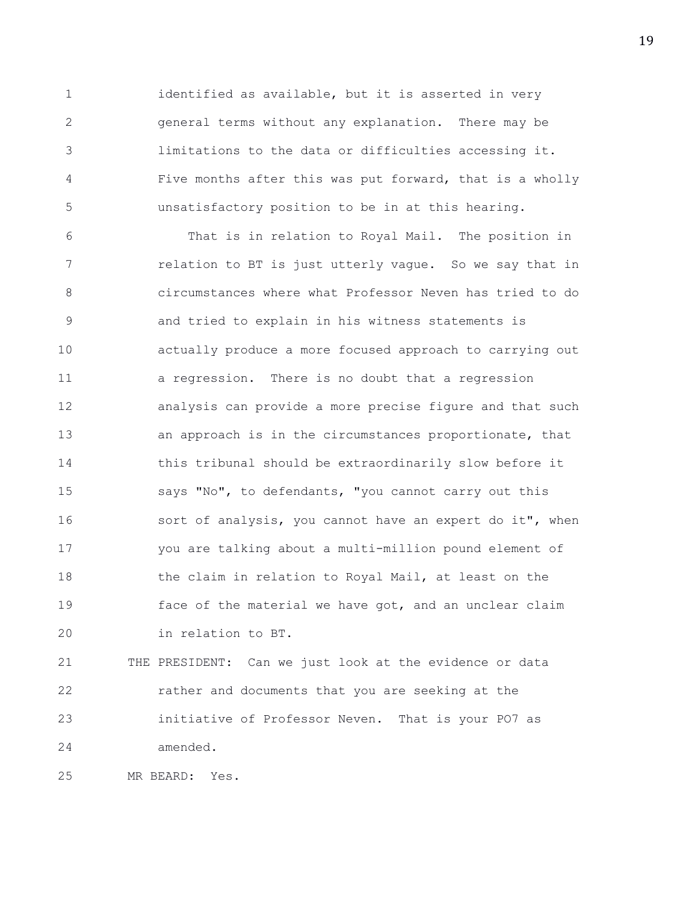1 identified as available, but it is asserted in very 2 general terms without any explanation. There may be 3 limitations to the data or difficulties accessing it. 4 Five months after this was put forward, that is a wholly 5 unsatisfactory position to be in at this hearing.

6 That is in relation to Royal Mail. The position in 7 relation to BT is just utterly vague. So we say that in 8 circumstances where what Professor Neven has tried to do 9 and tried to explain in his witness statements is 10 actually produce a more focused approach to carrying out 11 a regression. There is no doubt that a regression 12 analysis can provide a more precise figure and that such 13 an approach is in the circumstances proportionate, that 14 this tribunal should be extraordinarily slow before it 15 says "No", to defendants, "you cannot carry out this 16 sort of analysis, you cannot have an expert do it", when 17 you are talking about a multi-million pound element of 18 the claim in relation to Royal Mail, at least on the 19 face of the material we have got, and an unclear claim 20 in relation to BT.

21 THE PRESIDENT: Can we just look at the evidence or data 22 rather and documents that you are seeking at the 23 initiative of Professor Neven. That is your PO7 as 24 amended.

25 MR BEARD: Yes.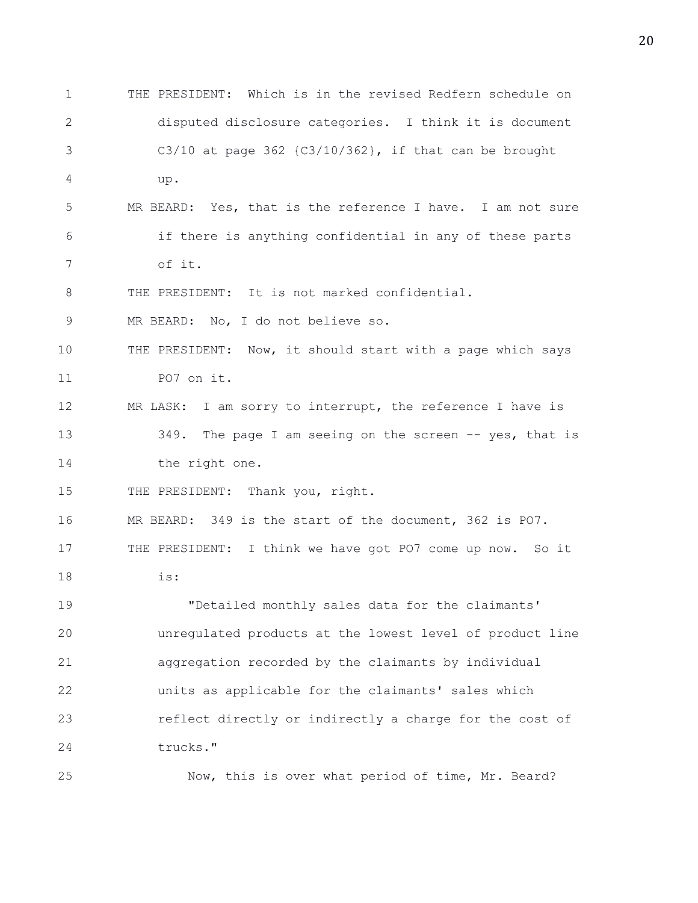1 THE PRESIDENT: Which is in the revised Redfern schedule on 2 disputed disclosure categories. I think it is document 3 C3/10 at page 362 {C3/10/362}, if that can be brought 4 up. 5 MR BEARD: Yes, that is the reference I have. I am not sure 6 if there is anything confidential in any of these parts 7 of it. 8 THE PRESIDENT: It is not marked confidential. 9 MR BEARD: No, I do not believe so. 10 THE PRESIDENT: Now, it should start with a page which says 11 PO7 on it. 12 MR LASK: I am sorry to interrupt, the reference I have is 13 349. The page I am seeing on the screen -- yes, that is 14 the right one. 15 THE PRESIDENT: Thank you, right. 16 MR BEARD: 349 is the start of the document, 362 is PO7. 17 THE PRESIDENT: I think we have got PO7 come up now. So it 18 is: 19 "Detailed monthly sales data for the claimants' 20 unregulated products at the lowest level of product line 21 aggregation recorded by the claimants by individual 22 units as applicable for the claimants' sales which 23 reflect directly or indirectly a charge for the cost of 24 trucks." 25 Now, this is over what period of time, Mr. Beard?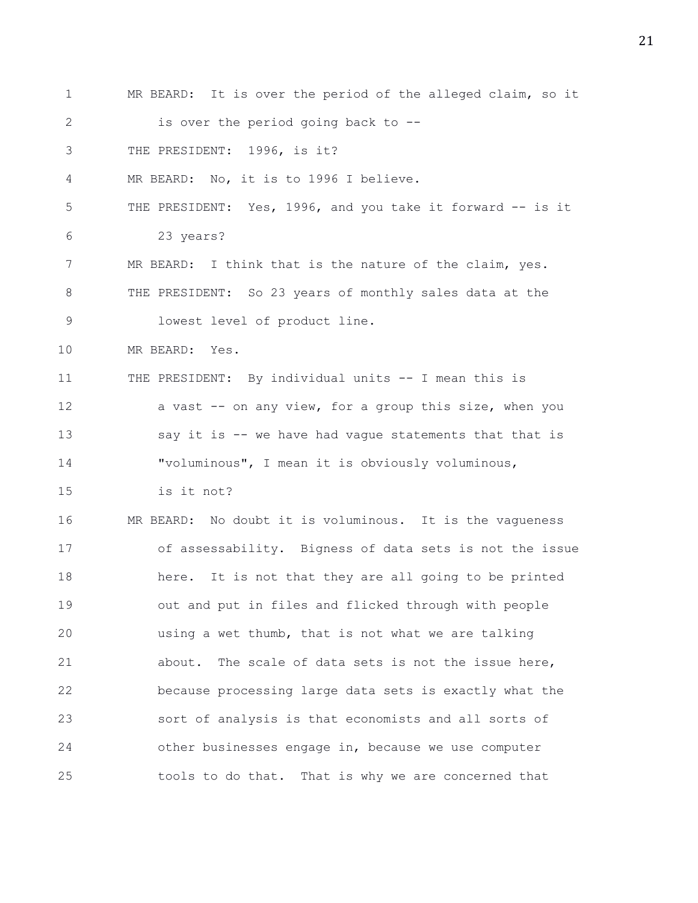1 MR BEARD: It is over the period of the alleged claim, so it 2 is over the period going back to --3 THE PRESIDENT: 1996, is it? 4 MR BEARD: No, it is to 1996 I believe. 5 THE PRESIDENT: Yes, 1996, and you take it forward -- is it 6 23 years? 7 MR BEARD: I think that is the nature of the claim, yes. 8 THE PRESIDENT: So 23 years of monthly sales data at the 9 lowest level of product line. 10 MR BEARD: Yes. 11 THE PRESIDENT: By individual units -- I mean this is 12 a vast -- on any view, for a group this size, when you 13 say it is -- we have had vague statements that that is 14 "voluminous", I mean it is obviously voluminous, 15 is it not? 16 MR BEARD: No doubt it is voluminous. It is the vagueness 17 of assessability. Bigness of data sets is not the issue 18 here. It is not that they are all going to be printed 19 out and put in files and flicked through with people 20 using a wet thumb, that is not what we are talking 21 about. The scale of data sets is not the issue here, 22 because processing large data sets is exactly what the 23 sort of analysis is that economists and all sorts of 24 other businesses engage in, because we use computer 25 tools to do that. That is why we are concerned that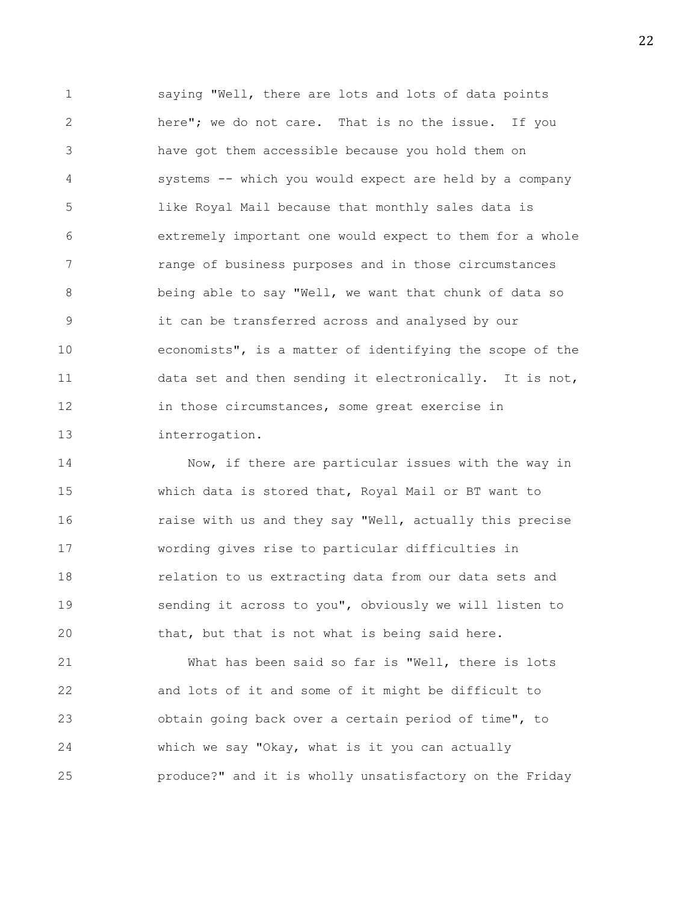1 saying "Well, there are lots and lots of data points 2 here"; we do not care. That is no the issue. If you 3 have got them accessible because you hold them on 4 systems -- which you would expect are held by a company 5 like Royal Mail because that monthly sales data is 6 extremely important one would expect to them for a whole 7 range of business purposes and in those circumstances 8 being able to say "Well, we want that chunk of data so 9 it can be transferred across and analysed by our 10 economists", is a matter of identifying the scope of the 11 data set and then sending it electronically. It is not, 12 in those circumstances, some great exercise in 13 interrogation.

14 Now, if there are particular issues with the way in 15 which data is stored that, Royal Mail or BT want to 16 **raise with us and they say "Well, actually this precise** 17 wording gives rise to particular difficulties in 18 relation to us extracting data from our data sets and 19 sending it across to you", obviously we will listen to 20 that, but that is not what is being said here.

21 What has been said so far is "Well, there is lots 22 and lots of it and some of it might be difficult to 23 obtain going back over a certain period of time", to 24 which we say "Okay, what is it you can actually 25 produce?" and it is wholly unsatisfactory on the Friday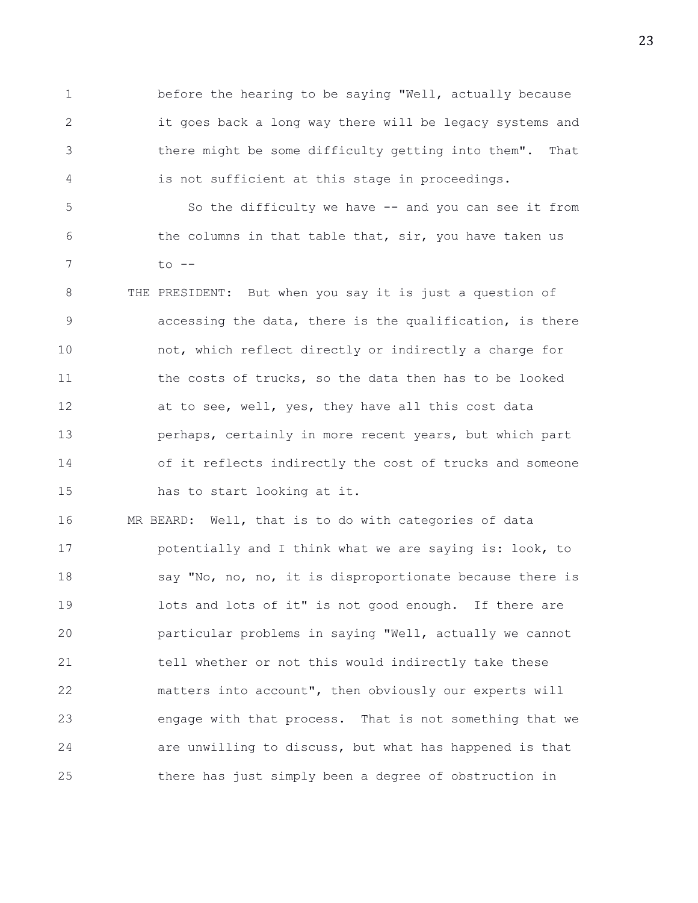1 before the hearing to be saying "Well, actually because 2 it goes back a long way there will be legacy systems and 3 there might be some difficulty getting into them". That 4 is not sufficient at this stage in proceedings.

5 So the difficulty we have -- and you can see it from 6 the columns in that table that, sir, you have taken us 7 to --

8 THE PRESIDENT: But when you say it is just a question of 9 accessing the data, there is the qualification, is there 10 not, which reflect directly or indirectly a charge for 11 the costs of trucks, so the data then has to be looked 12 at to see, well, yes, they have all this cost data 13 perhaps, certainly in more recent years, but which part 14 of it reflects indirectly the cost of trucks and someone 15 has to start looking at it.

16 MR BEARD: Well, that is to do with categories of data 17 **potentially and I think what we are saying is: look, to** 18 say "No, no, no, it is disproportionate because there is 19 lots and lots of it" is not good enough. If there are 20 particular problems in saying "Well, actually we cannot 21 tell whether or not this would indirectly take these 22 matters into account", then obviously our experts will 23 engage with that process. That is not something that we 24 are unwilling to discuss, but what has happened is that 25 there has just simply been a degree of obstruction in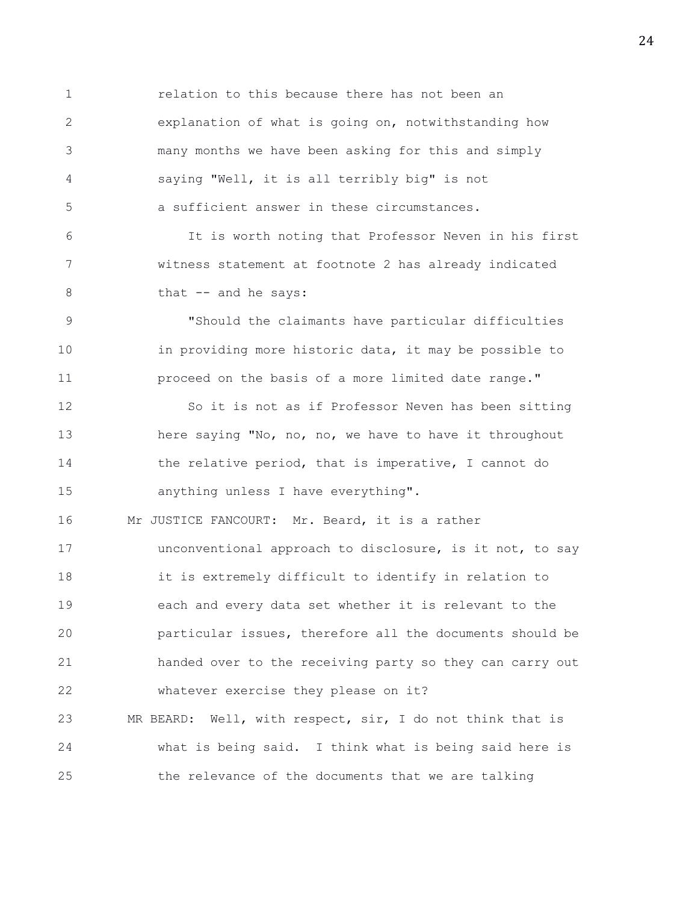1 relation to this because there has not been an 2 explanation of what is going on, notwithstanding how 3 many months we have been asking for this and simply 4 saying "Well, it is all terribly big" is not 5 a sufficient answer in these circumstances. 6 It is worth noting that Professor Neven in his first 7 witness statement at footnote 2 has already indicated 8 that -- and he says: 9 "Should the claimants have particular difficulties 10 in providing more historic data, it may be possible to 11 proceed on the basis of a more limited date range." 12 So it is not as if Professor Neven has been sitting 13 here saying "No, no, no, we have to have it throughout 14 the relative period, that is imperative, I cannot do 15 anything unless I have everything". 16 Mr JUSTICE FANCOURT: Mr. Beard, it is a rather 17 unconventional approach to disclosure, is it not, to say 18 it is extremely difficult to identify in relation to 19 each and every data set whether it is relevant to the 20 particular issues, therefore all the documents should be 21 handed over to the receiving party so they can carry out 22 whatever exercise they please on it? 23 MR BEARD: Well, with respect, sir, I do not think that is 24 what is being said. I think what is being said here is 25 the relevance of the documents that we are talking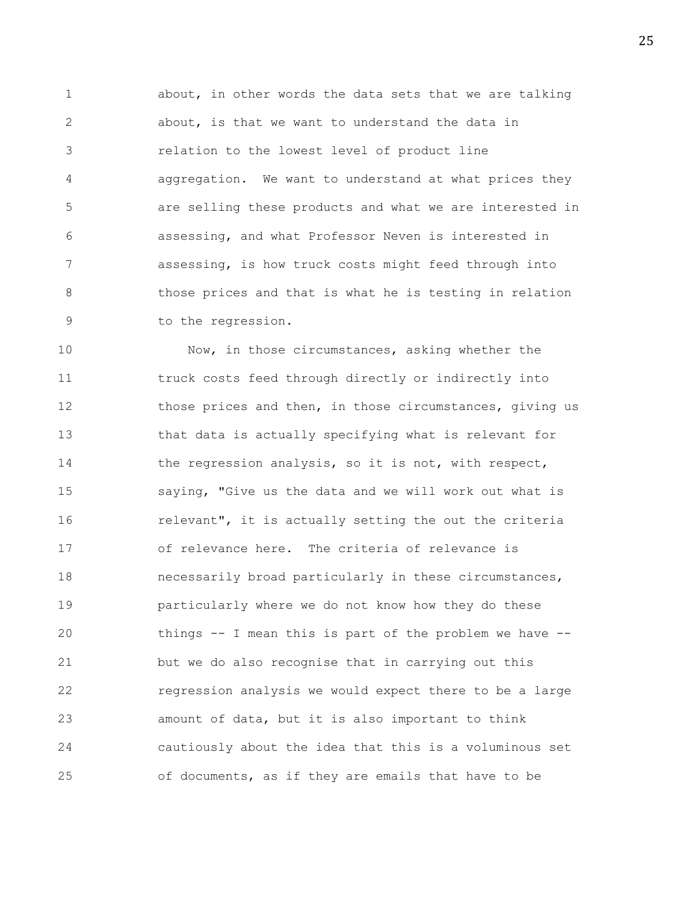1 about, in other words the data sets that we are talking 2 about, is that we want to understand the data in 3 relation to the lowest level of product line 4 aggregation. We want to understand at what prices they 5 are selling these products and what we are interested in 6 assessing, and what Professor Neven is interested in 7 assessing, is how truck costs might feed through into 8 those prices and that is what he is testing in relation 9 to the regression.

10 Now, in those circumstances, asking whether the 11 truck costs feed through directly or indirectly into 12 those prices and then, in those circumstances, giving us 13 that data is actually specifying what is relevant for 14 the regression analysis, so it is not, with respect, 15 saying, "Give us the data and we will work out what is 16 **relevant", it is actually setting the out the criteria** 17 of relevance here. The criteria of relevance is 18 necessarily broad particularly in these circumstances, 19 particularly where we do not know how they do these 20 things -- I mean this is part of the problem we have -- 21 but we do also recognise that in carrying out this 22 regression analysis we would expect there to be a large 23 amount of data, but it is also important to think 24 cautiously about the idea that this is a voluminous set 25 of documents, as if they are emails that have to be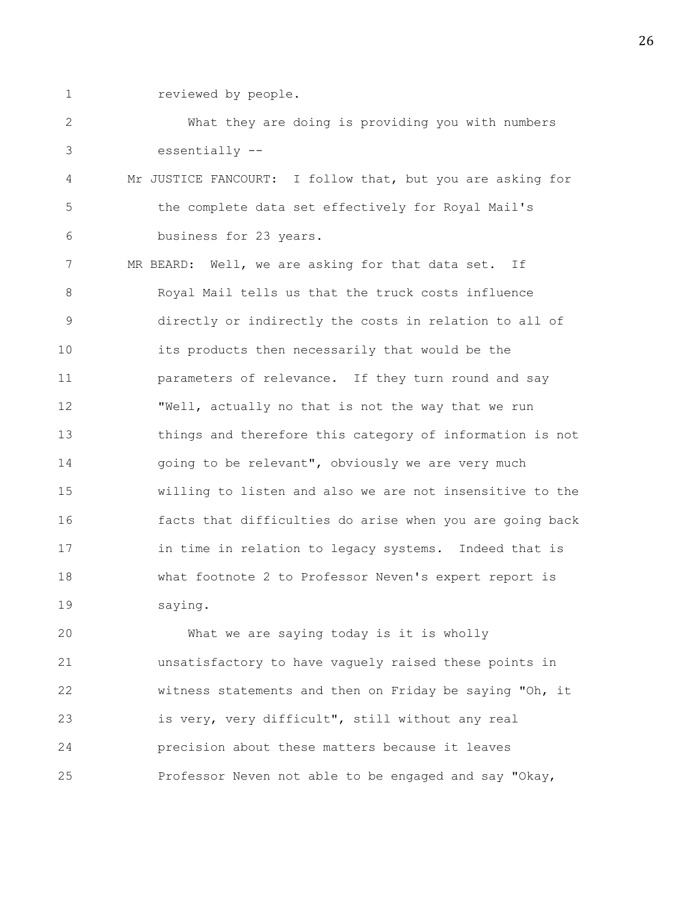- 
- 1 reviewed by people.

2 What they are doing is providing you with numbers 3 essentially --

4 Mr JUSTICE FANCOURT: I follow that, but you are asking for 5 the complete data set effectively for Royal Mail's 6 business for 23 years.

7 MR BEARD: Well, we are asking for that data set. If 8 Royal Mail tells us that the truck costs influence 9 directly or indirectly the costs in relation to all of 10 its products then necessarily that would be the 11 parameters of relevance. If they turn round and say 12 "Well, actually no that is not the way that we run 13 things and therefore this category of information is not 14 going to be relevant", obviously we are very much 15 willing to listen and also we are not insensitive to the 16 facts that difficulties do arise when you are going back 17 in time in relation to legacy systems. Indeed that is 18 what footnote 2 to Professor Neven's expert report is 19 saying.

20 What we are saying today is it is wholly 21 unsatisfactory to have vaguely raised these points in 22 witness statements and then on Friday be saying "Oh, it 23 is very, very difficult", still without any real 24 precision about these matters because it leaves 25 Professor Neven not able to be engaged and say "Okay,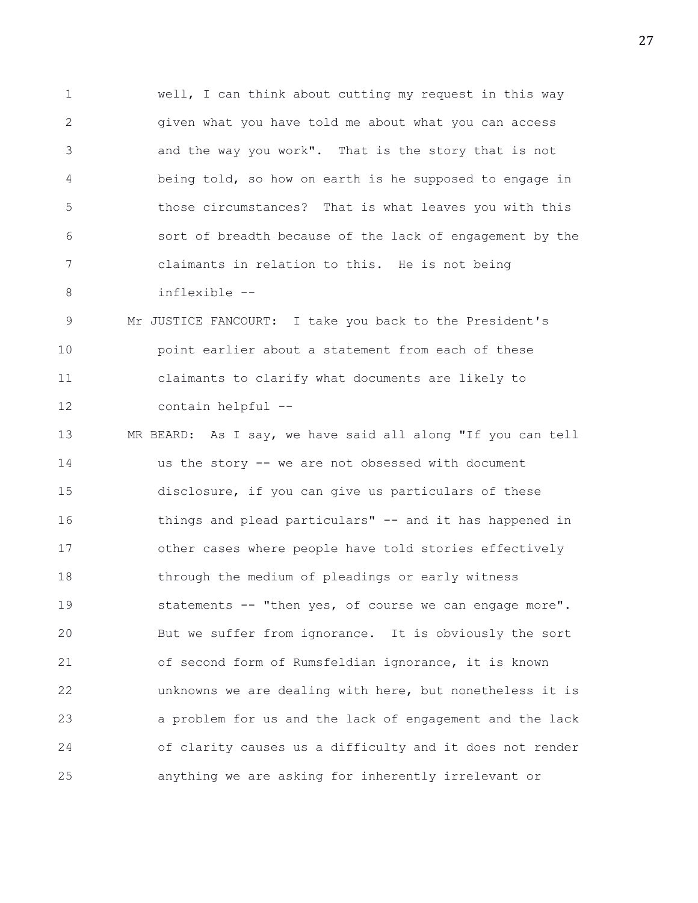1 well, I can think about cutting my request in this way 2 given what you have told me about what you can access 3 and the way you work". That is the story that is not 4 being told, so how on earth is he supposed to engage in 5 those circumstances? That is what leaves you with this 6 sort of breadth because of the lack of engagement by the 7 claimants in relation to this. He is not being 8 inflexible --

9 Mr JUSTICE FANCOURT: I take you back to the President's 10 point earlier about a statement from each of these 11 claimants to clarify what documents are likely to 12 contain helpful --

13 MR BEARD: As I say, we have said all along "If you can tell 14 us the story -- we are not obsessed with document 15 disclosure, if you can give us particulars of these 16 things and plead particulars" -- and it has happened in 17 other cases where people have told stories effectively 18 through the medium of pleadings or early witness 19 statements -- "then yes, of course we can engage more". 20 But we suffer from ignorance. It is obviously the sort 21 of second form of Rumsfeldian ignorance, it is known 22 unknowns we are dealing with here, but nonetheless it is 23 a problem for us and the lack of engagement and the lack 24 of clarity causes us a difficulty and it does not render 25 anything we are asking for inherently irrelevant or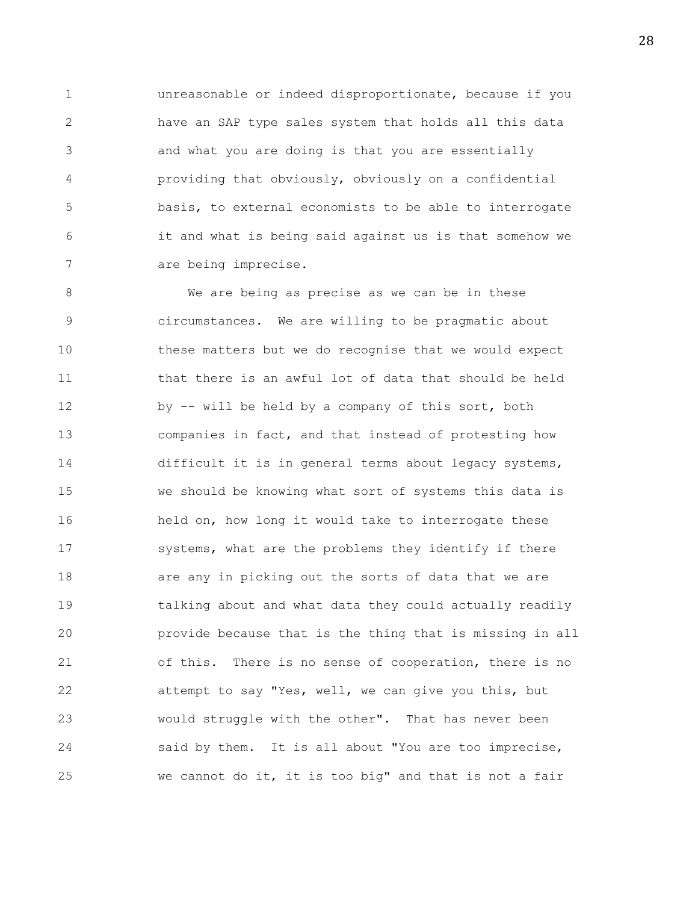1 unreasonable or indeed disproportionate, because if you 2 have an SAP type sales system that holds all this data 3 and what you are doing is that you are essentially 4 providing that obviously, obviously on a confidential 5 basis, to external economists to be able to interrogate 6 it and what is being said against us is that somehow we 7 are being imprecise.

8 We are being as precise as we can be in these 9 circumstances. We are willing to be pragmatic about 10 these matters but we do recognise that we would expect 11 that there is an awful lot of data that should be held 12 by -- will be held by a company of this sort, both 13 companies in fact, and that instead of protesting how 14 difficult it is in general terms about legacy systems, 15 we should be knowing what sort of systems this data is 16 held on, how long it would take to interrogate these 17 systems, what are the problems they identify if there 18 **are any in picking out the sorts of data that we are** 19 talking about and what data they could actually readily 20 provide because that is the thing that is missing in all 21 of this. There is no sense of cooperation, there is no 22 attempt to say "Yes, well, we can give you this, but 23 would struggle with the other". That has never been 24 said by them. It is all about "You are too imprecise, 25 we cannot do it, it is too big" and that is not a fair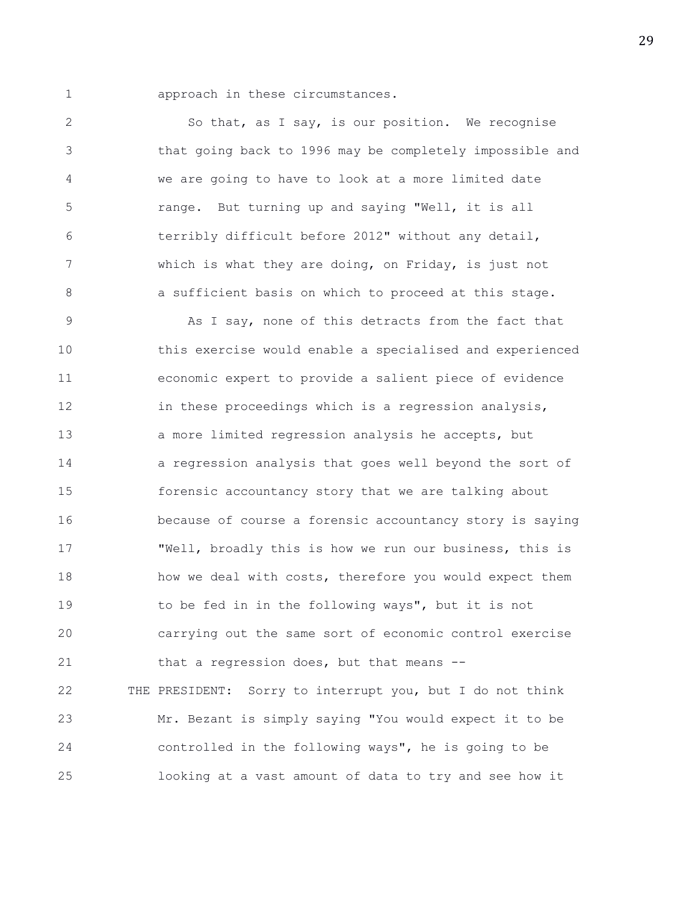1 approach in these circumstances.

2 So that, as I say, is our position. We recognise 3 that going back to 1996 may be completely impossible and 4 we are going to have to look at a more limited date 5 range. But turning up and saying "Well, it is all 6 terribly difficult before 2012" without any detail, 7 which is what they are doing, on Friday, is just not 8 **a** sufficient basis on which to proceed at this stage.

9 As I say, none of this detracts from the fact that 10 this exercise would enable a specialised and experienced 11 economic expert to provide a salient piece of evidence 12 in these proceedings which is a regression analysis, 13 a more limited regression analysis he accepts, but 14 a regression analysis that goes well beyond the sort of 15 forensic accountancy story that we are talking about 16 because of course a forensic accountancy story is saying 17 "Well, broadly this is how we run our business, this is 18 how we deal with costs, therefore you would expect them 19 to be fed in in the following ways", but it is not 20 carrying out the same sort of economic control exercise 21 that a regression does, but that means -- 22 THE PRESIDENT: Sorry to interrupt you, but I do not think 23 Mr. Bezant is simply saying "You would expect it to be 24 controlled in the following ways", he is going to be 25 looking at a vast amount of data to try and see how it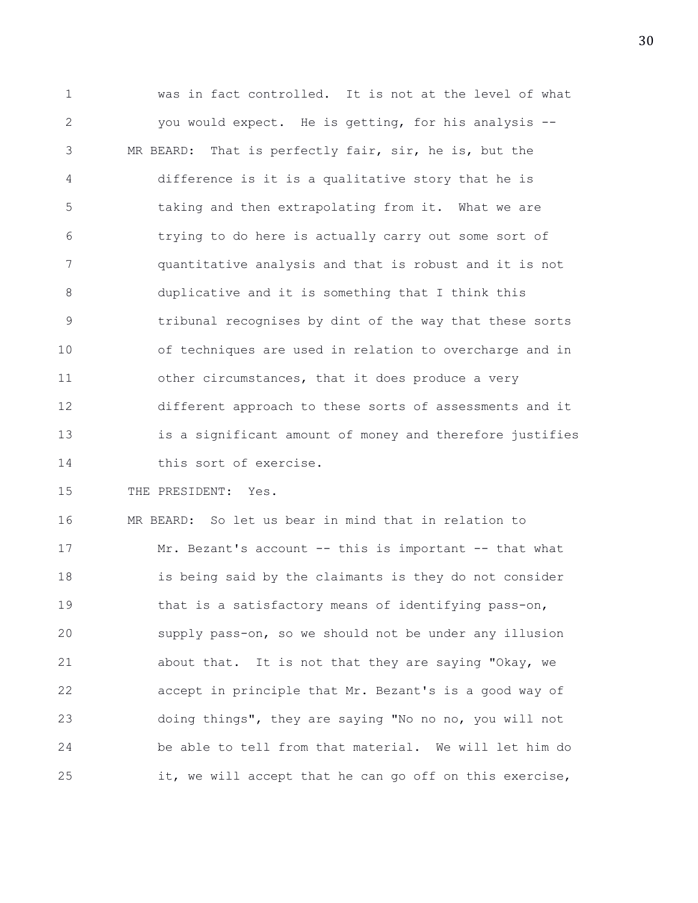1 was in fact controlled. It is not at the level of what 2 you would expect. He is getting, for his analysis -- 3 MR BEARD: That is perfectly fair, sir, he is, but the 4 difference is it is a qualitative story that he is 5 taking and then extrapolating from it. What we are 6 trying to do here is actually carry out some sort of 7 quantitative analysis and that is robust and it is not 8 duplicative and it is something that I think this 9 tribunal recognises by dint of the way that these sorts 10 of techniques are used in relation to overcharge and in 11 other circumstances, that it does produce a very 12 different approach to these sorts of assessments and it 13 is a significant amount of money and therefore justifies 14 this sort of exercise.

15 THE PRESIDENT: Yes.

16 MR BEARD: So let us bear in mind that in relation to 17 Mr. Bezant's account -- this is important -- that what 18 is being said by the claimants is they do not consider 19 that is a satisfactory means of identifying pass-on, 20 supply pass-on, so we should not be under any illusion 21 about that. It is not that they are saying "Okay, we 22 accept in principle that Mr. Bezant's is a good way of 23 doing things", they are saying "No no no, you will not 24 be able to tell from that material. We will let him do 25 it, we will accept that he can go off on this exercise,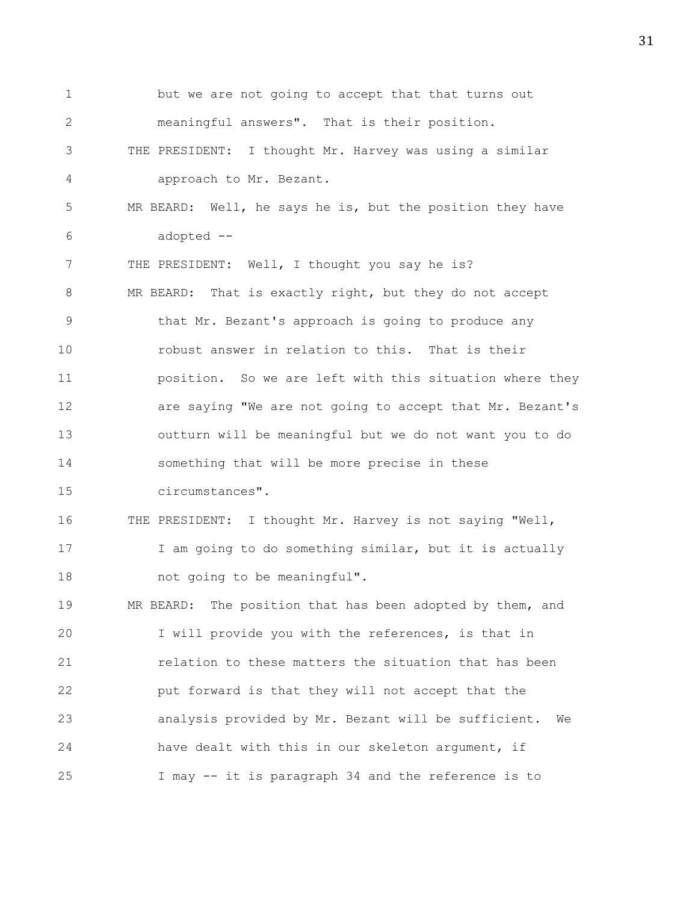1 but we are not going to accept that that turns out 2 meaningful answers". That is their position. 3 THE PRESIDENT: I thought Mr. Harvey was using a similar 4 approach to Mr. Bezant. 5 MR BEARD: Well, he says he is, but the position they have 6 adopted -- 7 THE PRESIDENT: Well, I thought you say he is? 8 MR BEARD: That is exactly right, but they do not accept 9 that Mr. Bezant's approach is going to produce any 10 robust answer in relation to this. That is their 11 position. So we are left with this situation where they 12 are saying "We are not going to accept that Mr. Bezant's 13 outturn will be meaningful but we do not want you to do 14 something that will be more precise in these 15 circumstances". 16 THE PRESIDENT: I thought Mr. Harvey is not saying "Well, 17 I am going to do something similar, but it is actually 18 not going to be meaningful". 19 MR BEARD: The position that has been adopted by them, and 20 I will provide you with the references, is that in 21 relation to these matters the situation that has been 22 put forward is that they will not accept that the 23 analysis provided by Mr. Bezant will be sufficient. We 24 have dealt with this in our skeleton argument, if 25 I may -- it is paragraph 34 and the reference is to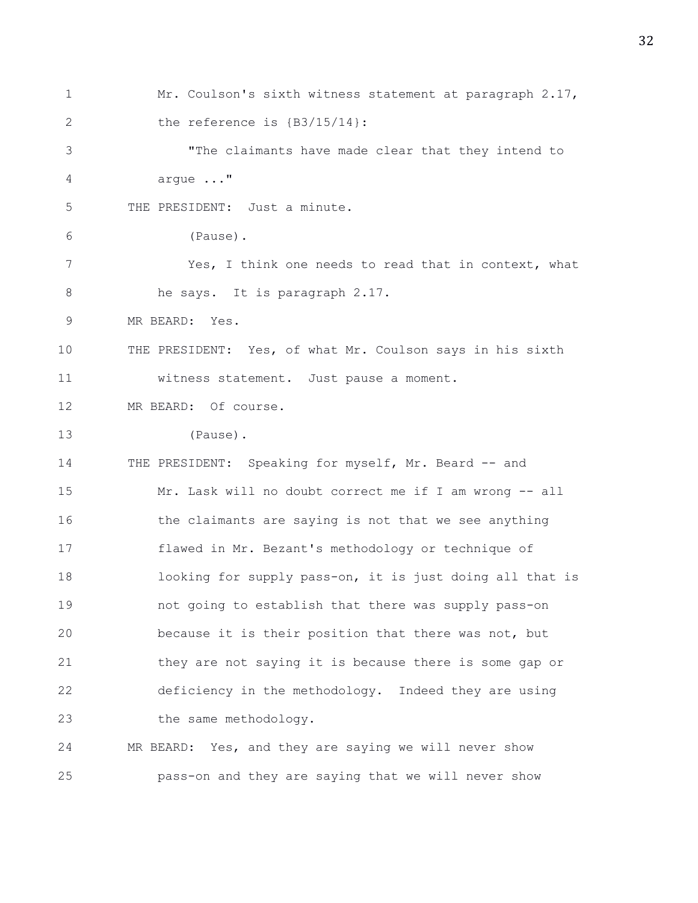1 Mr. Coulson's sixth witness statement at paragraph 2.17, 2 the reference is  $\{B3/15/14\}$ : 3 "The claimants have made clear that they intend to 4 argue ..." 5 THE PRESIDENT: Just a minute. 6 (Pause). 7 Yes, I think one needs to read that in context, what 8 he says. It is paragraph 2.17. 9 MR BEARD: Yes. 10 THE PRESIDENT: Yes, of what Mr. Coulson says in his sixth 11 witness statement. Just pause a moment. 12 MR BEARD: Of course. 13 (Pause). 14 THE PRESIDENT: Speaking for myself, Mr. Beard -- and 15 Mr. Lask will no doubt correct me if I am wrong -- all 16 the claimants are saying is not that we see anything 17 flawed in Mr. Bezant's methodology or technique of 18 looking for supply pass-on, it is just doing all that is 19 not going to establish that there was supply pass-on 20 because it is their position that there was not, but 21 they are not saying it is because there is some gap or 22 deficiency in the methodology. Indeed they are using 23 the same methodology. 24 MR BEARD: Yes, and they are saying we will never show 25 pass-on and they are saying that we will never show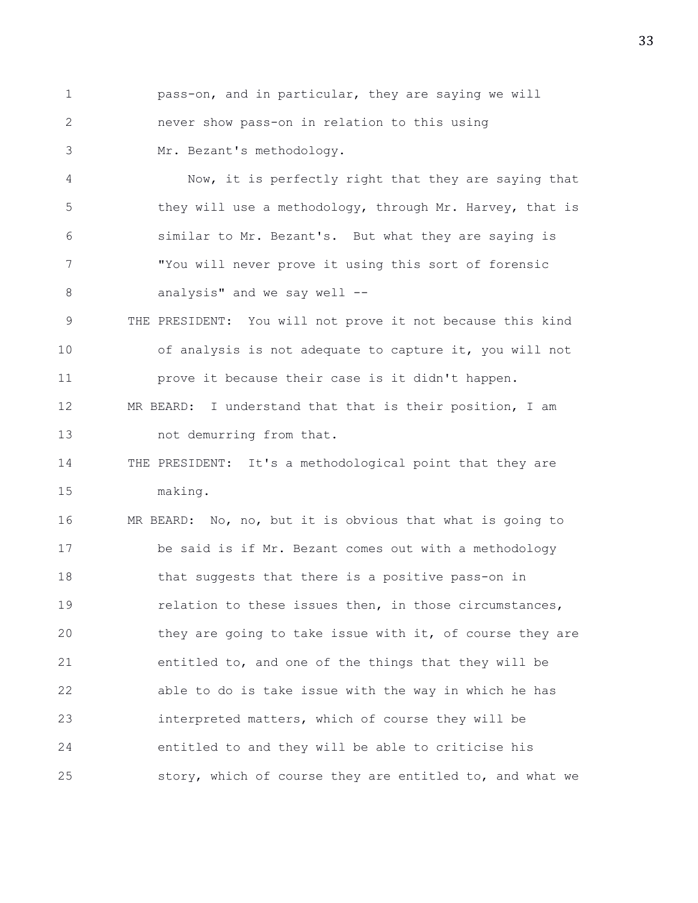1 pass-on, and in particular, they are saying we will 2 never show pass-on in relation to this using 3 Mr. Bezant's methodology.

4 Now, it is perfectly right that they are saying that 5 they will use a methodology, through Mr. Harvey, that is 6 similar to Mr. Bezant's. But what they are saying is 7 "You will never prove it using this sort of forensic 8 analysis" and we say well --

9 THE PRESIDENT: You will not prove it not because this kind 10 of analysis is not adequate to capture it, you will not 11 prove it because their case is it didn't happen. 12 MR BEARD: I understand that that is their position, I am

13 not demurring from that.

14 THE PRESIDENT: It's a methodological point that they are 15 making.

16 MR BEARD: No, no, but it is obvious that what is going to 17 be said is if Mr. Bezant comes out with a methodology 18 that suggests that there is a positive pass-on in 19 relation to these issues then, in those circumstances, 20 they are going to take issue with it, of course they are 21 entitled to, and one of the things that they will be 22 able to do is take issue with the way in which he has 23 interpreted matters, which of course they will be 24 entitled to and they will be able to criticise his 25 story, which of course they are entitled to, and what we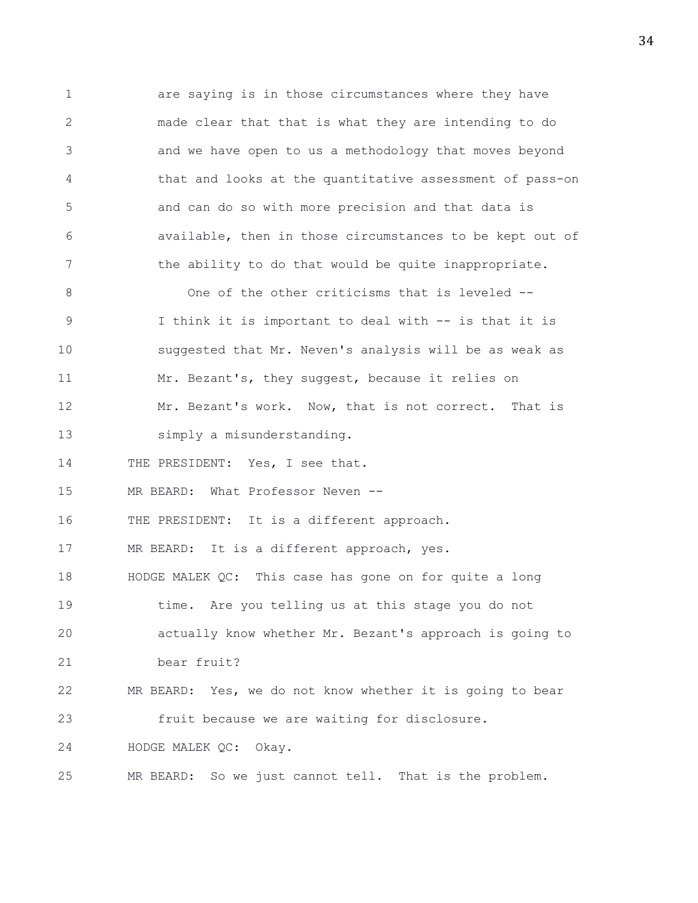1 are saying is in those circumstances where they have 2 made clear that that is what they are intending to do 3 and we have open to us a methodology that moves beyond 4 that and looks at the quantitative assessment of pass-on 5 and can do so with more precision and that data is 6 available, then in those circumstances to be kept out of 7 the ability to do that would be quite inappropriate. 8 One of the other criticisms that is leveled --9 I think it is important to deal with -- is that it is 10 suggested that Mr. Neven's analysis will be as weak as 11 Mr. Bezant's, they suggest, because it relies on 12 Mr. Bezant's work. Now, that is not correct. That is 13 simply a misunderstanding. 14 THE PRESIDENT: Yes, I see that. 15 MR BEARD: What Professor Neven -- 16 THE PRESIDENT: It is a different approach. 17 MR BEARD: It is a different approach, yes. 18 HODGE MALEK QC: This case has gone on for quite a long 19 time. Are you telling us at this stage you do not 20 actually know whether Mr. Bezant's approach is going to 21 bear fruit? 22 MR BEARD: Yes, we do not know whether it is going to bear 23 fruit because we are waiting for disclosure. 24 HODGE MALEK QC: Okay. 25 MR BEARD: So we just cannot tell. That is the problem.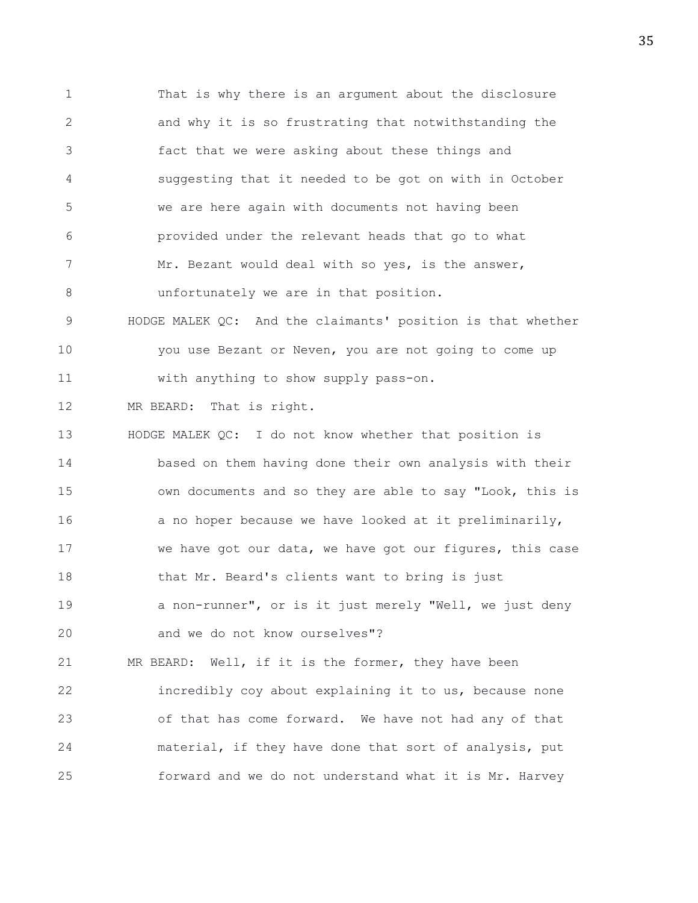1 That is why there is an argument about the disclosure 2 and why it is so frustrating that notwithstanding the 3 fact that we were asking about these things and 4 suggesting that it needed to be got on with in October 5 we are here again with documents not having been 6 provided under the relevant heads that go to what 7 Mr. Bezant would deal with so yes, is the answer, 8 unfortunately we are in that position. 9 HODGE MALEK QC: And the claimants' position is that whether 10 you use Bezant or Neven, you are not going to come up 11 with anything to show supply pass-on. 12 MR BEARD: That is right. 13 HODGE MALEK QC: I do not know whether that position is 14 based on them having done their own analysis with their 15 own documents and so they are able to say "Look, this is 16 a no hoper because we have looked at it preliminarily, 17 we have got our data, we have got our figures, this case 18 that Mr. Beard's clients want to bring is just 19 a non-runner", or is it just merely "Well, we just deny 20 and we do not know ourselves"? 21 MR BEARD: Well, if it is the former, they have been 22 incredibly coy about explaining it to us, because none 23 of that has come forward. We have not had any of that 24 material, if they have done that sort of analysis, put

25 forward and we do not understand what it is Mr. Harvey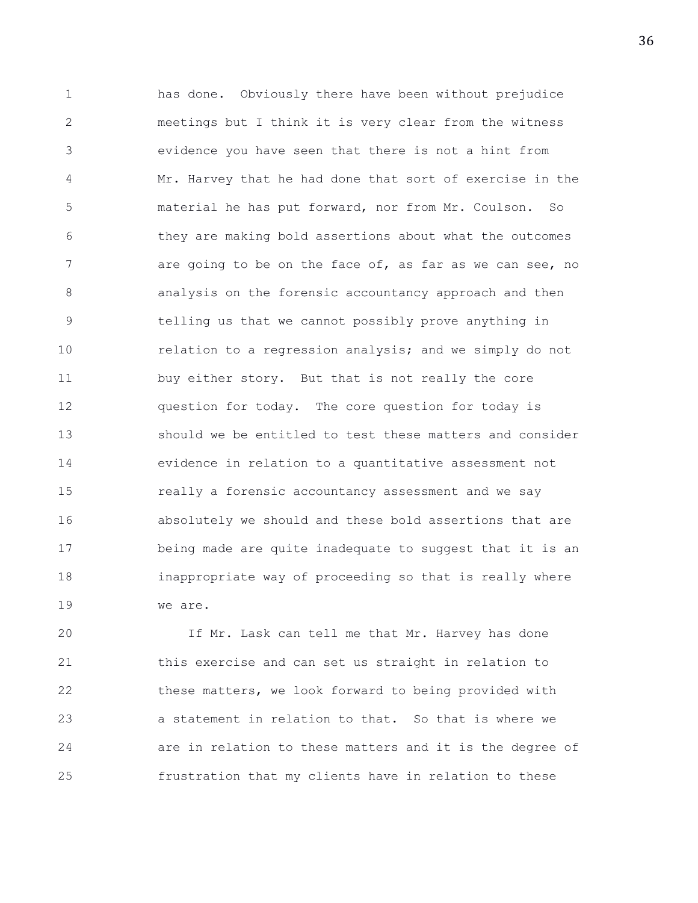1 has done. Obviously there have been without prejudice 2 meetings but I think it is very clear from the witness 3 evidence you have seen that there is not a hint from 4 Mr. Harvey that he had done that sort of exercise in the 5 material he has put forward, nor from Mr. Coulson. So 6 they are making bold assertions about what the outcomes 7 are going to be on the face of, as far as we can see, no 8 analysis on the forensic accountancy approach and then 9 telling us that we cannot possibly prove anything in 10 **relation to a regression analysis; and we simply do not** 11 buy either story. But that is not really the core 12 question for today. The core question for today is 13 should we be entitled to test these matters and consider 14 evidence in relation to a quantitative assessment not 15 really a forensic accountancy assessment and we say 16 absolutely we should and these bold assertions that are 17 being made are quite inadequate to suggest that it is an 18 inappropriate way of proceeding so that is really where 19 we are.

20 If Mr. Lask can tell me that Mr. Harvey has done 21 this exercise and can set us straight in relation to 22 these matters, we look forward to being provided with 23 a statement in relation to that. So that is where we 24 are in relation to these matters and it is the degree of 25 frustration that my clients have in relation to these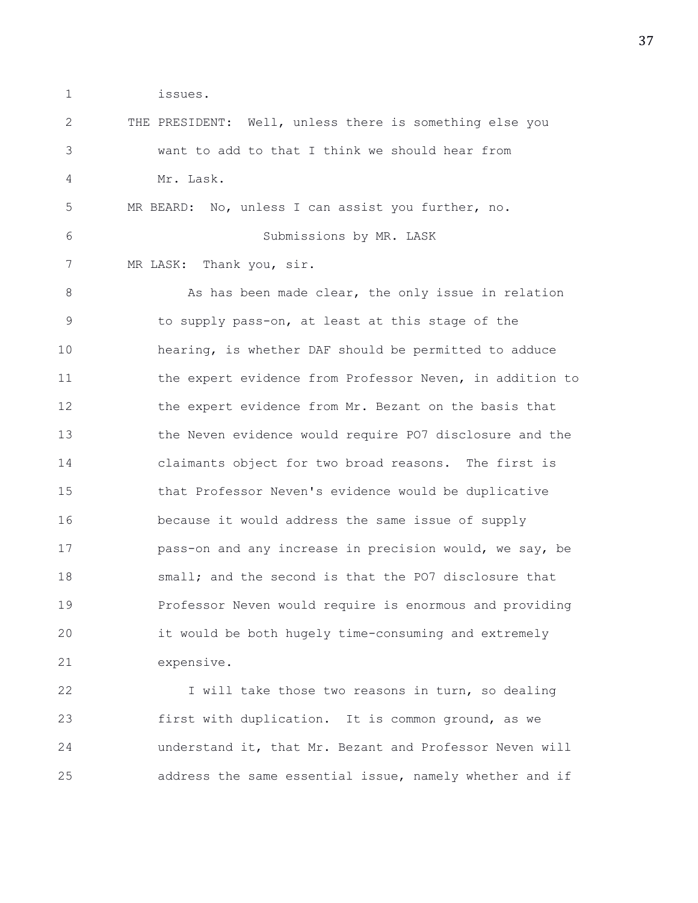1 issues.

| 2  | THE PRESIDENT: Well, unless there is something else you  |
|----|----------------------------------------------------------|
| 3  | want to add to that I think we should hear from          |
| 4  | Mr. Lask.                                                |
| 5  | MR BEARD: No, unless I can assist you further, no.       |
| 6  | Submissions by MR. LASK                                  |
| 7  | MR LASK: Thank you, sir.                                 |
| 8  | As has been made clear, the only issue in relation       |
| 9  | to supply pass-on, at least at this stage of the         |
| 10 | hearing, is whether DAF should be permitted to adduce    |
| 11 | the expert evidence from Professor Neven, in addition to |
| 12 | the expert evidence from Mr. Bezant on the basis that    |
| 13 | the Neven evidence would require PO7 disclosure and the  |
| 14 | claimants object for two broad reasons. The first is     |
| 15 | that Professor Neven's evidence would be duplicative     |
| 16 | because it would address the same issue of supply        |
| 17 | pass-on and any increase in precision would, we say, be  |
| 18 | small; and the second is that the PO7 disclosure that    |
| 19 | Professor Neven would require is enormous and providing  |
| 20 | it would be both hugely time-consuming and extremely     |
| 21 | expensive.                                               |
| 22 | I will take those two reasons in turn, so dealing        |
|    |                                                          |

23 first with duplication. It is common ground, as we 24 understand it, that Mr. Bezant and Professor Neven will 25 address the same essential issue, namely whether and if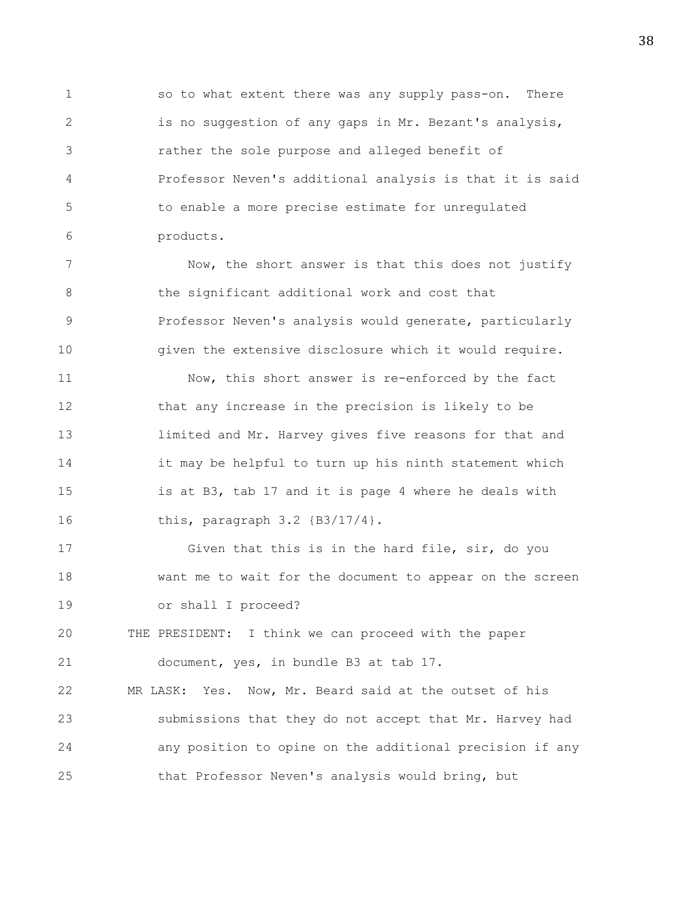1 so to what extent there was any supply pass-on. There 2 is no suggestion of any gaps in Mr. Bezant's analysis, 3 rather the sole purpose and alleged benefit of 4 Professor Neven's additional analysis is that it is said 5 to enable a more precise estimate for unregulated 6 products.

7 Now, the short answer is that this does not justify 8 the significant additional work and cost that 9 **Professor Neven's analysis would generate, particularly** 10 given the extensive disclosure which it would require.

11 Now, this short answer is re-enforced by the fact 12 that any increase in the precision is likely to be 13 limited and Mr. Harvey gives five reasons for that and 14 it may be helpful to turn up his ninth statement which 15 is at B3, tab 17 and it is page 4 where he deals with 16 this, paragraph 3.2 {B3/17/4}.

17 Given that this is in the hard file, sir, do you 18 want me to wait for the document to appear on the screen 19 or shall I proceed?

20 THE PRESIDENT: I think we can proceed with the paper 21 document, yes, in bundle B3 at tab 17.

22 MR LASK: Yes. Now, Mr. Beard said at the outset of his 23 submissions that they do not accept that Mr. Harvey had 24 any position to opine on the additional precision if any 25 that Professor Neven's analysis would bring, but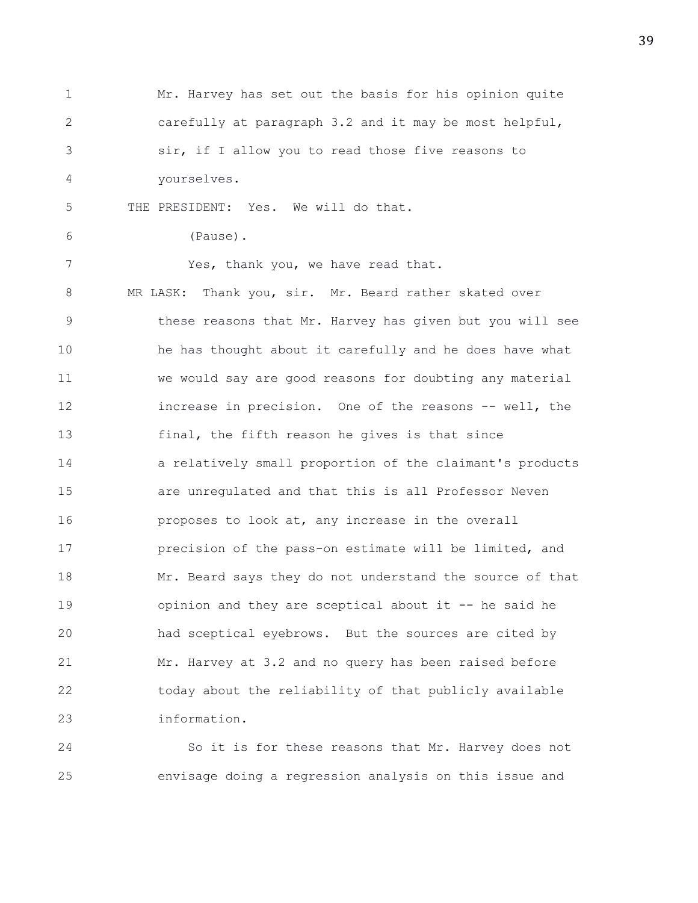1 Mr. Harvey has set out the basis for his opinion quite 2 carefully at paragraph 3.2 and it may be most helpful, 3 sir, if I allow you to read those five reasons to 4 yourselves. 5 THE PRESIDENT: Yes. We will do that. 6 (Pause). 7 Yes, thank you, we have read that. 8 MR LASK: Thank you, sir. Mr. Beard rather skated over 9 these reasons that Mr. Harvey has given but you will see 10 he has thought about it carefully and he does have what 11 we would say are good reasons for doubting any material 12 increase in precision. One of the reasons -- well, the 13 final, the fifth reason he gives is that since 14 a relatively small proportion of the claimant's products 15 are unregulated and that this is all Professor Neven 16 proposes to look at, any increase in the overall 17 precision of the pass-on estimate will be limited, and 18 Mr. Beard says they do not understand the source of that 19 opinion and they are sceptical about it -- he said he 20 had sceptical eyebrows. But the sources are cited by 21 Mr. Harvey at 3.2 and no query has been raised before 22 today about the reliability of that publicly available 23 information.

24 So it is for these reasons that Mr. Harvey does not 25 envisage doing a regression analysis on this issue and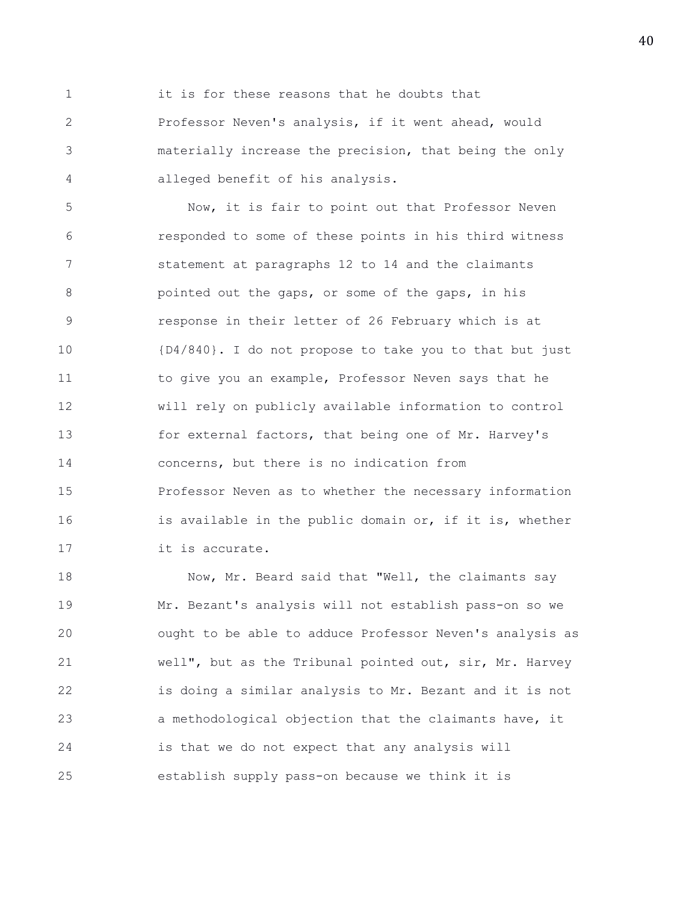1 it is for these reasons that he doubts that 2 Professor Neven's analysis, if it went ahead, would 3 materially increase the precision, that being the only 4 alleged benefit of his analysis.

5 Now, it is fair to point out that Professor Neven 6 responded to some of these points in his third witness 7 statement at paragraphs 12 to 14 and the claimants 8 pointed out the gaps, or some of the gaps, in his 9 response in their letter of 26 February which is at 10 {D4/840}. I do not propose to take you to that but just 11 to give you an example, Professor Neven says that he 12 will rely on publicly available information to control 13 for external factors, that being one of Mr. Harvey's 14 concerns, but there is no indication from 15 Professor Neven as to whether the necessary information 16 **igmeships** is available in the public domain or, if it is, whether 17 it is accurate.

18 Now, Mr. Beard said that "Well, the claimants say 19 Mr. Bezant's analysis will not establish pass-on so we 20 ought to be able to adduce Professor Neven's analysis as 21 well", but as the Tribunal pointed out, sir, Mr. Harvey 22 is doing a similar analysis to Mr. Bezant and it is not 23 a methodological objection that the claimants have, it 24 is that we do not expect that any analysis will 25 establish supply pass-on because we think it is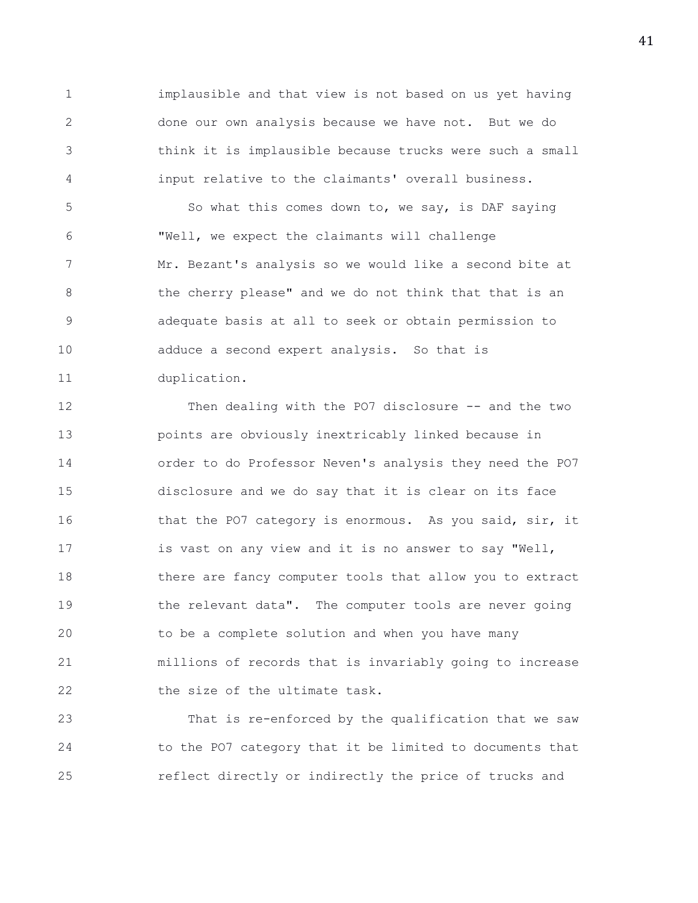1 implausible and that view is not based on us yet having 2 done our own analysis because we have not. But we do 3 think it is implausible because trucks were such a small 4 input relative to the claimants' overall business.

5 So what this comes down to, we say, is DAF saying 6 "Well, we expect the claimants will challenge 7 Mr. Bezant's analysis so we would like a second bite at 8 the cherry please" and we do not think that that is an 9 adequate basis at all to seek or obtain permission to 10 adduce a second expert analysis. So that is 11 duplication.

12 Then dealing with the PO7 disclosure -- and the two 13 points are obviously inextricably linked because in 14 order to do Professor Neven's analysis they need the PO7 15 disclosure and we do say that it is clear on its face 16 that the PO7 category is enormous. As you said, sir, it 17 is vast on any view and it is no answer to say "Well, 18 there are fancy computer tools that allow you to extract 19 the relevant data". The computer tools are never going 20 to be a complete solution and when you have many 21 millions of records that is invariably going to increase 22 the size of the ultimate task.

23 That is re-enforced by the qualification that we saw 24 to the PO7 category that it be limited to documents that 25 reflect directly or indirectly the price of trucks and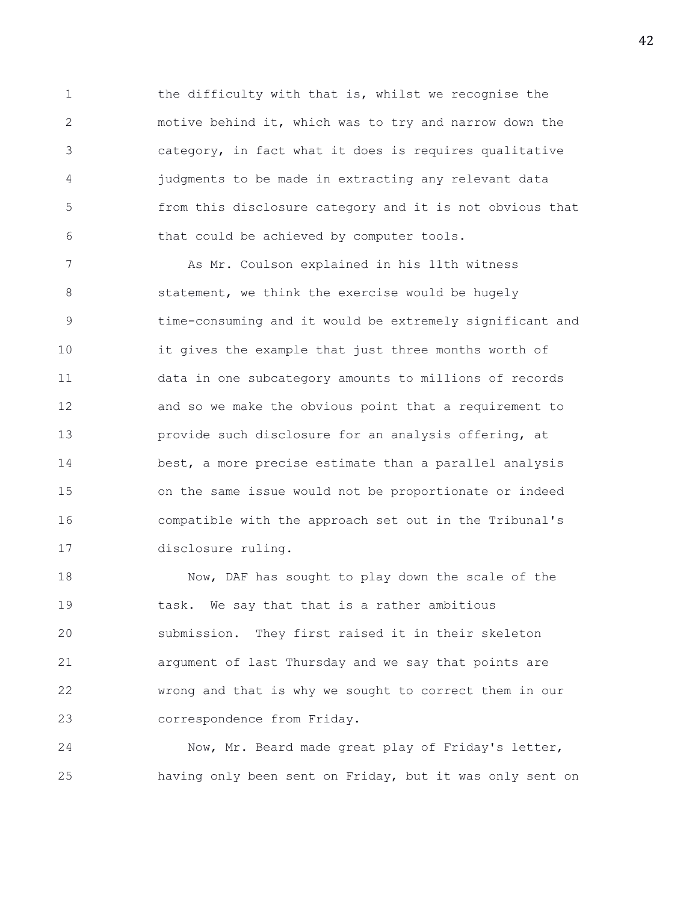1 the difficulty with that is, whilst we recognise the 2 motive behind it, which was to try and narrow down the 3 category, in fact what it does is requires qualitative 4 judgments to be made in extracting any relevant data 5 from this disclosure category and it is not obvious that 6 that could be achieved by computer tools.

7 As Mr. Coulson explained in his 11th witness 8 statement, we think the exercise would be hugely 9 time-consuming and it would be extremely significant and 10 it gives the example that just three months worth of 11 data in one subcategory amounts to millions of records 12 and so we make the obvious point that a requirement to 13 provide such disclosure for an analysis offering, at 14 best, a more precise estimate than a parallel analysis 15 on the same issue would not be proportionate or indeed 16 compatible with the approach set out in the Tribunal's 17 disclosure ruling.

18 Now, DAF has sought to play down the scale of the 19 task. We say that that is a rather ambitious 20 submission. They first raised it in their skeleton 21 argument of last Thursday and we say that points are 22 wrong and that is why we sought to correct them in our 23 correspondence from Friday.

24 Now, Mr. Beard made great play of Friday's letter, 25 having only been sent on Friday, but it was only sent on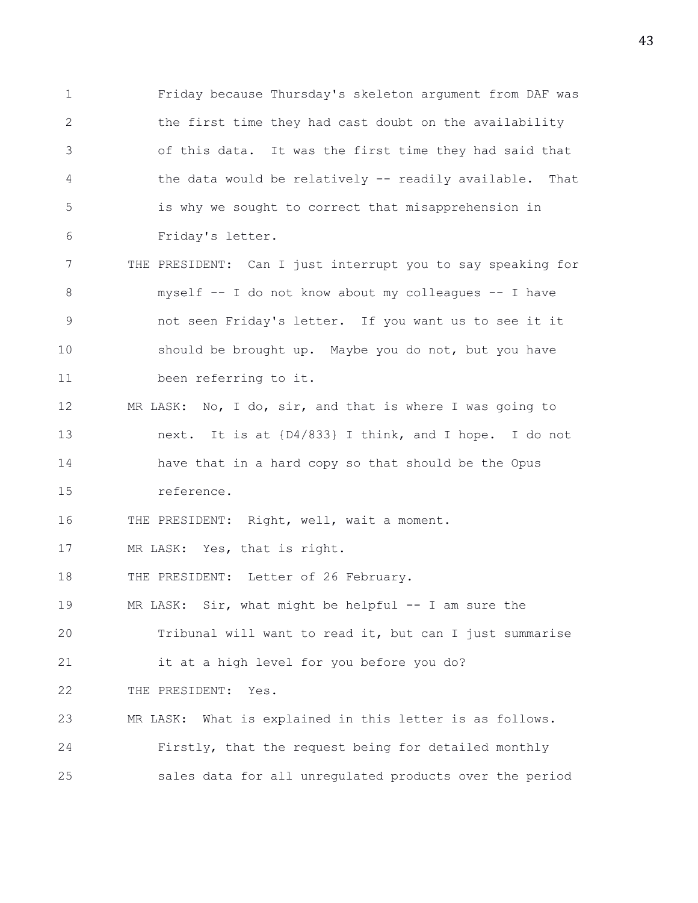1 Friday because Thursday's skeleton argument from DAF was 2 the first time they had cast doubt on the availability 3 of this data. It was the first time they had said that 4 the data would be relatively -- readily available. That 5 is why we sought to correct that misapprehension in 6 Friday's letter.

7 THE PRESIDENT: Can I just interrupt you to say speaking for 8 myself -- I do not know about my colleagues -- I have 9 not seen Friday's letter. If you want us to see it it 10 should be brought up. Maybe you do not, but you have 11 been referring to it.

12 MR LASK: No, I do, sir, and that is where I was going to 13 next. It is at {D4/833} I think, and I hope. I do not 14 have that in a hard copy so that should be the Opus 15 reference.

16 THE PRESIDENT: Right, well, wait a moment.

17 MR LASK: Yes, that is right.

18 THE PRESIDENT: Letter of 26 February.

19 MR LASK: Sir, what might be helpful -- I am sure the

20 Tribunal will want to read it, but can I just summarise 21 it at a high level for you before you do?

22 THE PRESIDENT: Yes.

23 MR LASK: What is explained in this letter is as follows. 24 Firstly, that the request being for detailed monthly 25 sales data for all unregulated products over the period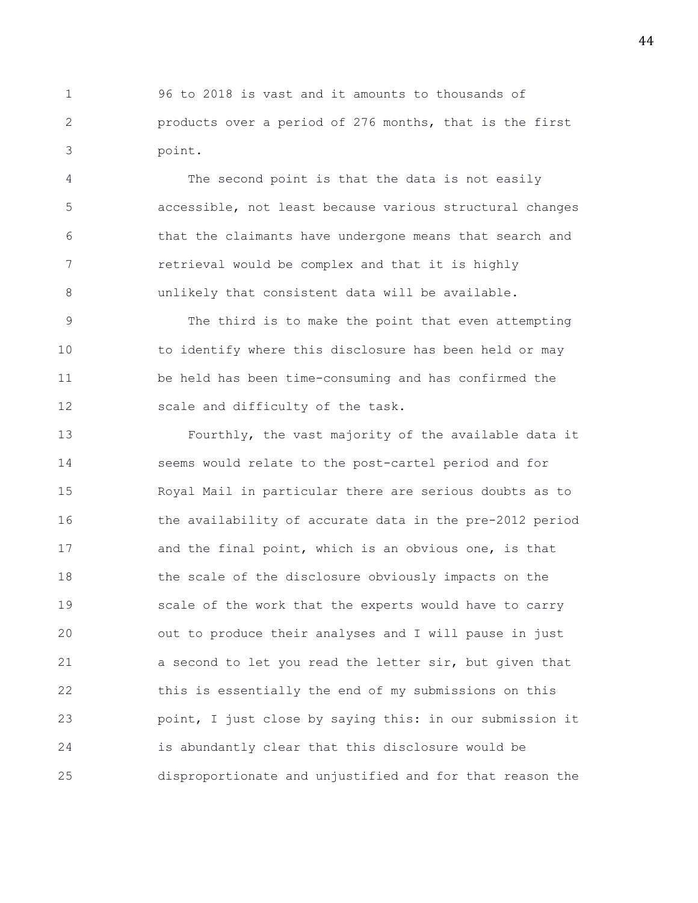1 96 to 2018 is vast and it amounts to thousands of 2 products over a period of 276 months, that is the first 3 point.

4 The second point is that the data is not easily 5 accessible, not least because various structural changes 6 that the claimants have undergone means that search and 7 retrieval would be complex and that it is highly 8 unlikely that consistent data will be available.

9 The third is to make the point that even attempting 10 to identify where this disclosure has been held or may 11 be held has been time-consuming and has confirmed the 12 scale and difficulty of the task.

13 Fourthly, the vast majority of the available data it 14 seems would relate to the post-cartel period and for 15 Royal Mail in particular there are serious doubts as to 16 the availability of accurate data in the pre-2012 period 17 and the final point, which is an obvious one, is that 18 the scale of the disclosure obviously impacts on the 19 scale of the work that the experts would have to carry 20 out to produce their analyses and I will pause in just 21 a second to let you read the letter sir, but given that 22 this is essentially the end of my submissions on this 23 point, I just close by saying this: in our submission it 24 is abundantly clear that this disclosure would be 25 disproportionate and unjustified and for that reason the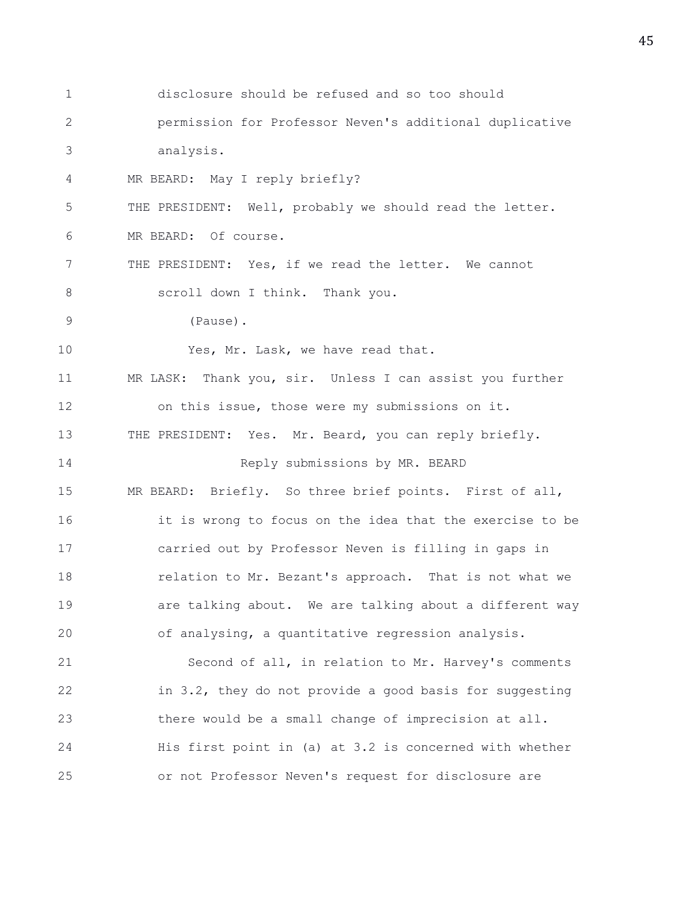1 disclosure should be refused and so too should 2 permission for Professor Neven's additional duplicative 3 analysis. 4 MR BEARD: May I reply briefly? 5 THE PRESIDENT: Well, probably we should read the letter. 6 MR BEARD: Of course. 7 THE PRESIDENT: Yes, if we read the letter. We cannot 8 scroll down I think. Thank you. 9 (Pause). 10 Yes, Mr. Lask, we have read that. 11 MR LASK: Thank you, sir. Unless I can assist you further 12 on this issue, those were my submissions on it. 13 THE PRESIDENT: Yes. Mr. Beard, you can reply briefly. 14 Reply submissions by MR. BEARD 15 MR BEARD: Briefly. So three brief points. First of all, 16 it is wrong to focus on the idea that the exercise to be 17 carried out by Professor Neven is filling in gaps in 18 **relation to Mr. Bezant's approach.** That is not what we 19 are talking about. We are talking about a different way 20 of analysing, a quantitative regression analysis. 21 Second of all, in relation to Mr. Harvey's comments 22 in 3.2, they do not provide a good basis for suggesting 23 there would be a small change of imprecision at all. 24 His first point in (a) at 3.2 is concerned with whether 25 or not Professor Neven's request for disclosure are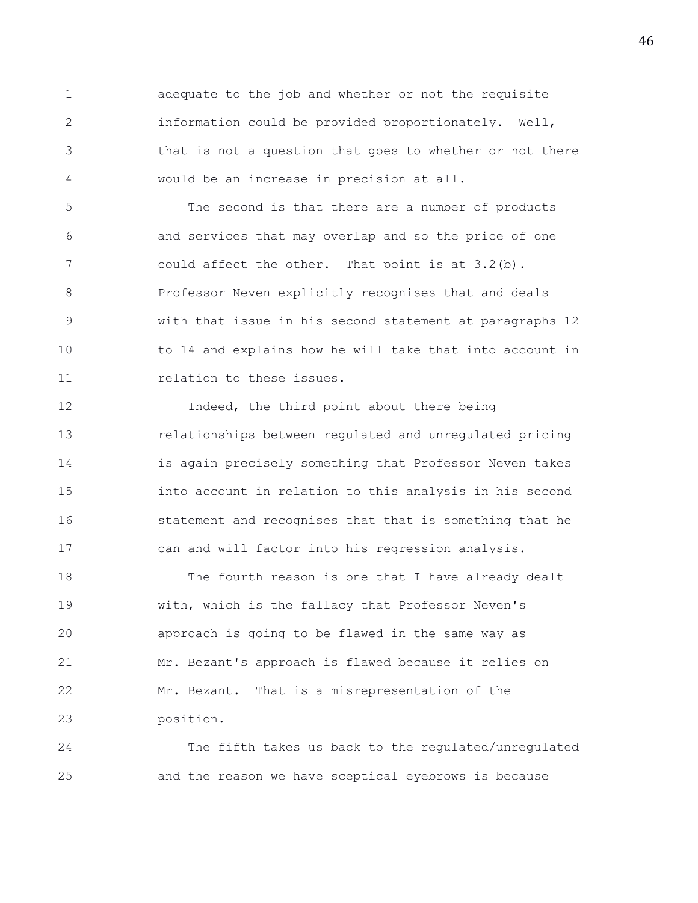1 adequate to the job and whether or not the requisite 2 information could be provided proportionately. Well, 3 that is not a question that goes to whether or not there 4 would be an increase in precision at all.

5 The second is that there are a number of products 6 and services that may overlap and so the price of one 7 could affect the other. That point is at 3.2(b). 8 Professor Neven explicitly recognises that and deals 9 with that issue in his second statement at paragraphs 12 10 to 14 and explains how he will take that into account in 11 relation to these issues.

12 **Indeed, the third point about there being** 13 relationships between regulated and unregulated pricing 14 is again precisely something that Professor Neven takes 15 into account in relation to this analysis in his second 16 statement and recognises that that is something that he 17 can and will factor into his regression analysis.

18 The fourth reason is one that I have already dealt 19 with, which is the fallacy that Professor Neven's 20 approach is going to be flawed in the same way as 21 Mr. Bezant's approach is flawed because it relies on 22 Mr. Bezant. That is a misrepresentation of the 23 position.

24 The fifth takes us back to the regulated/unregulated 25 and the reason we have sceptical eyebrows is because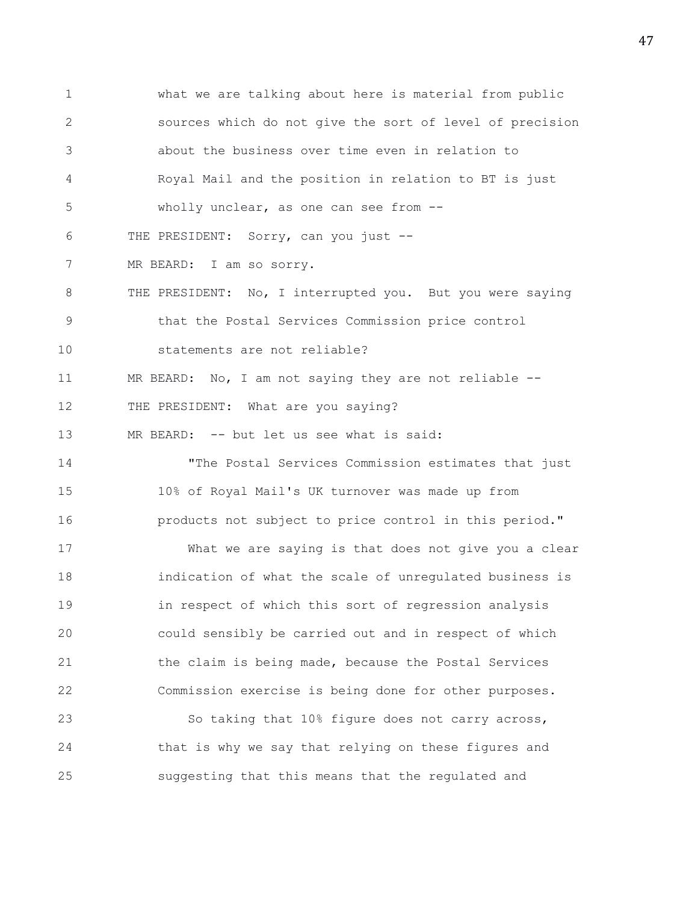1 what we are talking about here is material from public 2 sources which do not give the sort of level of precision 3 about the business over time even in relation to 4 Royal Mail and the position in relation to BT is just 5 wholly unclear, as one can see from -- 6 THE PRESIDENT: Sorry, can you just -- 7 MR BEARD: I am so sorry. 8 THE PRESIDENT: No, I interrupted you. But you were saying 9 that the Postal Services Commission price control 10 statements are not reliable? 11 MR BEARD: No, I am not saying they are not reliable -- 12 THE PRESIDENT: What are you saying? 13 MR BEARD: -- but let us see what is said: 14 "The Postal Services Commission estimates that just 15 10% of Royal Mail's UK turnover was made up from 16 products not subject to price control in this period." 17 What we are saying is that does not give you a clear 18 indication of what the scale of unregulated business is 19 in respect of which this sort of regression analysis 20 could sensibly be carried out and in respect of which 21 the claim is being made, because the Postal Services 22 Commission exercise is being done for other purposes. 23 So taking that 10% figure does not carry across, 24 that is why we say that relying on these figures and 25 suggesting that this means that the regulated and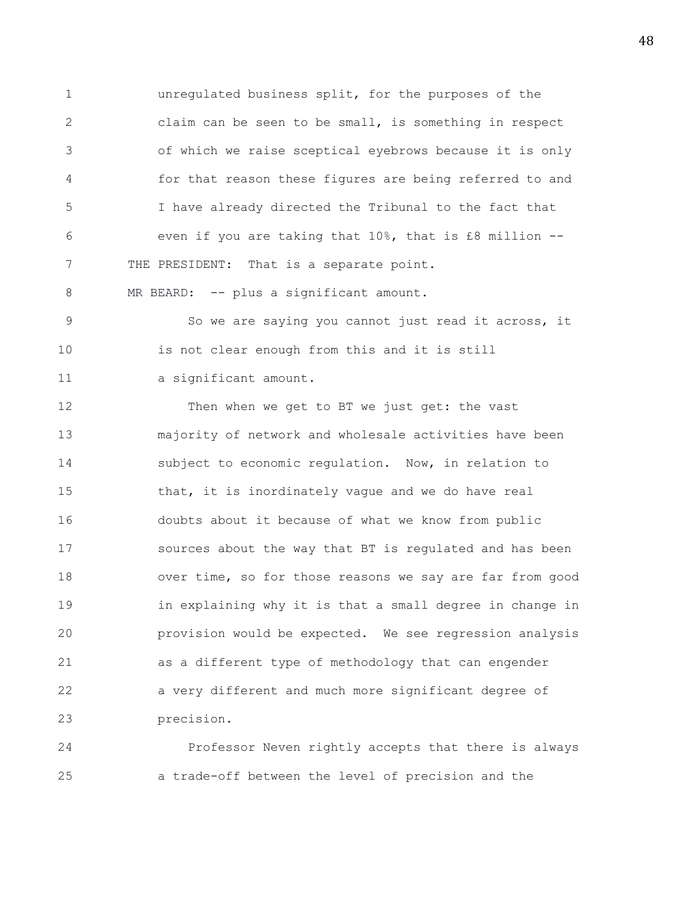1 unregulated business split, for the purposes of the 2 claim can be seen to be small, is something in respect 3 of which we raise sceptical eyebrows because it is only 4 for that reason these figures are being referred to and 5 I have already directed the Tribunal to the fact that 6 even if you are taking that 10%, that is £8 million -- 7 THE PRESIDENT: That is a separate point.

8 MR BEARD: -- plus a significant amount.

9 So we are saying you cannot just read it across, it 10 is not clear enough from this and it is still 11 a significant amount.

12 Then when we get to BT we just get: the vast 13 majority of network and wholesale activities have been 14 subject to economic regulation. Now, in relation to 15 that, it is inordinately vague and we do have real 16 doubts about it because of what we know from public 17 sources about the way that BT is regulated and has been 18 over time, so for those reasons we say are far from good 19 in explaining why it is that a small degree in change in 20 provision would be expected. We see regression analysis 21 as a different type of methodology that can engender 22 a very different and much more significant degree of 23 precision.

24 Professor Neven rightly accepts that there is always 25 a trade-off between the level of precision and the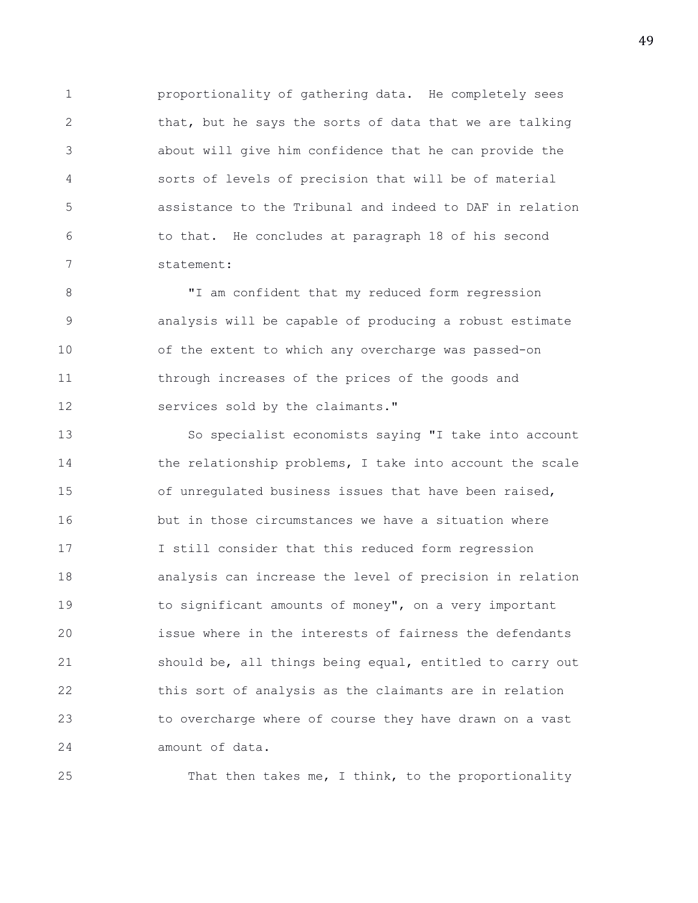1 proportionality of gathering data. He completely sees 2 that, but he says the sorts of data that we are talking 3 about will give him confidence that he can provide the 4 sorts of levels of precision that will be of material 5 assistance to the Tribunal and indeed to DAF in relation 6 to that. He concludes at paragraph 18 of his second 7 statement:

8 **I'LL AM** confident that my reduced form regression 9 analysis will be capable of producing a robust estimate 10 of the extent to which any overcharge was passed-on 11 through increases of the prices of the goods and 12 services sold by the claimants."

13 So specialist economists saying "I take into account 14 the relationship problems, I take into account the scale 15 of unregulated business issues that have been raised, 16 but in those circumstances we have a situation where 17 I still consider that this reduced form regression 18 analysis can increase the level of precision in relation 19 to significant amounts of money", on a very important 20 issue where in the interests of fairness the defendants 21 should be, all things being equal, entitled to carry out 22 this sort of analysis as the claimants are in relation 23 to overcharge where of course they have drawn on a vast 24 amount of data.

25 That then takes me, I think, to the proportionality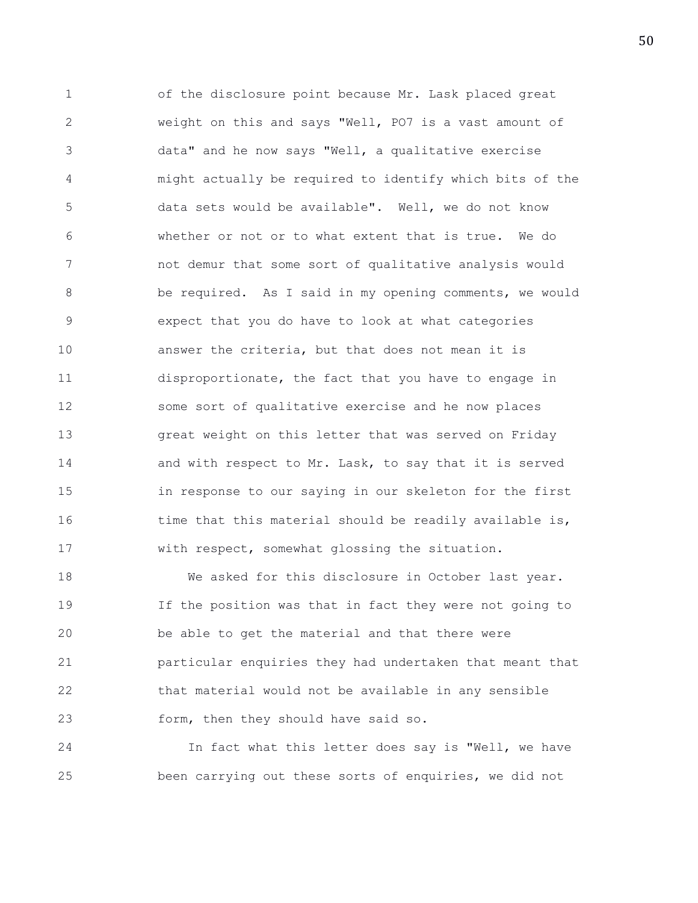1 of the disclosure point because Mr. Lask placed great 2 weight on this and says "Well, PO7 is a vast amount of 3 data" and he now says "Well, a qualitative exercise 4 might actually be required to identify which bits of the 5 data sets would be available". Well, we do not know 6 whether or not or to what extent that is true. We do 7 not demur that some sort of qualitative analysis would 8 be required. As I said in my opening comments, we would 9 expect that you do have to look at what categories 10 answer the criteria, but that does not mean it is 11 disproportionate, the fact that you have to engage in 12 some sort of qualitative exercise and he now places 13 great weight on this letter that was served on Friday 14 and with respect to Mr. Lask, to say that it is served 15 in response to our saying in our skeleton for the first 16 time that this material should be readily available is, 17 with respect, somewhat glossing the situation.

18 We asked for this disclosure in October last year. 19 If the position was that in fact they were not going to 20 be able to get the material and that there were 21 particular enquiries they had undertaken that meant that 22 that material would not be available in any sensible 23 form, then they should have said so.

24 In fact what this letter does say is "Well, we have 25 been carrying out these sorts of enquiries, we did not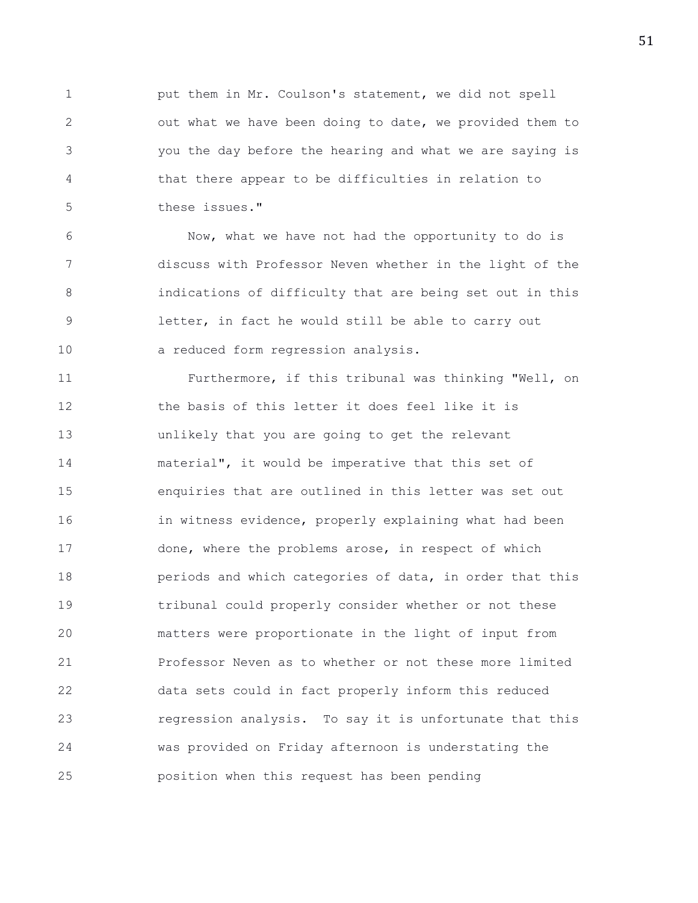1 put them in Mr. Coulson's statement, we did not spell 2 out what we have been doing to date, we provided them to 3 you the day before the hearing and what we are saying is 4 that there appear to be difficulties in relation to 5 these issues."

6 Now, what we have not had the opportunity to do is 7 discuss with Professor Neven whether in the light of the 8 indications of difficulty that are being set out in this 9 letter, in fact he would still be able to carry out 10 a reduced form regression analysis.

11 Furthermore, if this tribunal was thinking "Well, on 12 the basis of this letter it does feel like it is 13 unlikely that you are going to get the relevant 14 material", it would be imperative that this set of 15 enquiries that are outlined in this letter was set out 16 in witness evidence, properly explaining what had been 17 done, where the problems arose, in respect of which 18 periods and which categories of data, in order that this 19 tribunal could properly consider whether or not these 20 matters were proportionate in the light of input from 21 Professor Neven as to whether or not these more limited 22 data sets could in fact properly inform this reduced 23 regression analysis. To say it is unfortunate that this 24 was provided on Friday afternoon is understating the 25 position when this request has been pending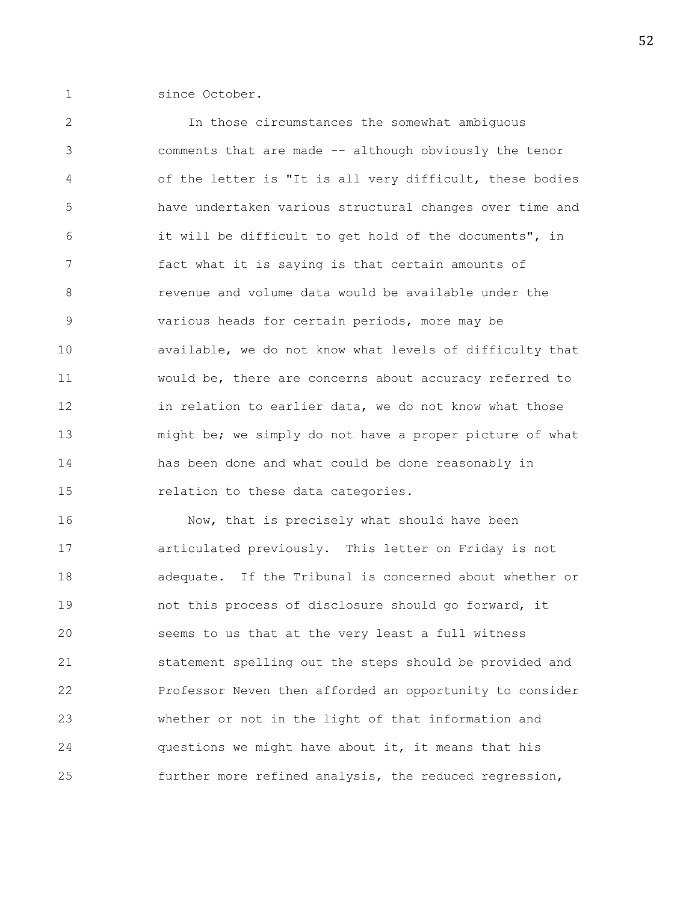1 since October.

2 In those circumstances the somewhat ambiguous 3 comments that are made -- although obviously the tenor 4 of the letter is "It is all very difficult, these bodies 5 have undertaken various structural changes over time and 6 it will be difficult to get hold of the documents", in 7 fact what it is saying is that certain amounts of 8 revenue and volume data would be available under the 9 various heads for certain periods, more may be 10 available, we do not know what levels of difficulty that 11 would be, there are concerns about accuracy referred to 12 in relation to earlier data, we do not know what those 13 might be; we simply do not have a proper picture of what 14 has been done and what could be done reasonably in 15 relation to these data categories.

16 Now, that is precisely what should have been 17 articulated previously. This letter on Friday is not 18 adequate. If the Tribunal is concerned about whether or 19 not this process of disclosure should go forward, it 20 seems to us that at the very least a full witness 21 statement spelling out the steps should be provided and 22 Professor Neven then afforded an opportunity to consider 23 whether or not in the light of that information and 24 questions we might have about it, it means that his 25 further more refined analysis, the reduced regression,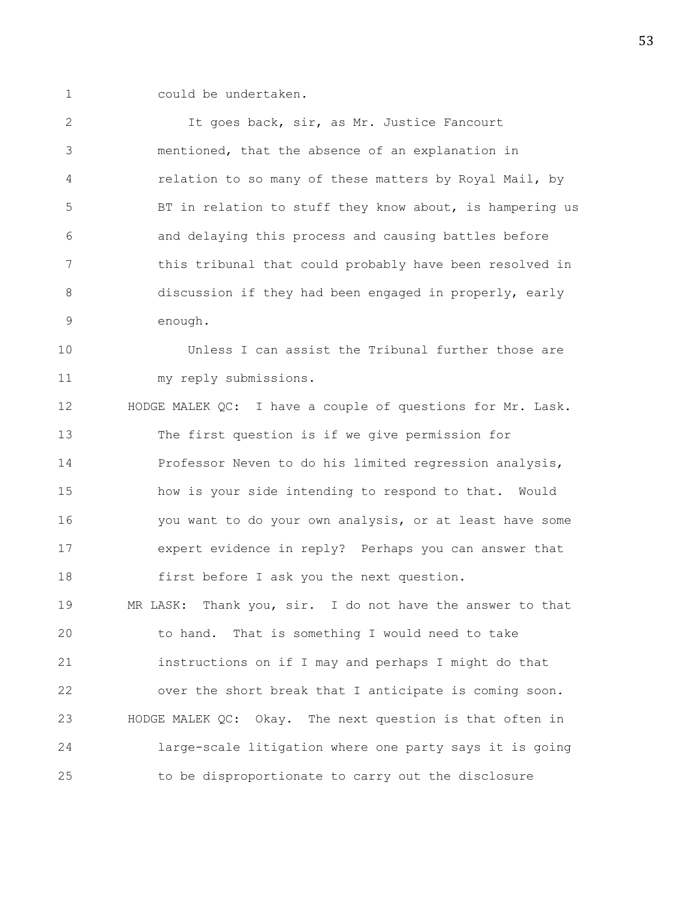1 could be undertaken.

2 It goes back, sir, as Mr. Justice Fancourt 3 mentioned, that the absence of an explanation in 4 relation to so many of these matters by Royal Mail, by 5 BT in relation to stuff they know about, is hampering us 6 and delaying this process and causing battles before 7 this tribunal that could probably have been resolved in 8 discussion if they had been engaged in properly, early 9 enough. 10 Unless I can assist the Tribunal further those are 11 my reply submissions. 12 HODGE MALEK QC: I have a couple of questions for Mr. Lask. 13 The first question is if we give permission for 14 Professor Neven to do his limited regression analysis, 15 how is your side intending to respond to that. Would 16 you want to do your own analysis, or at least have some 17 expert evidence in reply? Perhaps you can answer that 18 first before I ask you the next question. 19 MR LASK: Thank you, sir. I do not have the answer to that 20 to hand. That is something I would need to take 21 instructions on if I may and perhaps I might do that 22 over the short break that I anticipate is coming soon. 23 HODGE MALEK QC: Okay. The next question is that often in 24 large-scale litigation where one party says it is going 25 to be disproportionate to carry out the disclosure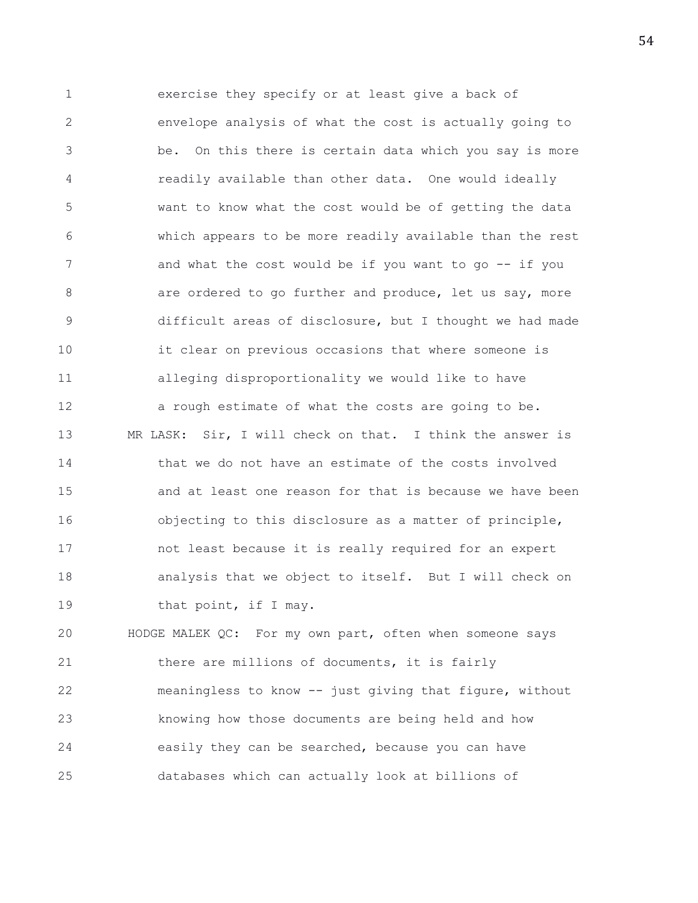1 exercise they specify or at least give a back of 2 envelope analysis of what the cost is actually going to 3 be. On this there is certain data which you say is more 4 readily available than other data. One would ideally 5 want to know what the cost would be of getting the data 6 which appears to be more readily available than the rest 7 and what the cost would be if you want to go -- if you 8 are ordered to go further and produce, let us say, more 9 difficult areas of disclosure, but I thought we had made 10 it clear on previous occasions that where someone is 11 alleging disproportionality we would like to have 12 a rough estimate of what the costs are going to be. 13 MR LASK: Sir, I will check on that. I think the answer is 14 that we do not have an estimate of the costs involved 15 and at least one reason for that is because we have been 16 objecting to this disclosure as a matter of principle, 17 not least because it is really required for an expert 18 analysis that we object to itself. But I will check on 19 that point, if I may.

20 HODGE MALEK QC: For my own part, often when someone says 21 there are millions of documents, it is fairly 22 meaningless to know -- just giving that figure, without 23 knowing how those documents are being held and how 24 easily they can be searched, because you can have 25 databases which can actually look at billions of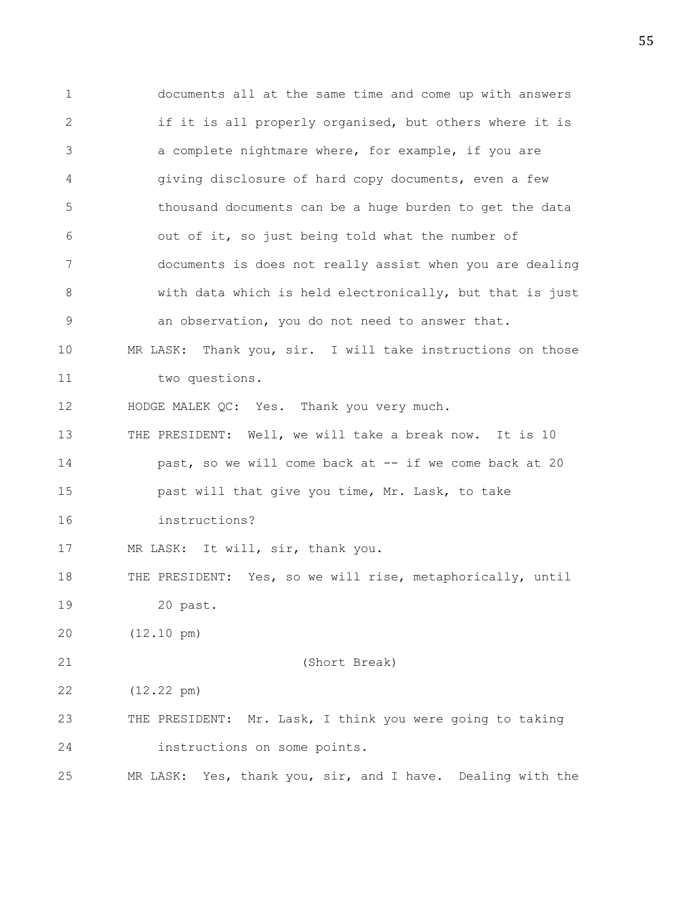1 documents all at the same time and come up with answers 2 if it is all properly organised, but others where it is 3 a complete nightmare where, for example, if you are 4 giving disclosure of hard copy documents, even a few 5 thousand documents can be a huge burden to get the data 6 out of it, so just being told what the number of 7 documents is does not really assist when you are dealing 8 with data which is held electronically, but that is just 9 an observation, you do not need to answer that. 10 MR LASK: Thank you, sir. I will take instructions on those 11 two questions. 12 HODGE MALEK QC: Yes. Thank you very much. 13 THE PRESIDENT: Well, we will take a break now. It is 10 14 **past, so we will come back at -- if we come back at 20** 15 past will that give you time, Mr. Lask, to take 16 instructions? 17 MR LASK: It will, sir, thank you. 18 THE PRESIDENT: Yes, so we will rise, metaphorically, until 19 20 past. 20 (12.10 pm) 21 (Short Break) 22 (12.22 pm) 23 THE PRESIDENT: Mr. Lask, I think you were going to taking 24 instructions on some points. 25 MR LASK: Yes, thank you, sir, and I have. Dealing with the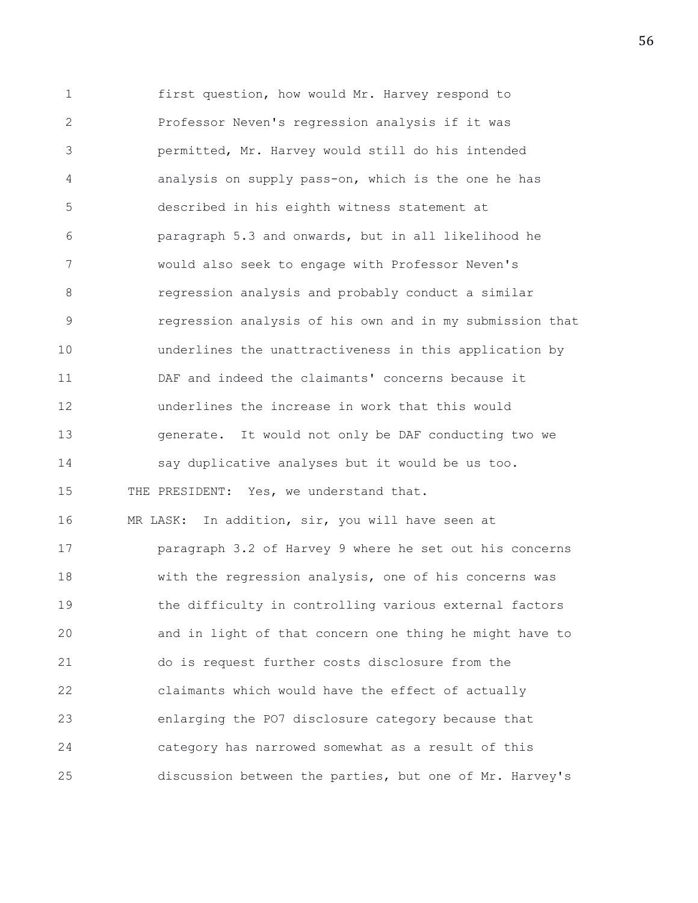1 first question, how would Mr. Harvey respond to 2 Professor Neven's regression analysis if it was 3 permitted, Mr. Harvey would still do his intended 4 analysis on supply pass-on, which is the one he has 5 described in his eighth witness statement at 6 paragraph 5.3 and onwards, but in all likelihood he 7 would also seek to engage with Professor Neven's 8 regression analysis and probably conduct a similar 9 regression analysis of his own and in my submission that 10 underlines the unattractiveness in this application by 11 DAF and indeed the claimants' concerns because it 12 underlines the increase in work that this would 13 generate. It would not only be DAF conducting two we 14 say duplicative analyses but it would be us too. 15 THE PRESIDENT: Yes, we understand that. 16 MR LASK: In addition, sir, you will have seen at 17 paragraph 3.2 of Harvey 9 where he set out his concerns 18 with the regression analysis, one of his concerns was 19 the difficulty in controlling various external factors 20 and in light of that concern one thing he might have to 21 do is request further costs disclosure from the 22 claimants which would have the effect of actually 23 enlarging the PO7 disclosure category because that 24 category has narrowed somewhat as a result of this 25 discussion between the parties, but one of Mr. Harvey's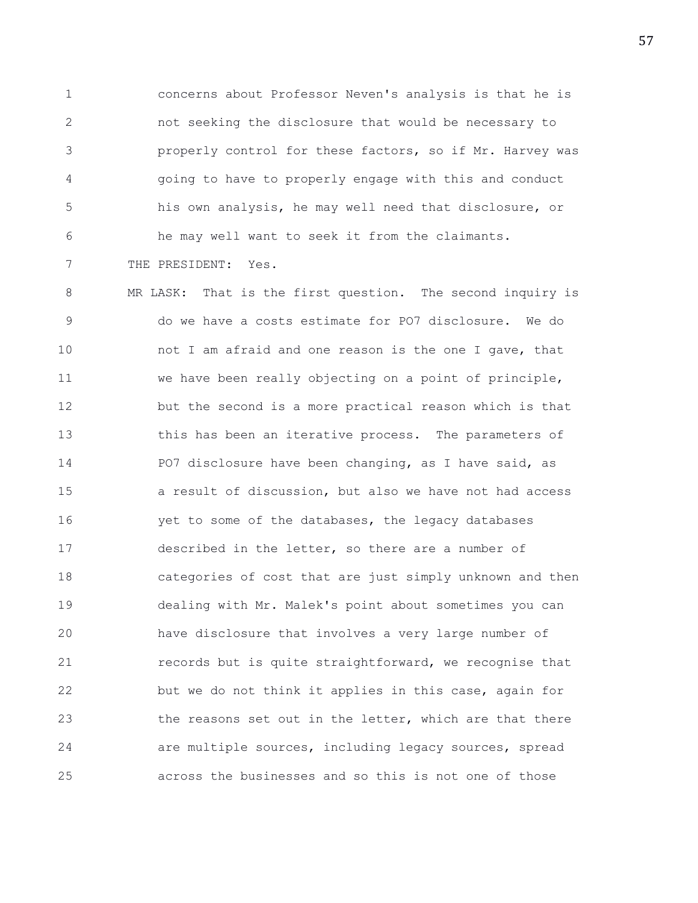1 concerns about Professor Neven's analysis is that he is 2 not seeking the disclosure that would be necessary to 3 properly control for these factors, so if Mr. Harvey was 4 going to have to properly engage with this and conduct 5 his own analysis, he may well need that disclosure, or 6 he may well want to seek it from the claimants. 7 THE PRESIDENT: Yes.

8 MR LASK: That is the first question. The second inquiry is 9 do we have a costs estimate for PO7 disclosure. We do 10 not I am afraid and one reason is the one I gave, that 11 we have been really objecting on a point of principle, 12 but the second is a more practical reason which is that 13 this has been an iterative process. The parameters of 14 PO7 disclosure have been changing, as I have said, as 15 a result of discussion, but also we have not had access 16 yet to some of the databases, the legacy databases 17 described in the letter, so there are a number of 18 categories of cost that are just simply unknown and then 19 dealing with Mr. Malek's point about sometimes you can 20 have disclosure that involves a very large number of 21 **records but is quite straightforward, we recognise that** 22 but we do not think it applies in this case, again for 23 the reasons set out in the letter, which are that there 24 are multiple sources, including legacy sources, spread 25 across the businesses and so this is not one of those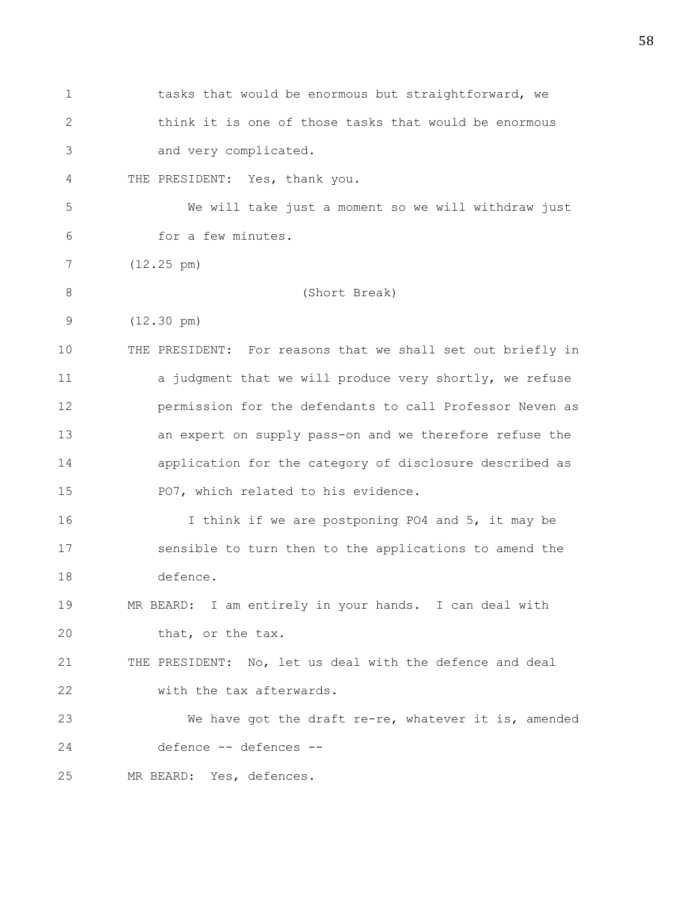| 1           | tasks that would be enormous but straightforward, we        |
|-------------|-------------------------------------------------------------|
| 2           | think it is one of those tasks that would be enormous       |
| 3           | and very complicated.                                       |
| 4           | THE PRESIDENT: Yes, thank you.                              |
| 5           | We will take just a moment so we will withdraw just         |
| 6           | for a few minutes.                                          |
| 7           | $(12.25 \text{ pm})$                                        |
| $8\,$       | (Short Break)                                               |
| $\mathsf 9$ | $(12.30 \text{ pm})$                                        |
| 10          | THE PRESIDENT: For reasons that we shall set out briefly in |
| 11          | a judgment that we will produce very shortly, we refuse     |
| 12          | permission for the defendants to call Professor Neven as    |
| 13          | an expert on supply pass-on and we therefore refuse the     |
| 14          | application for the category of disclosure described as     |
| 15          | PO7, which related to his evidence.                         |
| 16          | I think if we are postponing PO4 and 5, it may be           |
| 17          | sensible to turn then to the applications to amend the      |
| 18          | defence.                                                    |
| 19          | MR BEARD: I am entirely in your hands. I can deal with      |
| 20          | that, or the tax.                                           |
| 21          | THE PRESIDENT: No, let us deal with the defence and deal    |
| 22          | with the tax afterwards.                                    |
| 23          | We have got the draft re-re, whatever it is, amended        |
| 24          | defence -- defences --                                      |
| 25          | MR BEARD: Yes, defences.                                    |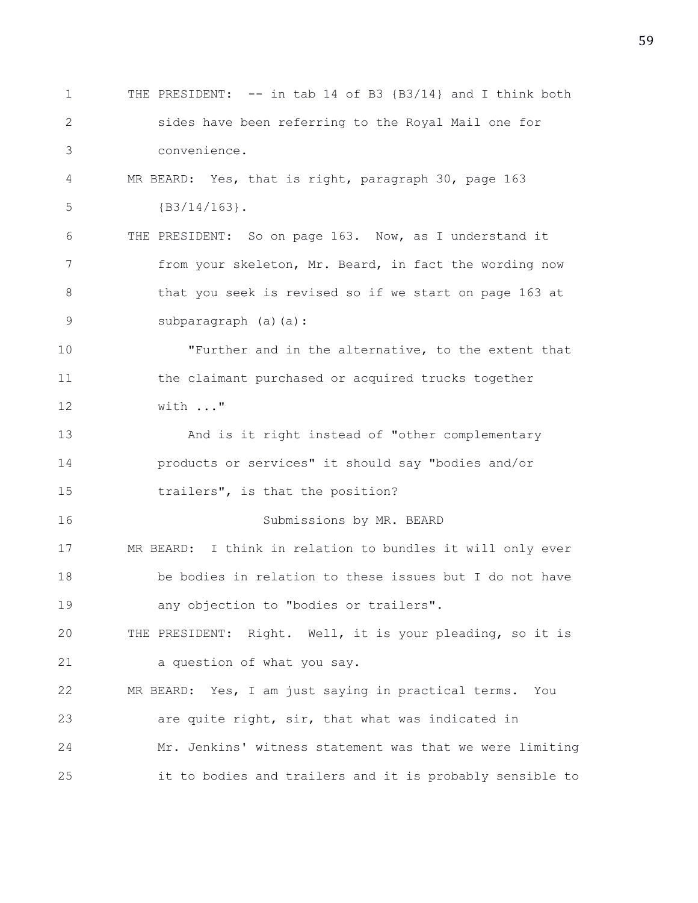1 THE PRESIDENT: -- in tab 14 of B3 {B3/14} and I think both 2 sides have been referring to the Royal Mail one for 3 convenience. 4 MR BEARD: Yes, that is right, paragraph 30, page 163 5 {B3/14/163}. 6 THE PRESIDENT: So on page 163. Now, as I understand it 7 from your skeleton, Mr. Beard, in fact the wording now 8 that you seek is revised so if we start on page 163 at 9 subparagraph (a)(a): 10 "Further and in the alternative, to the extent that 11 the claimant purchased or acquired trucks together 12 with ..." 13 And is it right instead of "other complementary 14 products or services" it should say "bodies and/or 15 trailers", is that the position? 16 Submissions by MR. BEARD 17 MR BEARD: I think in relation to bundles it will only ever 18 be bodies in relation to these issues but I do not have 19 any objection to "bodies or trailers". 20 THE PRESIDENT: Right. Well, it is your pleading, so it is 21 a question of what you say. 22 MR BEARD: Yes, I am just saying in practical terms. You 23 are quite right, sir, that what was indicated in 24 Mr. Jenkins' witness statement was that we were limiting 25 it to bodies and trailers and it is probably sensible to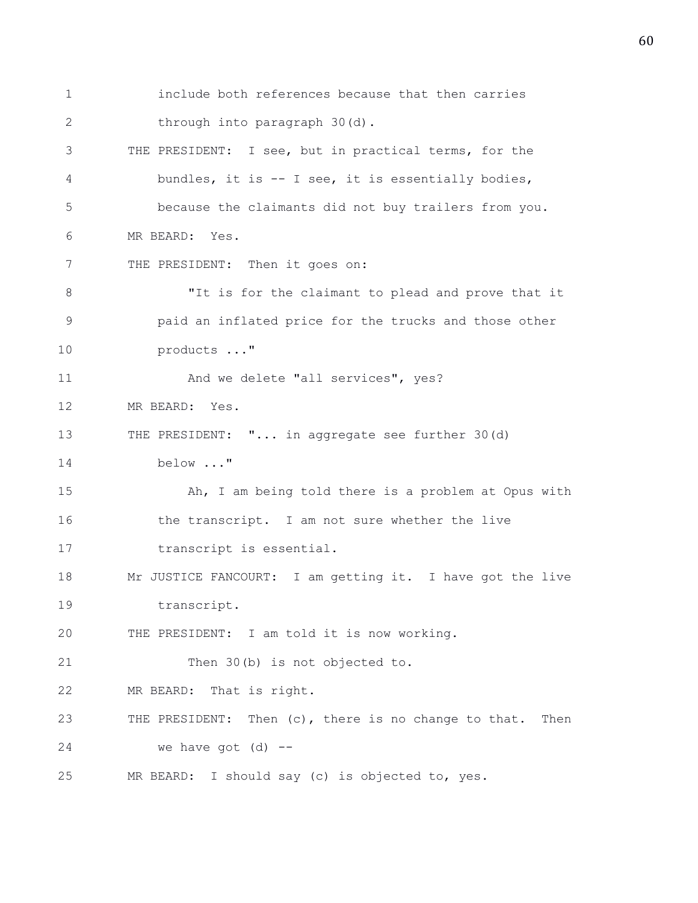1 include both references because that then carries 2 through into paragraph 30(d). 3 THE PRESIDENT: I see, but in practical terms, for the 4 bundles, it is -- I see, it is essentially bodies, 5 because the claimants did not buy trailers from you. 6 MR BEARD: Yes. 7 THE PRESIDENT: Then it goes on: 8 "It is for the claimant to plead and prove that it 9 paid an inflated price for the trucks and those other 10 products ..." 11 And we delete "all services", yes? 12 MR BEARD: Yes. 13 THE PRESIDENT: "... in aggregate see further 30(d) 14 below ..." 15 Ah, I am being told there is a problem at Opus with 16 the transcript. I am not sure whether the live 17 transcript is essential. 18 Mr JUSTICE FANCOURT: I am getting it. I have got the live 19 transcript. 20 THE PRESIDENT: I am told it is now working. 21 Then 30(b) is not objected to. 22 MR BEARD: That is right. 23 THE PRESIDENT: Then (c), there is no change to that. Then  $24$  we have got  $(d)$  --25 MR BEARD: I should say (c) is objected to, yes.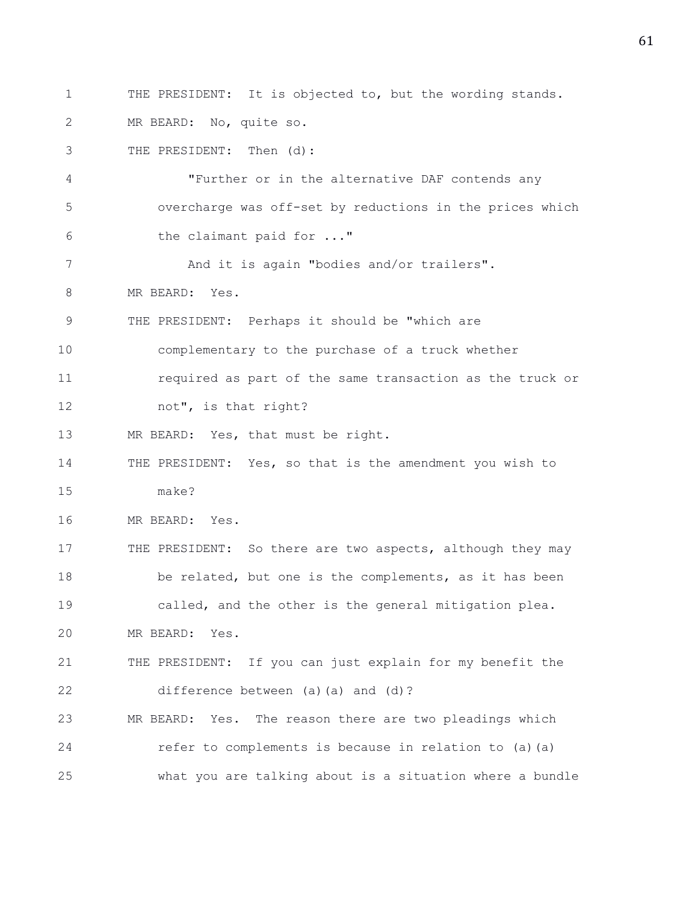1 THE PRESIDENT: It is objected to, but the wording stands. 2 MR BEARD: No, quite so. 3 THE PRESIDENT: Then (d): 4 "Further or in the alternative DAF contends any 5 overcharge was off-set by reductions in the prices which 6 the claimant paid for ..." 7 And it is again "bodies and/or trailers". 8 MR BEARD: Yes. 9 THE PRESIDENT: Perhaps it should be "which are 10 complementary to the purchase of a truck whether 11 required as part of the same transaction as the truck or 12 not", is that right? 13 MR BEARD: Yes, that must be right. 14 THE PRESIDENT: Yes, so that is the amendment you wish to 15 make? 16 MR BEARD: Yes. 17 THE PRESIDENT: So there are two aspects, although they may 18 be related, but one is the complements, as it has been 19 called, and the other is the general mitigation plea. 20 MR BEARD: Yes. 21 THE PRESIDENT: If you can just explain for my benefit the 22 difference between (a)(a) and (d)? 23 MR BEARD: Yes. The reason there are two pleadings which 24 refer to complements is because in relation to (a)(a) 25 what you are talking about is a situation where a bundle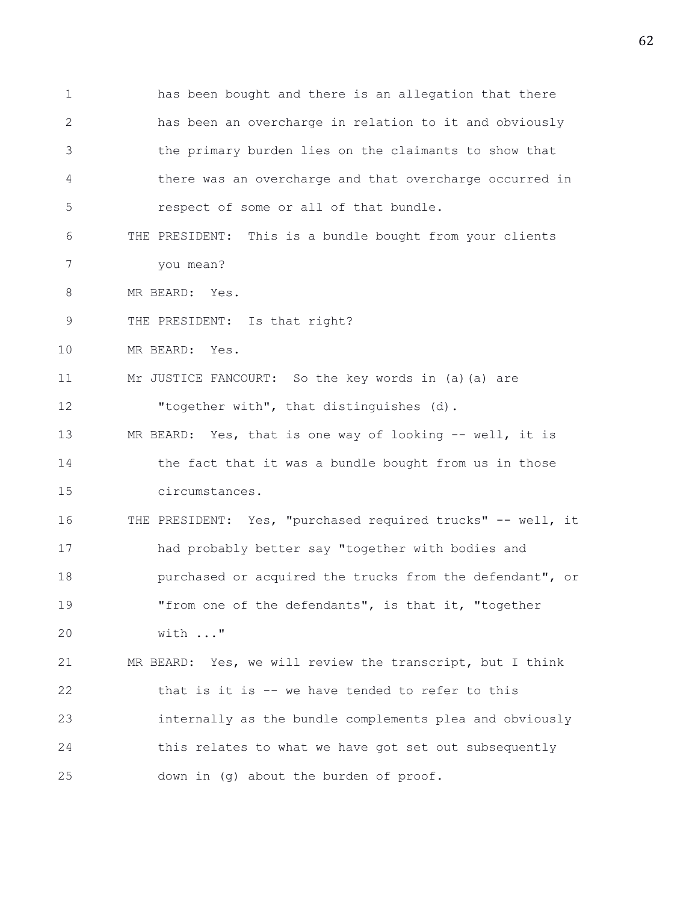1 has been bought and there is an allegation that there 2 has been an overcharge in relation to it and obviously 3 the primary burden lies on the claimants to show that 4 there was an overcharge and that overcharge occurred in 5 respect of some or all of that bundle. 6 THE PRESIDENT: This is a bundle bought from your clients 7 you mean? 8 MR BEARD: Yes. 9 THE PRESIDENT: Is that right? 10 MR BEARD: Yes. 11 Mr JUSTICE FANCOURT: So the key words in (a)(a) are 12 "together with", that distinguishes (d). 13 MR BEARD: Yes, that is one way of looking -- well, it is 14 the fact that it was a bundle bought from us in those 15 circumstances. 16 THE PRESIDENT: Yes, "purchased required trucks" -- well, it 17 had probably better say "together with bodies and 18 purchased or acquired the trucks from the defendant", or 19 "from one of the defendants", is that it, "together 20 with ..." 21 MR BEARD: Yes, we will review the transcript, but I think 22 that is it is -- we have tended to refer to this 23 internally as the bundle complements plea and obviously 24 this relates to what we have got set out subsequently 25 down in (g) about the burden of proof.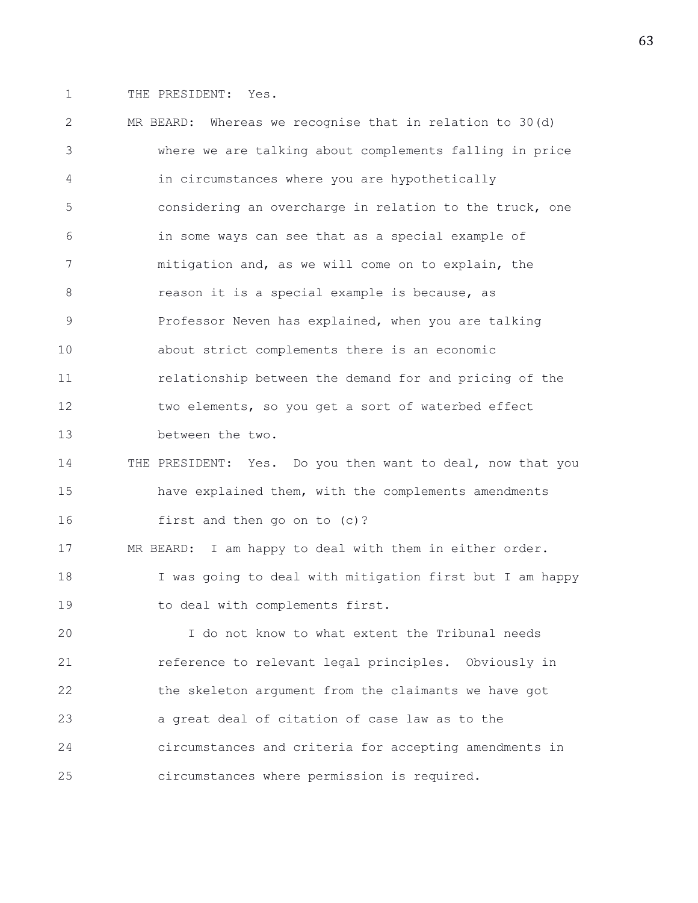1 THE PRESIDENT: Yes.

2 MR BEARD: Whereas we recognise that in relation to 30(d) 3 where we are talking about complements falling in price 4 in circumstances where you are hypothetically 5 considering an overcharge in relation to the truck, one 6 in some ways can see that as a special example of 7 mitigation and, as we will come on to explain, the 8 reason it is a special example is because, as 9 Professor Neven has explained, when you are talking 10 about strict complements there is an economic 11 relationship between the demand for and pricing of the 12 two elements, so you get a sort of waterbed effect 13 between the two. 14 THE PRESIDENT: Yes. Do you then want to deal, now that you 15 have explained them, with the complements amendments 16 first and then go on to (c)? 17 MR BEARD: I am happy to deal with them in either order. 18 I was going to deal with mitigation first but I am happy 19 to deal with complements first. 20 I do not know to what extent the Tribunal needs 21 reference to relevant legal principles. Obviously in 22 the skeleton argument from the claimants we have got 23 a great deal of citation of case law as to the 24 circumstances and criteria for accepting amendments in 25 circumstances where permission is required.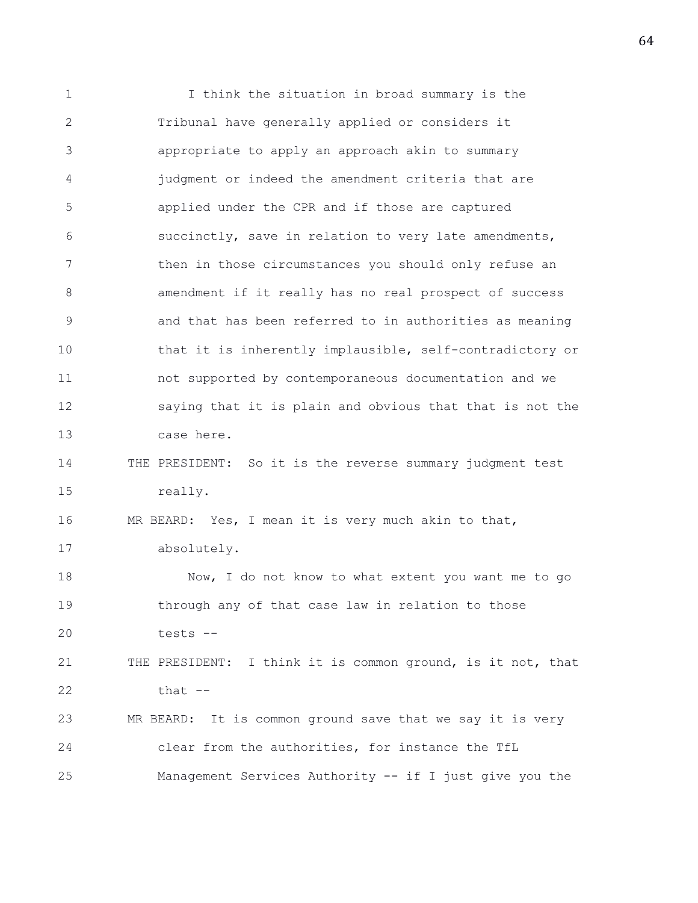1 I think the situation in broad summary is the 2 Tribunal have generally applied or considers it 3 appropriate to apply an approach akin to summary 4 judgment or indeed the amendment criteria that are 5 applied under the CPR and if those are captured 6 succinctly, save in relation to very late amendments, 7 then in those circumstances you should only refuse an 8 **amendment if it really has no real prospect of success** 9 and that has been referred to in authorities as meaning 10 that it is inherently implausible, self-contradictory or 11 not supported by contemporaneous documentation and we 12 saying that it is plain and obvious that that is not the 13 case here. 14 THE PRESIDENT: So it is the reverse summary judgment test 15 really. 16 MR BEARD: Yes, I mean it is very much akin to that, 17 absolutely. 18 Now, I do not know to what extent you want me to go 19 through any of that case law in relation to those 20 tests -- 21 THE PRESIDENT: I think it is common ground, is it not, that 22 that -- 23 MR BEARD: It is common ground save that we say it is very 24 clear from the authorities, for instance the TfL 25 Management Services Authority -- if I just give you the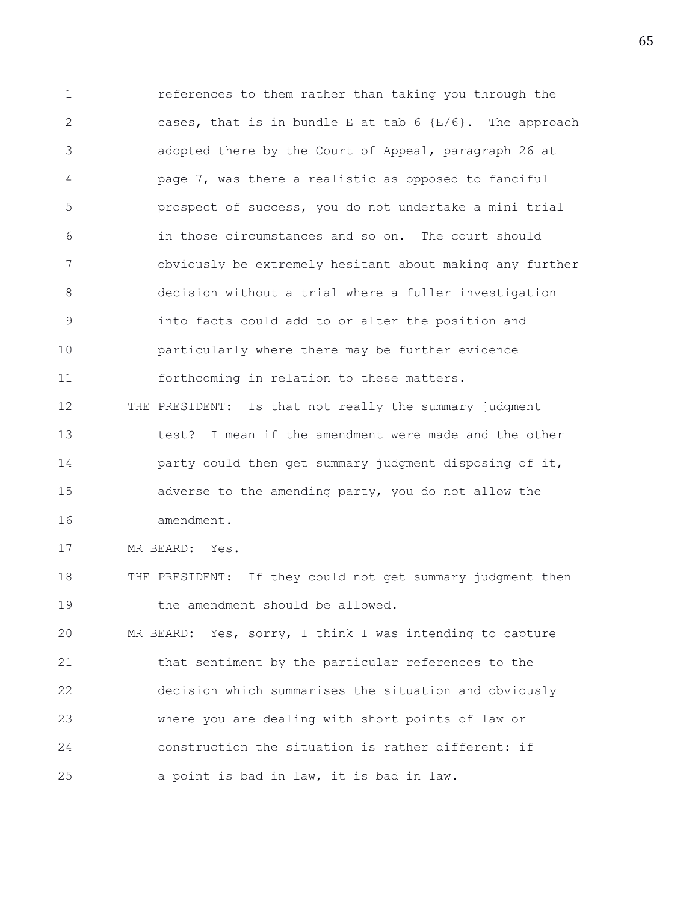1 references to them rather than taking you through the 2 cases, that is in bundle E at tab  $6$  {E/6}. The approach 3 adopted there by the Court of Appeal, paragraph 26 at 4 page 7, was there a realistic as opposed to fanciful 5 prospect of success, you do not undertake a mini trial 6 in those circumstances and so on. The court should 7 obviously be extremely hesitant about making any further 8 decision without a trial where a fuller investigation 9 into facts could add to or alter the position and 10 particularly where there may be further evidence 11 forthcoming in relation to these matters. 12 THE PRESIDENT: Is that not really the summary judgment 13 test? I mean if the amendment were made and the other 14 **party could then get summary judgment disposing of it,** 15 adverse to the amending party, you do not allow the 16 amendment. 17 MR BEARD: Yes. 18 THE PRESIDENT: If they could not get summary judgment then 19 the amendment should be allowed. 20 MR BEARD: Yes, sorry, I think I was intending to capture 21 that sentiment by the particular references to the 22 decision which summarises the situation and obviously 23 where you are dealing with short points of law or 24 construction the situation is rather different: if

25 a point is bad in law, it is bad in law.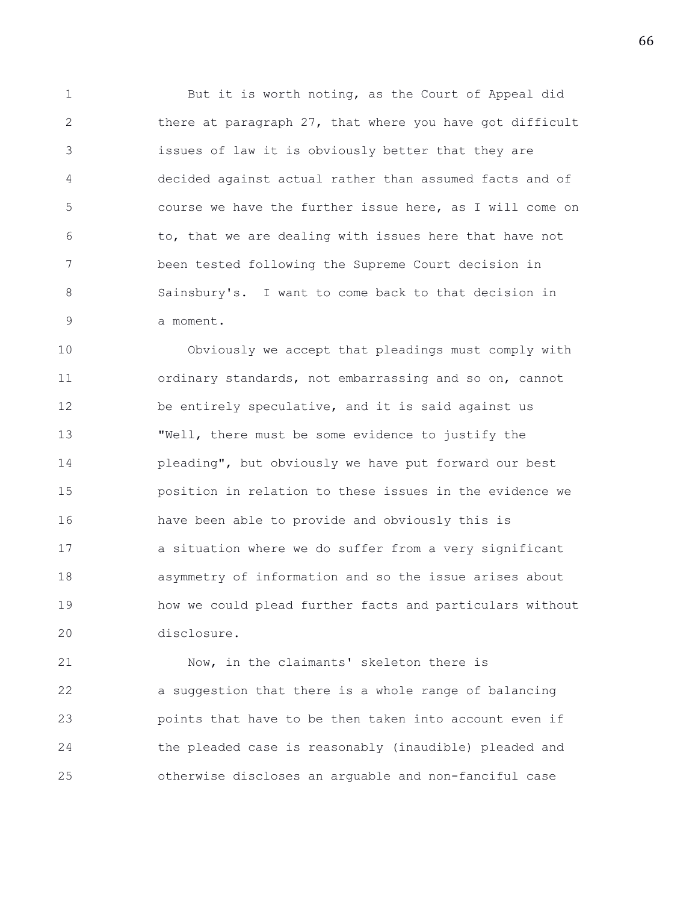1 But it is worth noting, as the Court of Appeal did 2 there at paragraph 27, that where you have got difficult 3 issues of law it is obviously better that they are 4 decided against actual rather than assumed facts and of 5 course we have the further issue here, as I will come on 6 to, that we are dealing with issues here that have not 7 been tested following the Supreme Court decision in 8 Sainsbury's. I want to come back to that decision in 9 a moment.

10 Obviously we accept that pleadings must comply with 11 ordinary standards, not embarrassing and so on, cannot 12 be entirely speculative, and it is said against us 13 "Well, there must be some evidence to justify the 14 pleading", but obviously we have put forward our best 15 position in relation to these issues in the evidence we 16 have been able to provide and obviously this is 17 a situation where we do suffer from a very significant 18 asymmetry of information and so the issue arises about 19 how we could plead further facts and particulars without 20 disclosure.

21 Now, in the claimants' skeleton there is 22 a suggestion that there is a whole range of balancing 23 points that have to be then taken into account even if 24 the pleaded case is reasonably (inaudible) pleaded and 25 otherwise discloses an arguable and non-fanciful case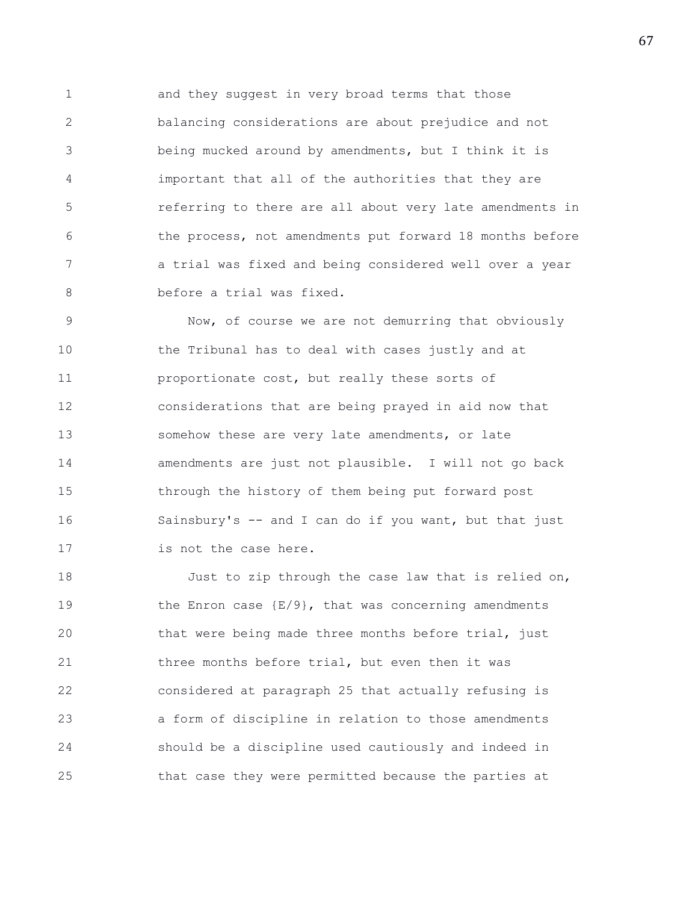1 and they suggest in very broad terms that those 2 balancing considerations are about prejudice and not 3 being mucked around by amendments, but I think it is 4 important that all of the authorities that they are 5 referring to there are all about very late amendments in 6 the process, not amendments put forward 18 months before 7 a trial was fixed and being considered well over a year 8 before a trial was fixed.

9 Now, of course we are not demurring that obviously 10 the Tribunal has to deal with cases justly and at 11 proportionate cost, but really these sorts of 12 considerations that are being prayed in aid now that 13 somehow these are very late amendments, or late 14 amendments are just not plausible. I will not go back 15 through the history of them being put forward post 16 Sainsbury's -- and I can do if you want, but that just 17 is not the case here.

18 Just to zip through the case law that is relied on, 19 the Enron case  $\{E/9\}$ , that was concerning amendments 20 that were being made three months before trial, just 21 three months before trial, but even then it was 22 considered at paragraph 25 that actually refusing is 23 a form of discipline in relation to those amendments 24 should be a discipline used cautiously and indeed in 25 that case they were permitted because the parties at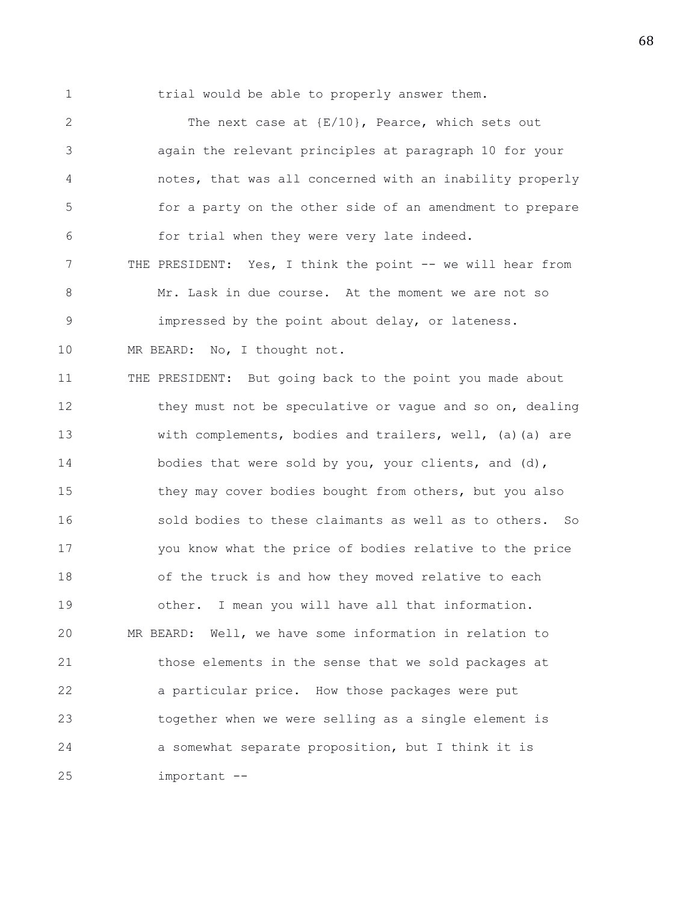1 trial would be able to properly answer them.

2 The next case at  ${E/10}$ , Pearce, which sets out 3 again the relevant principles at paragraph 10 for your 4 notes, that was all concerned with an inability properly 5 for a party on the other side of an amendment to prepare 6 for trial when they were very late indeed. 7 THE PRESIDENT: Yes, I think the point -- we will hear from 8 Mr. Lask in due course. At the moment we are not so 9 impressed by the point about delay, or lateness. 10 MR BEARD: No, I thought not. 11 THE PRESIDENT: But going back to the point you made about 12 they must not be speculative or vague and so on, dealing 13 with complements, bodies and trailers, well, (a)(a) are 14 bodies that were sold by you, your clients, and (d), 15 they may cover bodies bought from others, but you also 16 sold bodies to these claimants as well as to others. So 17 you know what the price of bodies relative to the price 18 of the truck is and how they moved relative to each 19 other. I mean you will have all that information. 20 MR BEARD: Well, we have some information in relation to 21 those elements in the sense that we sold packages at 22 a particular price. How those packages were put 23 together when we were selling as a single element is 24 a somewhat separate proposition, but I think it is 25 important --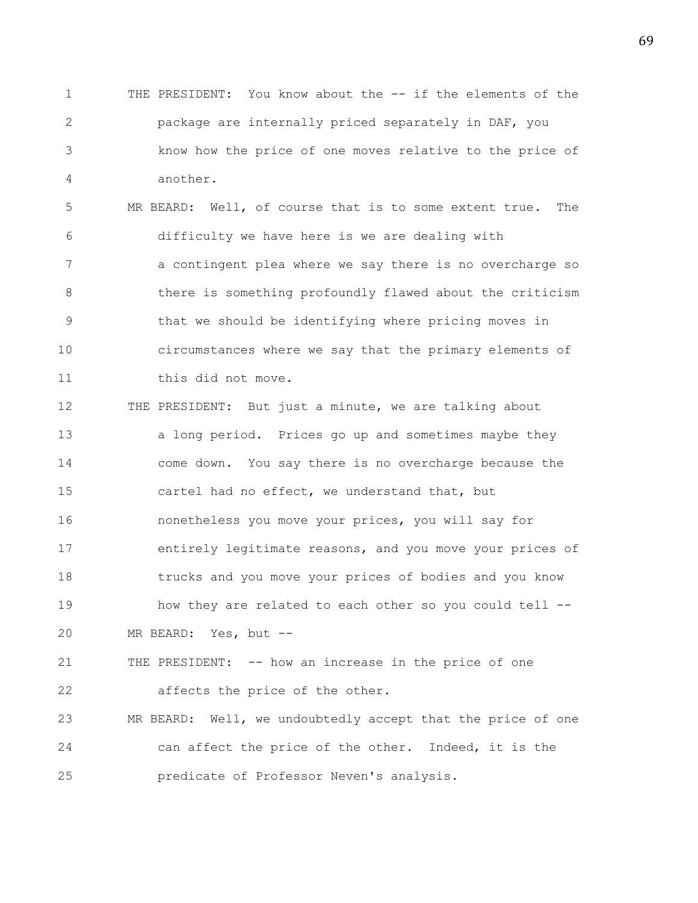1 THE PRESIDENT: You know about the -- if the elements of the 2 package are internally priced separately in DAF, you 3 know how the price of one moves relative to the price of 4 another.

5 MR BEARD: Well, of course that is to some extent true. The 6 difficulty we have here is we are dealing with 7 a contingent plea where we say there is no overcharge so 8 there is something profoundly flawed about the criticism 9 that we should be identifying where pricing moves in 10 circumstances where we say that the primary elements of 11 this did not move.

12 THE PRESIDENT: But just a minute, we are talking about 13 a long period. Prices go up and sometimes maybe they 14 come down. You say there is no overcharge because the 15 cartel had no effect, we understand that, but 16 nonetheless you move your prices, you will say for 17 entirely legitimate reasons, and you move your prices of 18 trucks and you move your prices of bodies and you know 19 how they are related to each other so you could tell -- 20 MR BEARD: Yes, but --

21 THE PRESIDENT: -- how an increase in the price of one 22 affects the price of the other.

23 MR BEARD: Well, we undoubtedly accept that the price of one 24 can affect the price of the other. Indeed, it is the 25 predicate of Professor Neven's analysis.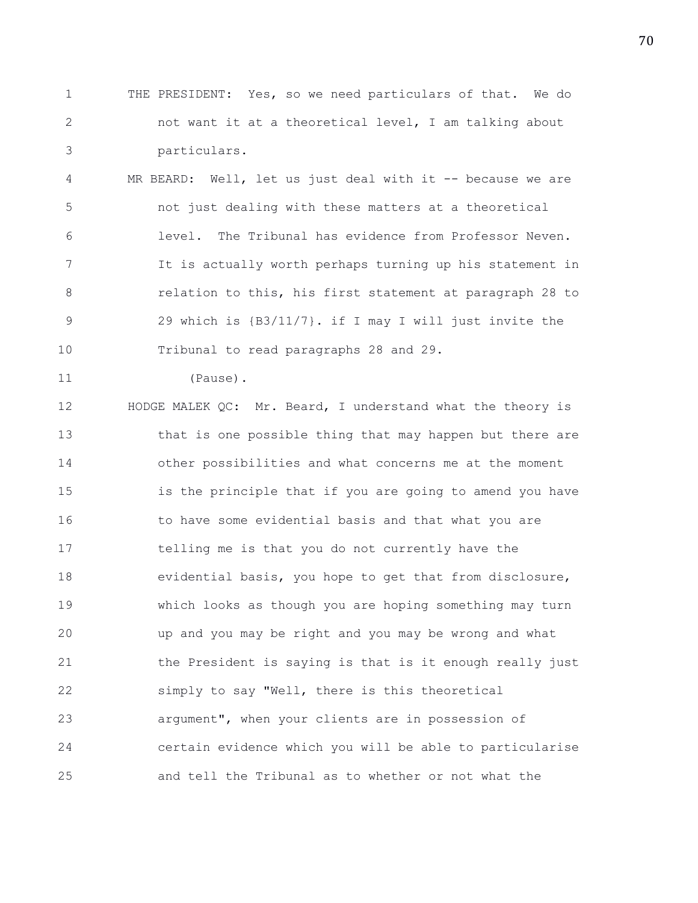1 THE PRESIDENT: Yes, so we need particulars of that. We do 2 not want it at a theoretical level, I am talking about 3 particulars.

4 MR BEARD: Well, let us just deal with it -- because we are 5 not just dealing with these matters at a theoretical 6 level. The Tribunal has evidence from Professor Neven. 7 It is actually worth perhaps turning up his statement in 8 **8** relation to this, his first statement at paragraph 28 to 9 29 which is {B3/11/7}. if I may I will just invite the 10 Tribunal to read paragraphs 28 and 29.

11 (Pause).

12 HODGE MALEK QC: Mr. Beard, I understand what the theory is 13 that is one possible thing that may happen but there are 14 other possibilities and what concerns me at the moment 15 is the principle that if you are going to amend you have 16 to have some evidential basis and that what you are 17 telling me is that you do not currently have the 18 evidential basis, you hope to get that from disclosure, 19 which looks as though you are hoping something may turn 20 up and you may be right and you may be wrong and what 21 the President is saying is that is it enough really just 22 simply to say "Well, there is this theoretical 23 argument", when your clients are in possession of 24 certain evidence which you will be able to particularise 25 and tell the Tribunal as to whether or not what the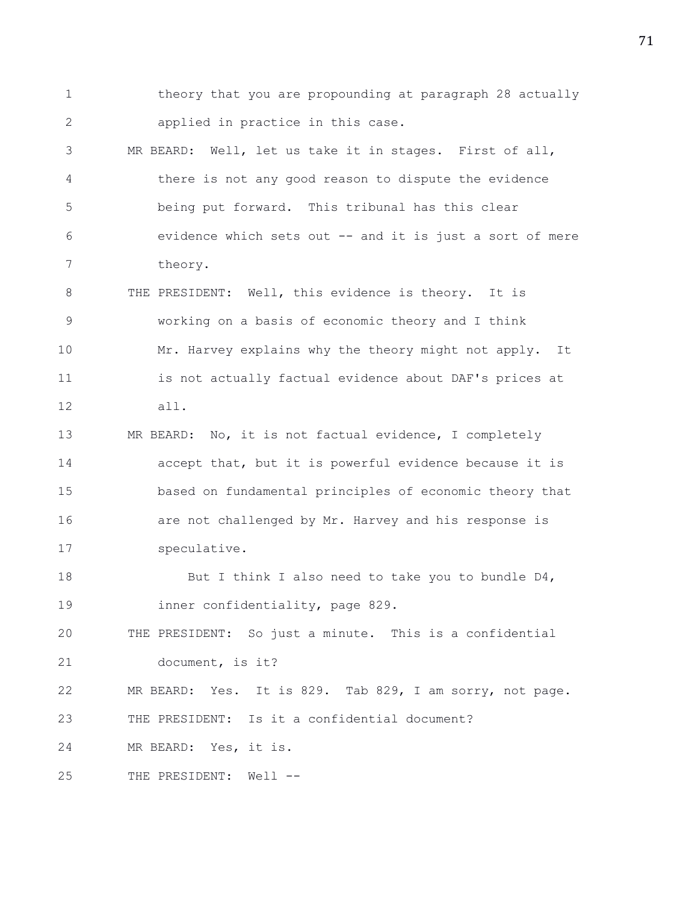1 theory that you are propounding at paragraph 28 actually 2 applied in practice in this case. 3 MR BEARD: Well, let us take it in stages. First of all, 4 there is not any good reason to dispute the evidence 5 being put forward. This tribunal has this clear 6 evidence which sets out -- and it is just a sort of mere 7 theory. 8 THE PRESIDENT: Well, this evidence is theory. It is 9 working on a basis of economic theory and I think 10 Mr. Harvey explains why the theory might not apply. It 11 is not actually factual evidence about DAF's prices at 12 all. 13 MR BEARD: No, it is not factual evidence, I completely 14 accept that, but it is powerful evidence because it is 15 based on fundamental principles of economic theory that 16 **are not challenged by Mr. Harvey and his response is** 17 speculative. 18 But I think I also need to take you to bundle D4, 19 inner confidentiality, page 829. 20 THE PRESIDENT: So just a minute. This is a confidential 21 document, is it? 22 MR BEARD: Yes. It is 829. Tab 829, I am sorry, not page. 23 THE PRESIDENT: Is it a confidential document? 24 MR BEARD: Yes, it is. 25 THE PRESIDENT: Well --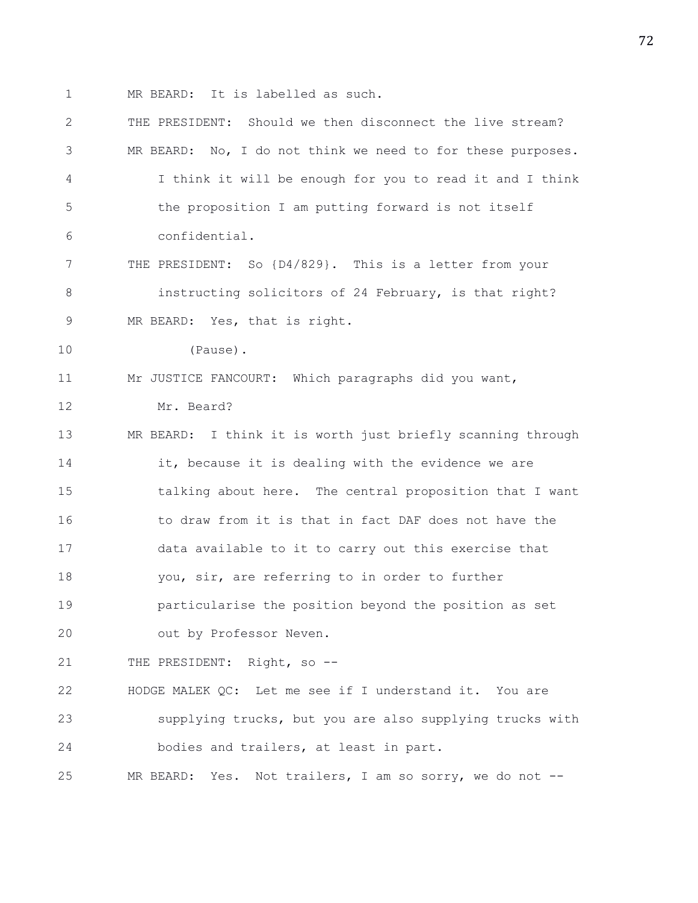1 MR BEARD: It is labelled as such.

2 THE PRESIDENT: Should we then disconnect the live stream? 3 MR BEARD: No, I do not think we need to for these purposes. 4 I think it will be enough for you to read it and I think 5 the proposition I am putting forward is not itself 6 confidential. 7 THE PRESIDENT: So {D4/829}. This is a letter from your 8 instructing solicitors of 24 February, is that right? 9 MR BEARD: Yes, that is right. 10 (Pause). 11 Mr JUSTICE FANCOURT: Which paragraphs did you want, 12 Mr. Beard? 13 MR BEARD: I think it is worth just briefly scanning through 14 **it, because it is dealing with the evidence we are** 15 talking about here. The central proposition that I want 16 to draw from it is that in fact DAF does not have the 17 data available to it to carry out this exercise that 18 you, sir, are referring to in order to further 19 particularise the position beyond the position as set 20 out by Professor Neven. 21 THE PRESIDENT: Right, so --22 HODGE MALEK QC: Let me see if I understand it. You are 23 supplying trucks, but you are also supplying trucks with 24 bodies and trailers, at least in part. 25 MR BEARD: Yes. Not trailers, I am so sorry, we do not --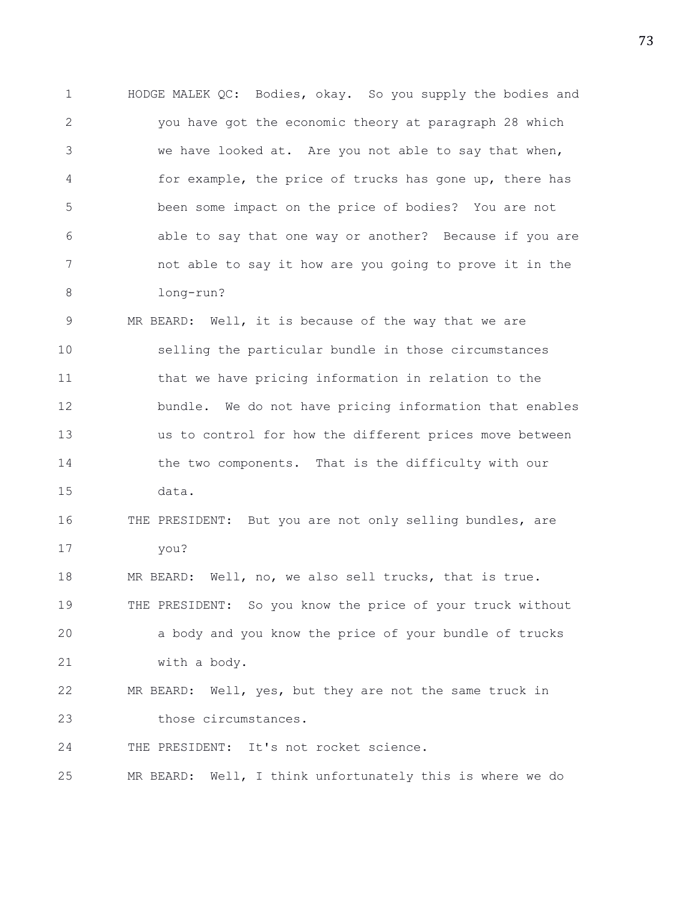1 HODGE MALEK QC: Bodies, okay. So you supply the bodies and 2 you have got the economic theory at paragraph 28 which 3 we have looked at. Are you not able to say that when, 4 for example, the price of trucks has gone up, there has 5 been some impact on the price of bodies? You are not 6 able to say that one way or another? Because if you are 7 not able to say it how are you going to prove it in the 8 long-run? 9 MR BEARD: Well, it is because of the way that we are 10 selling the particular bundle in those circumstances 11 that we have pricing information in relation to the 12 bundle. We do not have pricing information that enables 13 us to control for how the different prices move between 14 the two components. That is the difficulty with our 15 data. 16 THE PRESIDENT: But you are not only selling bundles, are 17 you? 18 MR BEARD: Well, no, we also sell trucks, that is true. 19 THE PRESIDENT: So you know the price of your truck without 20 a body and you know the price of your bundle of trucks 21 with a body. 22 MR BEARD: Well, yes, but they are not the same truck in 23 those circumstances. 24 THE PRESIDENT: It's not rocket science. 25 MR BEARD: Well, I think unfortunately this is where we do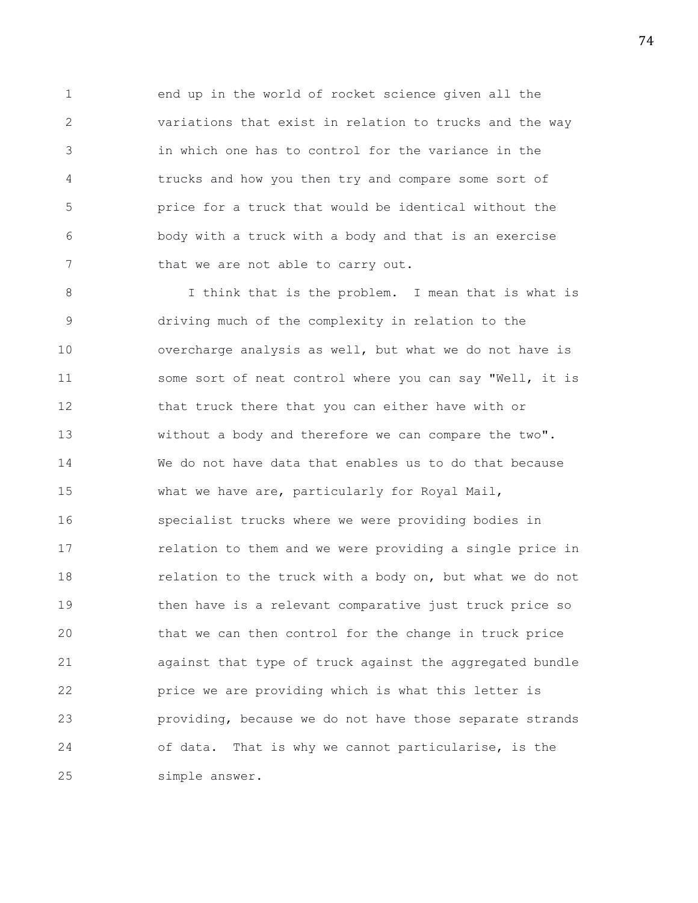1 end up in the world of rocket science given all the 2 variations that exist in relation to trucks and the way 3 in which one has to control for the variance in the 4 trucks and how you then try and compare some sort of 5 price for a truck that would be identical without the 6 body with a truck with a body and that is an exercise 7 that we are not able to carry out.

8 I think that is the problem. I mean that is what is 9 driving much of the complexity in relation to the 10 overcharge analysis as well, but what we do not have is 11 some sort of neat control where you can say "Well, it is 12 that truck there that you can either have with or 13 without a body and therefore we can compare the two". 14 We do not have data that enables us to do that because 15 what we have are, particularly for Royal Mail, 16 specialist trucks where we were providing bodies in 17 relation to them and we were providing a single price in 18 relation to the truck with a body on, but what we do not 19 then have is a relevant comparative just truck price so 20 that we can then control for the change in truck price 21 against that type of truck against the aggregated bundle 22 price we are providing which is what this letter is 23 providing, because we do not have those separate strands 24 of data. That is why we cannot particularise, is the 25 simple answer.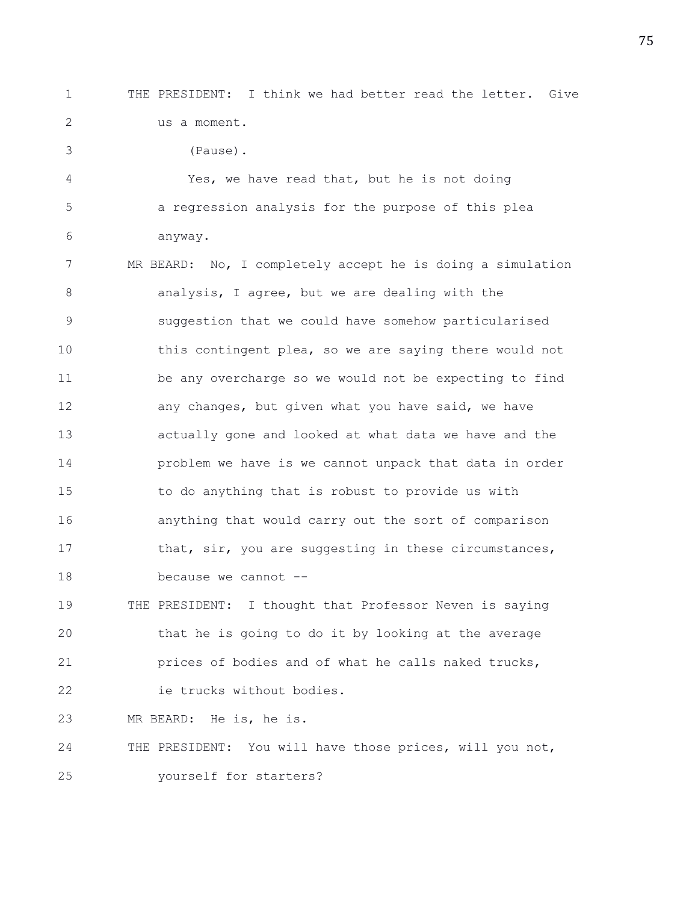3 (Pause).

1 THE PRESIDENT: I think we had better read the letter. Give 2 us a moment.

4 Yes, we have read that, but he is not doing 5 a regression analysis for the purpose of this plea 6 anyway. 7 MR BEARD: No, I completely accept he is doing a simulation 8 analysis, I agree, but we are dealing with the 9 suggestion that we could have somehow particularised 10 this contingent plea, so we are saying there would not 11 be any overcharge so we would not be expecting to find 12 **any changes, but given what you have said, we have** 13 actually gone and looked at what data we have and the 14 problem we have is we cannot unpack that data in order 15 to do anything that is robust to provide us with 16 anything that would carry out the sort of comparison 17 that, sir, you are suggesting in these circumstances, 18 because we cannot --

19 THE PRESIDENT: I thought that Professor Neven is saying 20 that he is going to do it by looking at the average 21 prices of bodies and of what he calls naked trucks, 22 ie trucks without bodies.

23 MR BEARD: He is, he is.

24 THE PRESIDENT: You will have those prices, will you not, 25 yourself for starters?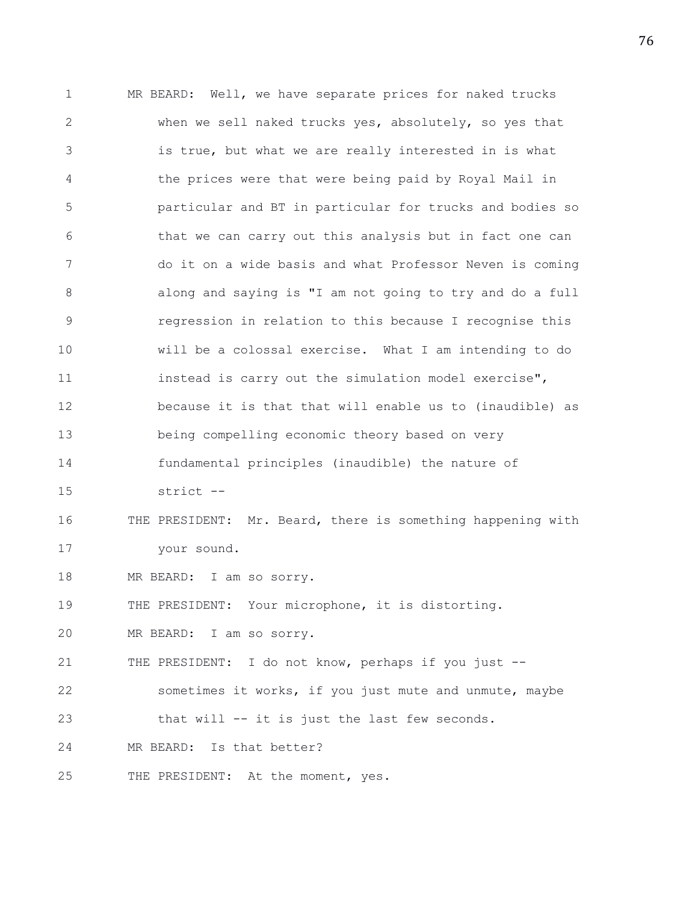1 MR BEARD: Well, we have separate prices for naked trucks 2 when we sell naked trucks yes, absolutely, so yes that 3 is true, but what we are really interested in is what 4 the prices were that were being paid by Royal Mail in 5 particular and BT in particular for trucks and bodies so 6 that we can carry out this analysis but in fact one can 7 do it on a wide basis and what Professor Neven is coming 8 along and saying is "I am not going to try and do a full 9 regression in relation to this because I recognise this 10 will be a colossal exercise. What I am intending to do 11 instead is carry out the simulation model exercise", 12 because it is that that will enable us to (inaudible) as 13 being compelling economic theory based on very 14 fundamental principles (inaudible) the nature of 15 strict -- 16 THE PRESIDENT: Mr. Beard, there is something happening with 17 your sound. 18 MR BEARD: I am so sorry. 19 THE PRESIDENT: Your microphone, it is distorting. 20 MR BEARD: I am so sorry. 21 THE PRESIDENT: I do not know, perhaps if you just -- 22 sometimes it works, if you just mute and unmute, maybe 23 that will -- it is just the last few seconds. 24 MR BEARD: Is that better? 25 THE PRESIDENT: At the moment, yes.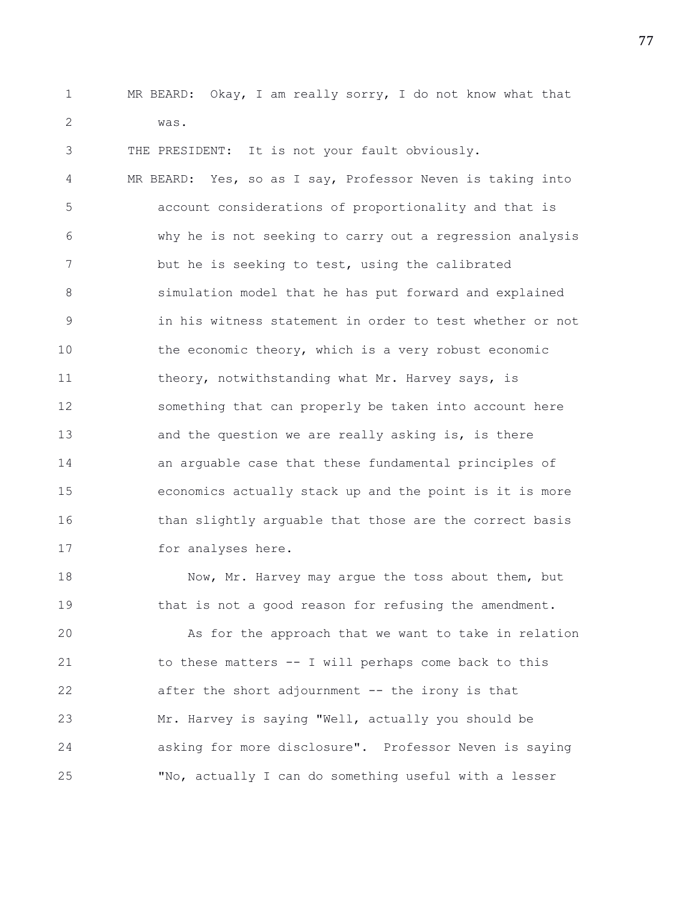1 MR BEARD: Okay, I am really sorry, I do not know what that 2 was.

3 THE PRESIDENT: It is not your fault obviously. 4 MR BEARD: Yes, so as I say, Professor Neven is taking into 5 account considerations of proportionality and that is 6 why he is not seeking to carry out a regression analysis 7 but he is seeking to test, using the calibrated 8 simulation model that he has put forward and explained 9 in his witness statement in order to test whether or not 10 the economic theory, which is a very robust economic 11 theory, notwithstanding what Mr. Harvey says, is 12 something that can properly be taken into account here 13 and the question we are really asking is, is there 14 an arguable case that these fundamental principles of 15 economics actually stack up and the point is it is more 16 than slightly arguable that those are the correct basis 17 for analyses here.

18 Now, Mr. Harvey may argue the toss about them, but 19 that is not a good reason for refusing the amendment.

20 As for the approach that we want to take in relation 21 to these matters -- I will perhaps come back to this 22 after the short adjournment -- the irony is that 23 Mr. Harvey is saying "Well, actually you should be 24 asking for more disclosure". Professor Neven is saying 25 "No, actually I can do something useful with a lesser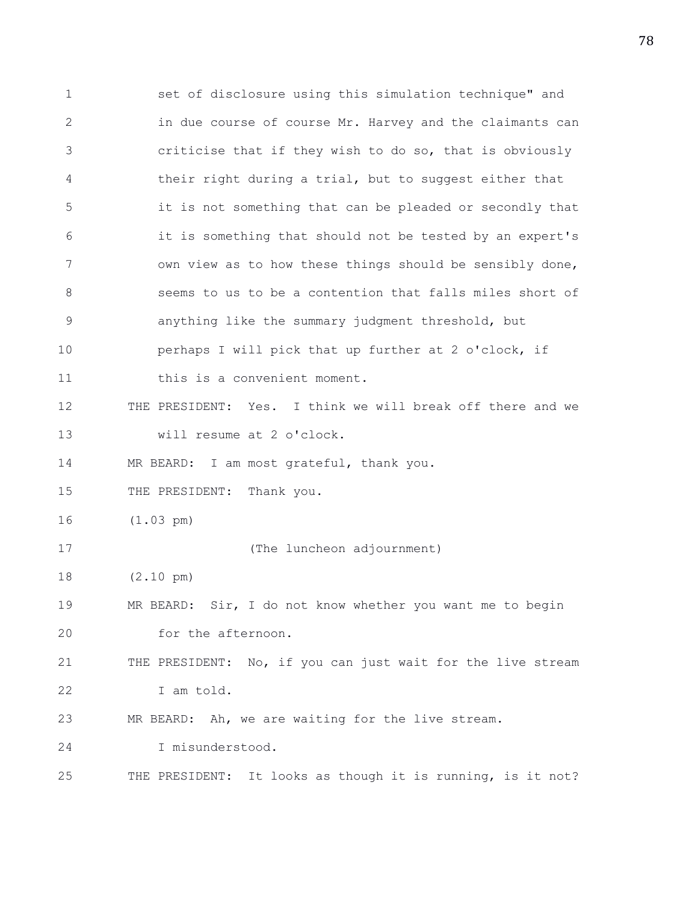1 set of disclosure using this simulation technique" and 2 in due course of course Mr. Harvey and the claimants can 3 criticise that if they wish to do so, that is obviously 4 their right during a trial, but to suggest either that 5 it is not something that can be pleaded or secondly that 6 it is something that should not be tested by an expert's 7 own view as to how these things should be sensibly done, 8 seems to us to be a contention that falls miles short of 9 anything like the summary judgment threshold, but 10 perhaps I will pick that up further at 2 o'clock, if 11 this is a convenient moment. 12 THE PRESIDENT: Yes. I think we will break off there and we 13 will resume at 2 o'clock. 14 MR BEARD: I am most grateful, thank you. 15 THE PRESIDENT: Thank you. 16 (1.03 pm) 17 (The luncheon adjournment) 18 (2.10 pm) 19 MR BEARD: Sir, I do not know whether you want me to begin 20 for the afternoon. 21 THE PRESIDENT: No, if you can just wait for the live stream 22 I am told. 23 MR BEARD: Ah, we are waiting for the live stream. 24 I misunderstood. 25 THE PRESIDENT: It looks as though it is running, is it not?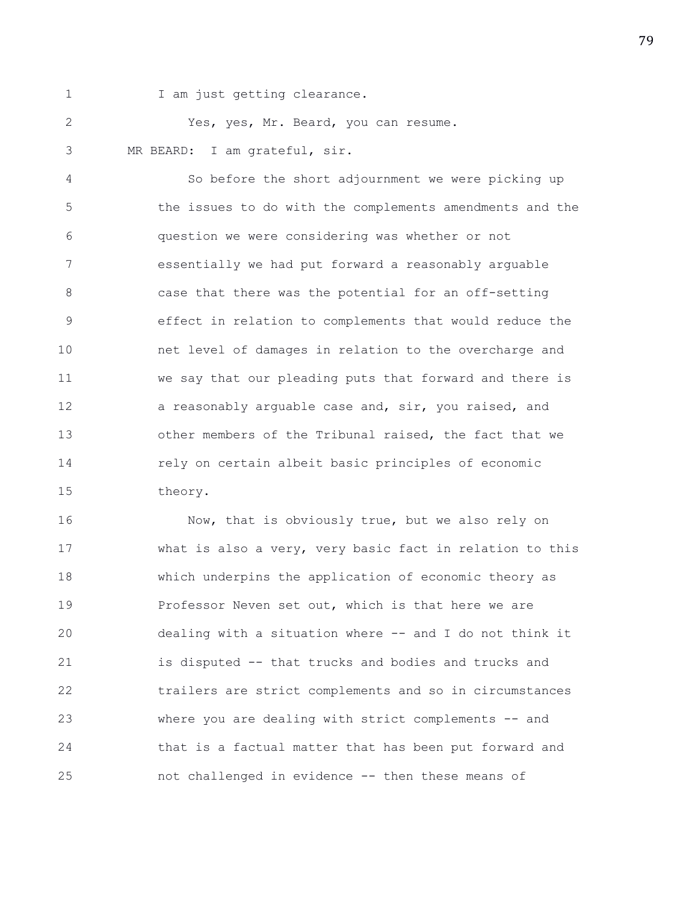1 I am just getting clearance.

2 Yes, yes, Mr. Beard, you can resume. 3 MR BEARD: I am grateful, sir.

4 So before the short adjournment we were picking up 5 the issues to do with the complements amendments and the 6 question we were considering was whether or not 7 essentially we had put forward a reasonably arguable 8 case that there was the potential for an off-setting 9 effect in relation to complements that would reduce the 10 net level of damages in relation to the overcharge and 11 we say that our pleading puts that forward and there is 12 a reasonably arguable case and, sir, you raised, and 13 other members of the Tribunal raised, the fact that we 14 rely on certain albeit basic principles of economic 15 theory.

16 Now, that is obviously true, but we also rely on 17 what is also a very, very basic fact in relation to this 18 which underpins the application of economic theory as 19 **Professor Neven set out, which is that here we are** 20 dealing with a situation where -- and I do not think it 21 is disputed -- that trucks and bodies and trucks and 22 trailers are strict complements and so in circumstances 23 where you are dealing with strict complements -- and 24 that is a factual matter that has been put forward and 25 not challenged in evidence -- then these means of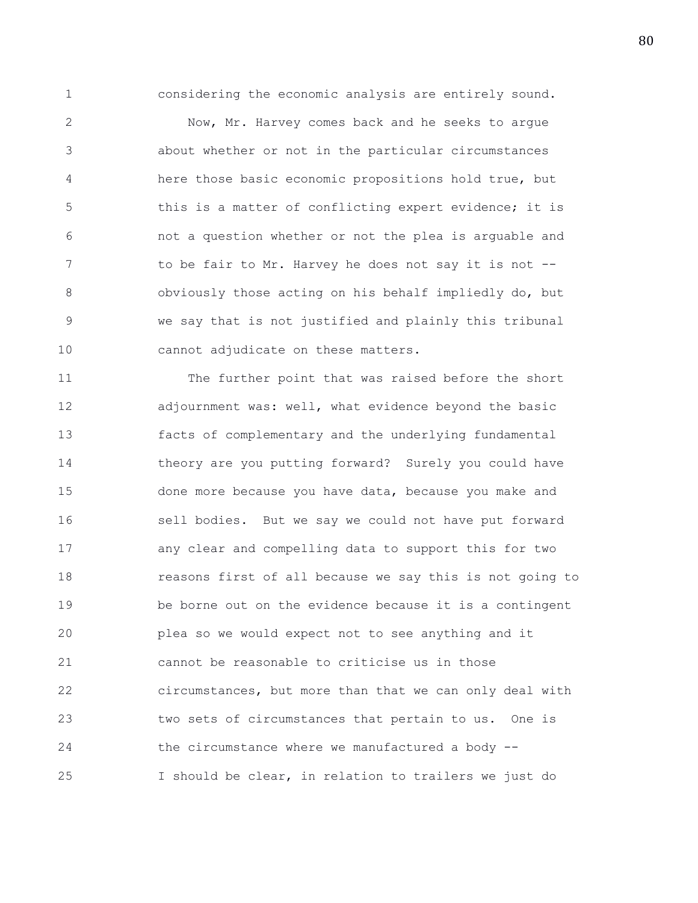1 considering the economic analysis are entirely sound.

2 Now, Mr. Harvey comes back and he seeks to argue 3 about whether or not in the particular circumstances 4 here those basic economic propositions hold true, but 5 this is a matter of conflicting expert evidence; it is 6 not a question whether or not the plea is arguable and 7 to be fair to Mr. Harvey he does not say it is not --8 obviously those acting on his behalf impliedly do, but 9 we say that is not justified and plainly this tribunal 10 cannot adjudicate on these matters.

11 The further point that was raised before the short 12 adjournment was: well, what evidence beyond the basic 13 facts of complementary and the underlying fundamental 14 theory are you putting forward? Surely you could have 15 done more because you have data, because you make and 16 sell bodies. But we say we could not have put forward 17 any clear and compelling data to support this for two 18 reasons first of all because we say this is not going to 19 be borne out on the evidence because it is a contingent 20 plea so we would expect not to see anything and it 21 cannot be reasonable to criticise us in those 22 circumstances, but more than that we can only deal with 23 two sets of circumstances that pertain to us. One is 24 the circumstance where we manufactured a body -- 25 I should be clear, in relation to trailers we just do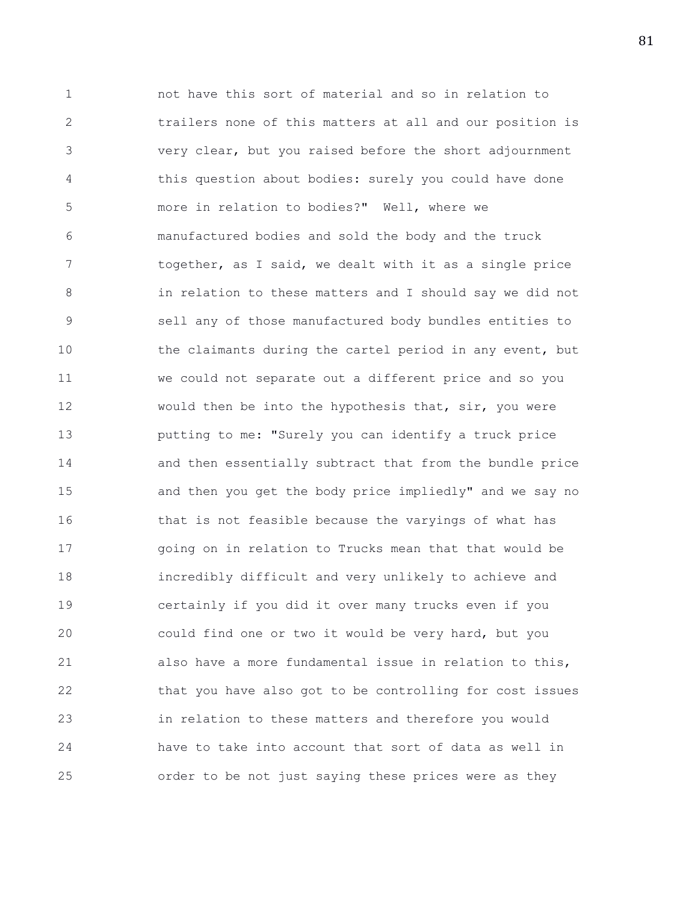1 not have this sort of material and so in relation to 2 trailers none of this matters at all and our position is 3 very clear, but you raised before the short adjournment 4 this question about bodies: surely you could have done 5 more in relation to bodies?" Well, where we 6 manufactured bodies and sold the body and the truck 7 together, as I said, we dealt with it as a single price 8 in relation to these matters and I should say we did not 9 sell any of those manufactured body bundles entities to 10 the claimants during the cartel period in any event, but 11 we could not separate out a different price and so you 12 would then be into the hypothesis that, sir, you were 13 putting to me: "Surely you can identify a truck price 14 and then essentially subtract that from the bundle price 15 and then you get the body price impliedly" and we say no 16 that is not feasible because the varyings of what has 17 going on in relation to Trucks mean that that would be 18 incredibly difficult and very unlikely to achieve and 19 certainly if you did it over many trucks even if you 20 could find one or two it would be very hard, but you 21 also have a more fundamental issue in relation to this, 22 that you have also got to be controlling for cost issues 23 in relation to these matters and therefore you would 24 have to take into account that sort of data as well in 25 order to be not just saying these prices were as they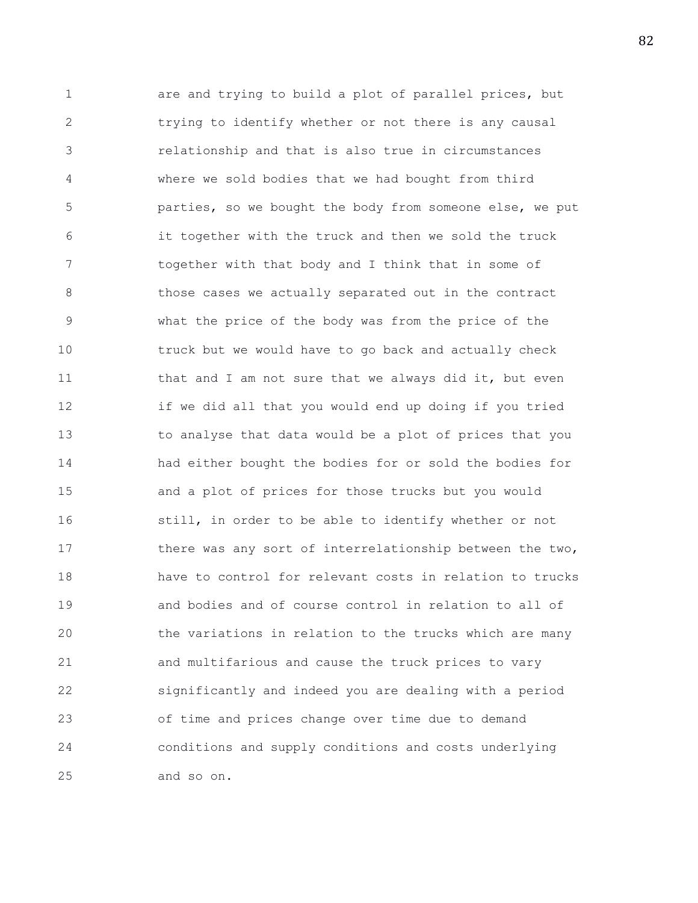1 are and trying to build a plot of parallel prices, but 2 trying to identify whether or not there is any causal 3 relationship and that is also true in circumstances 4 where we sold bodies that we had bought from third 5 parties, so we bought the body from someone else, we put 6 it together with the truck and then we sold the truck 7 together with that body and I think that in some of 8 **b** those cases we actually separated out in the contract 9 what the price of the body was from the price of the 10 truck but we would have to go back and actually check 11 that and I am not sure that we always did it, but even 12 if we did all that you would end up doing if you tried 13 to analyse that data would be a plot of prices that you 14 had either bought the bodies for or sold the bodies for 15 and a plot of prices for those trucks but you would 16 still, in order to be able to identify whether or not 17 there was any sort of interrelationship between the two, 18 have to control for relevant costs in relation to trucks 19 and bodies and of course control in relation to all of 20 the variations in relation to the trucks which are many 21 and multifarious and cause the truck prices to vary 22 significantly and indeed you are dealing with a period 23 of time and prices change over time due to demand 24 conditions and supply conditions and costs underlying 25 and so on.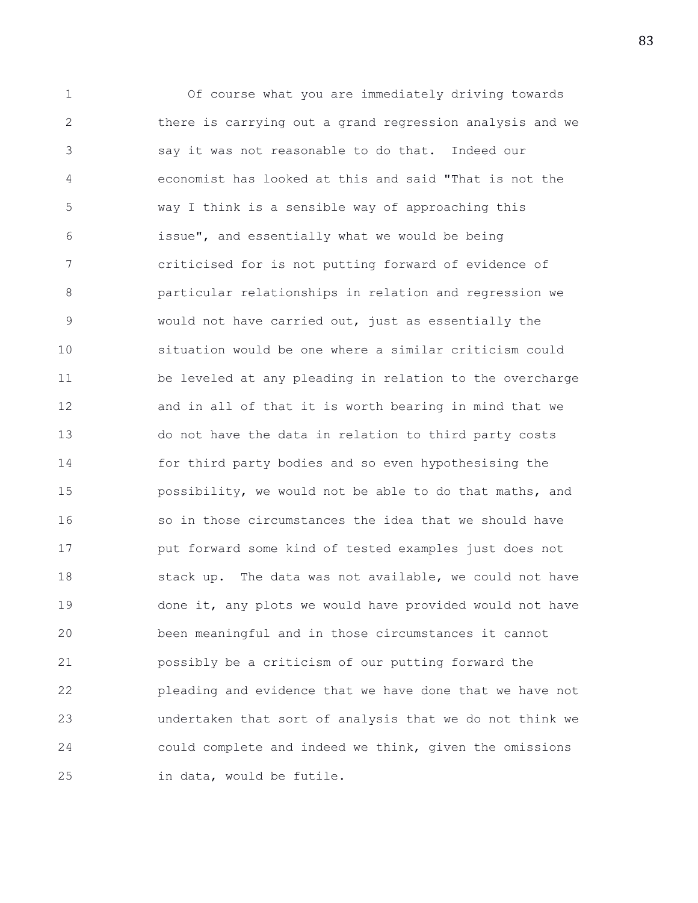1 Of course what you are immediately driving towards 2 there is carrying out a grand regression analysis and we 3 say it was not reasonable to do that. Indeed our 4 economist has looked at this and said "That is not the 5 way I think is a sensible way of approaching this 6 issue", and essentially what we would be being 7 criticised for is not putting forward of evidence of 8 particular relationships in relation and regression we 9 would not have carried out, just as essentially the 10 situation would be one where a similar criticism could 11 be leveled at any pleading in relation to the overcharge 12 and in all of that it is worth bearing in mind that we 13 do not have the data in relation to third party costs 14 for third party bodies and so even hypothesising the 15 possibility, we would not be able to do that maths, and 16 so in those circumstances the idea that we should have 17 put forward some kind of tested examples just does not 18 stack up. The data was not available, we could not have 19 done it, any plots we would have provided would not have 20 been meaningful and in those circumstances it cannot 21 possibly be a criticism of our putting forward the 22 pleading and evidence that we have done that we have not 23 undertaken that sort of analysis that we do not think we 24 could complete and indeed we think, given the omissions 25 in data, would be futile.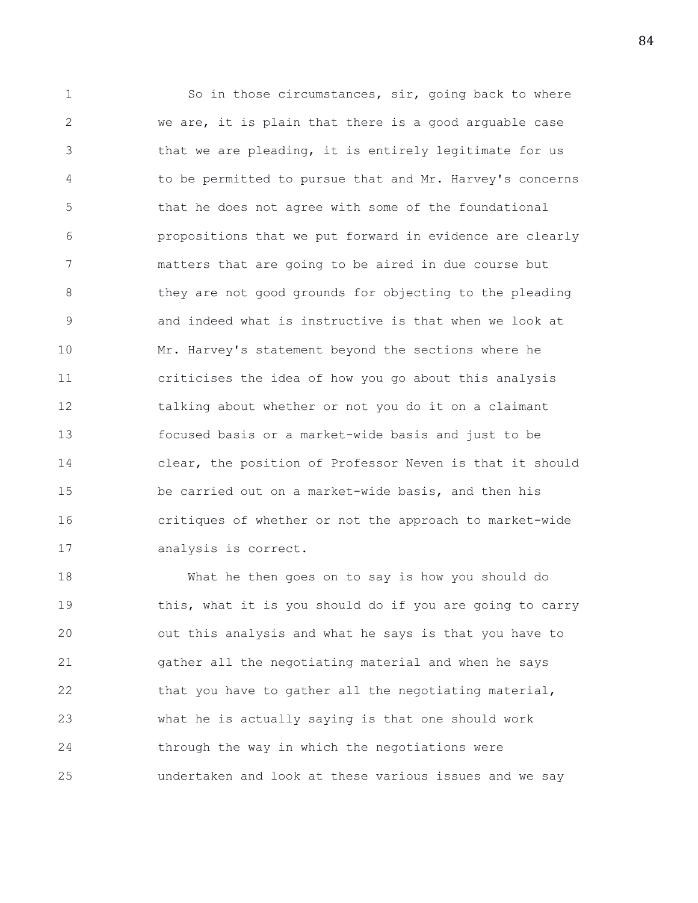1 So in those circumstances, sir, going back to where 2 we are, it is plain that there is a good arguable case 3 that we are pleading, it is entirely legitimate for us 4 to be permitted to pursue that and Mr. Harvey's concerns 5 that he does not agree with some of the foundational 6 propositions that we put forward in evidence are clearly 7 matters that are going to be aired in due course but 8 **they are not good grounds for objecting to the pleading** 9 and indeed what is instructive is that when we look at 10 Mr. Harvey's statement beyond the sections where he 11 criticises the idea of how you go about this analysis 12 talking about whether or not you do it on a claimant 13 focused basis or a market-wide basis and just to be 14 clear, the position of Professor Neven is that it should 15 be carried out on a market-wide basis, and then his 16 critiques of whether or not the approach to market-wide 17 analysis is correct.

18 What he then goes on to say is how you should do 19 this, what it is you should do if you are going to carry 20 out this analysis and what he says is that you have to 21 gather all the negotiating material and when he says 22 that you have to gather all the negotiating material, 23 what he is actually saying is that one should work 24 through the way in which the negotiations were 25 undertaken and look at these various issues and we say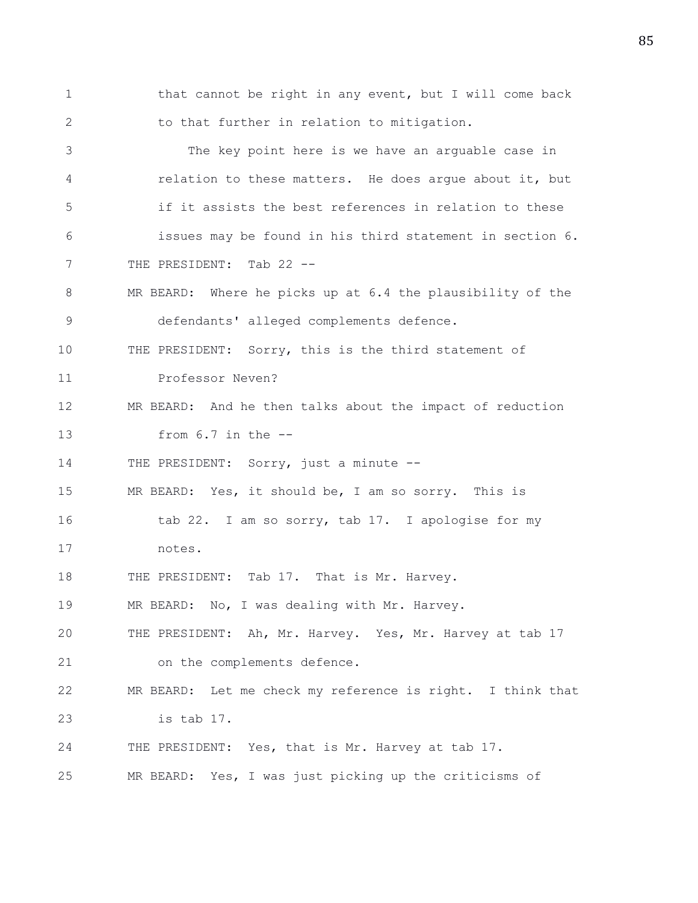1 that cannot be right in any event, but I will come back 2 to that further in relation to mitigation. 3 The key point here is we have an arguable case in 4 relation to these matters. He does argue about it, but 5 if it assists the best references in relation to these 6 issues may be found in his third statement in section 6. 7 THE PRESIDENT: Tab 22 --8 MR BEARD: Where he picks up at 6.4 the plausibility of the 9 defendants' alleged complements defence. 10 THE PRESIDENT: Sorry, this is the third statement of 11 Professor Neven? 12 MR BEARD: And he then talks about the impact of reduction 13 from 6.7 in the -- 14 THE PRESIDENT: Sorry, just a minute --15 MR BEARD: Yes, it should be, I am so sorry. This is 16 tab 22. I am so sorry, tab 17. I apologise for my 17 notes. 18 THE PRESIDENT: Tab 17. That is Mr. Harvey. 19 MR BEARD: No, I was dealing with Mr. Harvey. 20 THE PRESIDENT: Ah, Mr. Harvey. Yes, Mr. Harvey at tab 17 21 on the complements defence. 22 MR BEARD: Let me check my reference is right. I think that 23 is tab 17. 24 THE PRESIDENT: Yes, that is Mr. Harvey at tab 17. 25 MR BEARD: Yes, I was just picking up the criticisms of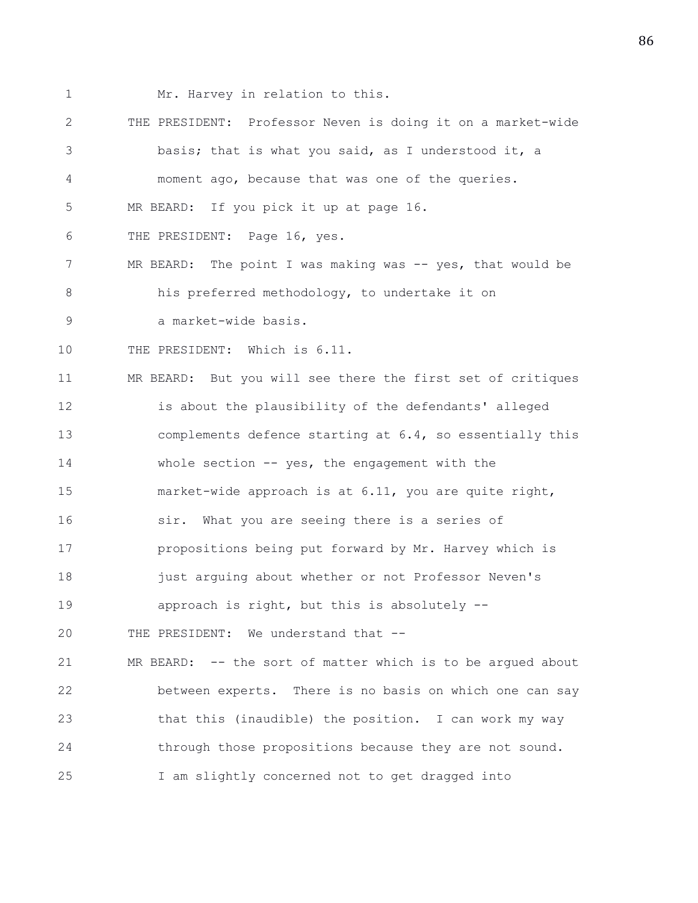1 Mr. Harvey in relation to this.

2 THE PRESIDENT: Professor Neven is doing it on a market-wide 3 basis; that is what you said, as I understood it, a 4 moment ago, because that was one of the queries. 5 MR BEARD: If you pick it up at page 16. 6 THE PRESIDENT: Page 16, yes. 7 MR BEARD: The point I was making was -- yes, that would be 8 his preferred methodology, to undertake it on 9 a market-wide basis. 10 THE PRESIDENT: Which is 6.11. 11 MR BEARD: But you will see there the first set of critiques 12 is about the plausibility of the defendants' alleged 13 complements defence starting at 6.4, so essentially this 14 whole section -- yes, the engagement with the 15 market-wide approach is at 6.11, you are quite right, 16 sir. What you are seeing there is a series of 17 propositions being put forward by Mr. Harvey which is 18 just arguing about whether or not Professor Neven's 19 approach is right, but this is absolutely -- 20 THE PRESIDENT: We understand that -- 21 MR BEARD: -- the sort of matter which is to be argued about 22 between experts. There is no basis on which one can say 23 that this (inaudible) the position. I can work my way

24 through those propositions because they are not sound.

25 I am slightly concerned not to get dragged into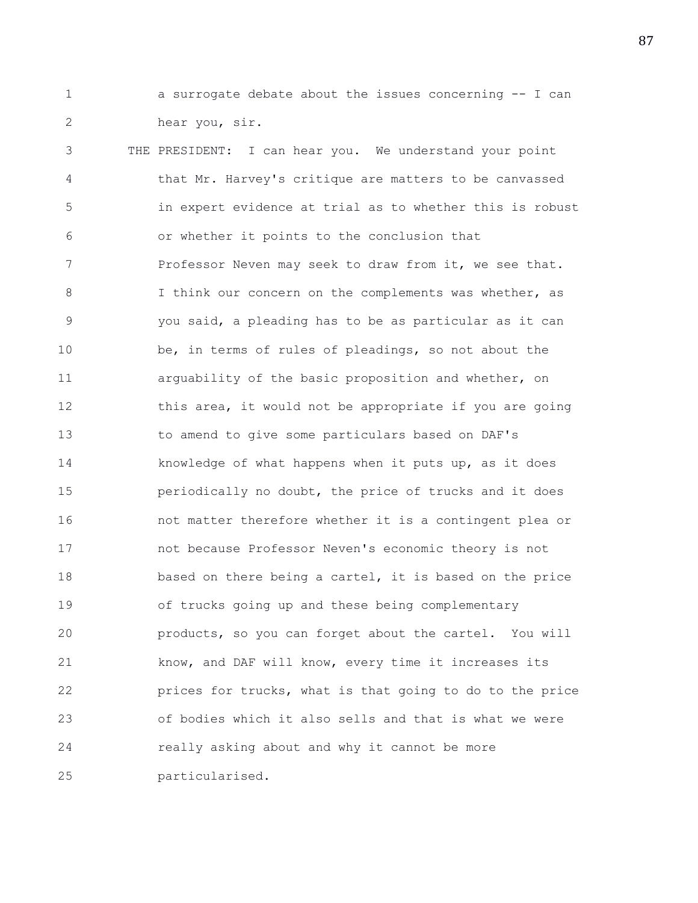1 a surrogate debate about the issues concerning -- I can 2 hear you, sir.

3 THE PRESIDENT: I can hear you. We understand your point 4 that Mr. Harvey's critique are matters to be canvassed 5 in expert evidence at trial as to whether this is robust 6 or whether it points to the conclusion that 7 Professor Neven may seek to draw from it, we see that. 8 I think our concern on the complements was whether, as 9 you said, a pleading has to be as particular as it can 10 be, in terms of rules of pleadings, so not about the 11 arguability of the basic proposition and whether, on 12 this area, it would not be appropriate if you are going 13 to amend to give some particulars based on DAF's 14 knowledge of what happens when it puts up, as it does 15 periodically no doubt, the price of trucks and it does 16 not matter therefore whether it is a contingent plea or 17 not because Professor Neven's economic theory is not 18 based on there being a cartel, it is based on the price 19 of trucks going up and these being complementary 20 products, so you can forget about the cartel. You will 21 know, and DAF will know, every time it increases its 22 prices for trucks, what is that going to do to the price 23 of bodies which it also sells and that is what we were 24 really asking about and why it cannot be more 25 particularised.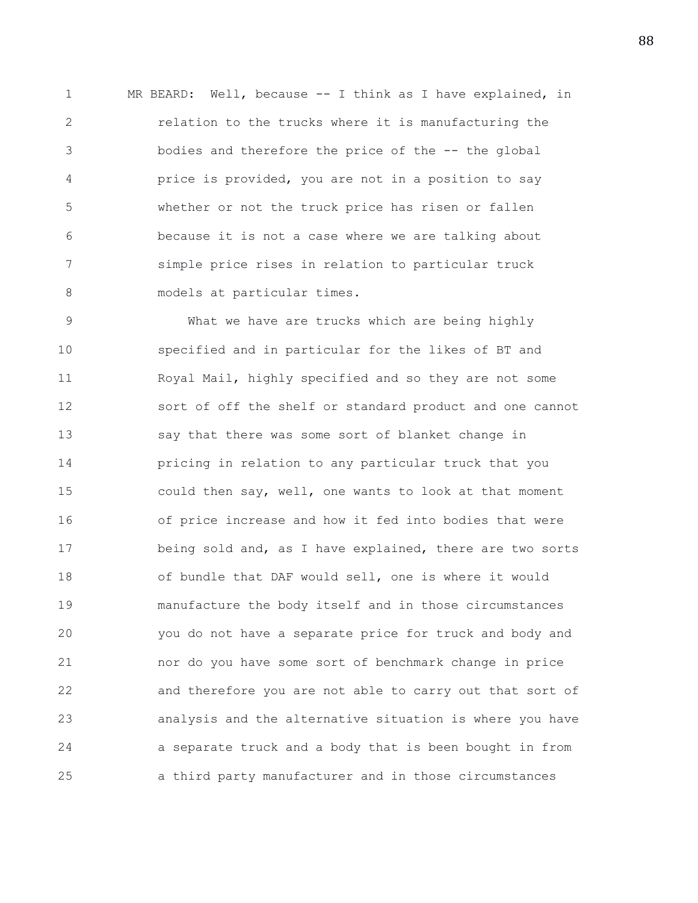1 MR BEARD: Well, because -- I think as I have explained, in 2 relation to the trucks where it is manufacturing the 3 bodies and therefore the price of the -- the global 4 price is provided, you are not in a position to say 5 whether or not the truck price has risen or fallen 6 because it is not a case where we are talking about 7 simple price rises in relation to particular truck 8 models at particular times.

9 What we have are trucks which are being highly 10 specified and in particular for the likes of BT and 11 Royal Mail, highly specified and so they are not some 12 sort of off the shelf or standard product and one cannot 13 say that there was some sort of blanket change in 14 pricing in relation to any particular truck that you 15 could then say, well, one wants to look at that moment 16 of price increase and how it fed into bodies that were 17 being sold and, as I have explained, there are two sorts 18 of bundle that DAF would sell, one is where it would 19 manufacture the body itself and in those circumstances 20 you do not have a separate price for truck and body and 21 nor do you have some sort of benchmark change in price 22 and therefore you are not able to carry out that sort of 23 analysis and the alternative situation is where you have 24 a separate truck and a body that is been bought in from 25 a third party manufacturer and in those circumstances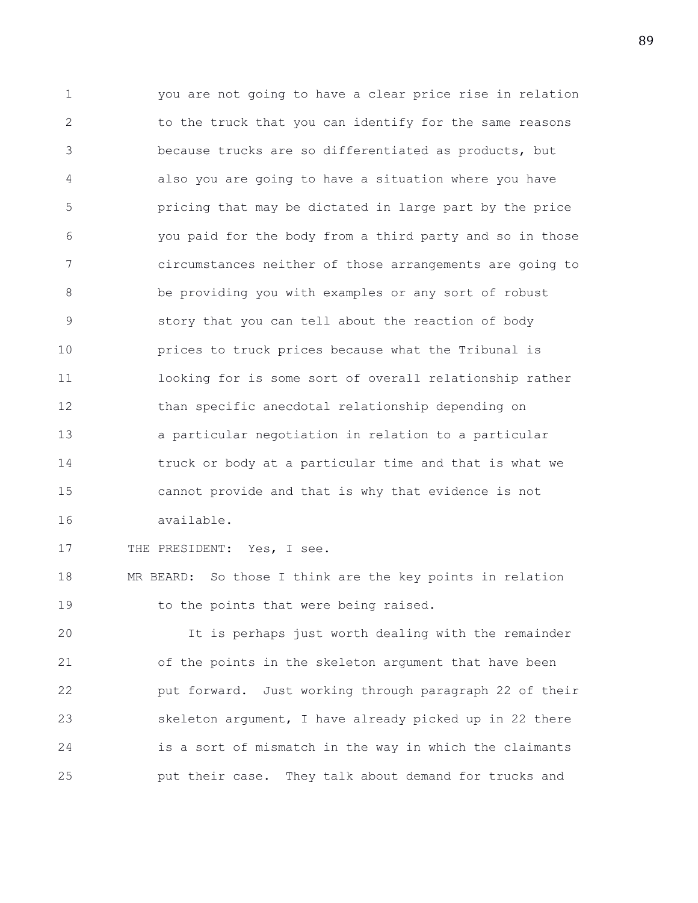1 you are not going to have a clear price rise in relation 2 to the truck that you can identify for the same reasons 3 because trucks are so differentiated as products, but 4 also you are going to have a situation where you have 5 pricing that may be dictated in large part by the price 6 you paid for the body from a third party and so in those 7 circumstances neither of those arrangements are going to 8 be providing you with examples or any sort of robust 9 story that you can tell about the reaction of body 10 prices to truck prices because what the Tribunal is 11 looking for is some sort of overall relationship rather 12 than specific anecdotal relationship depending on 13 a particular negotiation in relation to a particular 14 truck or body at a particular time and that is what we 15 cannot provide and that is why that evidence is not 16 available.

17 THE PRESIDENT: Yes, I see.

18 MR BEARD: So those I think are the key points in relation 19 to the points that were being raised.

20 It is perhaps just worth dealing with the remainder 21 of the points in the skeleton argument that have been 22 put forward. Just working through paragraph 22 of their 23 skeleton argument, I have already picked up in 22 there 24 is a sort of mismatch in the way in which the claimants 25 put their case. They talk about demand for trucks and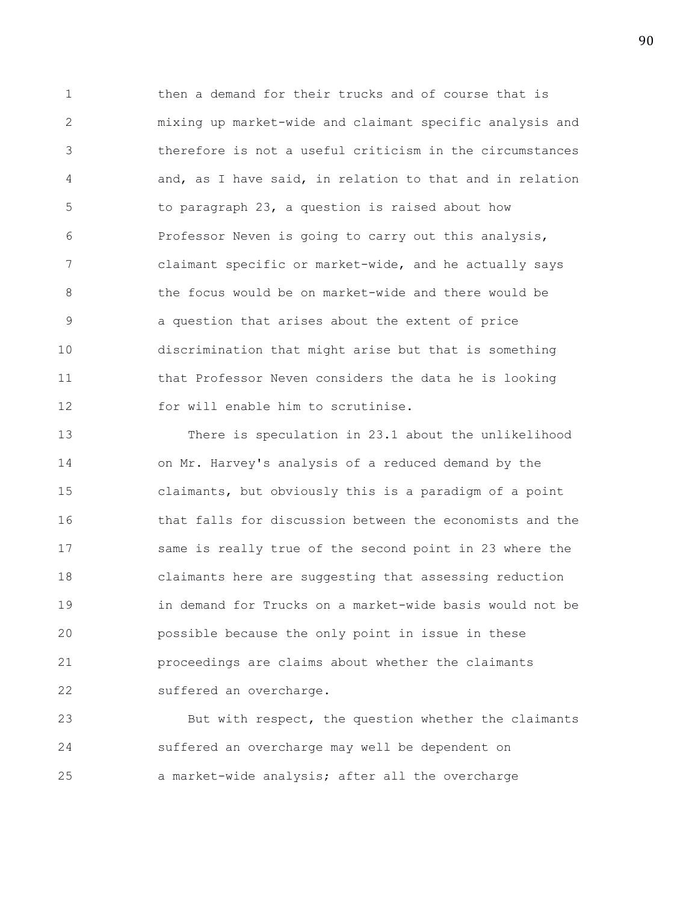1 then a demand for their trucks and of course that is 2 mixing up market-wide and claimant specific analysis and 3 therefore is not a useful criticism in the circumstances 4 and, as I have said, in relation to that and in relation 5 to paragraph 23, a question is raised about how 6 Professor Neven is going to carry out this analysis, 7 claimant specific or market-wide, and he actually says 8 the focus would be on market-wide and there would be 9 a question that arises about the extent of price 10 discrimination that might arise but that is something 11 that Professor Neven considers the data he is looking 12 for will enable him to scrutinise.

13 There is speculation in 23.1 about the unlikelihood 14 on Mr. Harvey's analysis of a reduced demand by the 15 claimants, but obviously this is a paradigm of a point 16 that falls for discussion between the economists and the 17 same is really true of the second point in 23 where the 18 claimants here are suggesting that assessing reduction 19 in demand for Trucks on a market-wide basis would not be 20 possible because the only point in issue in these 21 proceedings are claims about whether the claimants 22 suffered an overcharge.

23 But with respect, the question whether the claimants 24 suffered an overcharge may well be dependent on 25 a market-wide analysis; after all the overcharge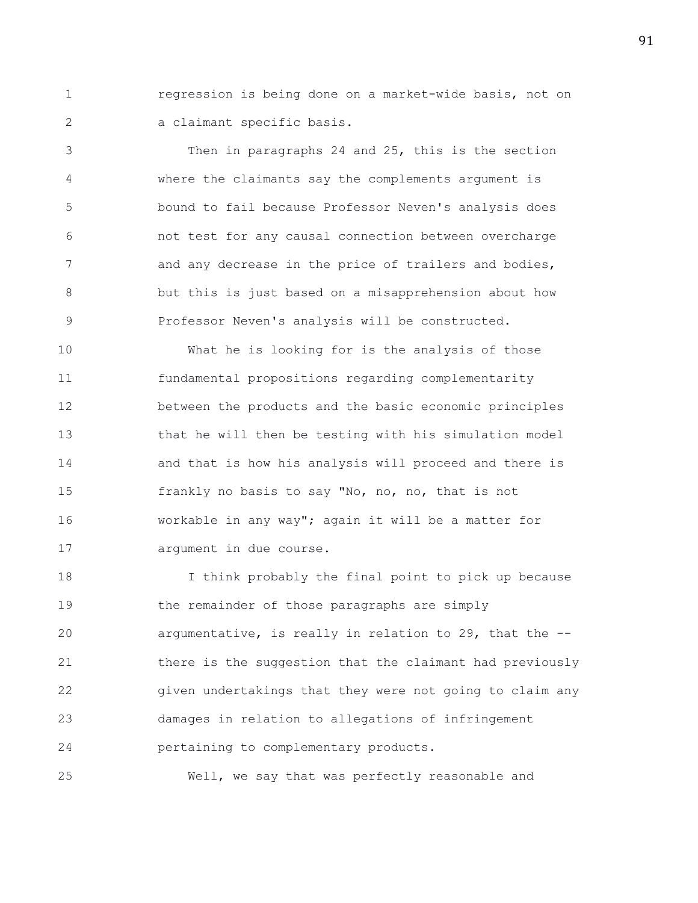1 regression is being done on a market-wide basis, not on 2 a claimant specific basis.

3 Then in paragraphs 24 and 25, this is the section 4 where the claimants say the complements argument is 5 bound to fail because Professor Neven's analysis does 6 not test for any causal connection between overcharge 7 and any decrease in the price of trailers and bodies, 8 but this is just based on a misapprehension about how 9 Professor Neven's analysis will be constructed.

10 What he is looking for is the analysis of those 11 fundamental propositions regarding complementarity 12 between the products and the basic economic principles 13 that he will then be testing with his simulation model 14 and that is how his analysis will proceed and there is 15 frankly no basis to say "No, no, no, that is not 16 workable in any way"; again it will be a matter for 17 argument in due course.

18 I think probably the final point to pick up because 19 the remainder of those paragraphs are simply 20 argumentative, is really in relation to 29, that the -- 21 there is the suggestion that the claimant had previously 22 given undertakings that they were not going to claim any 23 damages in relation to allegations of infringement 24 pertaining to complementary products.

25 Well, we say that was perfectly reasonable and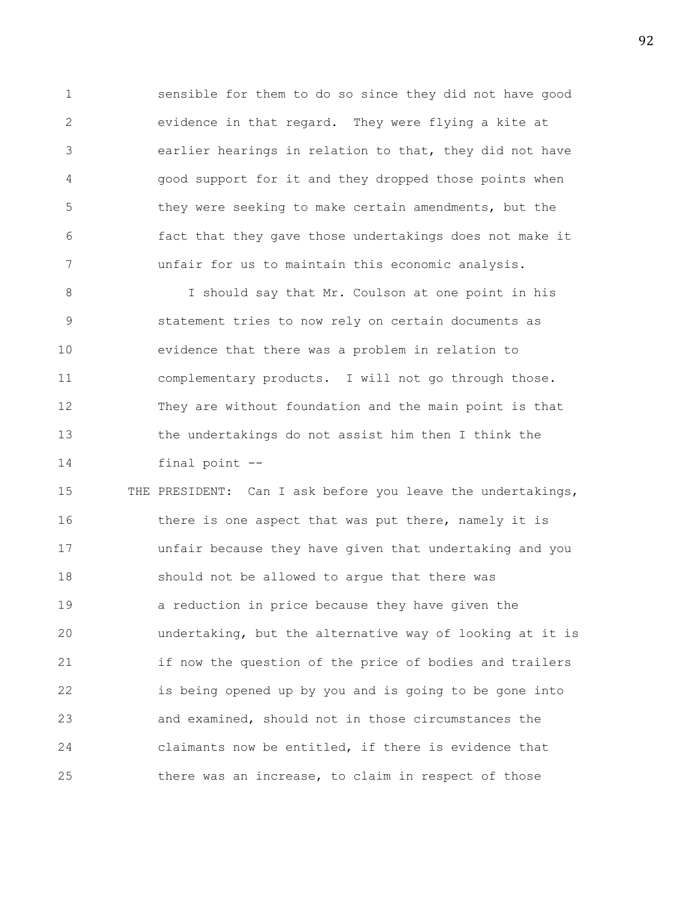1 sensible for them to do so since they did not have good 2 evidence in that regard. They were flying a kite at 3 earlier hearings in relation to that, they did not have 4 good support for it and they dropped those points when 5 they were seeking to make certain amendments, but the 6 fact that they gave those undertakings does not make it 7 unfair for us to maintain this economic analysis.

8 I should say that Mr. Coulson at one point in his 9 statement tries to now rely on certain documents as 10 evidence that there was a problem in relation to 11 complementary products. I will not go through those. 12 They are without foundation and the main point is that 13 the undertakings do not assist him then I think the 14 final point --

15 THE PRESIDENT: Can I ask before you leave the undertakings, 16 there is one aspect that was put there, namely it is 17 unfair because they have given that undertaking and you 18 should not be allowed to argue that there was 19 a reduction in price because they have given the 20 undertaking, but the alternative way of looking at it is 21 if now the question of the price of bodies and trailers 22 is being opened up by you and is going to be gone into 23 and examined, should not in those circumstances the 24 claimants now be entitled, if there is evidence that 25 there was an increase, to claim in respect of those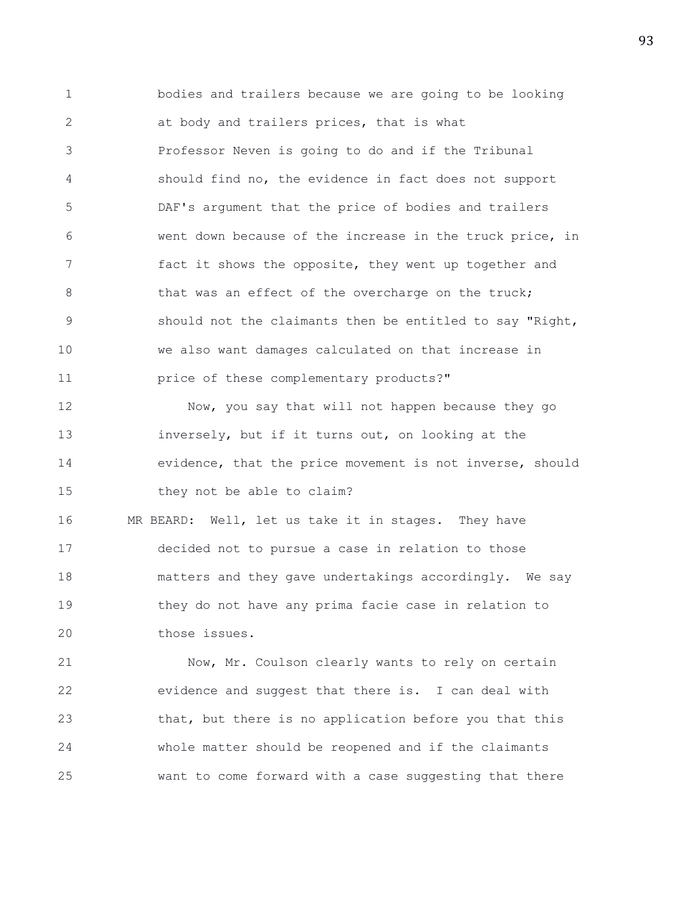1 bodies and trailers because we are going to be looking 2 at body and trailers prices, that is what 3 Professor Neven is going to do and if the Tribunal 4 should find no, the evidence in fact does not support 5 DAF's argument that the price of bodies and trailers 6 went down because of the increase in the truck price, in 7 fact it shows the opposite, they went up together and 8 that was an effect of the overcharge on the truck; 9 should not the claimants then be entitled to say "Right, 10 we also want damages calculated on that increase in 11 **price of these complementary products?"** 12 Now, you say that will not happen because they go 13 inversely, but if it turns out, on looking at the 14 evidence, that the price movement is not inverse, should 15 they not be able to claim? 16 MR BEARD: Well, let us take it in stages. They have 17 decided not to pursue a case in relation to those 18 matters and they gave undertakings accordingly. We say 19 they do not have any prima facie case in relation to 20 those issues.

21 Now, Mr. Coulson clearly wants to rely on certain 22 evidence and suggest that there is. I can deal with 23 that, but there is no application before you that this 24 whole matter should be reopened and if the claimants 25 want to come forward with a case suggesting that there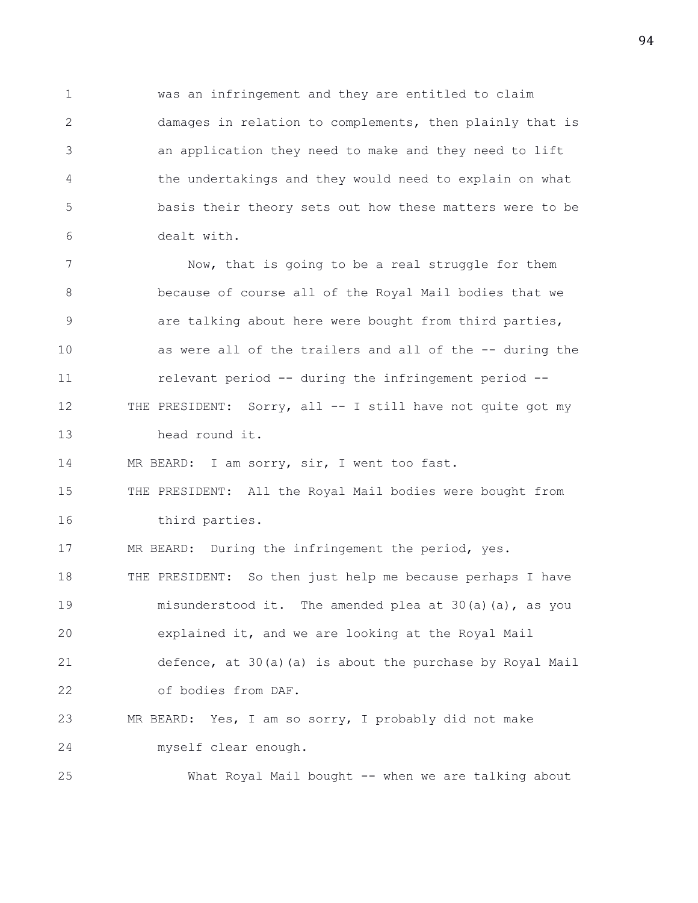1 was an infringement and they are entitled to claim 2 damages in relation to complements, then plainly that is 3 an application they need to make and they need to lift 4 the undertakings and they would need to explain on what 5 basis their theory sets out how these matters were to be 6 dealt with.

7 Now, that is going to be a real struggle for them 8 because of course all of the Royal Mail bodies that we 9 are talking about here were bought from third parties, 10 as were all of the trailers and all of the -- during the 11 relevant period -- during the infringement period -- 12 THE PRESIDENT: Sorry, all -- I still have not quite got my 13 head round it.

14 MR BEARD: I am sorry, sir, I went too fast.

15 THE PRESIDENT: All the Royal Mail bodies were bought from 16 third parties.

17 MR BEARD: During the infringement the period, yes.

18 THE PRESIDENT: So then just help me because perhaps I have 19 misunderstood it. The amended plea at 30(a)(a), as you 20 explained it, and we are looking at the Royal Mail 21 defence, at 30(a)(a) is about the purchase by Royal Mail 22 of bodies from DAF.

23 MR BEARD: Yes, I am so sorry, I probably did not make 24 myself clear enough.

25 What Royal Mail bought -- when we are talking about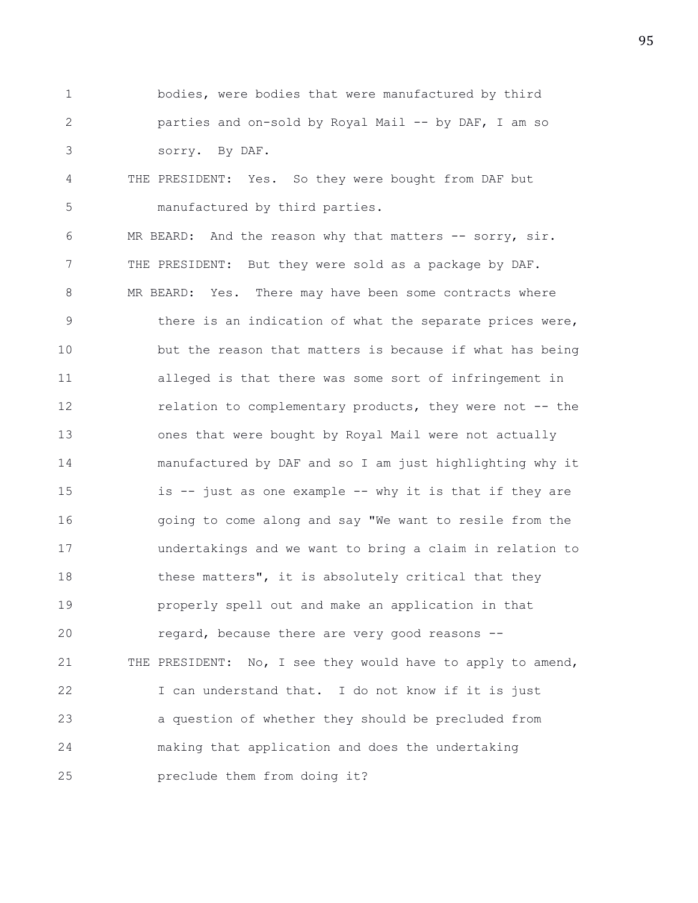- 1 bodies, were bodies that were manufactured by third 2 parties and on-sold by Royal Mail -- by DAF, I am so 3 sorry. By DAF.
- 4 THE PRESIDENT: Yes. So they were bought from DAF but 5 manufactured by third parties.

6 MR BEARD: And the reason why that matters -- sorry, sir. 7 THE PRESIDENT: But they were sold as a package by DAF. 8 MR BEARD: Yes. There may have been some contracts where 9 there is an indication of what the separate prices were, 10 but the reason that matters is because if what has being 11 alleged is that there was some sort of infringement in 12 relation to complementary products, they were not -- the 13 ones that were bought by Royal Mail were not actually 14 manufactured by DAF and so I am just highlighting why it 15 is -- just as one example -- why it is that if they are 16 going to come along and say "We want to resile from the 17 undertakings and we want to bring a claim in relation to 18 these matters", it is absolutely critical that they 19 properly spell out and make an application in that 20 regard, because there are very good reasons -- 21 THE PRESIDENT: No, I see they would have to apply to amend, 22 I can understand that. I do not know if it is just 23 a question of whether they should be precluded from 24 making that application and does the undertaking 25 preclude them from doing it?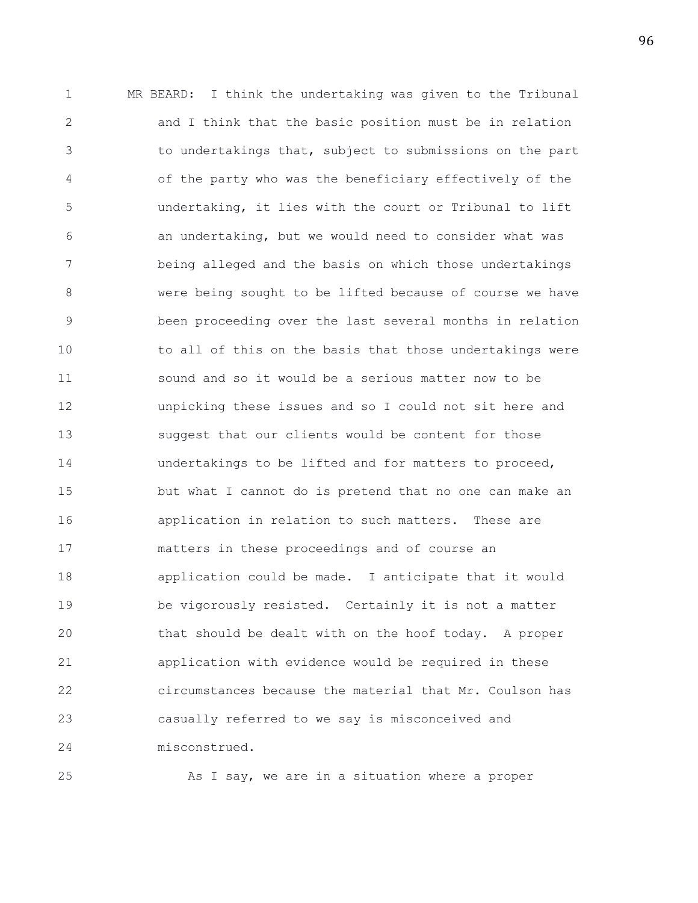1 MR BEARD: I think the undertaking was given to the Tribunal 2 and I think that the basic position must be in relation 3 to undertakings that, subject to submissions on the part 4 of the party who was the beneficiary effectively of the 5 undertaking, it lies with the court or Tribunal to lift 6 an undertaking, but we would need to consider what was 7 being alleged and the basis on which those undertakings 8 were being sought to be lifted because of course we have 9 been proceeding over the last several months in relation 10 to all of this on the basis that those undertakings were 11 sound and so it would be a serious matter now to be 12 unpicking these issues and so I could not sit here and 13 suggest that our clients would be content for those 14 undertakings to be lifted and for matters to proceed, 15 but what I cannot do is pretend that no one can make an 16 application in relation to such matters. These are 17 matters in these proceedings and of course an 18 application could be made. I anticipate that it would 19 be vigorously resisted. Certainly it is not a matter 20 that should be dealt with on the hoof today. A proper 21 application with evidence would be required in these 22 circumstances because the material that Mr. Coulson has 23 casually referred to we say is misconceived and 24 misconstrued.

25 As I say, we are in a situation where a proper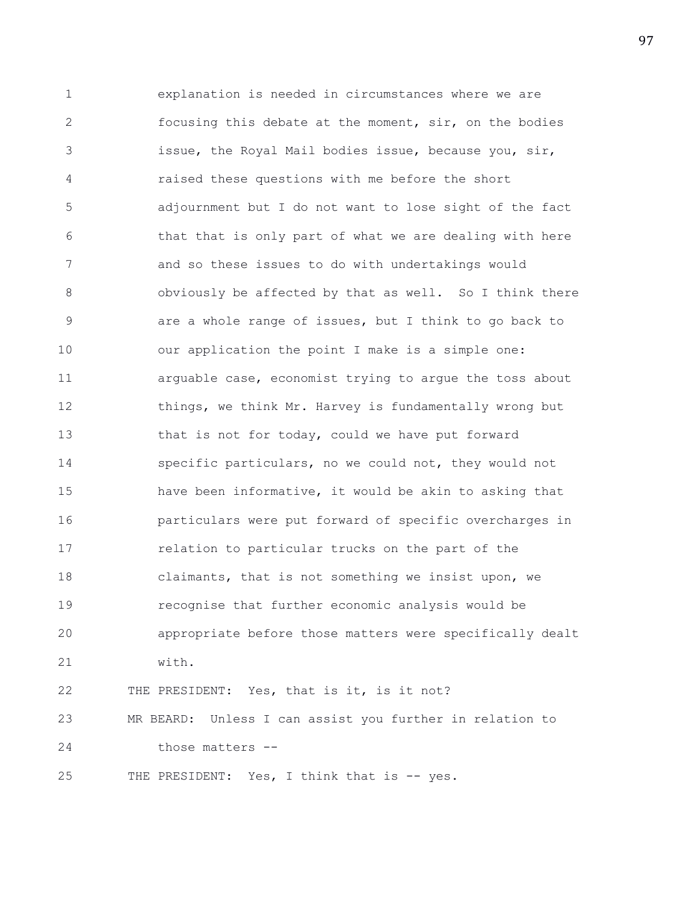1 explanation is needed in circumstances where we are 2 focusing this debate at the moment, sir, on the bodies 3 issue, the Royal Mail bodies issue, because you, sir, 4 raised these questions with me before the short 5 adjournment but I do not want to lose sight of the fact 6 that that is only part of what we are dealing with here 7 and so these issues to do with undertakings would 8 obviously be affected by that as well. So I think there 9 are a whole range of issues, but I think to go back to 10 our application the point I make is a simple one: 11 arguable case, economist trying to argue the toss about 12 things, we think Mr. Harvey is fundamentally wrong but 13 that is not for today, could we have put forward 14 specific particulars, no we could not, they would not 15 have been informative, it would be akin to asking that 16 particulars were put forward of specific overcharges in 17 relation to particular trucks on the part of the 18 claimants, that is not something we insist upon, we 19 recognise that further economic analysis would be 20 appropriate before those matters were specifically dealt 21 with. 22 THE PRESIDENT: Yes, that is it, is it not? 23 MR BEARD: Unless I can assist you further in relation to 24 those matters --

25 THE PRESIDENT: Yes, I think that is -- yes.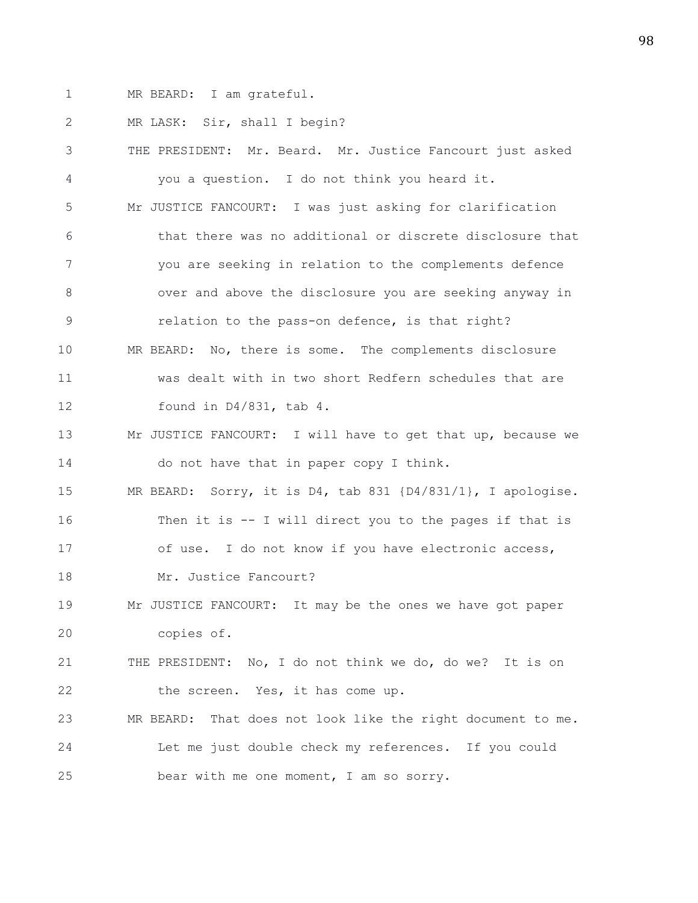1 MR BEARD: I am grateful.

2 MR LASK: Sir, shall I begin?

3 THE PRESIDENT: Mr. Beard. Mr. Justice Fancourt just asked 4 you a question. I do not think you heard it. 5 Mr JUSTICE FANCOURT: I was just asking for clarification 6 that there was no additional or discrete disclosure that 7 you are seeking in relation to the complements defence 8 over and above the disclosure you are seeking anyway in 9 relation to the pass-on defence, is that right? 10 MR BEARD: No, there is some. The complements disclosure 11 was dealt with in two short Redfern schedules that are 12 found in D4/831, tab 4. 13 Mr JUSTICE FANCOURT: I will have to get that up, because we 14 do not have that in paper copy I think. 15 MR BEARD: Sorry, it is D4, tab 831 {D4/831/1}, I apologise. 16 Then it is -- I will direct you to the pages if that is 17 of use. I do not know if you have electronic access, 18 Mr. Justice Fancourt? 19 Mr JUSTICE FANCOURT: It may be the ones we have got paper 20 copies of. 21 THE PRESIDENT: No, I do not think we do, do we? It is on 22 the screen. Yes, it has come up. 23 MR BEARD: That does not look like the right document to me. 24 Let me just double check my references. If you could 25 bear with me one moment, I am so sorry.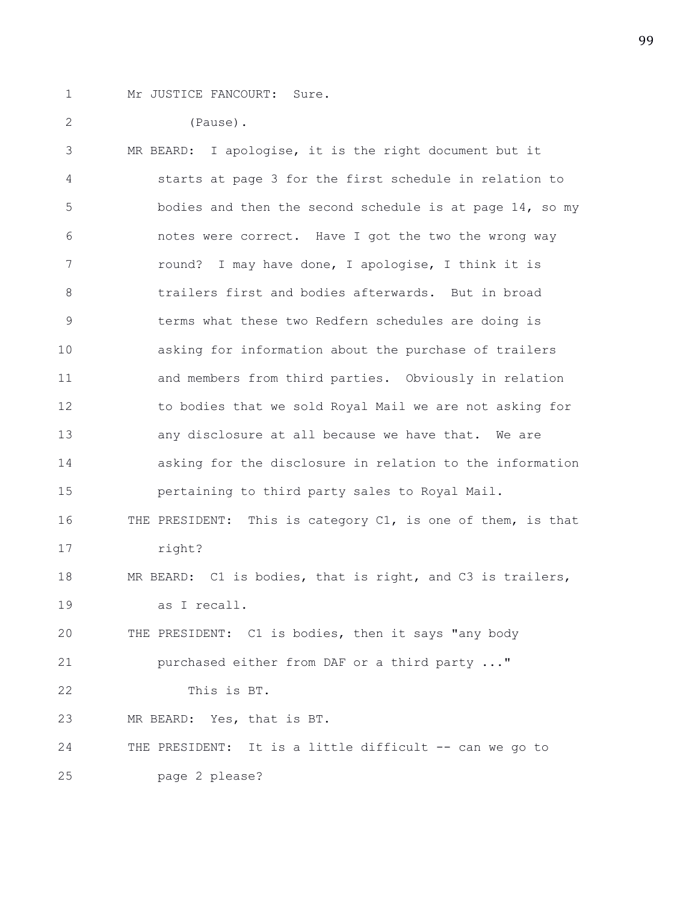1 Mr JUSTICE FANCOURT: Sure.

2 (Pause). 3 MR BEARD: I apologise, it is the right document but it 4 starts at page 3 for the first schedule in relation to 5 bodies and then the second schedule is at page 14, so my 6 notes were correct. Have I got the two the wrong way 7 round? I may have done, I apologise, I think it is 8 trailers first and bodies afterwards. But in broad 9 terms what these two Redfern schedules are doing is 10 asking for information about the purchase of trailers 11 and members from third parties. Obviously in relation 12 to bodies that we sold Royal Mail we are not asking for 13 any disclosure at all because we have that. We are 14 asking for the disclosure in relation to the information 15 pertaining to third party sales to Royal Mail. 16 THE PRESIDENT: This is category C1, is one of them, is that 17 right? 18 MR BEARD: C1 is bodies, that is right, and C3 is trailers, 19 as I recall. 20 THE PRESIDENT: C1 is bodies, then it says "any body 21 purchased either from DAF or a third party ..." 22 This is BT. 23 MR BEARD: Yes, that is BT. 24 THE PRESIDENT: It is a little difficult -- can we go to 25 page 2 please?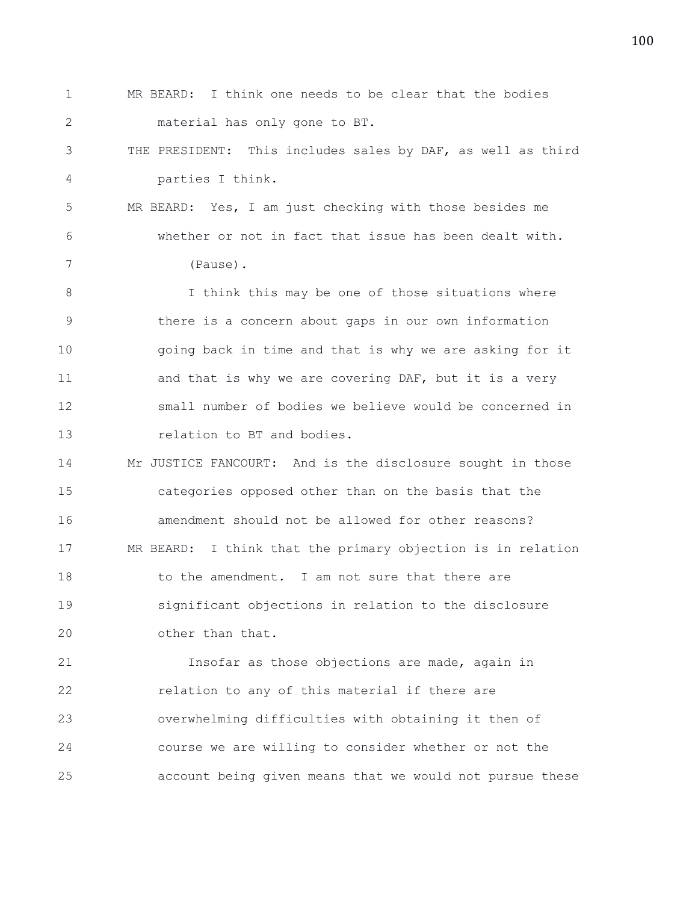1 MR BEARD: I think one needs to be clear that the bodies 2 material has only gone to BT. 3 THE PRESIDENT: This includes sales by DAF, as well as third 4 parties I think. 5 MR BEARD: Yes, I am just checking with those besides me 6 whether or not in fact that issue has been dealt with. 7 (Pause). 8 I think this may be one of those situations where 9 there is a concern about gaps in our own information 10 going back in time and that is why we are asking for it 11 and that is why we are covering DAF, but it is a very 12 small number of bodies we believe would be concerned in 13 **relation** to BT and bodies. 14 Mr JUSTICE FANCOURT: And is the disclosure sought in those 15 categories opposed other than on the basis that the 16 amendment should not be allowed for other reasons? 17 MR BEARD: I think that the primary objection is in relation 18 to the amendment. I am not sure that there are 19 significant objections in relation to the disclosure 20 other than that. 21 Insofar as those objections are made, again in 22 relation to any of this material if there are 23 overwhelming difficulties with obtaining it then of 24 course we are willing to consider whether or not the

25 account being given means that we would not pursue these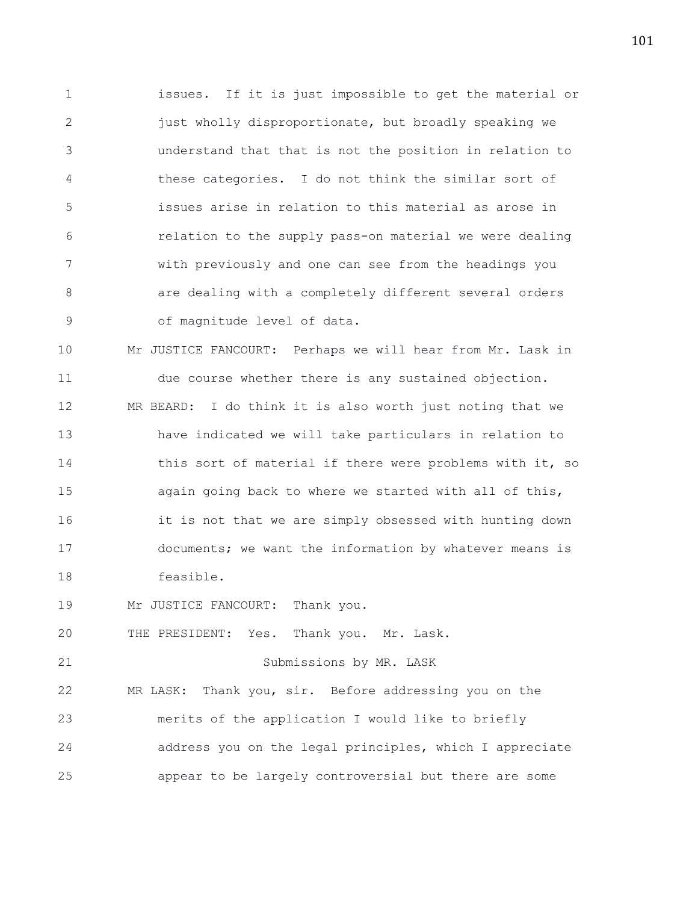1 issues. If it is just impossible to get the material or 2 iust wholly disproportionate, but broadly speaking we 3 understand that that is not the position in relation to 4 these categories. I do not think the similar sort of 5 issues arise in relation to this material as arose in 6 relation to the supply pass-on material we were dealing 7 with previously and one can see from the headings you 8 are dealing with a completely different several orders 9 of magnitude level of data.

10 Mr JUSTICE FANCOURT: Perhaps we will hear from Mr. Lask in 11 due course whether there is any sustained objection. 12 MR BEARD: I do think it is also worth just noting that we 13 have indicated we will take particulars in relation to 14 this sort of material if there were problems with it, so 15 again going back to where we started with all of this, 16 it is not that we are simply obsessed with hunting down 17 documents; we want the information by whatever means is 18 feasible.

19 Mr JUSTICE FANCOURT: Thank you.

20 THE PRESIDENT: Yes. Thank you. Mr. Lask.

21 Submissions by MR. LASK

22 MR LASK: Thank you, sir. Before addressing you on the 23 merits of the application I would like to briefly 24 address you on the legal principles, which I appreciate 25 appear to be largely controversial but there are some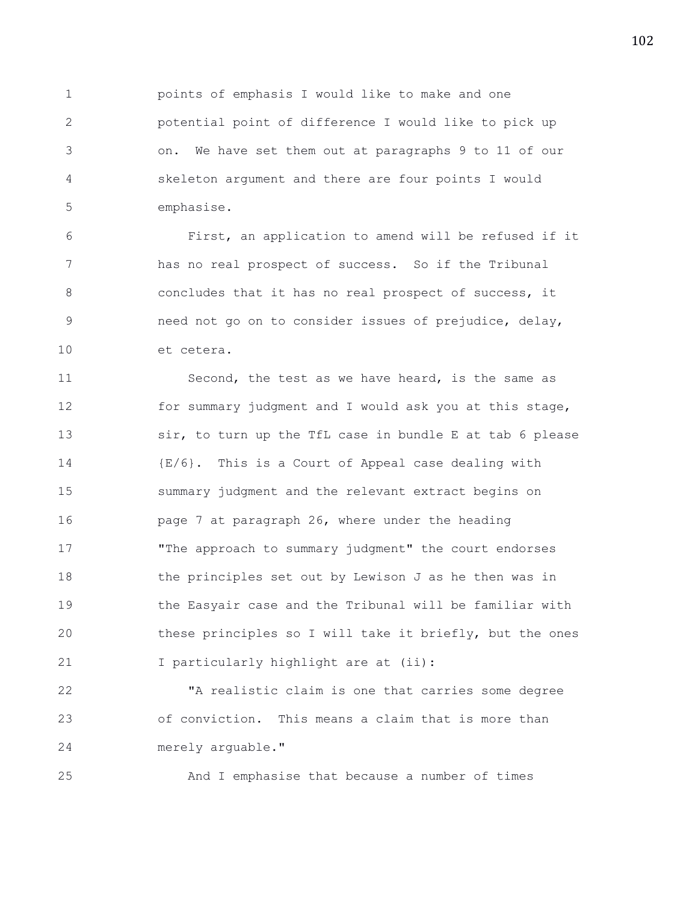1 points of emphasis I would like to make and one 2 potential point of difference I would like to pick up 3 on. We have set them out at paragraphs 9 to 11 of our 4 skeleton argument and there are four points I would 5 emphasise.

6 First, an application to amend will be refused if it 7 has no real prospect of success. So if the Tribunal 8 8 6 8 concludes that it has no real prospect of success, it 9 need not go on to consider issues of prejudice, delay, 10 et cetera.

11 Second, the test as we have heard, is the same as 12 for summary judgment and I would ask you at this stage, 13 sir, to turn up the TfL case in bundle E at tab 6 please 14 {E/6}. This is a Court of Appeal case dealing with 15 summary judgment and the relevant extract begins on 16 **page 7 at paragraph 26, where under the heading** 17 "The approach to summary judgment" the court endorses 18 the principles set out by Lewison J as he then was in 19 the Easyair case and the Tribunal will be familiar with 20 these principles so I will take it briefly, but the ones 21 I particularly highlight are at (ii):

22 "A realistic claim is one that carries some degree 23 of conviction. This means a claim that is more than 24 merely arguable."

25 And I emphasise that because a number of times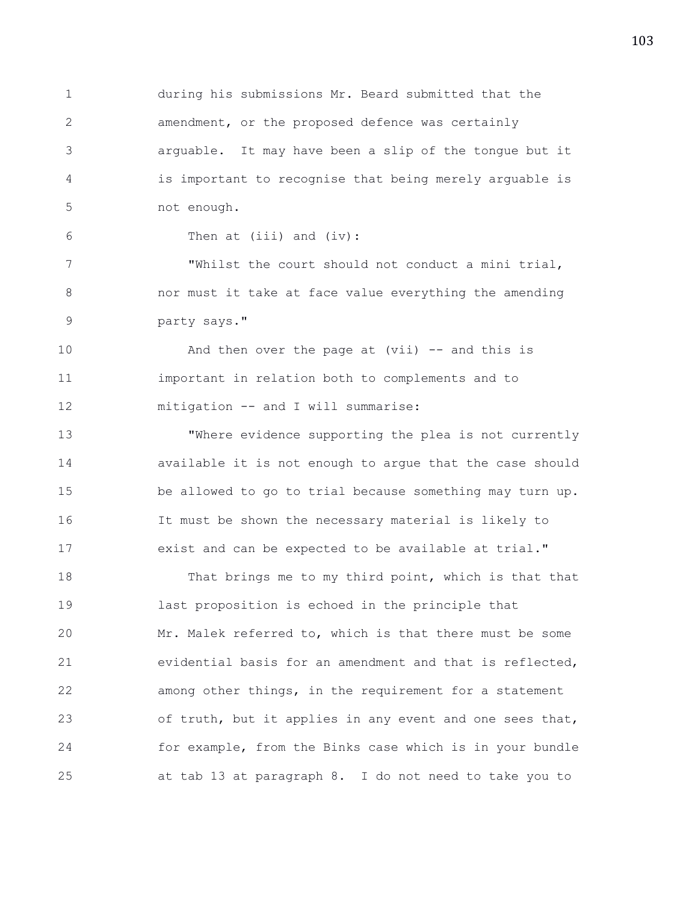1 during his submissions Mr. Beard submitted that the 2 amendment, or the proposed defence was certainly 3 arguable. It may have been a slip of the tongue but it 4 is important to recognise that being merely arguable is 5 not enough.

6 Then at (iii) and (iv):

7 "Whilst the court should not conduct a mini trial, 8 nor must it take at face value everything the amending 9 party says."

10 And then over the page at (vii) -- and this is 11 important in relation both to complements and to 12 mitigation -- and I will summarise:

13 "Where evidence supporting the plea is not currently 14 available it is not enough to argue that the case should 15 be allowed to go to trial because something may turn up. 16 It must be shown the necessary material is likely to 17 exist and can be expected to be available at trial."

18 That brings me to my third point, which is that that 19 last proposition is echoed in the principle that 20 Mr. Malek referred to, which is that there must be some 21 evidential basis for an amendment and that is reflected, 22 among other things, in the requirement for a statement 23 of truth, but it applies in any event and one sees that, 24 for example, from the Binks case which is in your bundle 25 at tab 13 at paragraph 8. I do not need to take you to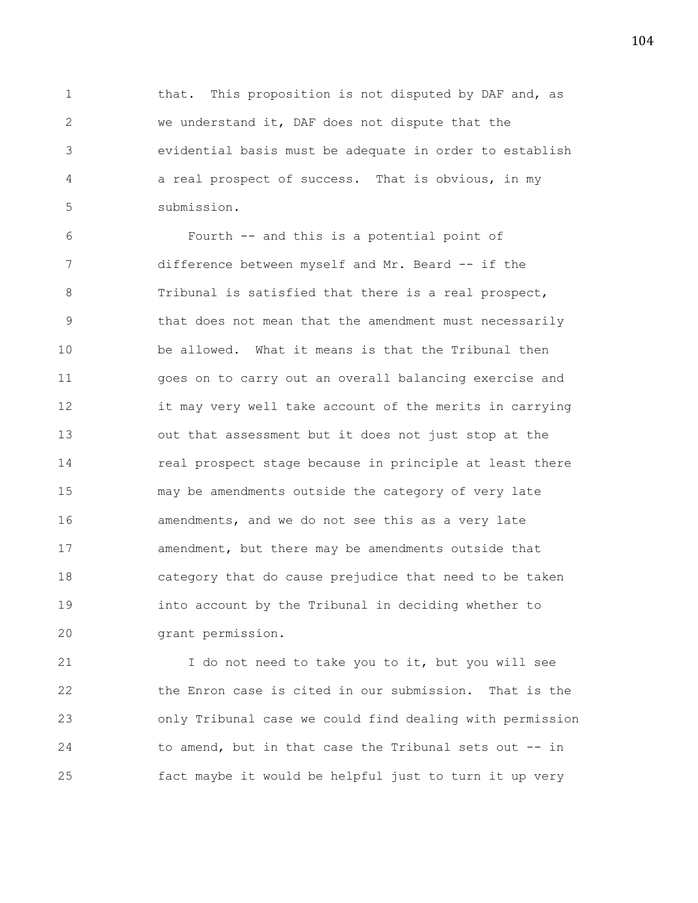1 that. This proposition is not disputed by DAF and, as 2 we understand it, DAF does not dispute that the 3 evidential basis must be adequate in order to establish 4 a real prospect of success. That is obvious, in my 5 submission.

6 Fourth -- and this is a potential point of 7 difference between myself and Mr. Beard -- if the 8 Tribunal is satisfied that there is a real prospect, 9 that does not mean that the amendment must necessarily 10 be allowed. What it means is that the Tribunal then 11 goes on to carry out an overall balancing exercise and 12 it may very well take account of the merits in carrying 13 out that assessment but it does not just stop at the 14 **real prospect stage because in principle at least there** 15 may be amendments outside the category of very late 16 **amendments, and we do not see this as a very late** 17 amendment, but there may be amendments outside that 18 category that do cause prejudice that need to be taken 19 into account by the Tribunal in deciding whether to 20 grant permission.

21 I do not need to take you to it, but you will see 22 the Enron case is cited in our submission. That is the 23 only Tribunal case we could find dealing with permission 24 to amend, but in that case the Tribunal sets out -- in 25 fact maybe it would be helpful just to turn it up very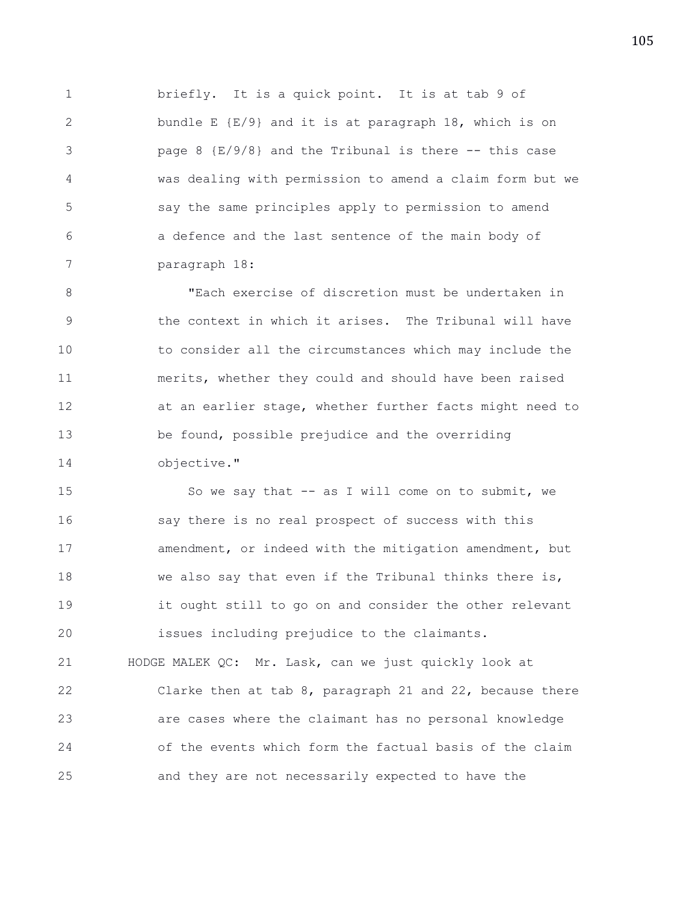1 briefly. It is a quick point. It is at tab 9 of 2 bundle E {E/9} and it is at paragraph 18, which is on 3 page 8 {E/9/8} and the Tribunal is there -- this case 4 was dealing with permission to amend a claim form but we 5 say the same principles apply to permission to amend 6 a defence and the last sentence of the main body of 7 paragraph 18:

8 "Each exercise of discretion must be undertaken in 9 the context in which it arises. The Tribunal will have 10 to consider all the circumstances which may include the 11 merits, whether they could and should have been raised 12 at an earlier stage, whether further facts might need to 13 be found, possible prejudice and the overriding 14 objective."

15 So we say that -- as I will come on to submit, we 16 say there is no real prospect of success with this 17 amendment, or indeed with the mitigation amendment, but 18 we also say that even if the Tribunal thinks there is, 19 it ought still to go on and consider the other relevant 20 issues including prejudice to the claimants. 21 HODGE MALEK QC: Mr. Lask, can we just quickly look at 22 Clarke then at tab 8, paragraph 21 and 22, because there 23 are cases where the claimant has no personal knowledge 24 of the events which form the factual basis of the claim 25 and they are not necessarily expected to have the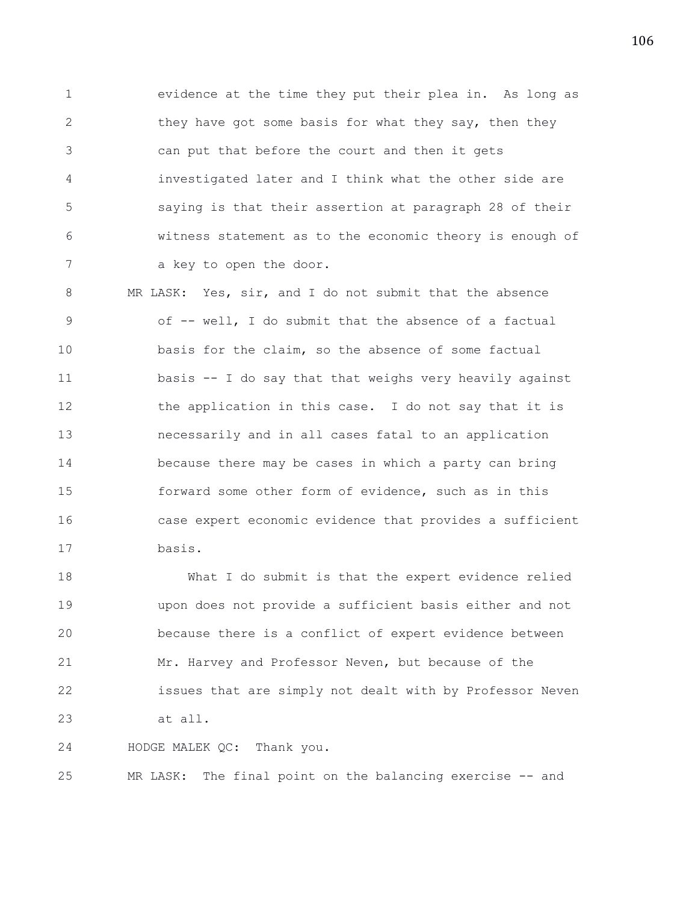1 evidence at the time they put their plea in. As long as 2 they have got some basis for what they say, then they 3 can put that before the court and then it gets 4 investigated later and I think what the other side are 5 saying is that their assertion at paragraph 28 of their 6 witness statement as to the economic theory is enough of 7 a key to open the door.

8 MR LASK: Yes, sir, and I do not submit that the absence 9 of -- well, I do submit that the absence of a factual 10 basis for the claim, so the absence of some factual 11 basis -- I do say that that weighs very heavily against 12 the application in this case. I do not say that it is 13 necessarily and in all cases fatal to an application 14 because there may be cases in which a party can bring 15 forward some other form of evidence, such as in this 16 case expert economic evidence that provides a sufficient 17 basis.

18 What I do submit is that the expert evidence relied 19 upon does not provide a sufficient basis either and not 20 because there is a conflict of expert evidence between 21 Mr. Harvey and Professor Neven, but because of the 22 issues that are simply not dealt with by Professor Neven 23 at all.

24 HODGE MALEK QC: Thank you.

25 MR LASK: The final point on the balancing exercise -- and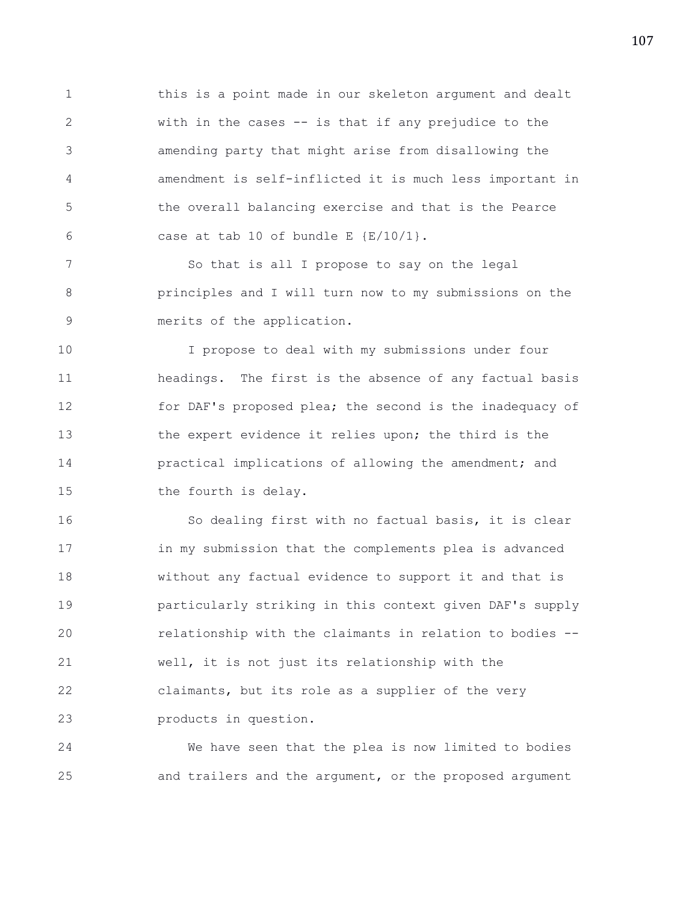1 this is a point made in our skeleton argument and dealt 2 with in the cases -- is that if any prejudice to the 3 amending party that might arise from disallowing the 4 amendment is self-inflicted it is much less important in 5 the overall balancing exercise and that is the Pearce 6 case at tab 10 of bundle E  $\{E/10/1\}$ .

7 So that is all I propose to say on the legal 8 principles and I will turn now to my submissions on the 9 merits of the application.

10 I propose to deal with my submissions under four 11 headings. The first is the absence of any factual basis 12 for DAF's proposed plea; the second is the inadequacy of 13 the expert evidence it relies upon; the third is the 14 practical implications of allowing the amendment; and 15 the fourth is delay.

16 So dealing first with no factual basis, it is clear 17 in my submission that the complements plea is advanced 18 without any factual evidence to support it and that is 19 particularly striking in this context given DAF's supply 20 relationship with the claimants in relation to bodies -- 21 well, it is not just its relationship with the 22 claimants, but its role as a supplier of the very 23 products in question.

24 We have seen that the plea is now limited to bodies 25 and trailers and the argument, or the proposed argument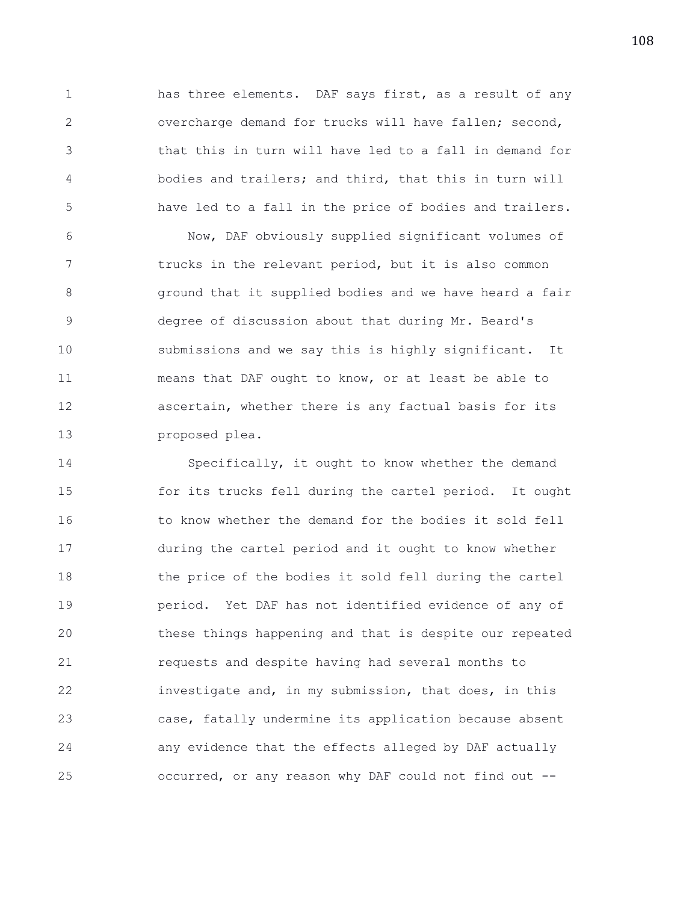1 has three elements. DAF says first, as a result of any 2 overcharge demand for trucks will have fallen; second, 3 that this in turn will have led to a fall in demand for 4 bodies and trailers; and third, that this in turn will 5 have led to a fall in the price of bodies and trailers.

6 Now, DAF obviously supplied significant volumes of 7 trucks in the relevant period, but it is also common 8 ground that it supplied bodies and we have heard a fair 9 degree of discussion about that during Mr. Beard's 10 submissions and we say this is highly significant. It 11 means that DAF ought to know, or at least be able to 12 ascertain, whether there is any factual basis for its 13 proposed plea.

14 Specifically, it ought to know whether the demand 15 for its trucks fell during the cartel period. It ought 16 to know whether the demand for the bodies it sold fell 17 during the cartel period and it ought to know whether 18 the price of the bodies it sold fell during the cartel 19 period. Yet DAF has not identified evidence of any of 20 these things happening and that is despite our repeated 21 requests and despite having had several months to 22 investigate and, in my submission, that does, in this 23 case, fatally undermine its application because absent 24 any evidence that the effects alleged by DAF actually 25 occurred, or any reason why DAF could not find out --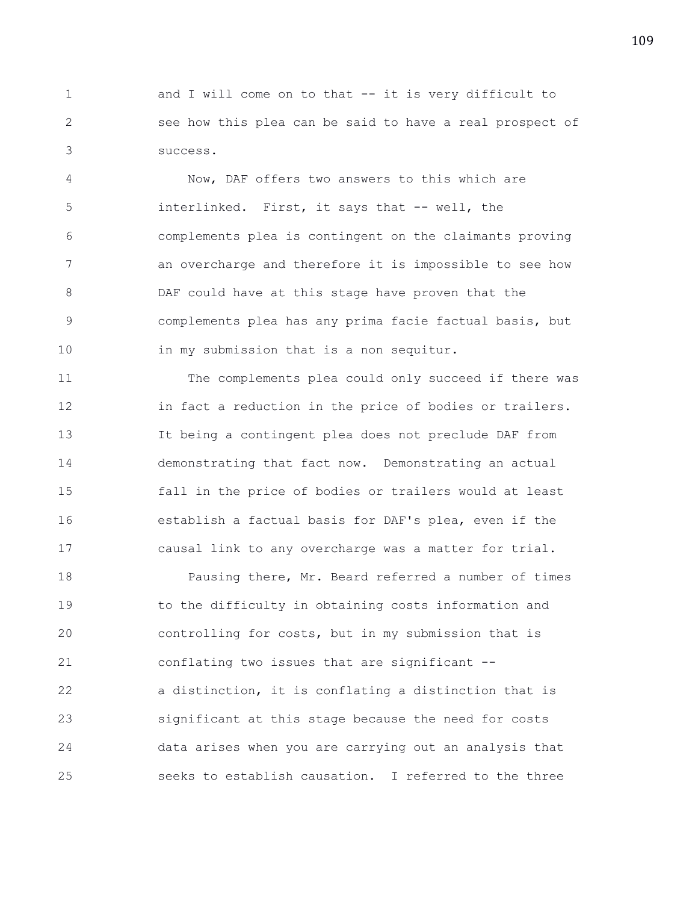1 and I will come on to that -- it is very difficult to 2 see how this plea can be said to have a real prospect of 3 success.

4 Now, DAF offers two answers to this which are 5 interlinked. First, it says that -- well, the 6 complements plea is contingent on the claimants proving 7 an overcharge and therefore it is impossible to see how 8 DAF could have at this stage have proven that the 9 complements plea has any prima facie factual basis, but 10 in my submission that is a non sequitur.

11 The complements plea could only succeed if there was 12 in fact a reduction in the price of bodies or trailers. 13 It being a contingent plea does not preclude DAF from 14 demonstrating that fact now. Demonstrating an actual 15 fall in the price of bodies or trailers would at least 16 establish a factual basis for DAF's plea, even if the 17 causal link to any overcharge was a matter for trial.

18 Pausing there, Mr. Beard referred a number of times 19 to the difficulty in obtaining costs information and 20 controlling for costs, but in my submission that is 21 conflating two issues that are significant -- 22 a distinction, it is conflating a distinction that is 23 significant at this stage because the need for costs 24 data arises when you are carrying out an analysis that 25 seeks to establish causation. I referred to the three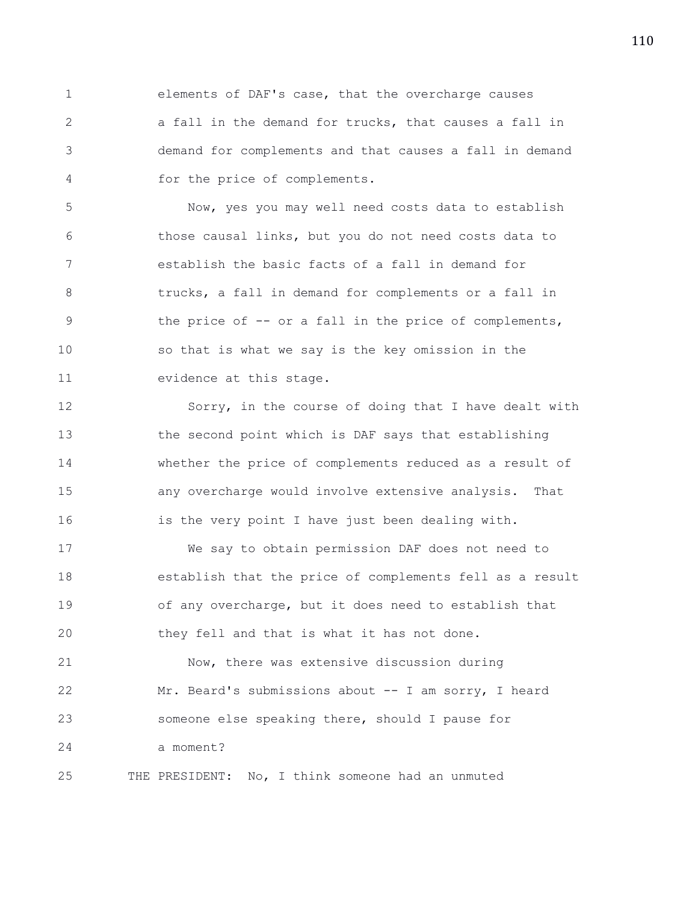1 elements of DAF's case, that the overcharge causes 2 a fall in the demand for trucks, that causes a fall in 3 demand for complements and that causes a fall in demand 4 for the price of complements.

5 Now, yes you may well need costs data to establish 6 those causal links, but you do not need costs data to 7 establish the basic facts of a fall in demand for 8 trucks, a fall in demand for complements or a fall in 9 the price of -- or a fall in the price of complements, 10 so that is what we say is the key omission in the 11 evidence at this stage.

12 Sorry, in the course of doing that I have dealt with 13 the second point which is DAF says that establishing 14 whether the price of complements reduced as a result of 15 any overcharge would involve extensive analysis. That 16 is the very point I have just been dealing with.

17 We say to obtain permission DAF does not need to 18 establish that the price of complements fell as a result 19 of any overcharge, but it does need to establish that 20 they fell and that is what it has not done.

21 Now, there was extensive discussion during 22 Mr. Beard's submissions about -- I am sorry, I heard 23 someone else speaking there, should I pause for 24 a moment?

25 THE PRESIDENT: No, I think someone had an unmuted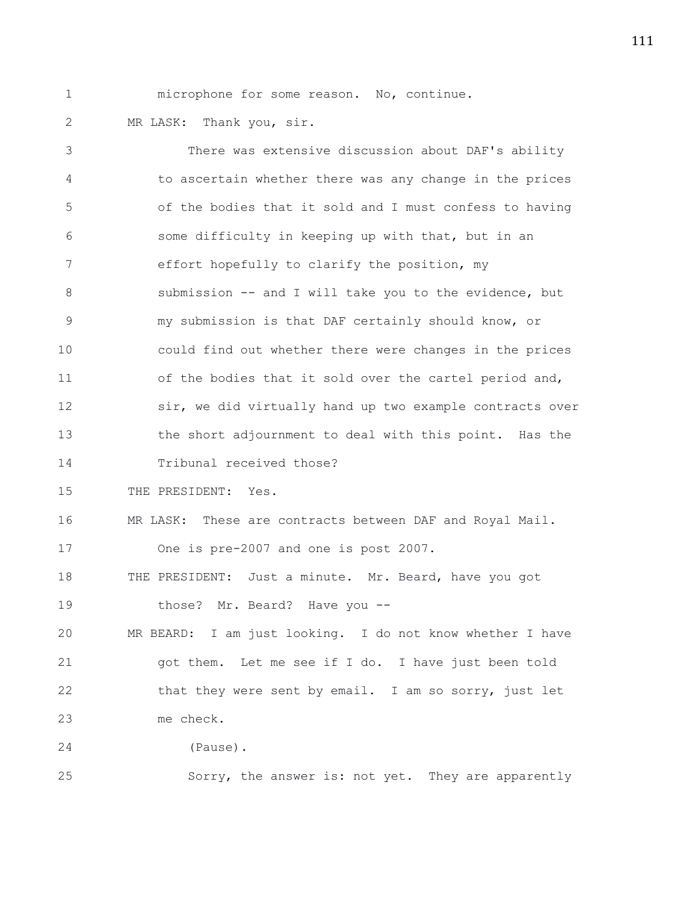1 microphone for some reason. No, continue.

2 MR LASK: Thank you, sir.

3 There was extensive discussion about DAF's ability 4 to ascertain whether there was any change in the prices 5 of the bodies that it sold and I must confess to having 6 some difficulty in keeping up with that, but in an 7 effort hopefully to clarify the position, my 8 submission -- and I will take you to the evidence, but 9 my submission is that DAF certainly should know, or 10 could find out whether there were changes in the prices 11 of the bodies that it sold over the cartel period and, 12 sir, we did virtually hand up two example contracts over 13 the short adjournment to deal with this point. Has the 14 Tribunal received those? 15 THE PRESIDENT: Yes. 16 MR LASK: These are contracts between DAF and Royal Mail. 17 One is pre-2007 and one is post 2007. 18 THE PRESIDENT: Just a minute. Mr. Beard, have you got 19 those? Mr. Beard? Have you --20 MR BEARD: I am just looking. I do not know whether I have 21 got them. Let me see if I do. I have just been told 22 that they were sent by email. I am so sorry, just let 23 me check. 24 (Pause).

25 Sorry, the answer is: not yet. They are apparently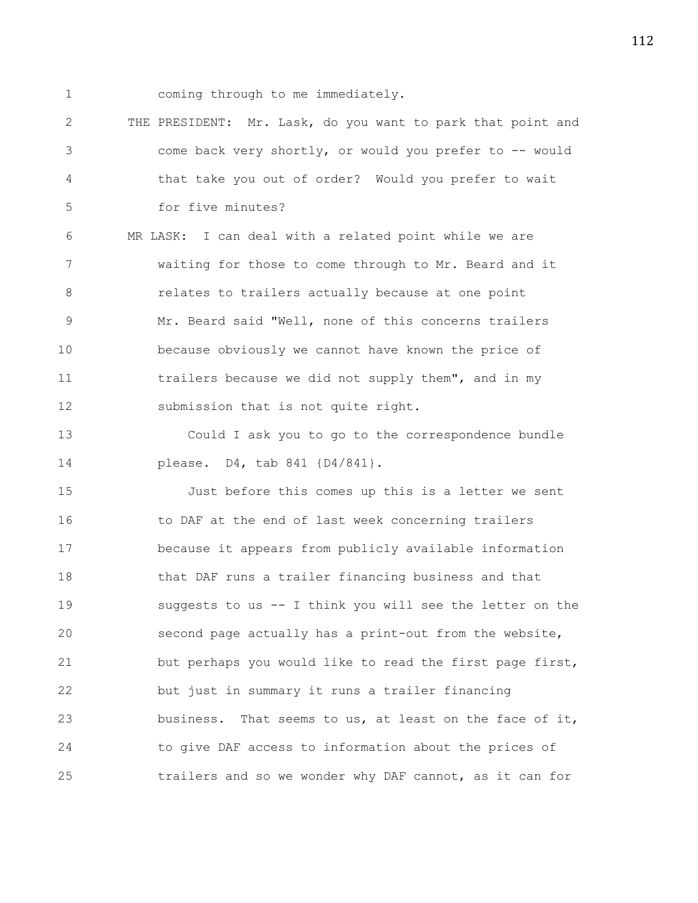1 coming through to me immediately.

2 THE PRESIDENT: Mr. Lask, do you want to park that point and 3 come back very shortly, or would you prefer to -- would 4 that take you out of order? Would you prefer to wait 5 for five minutes?

6 MR LASK: I can deal with a related point while we are 7 waiting for those to come through to Mr. Beard and it 8 **8** relates to trailers actually because at one point 9 Mr. Beard said "Well, none of this concerns trailers 10 because obviously we cannot have known the price of 11 trailers because we did not supply them", and in my 12 submission that is not quite right.

13 Could I ask you to go to the correspondence bundle 14 please. D4, tab 841 {D4/841}.

15 Just before this comes up this is a letter we sent 16 to DAF at the end of last week concerning trailers 17 because it appears from publicly available information 18 that DAF runs a trailer financing business and that 19 suggests to us -- I think you will see the letter on the 20 second page actually has a print-out from the website, 21 but perhaps you would like to read the first page first, 22 but just in summary it runs a trailer financing 23 business. That seems to us, at least on the face of it, 24 to give DAF access to information about the prices of 25 trailers and so we wonder why DAF cannot, as it can for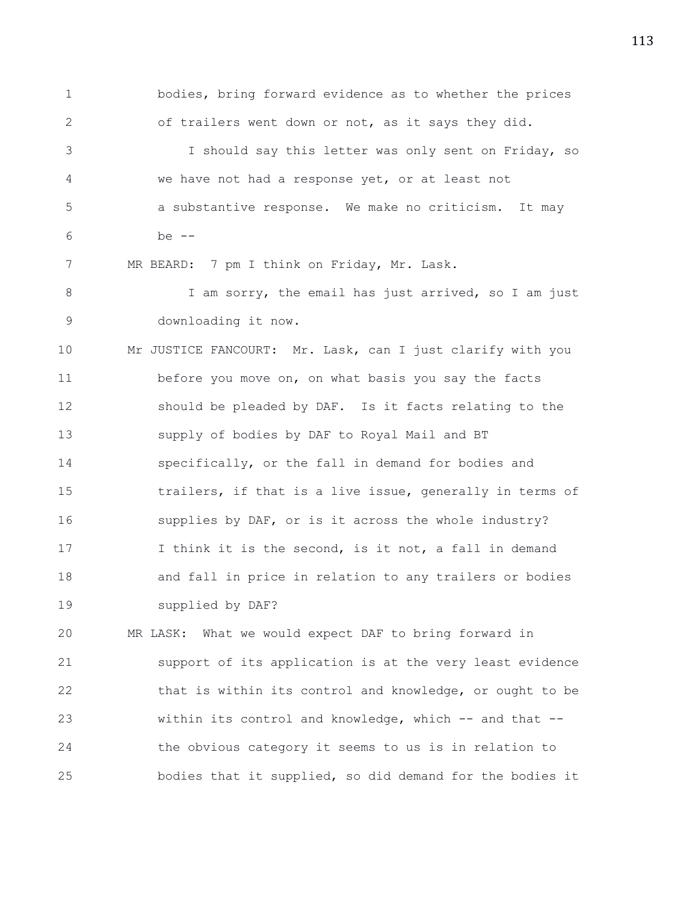1 bodies, bring forward evidence as to whether the prices 2 of trailers went down or not, as it says they did. 3 I should say this letter was only sent on Friday, so 4 we have not had a response yet, or at least not 5 a substantive response. We make no criticism. It may 6 be -- 7 MR BEARD: 7 pm I think on Friday, Mr. Lask. 8 I am sorry, the email has just arrived, so I am just 9 downloading it now. 10 Mr JUSTICE FANCOURT: Mr. Lask, can I just clarify with you 11 before you move on, on what basis you say the facts 12 should be pleaded by DAF. Is it facts relating to the 13 supply of bodies by DAF to Royal Mail and BT 14 specifically, or the fall in demand for bodies and 15 trailers, if that is a live issue, generally in terms of 16 supplies by DAF, or is it across the whole industry? 17 I think it is the second, is it not, a fall in demand 18 and fall in price in relation to any trailers or bodies 19 supplied by DAF? 20 MR LASK: What we would expect DAF to bring forward in 21 support of its application is at the very least evidence 22 that is within its control and knowledge, or ought to be

23 within its control and knowledge, which -- and that -- 24 the obvious category it seems to us is in relation to 25 bodies that it supplied, so did demand for the bodies it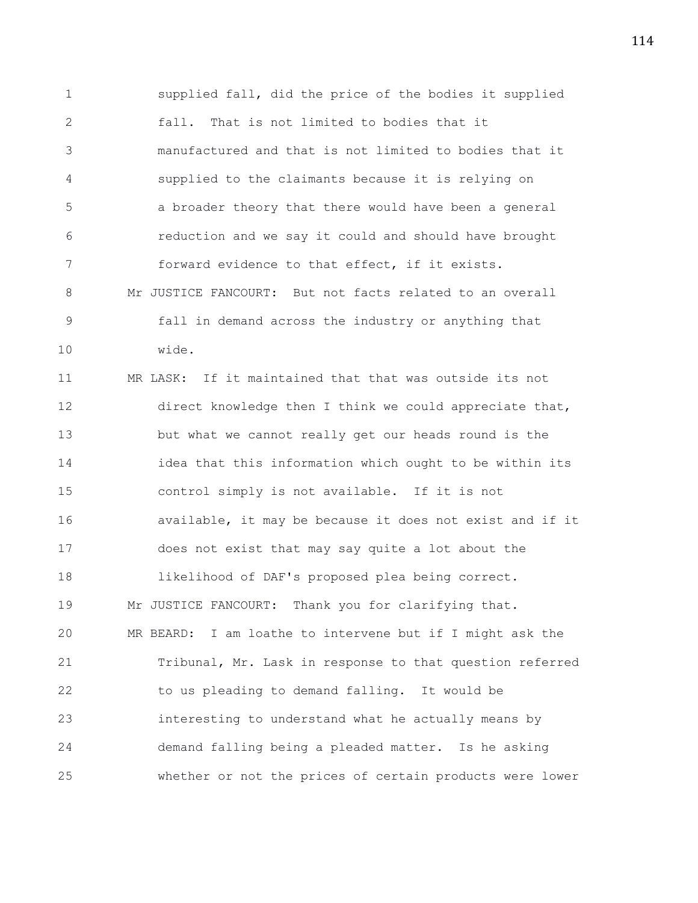1 supplied fall, did the price of the bodies it supplied 2 fall. That is not limited to bodies that it 3 manufactured and that is not limited to bodies that it 4 supplied to the claimants because it is relying on 5 a broader theory that there would have been a general 6 reduction and we say it could and should have brought 7 forward evidence to that effect, if it exists. 8 Mr JUSTICE FANCOURT: But not facts related to an overall 9 fall in demand across the industry or anything that 10 wide.

11 MR LASK: If it maintained that that was outside its not 12 direct knowledge then I think we could appreciate that, 13 but what we cannot really get our heads round is the 14 idea that this information which ought to be within its 15 control simply is not available. If it is not 16 available, it may be because it does not exist and if it 17 does not exist that may say quite a lot about the 18 likelihood of DAF's proposed plea being correct. 19 Mr JUSTICE FANCOURT: Thank you for clarifying that. 20 MR BEARD: I am loathe to intervene but if I might ask the 21 Tribunal, Mr. Lask in response to that question referred 22 to us pleading to demand falling. It would be 23 interesting to understand what he actually means by 24 demand falling being a pleaded matter. Is he asking 25 whether or not the prices of certain products were lower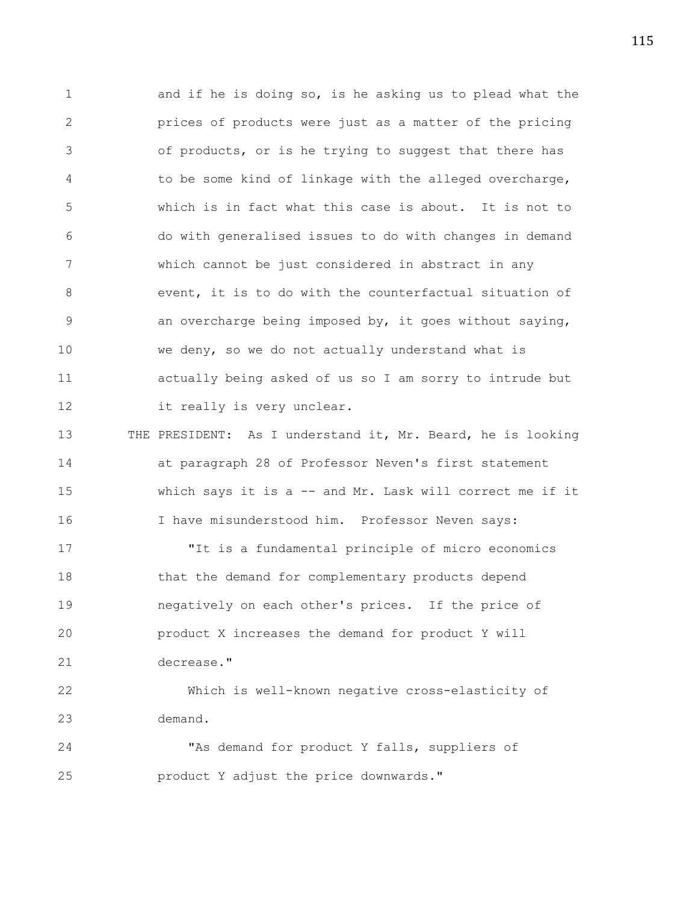1 and if he is doing so, is he asking us to plead what the 2 prices of products were just as a matter of the pricing 3 of products, or is he trying to suggest that there has 4 to be some kind of linkage with the alleged overcharge, 5 which is in fact what this case is about. It is not to 6 do with generalised issues to do with changes in demand 7 which cannot be just considered in abstract in any 8 event, it is to do with the counterfactual situation of 9 an overcharge being imposed by, it goes without saying, 10 we deny, so we do not actually understand what is 11 actually being asked of us so I am sorry to intrude but 12 it really is very unclear. 13 THE PRESIDENT: As I understand it, Mr. Beard, he is looking 14 at paragraph 28 of Professor Neven's first statement 15 which says it is a -- and Mr. Lask will correct me if it 16 I have misunderstood him. Professor Neven says: 17 "It is a fundamental principle of micro economics 18 that the demand for complementary products depend 19 negatively on each other's prices. If the price of 20 product X increases the demand for product Y will 21 decrease." 22 Which is well-known negative cross-elasticity of 23 demand. 24 "As demand for product Y falls, suppliers of

25 product Y adjust the price downwards."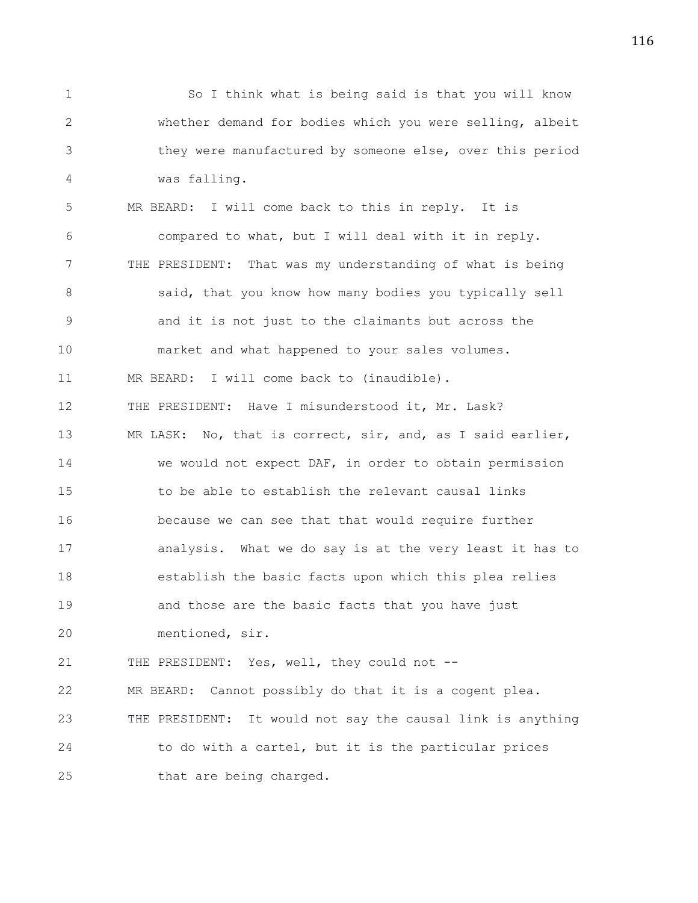1 So I think what is being said is that you will know 2 whether demand for bodies which you were selling, albeit 3 they were manufactured by someone else, over this period 4 was falling. 5 MR BEARD: I will come back to this in reply. It is 6 compared to what, but I will deal with it in reply. 7 THE PRESIDENT: That was my understanding of what is being 8 said, that you know how many bodies you typically sell 9 and it is not just to the claimants but across the 10 market and what happened to your sales volumes. 11 MR BEARD: I will come back to (inaudible). 12 THE PRESIDENT: Have I misunderstood it, Mr. Lask? 13 MR LASK: No, that is correct, sir, and, as I said earlier, 14 we would not expect DAF, in order to obtain permission 15 to be able to establish the relevant causal links 16 because we can see that that would require further 17 analysis. What we do say is at the very least it has to 18 establish the basic facts upon which this plea relies 19 and those are the basic facts that you have just 20 mentioned, sir. 21 THE PRESIDENT: Yes, well, they could not -- 22 MR BEARD: Cannot possibly do that it is a cogent plea. 23 THE PRESIDENT: It would not say the causal link is anything 24 to do with a cartel, but it is the particular prices 25 that are being charged.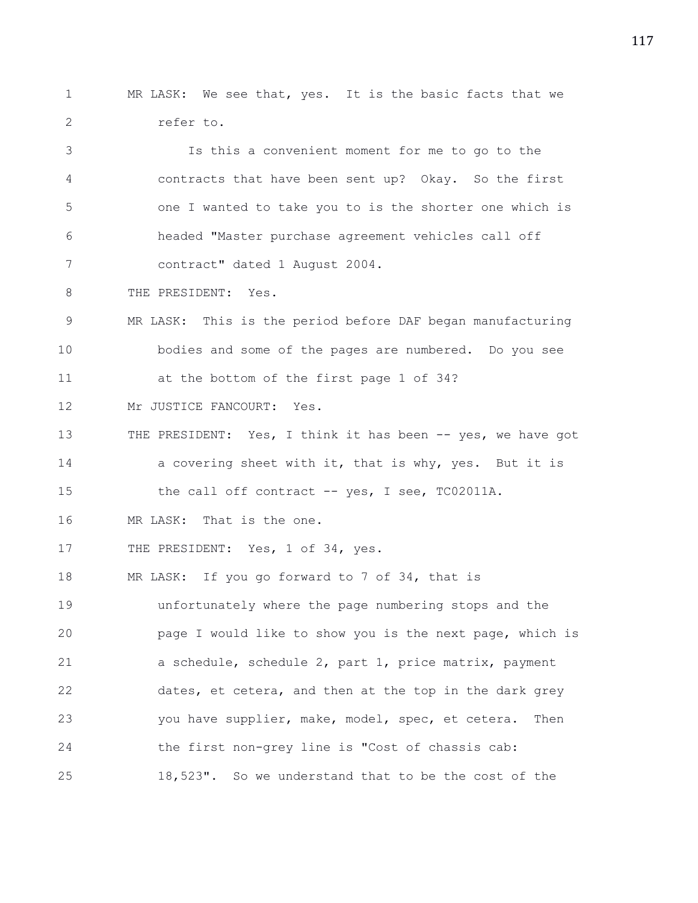1 MR LASK: We see that, yes. It is the basic facts that we 2 refer to.

3 Is this a convenient moment for me to go to the 4 contracts that have been sent up? Okay. So the first 5 one I wanted to take you to is the shorter one which is 6 headed "Master purchase agreement vehicles call off 7 contract" dated 1 August 2004.

8 THE PRESIDENT: Yes.

9 MR LASK: This is the period before DAF began manufacturing 10 bodies and some of the pages are numbered. Do you see 11 at the bottom of the first page 1 of 34?

12 Mr JUSTICE FANCOURT: Yes.

13 THE PRESIDENT: Yes, I think it has been -- yes, we have got 14 a covering sheet with it, that is why, yes. But it is

15 the call off contract -- yes, I see, TC02011A.

16 MR LASK: That is the one.

17 THE PRESIDENT: Yes, 1 of 34, yes.

18 MR LASK: If you go forward to 7 of 34, that is 19 unfortunately where the page numbering stops and the 20 page I would like to show you is the next page, which is 21 a schedule, schedule 2, part 1, price matrix, payment 22 dates, et cetera, and then at the top in the dark grey 23 you have supplier, make, model, spec, et cetera. Then 24 the first non-grey line is "Cost of chassis cab: 25 18,523". So we understand that to be the cost of the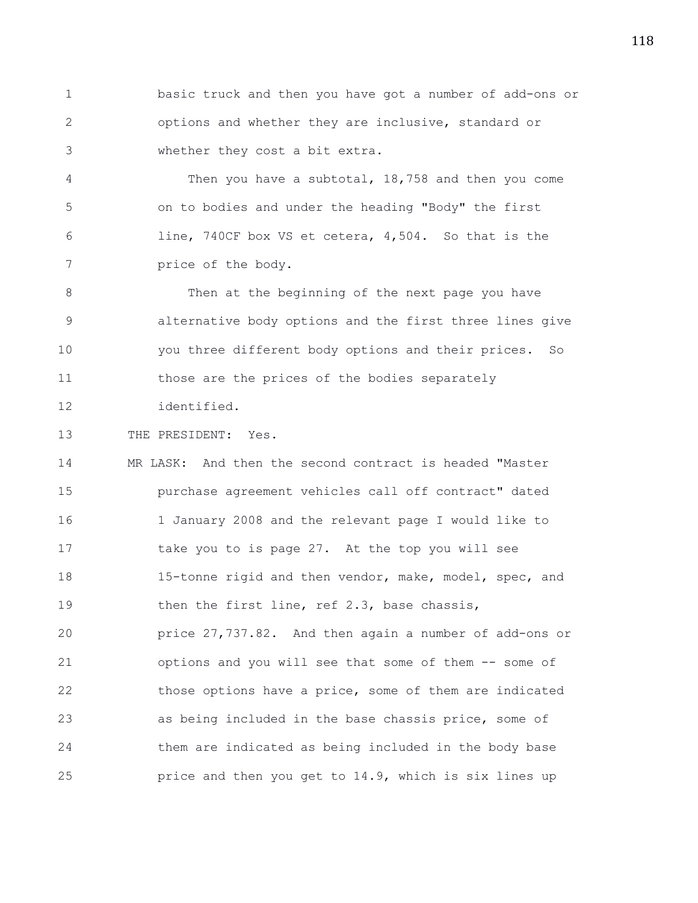1 basic truck and then you have got a number of add-ons or 2 options and whether they are inclusive, standard or 3 whether they cost a bit extra.

4 Then you have a subtotal, 18,758 and then you come 5 on to bodies and under the heading "Body" the first 6 line, 740CF box VS et cetera, 4,504. So that is the 7 price of the body.

8 Then at the beginning of the next page you have 9 alternative body options and the first three lines give 10 you three different body options and their prices. So 11 those are the prices of the bodies separately 12 identified.

13 THE PRESIDENT: Yes.

14 MR LASK: And then the second contract is headed "Master 15 purchase agreement vehicles call off contract" dated 16 1 January 2008 and the relevant page I would like to 17 take you to is page 27. At the top you will see 18 15-tonne rigid and then vendor, make, model, spec, and 19 then the first line, ref 2.3, base chassis, 20 price 27,737.82. And then again a number of add-ons or 21 options and you will see that some of them -- some of 22 those options have a price, some of them are indicated 23 as being included in the base chassis price, some of 24 them are indicated as being included in the body base 25 price and then you get to 14.9, which is six lines up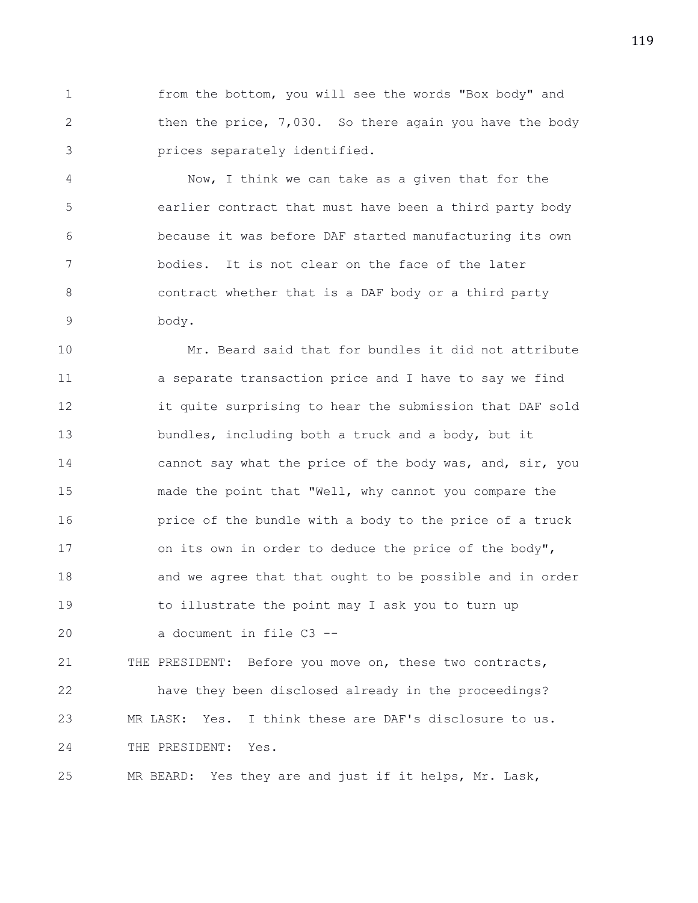1 from the bottom, you will see the words "Box body" and 2 then the price, 7,030. So there again you have the body 3 prices separately identified.

4 Now, I think we can take as a given that for the 5 earlier contract that must have been a third party body 6 because it was before DAF started manufacturing its own 7 bodies. It is not clear on the face of the later 8 contract whether that is a DAF body or a third party 9 body.

10 Mr. Beard said that for bundles it did not attribute 11 a separate transaction price and I have to say we find 12 it quite surprising to hear the submission that DAF sold 13 bundles, including both a truck and a body, but it 14 cannot say what the price of the body was, and, sir, you 15 made the point that "Well, why cannot you compare the 16 **price of the bundle with a body to the price of a truck** 17 on its own in order to deduce the price of the body", 18 and we agree that that ought to be possible and in order 19 to illustrate the point may I ask you to turn up 20 a document in file C3 --

21 THE PRESIDENT: Before you move on, these two contracts, 22 have they been disclosed already in the proceedings? 23 MR LASK: Yes. I think these are DAF's disclosure to us. 24 THE PRESIDENT: Yes.

25 MR BEARD: Yes they are and just if it helps, Mr. Lask,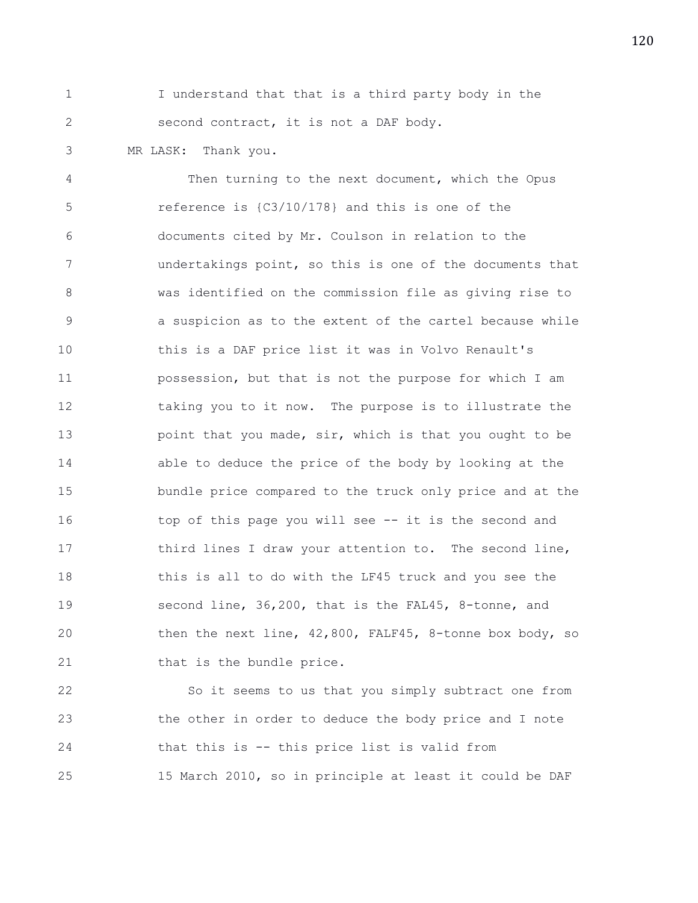1 I understand that that is a third party body in the 2 second contract, it is not a DAF body.

3 MR LASK: Thank you.

4 Then turning to the next document, which the Opus 5 reference is {C3/10/178} and this is one of the 6 documents cited by Mr. Coulson in relation to the 7 undertakings point, so this is one of the documents that 8 was identified on the commission file as giving rise to 9 a suspicion as to the extent of the cartel because while 10 this is a DAF price list it was in Volvo Renault's 11 possession, but that is not the purpose for which I am 12 taking you to it now. The purpose is to illustrate the 13 **point that you made, sir, which is that you ought to be** 14 able to deduce the price of the body by looking at the 15 bundle price compared to the truck only price and at the 16 top of this page you will see -- it is the second and 17 third lines I draw your attention to. The second line, 18 this is all to do with the LF45 truck and you see the 19 second line, 36,200, that is the FAL45, 8-tonne, and 20 then the next line, 42,800, FALF45, 8-tonne box body, so 21 that is the bundle price.

22 So it seems to us that you simply subtract one from 23 the other in order to deduce the body price and I note 24 that this is -- this price list is valid from 25 15 March 2010, so in principle at least it could be DAF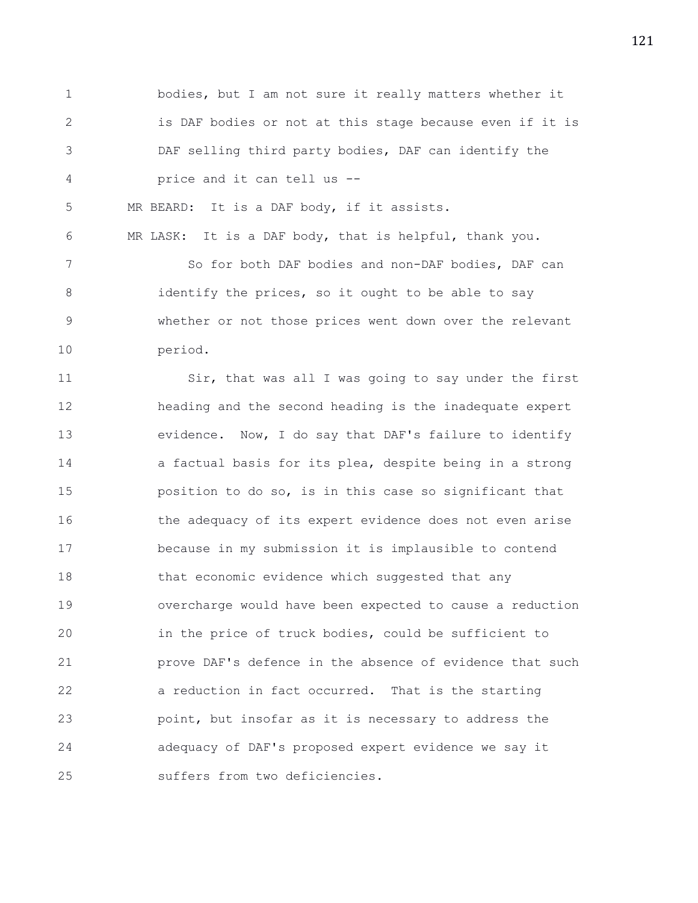1 bodies, but I am not sure it really matters whether it 2 is DAF bodies or not at this stage because even if it is 3 DAF selling third party bodies, DAF can identify the 4 price and it can tell us -- 5 MR BEARD: It is a DAF body, if it assists. 6 MR LASK: It is a DAF body, that is helpful, thank you. 7 So for both DAF bodies and non-DAF bodies, DAF can 8 identify the prices, so it ought to be able to say 9 whether or not those prices went down over the relevant 10 period. 11 Sir, that was all I was going to say under the first 12 heading and the second heading is the inadequate expert 13 evidence. Now, I do say that DAF's failure to identify 14 a factual basis for its plea, despite being in a strong 15 position to do so, is in this case so significant that 16 the adequacy of its expert evidence does not even arise 17 because in my submission it is implausible to contend 18 that economic evidence which suggested that any

20 in the price of truck bodies, could be sufficient to 21 prove DAF's defence in the absence of evidence that such 22 a reduction in fact occurred. That is the starting 23 point, but insofar as it is necessary to address the 24 adequacy of DAF's proposed expert evidence we say it 25 suffers from two deficiencies.

19 overcharge would have been expected to cause a reduction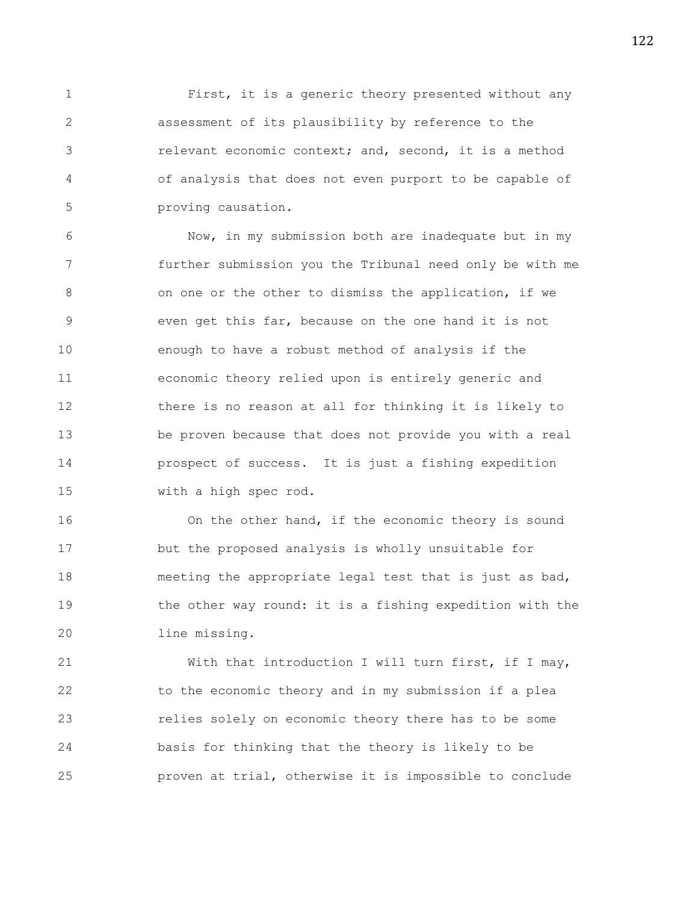1 First, it is a generic theory presented without any 2 assessment of its plausibility by reference to the 3 relevant economic context; and, second, it is a method 4 of analysis that does not even purport to be capable of 5 proving causation.

6 Now, in my submission both are inadequate but in my 7 further submission you the Tribunal need only be with me 8 on one or the other to dismiss the application, if we 9 even get this far, because on the one hand it is not 10 enough to have a robust method of analysis if the 11 economic theory relied upon is entirely generic and 12 there is no reason at all for thinking it is likely to 13 be proven because that does not provide you with a real 14 prospect of success. It is just a fishing expedition 15 with a high spec rod.

16 On the other hand, if the economic theory is sound 17 but the proposed analysis is wholly unsuitable for 18 meeting the appropriate legal test that is just as bad, 19 the other way round: it is a fishing expedition with the 20 line missing.

21 With that introduction I will turn first, if I may, 22 to the economic theory and in my submission if a plea 23 relies solely on economic theory there has to be some 24 basis for thinking that the theory is likely to be 25 proven at trial, otherwise it is impossible to conclude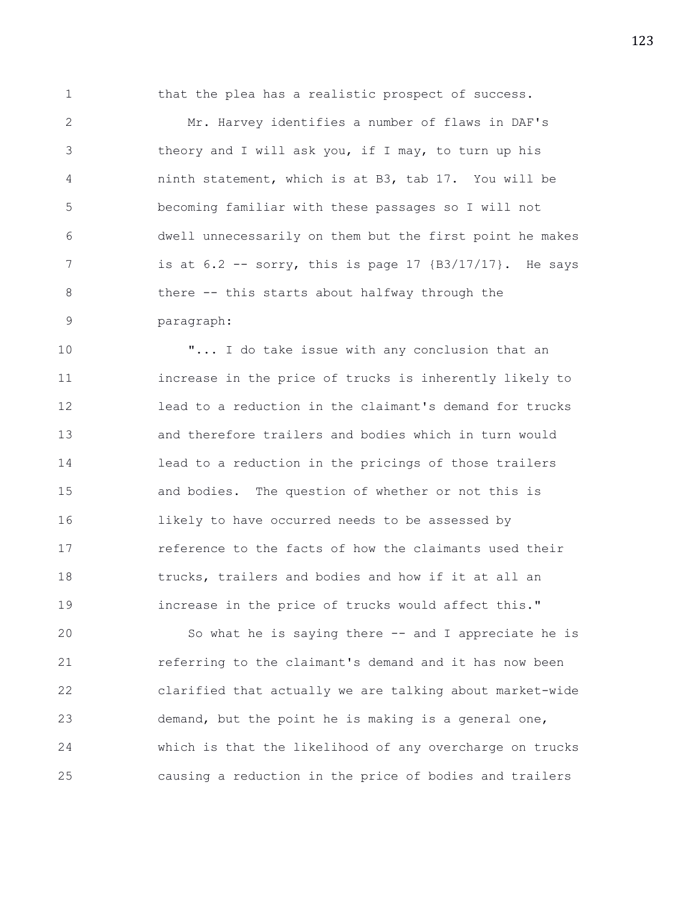1 that the plea has a realistic prospect of success.

2 Mr. Harvey identifies a number of flaws in DAF's 3 theory and I will ask you, if I may, to turn up his 4 ninth statement, which is at B3, tab 17. You will be 5 becoming familiar with these passages so I will not 6 dwell unnecessarily on them but the first point he makes 7 is at 6.2 -- sorry, this is page 17 {B3/17/17}. He says 8 there -- this starts about halfway through the 9 paragraph:

10 "... I do take issue with any conclusion that an 11 increase in the price of trucks is inherently likely to 12 lead to a reduction in the claimant's demand for trucks 13 and therefore trailers and bodies which in turn would 14 lead to a reduction in the pricings of those trailers 15 and bodies. The question of whether or not this is 16 likely to have occurred needs to be assessed by 17 reference to the facts of how the claimants used their 18 trucks, trailers and bodies and how if it at all an 19 increase in the price of trucks would affect this."

20 So what he is saying there -- and I appreciate he is 21 referring to the claimant's demand and it has now been 22 clarified that actually we are talking about market-wide 23 demand, but the point he is making is a general one, 24 which is that the likelihood of any overcharge on trucks 25 causing a reduction in the price of bodies and trailers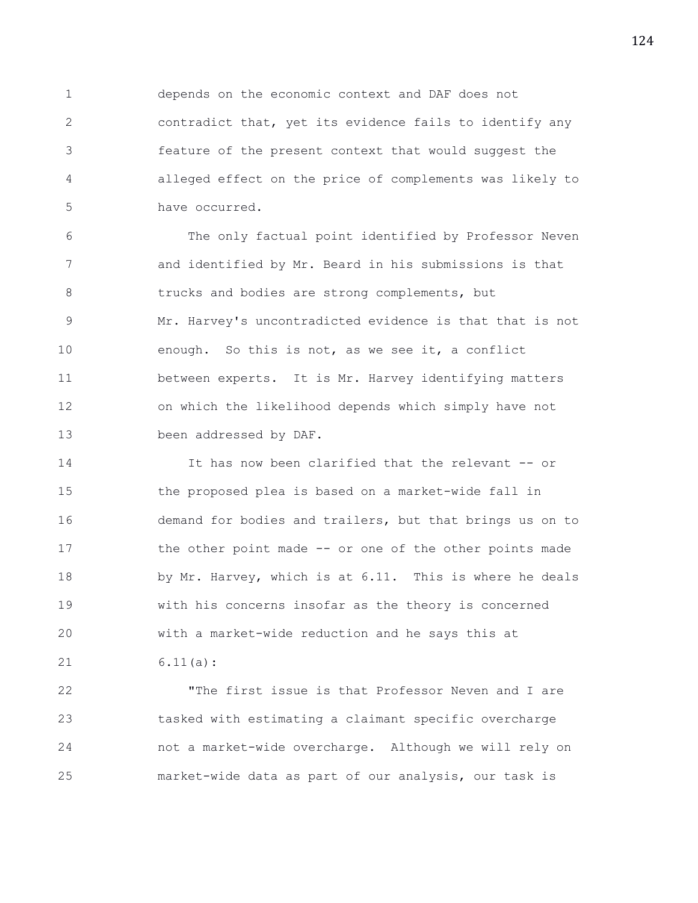1 depends on the economic context and DAF does not 2 contradict that, yet its evidence fails to identify any 3 feature of the present context that would suggest the 4 alleged effect on the price of complements was likely to 5 have occurred.

6 The only factual point identified by Professor Neven 7 and identified by Mr. Beard in his submissions is that 8 trucks and bodies are strong complements, but 9 Mr. Harvey's uncontradicted evidence is that that is not 10 enough. So this is not, as we see it, a conflict 11 between experts. It is Mr. Harvey identifying matters 12 on which the likelihood depends which simply have not 13 been addressed by DAF.

14 14 It has now been clarified that the relevant -- or 15 the proposed plea is based on a market-wide fall in 16 demand for bodies and trailers, but that brings us on to 17 the other point made -- or one of the other points made 18 by Mr. Harvey, which is at 6.11. This is where he deals 19 with his concerns insofar as the theory is concerned 20 with a market-wide reduction and he says this at 21 6.11(a):

22 "The first issue is that Professor Neven and I are 23 tasked with estimating a claimant specific overcharge 24 not a market-wide overcharge. Although we will rely on 25 market-wide data as part of our analysis, our task is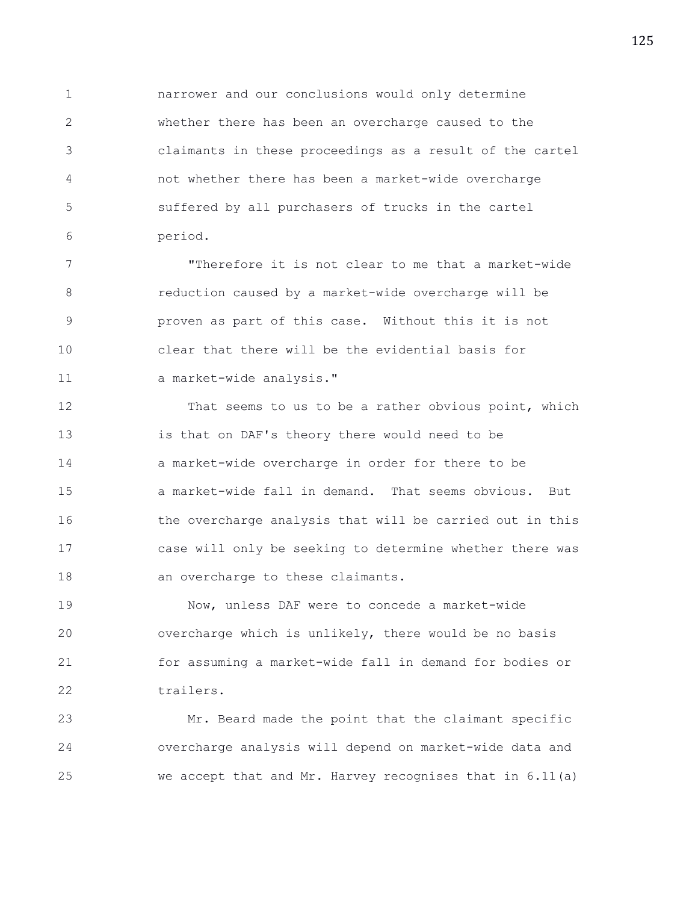1 narrower and our conclusions would only determine 2 whether there has been an overcharge caused to the 3 claimants in these proceedings as a result of the cartel 4 not whether there has been a market-wide overcharge 5 suffered by all purchasers of trucks in the cartel 6 period.

7 "Therefore it is not clear to me that a market-wide 8 reduction caused by a market-wide overcharge will be 9 proven as part of this case. Without this it is not 10 clear that there will be the evidential basis for 11 a market-wide analysis."

12 That seems to us to be a rather obvious point, which 13 is that on DAF's theory there would need to be 14 a market-wide overcharge in order for there to be 15 a market-wide fall in demand. That seems obvious. But 16 the overcharge analysis that will be carried out in this 17 case will only be seeking to determine whether there was 18 an overcharge to these claimants.

19 Now, unless DAF were to concede a market-wide 20 overcharge which is unlikely, there would be no basis 21 for assuming a market-wide fall in demand for bodies or 22 trailers.

23 Mr. Beard made the point that the claimant specific 24 overcharge analysis will depend on market-wide data and 25 we accept that and Mr. Harvey recognises that in 6.11(a)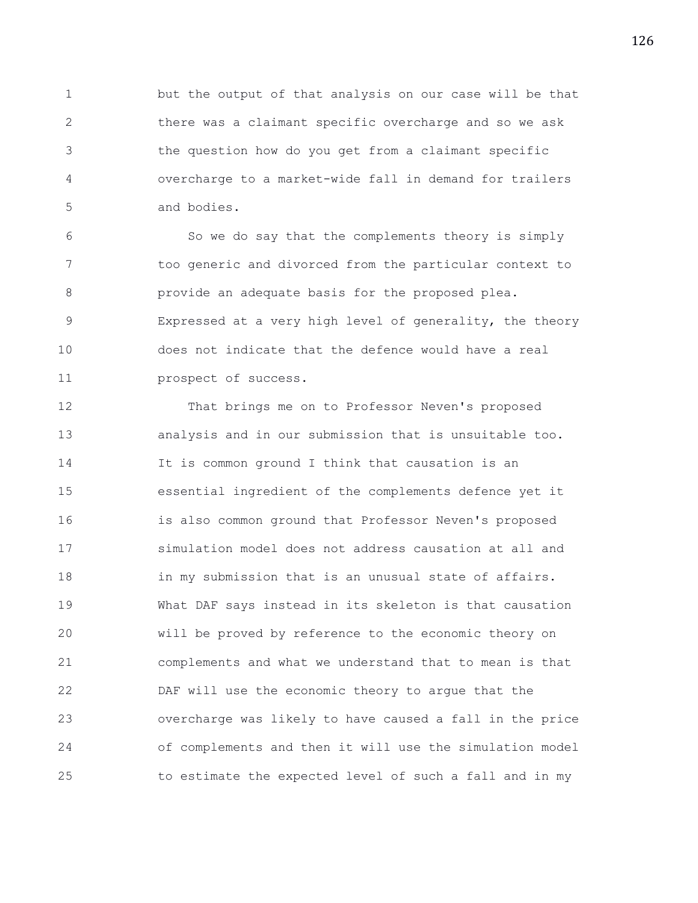1 but the output of that analysis on our case will be that 2 there was a claimant specific overcharge and so we ask 3 the question how do you get from a claimant specific 4 overcharge to a market-wide fall in demand for trailers 5 and bodies.

6 So we do say that the complements theory is simply 7 too generic and divorced from the particular context to 8 provide an adequate basis for the proposed plea. 9 Expressed at a very high level of generality, the theory 10 does not indicate that the defence would have a real 11 prospect of success.

12 That brings me on to Professor Neven's proposed 13 analysis and in our submission that is unsuitable too. 14 It is common ground I think that causation is an 15 essential ingredient of the complements defence yet it 16 is also common ground that Professor Neven's proposed 17 simulation model does not address causation at all and 18 in my submission that is an unusual state of affairs. 19 What DAF says instead in its skeleton is that causation 20 will be proved by reference to the economic theory on 21 complements and what we understand that to mean is that 22 DAF will use the economic theory to argue that the 23 overcharge was likely to have caused a fall in the price 24 of complements and then it will use the simulation model 25 to estimate the expected level of such a fall and in my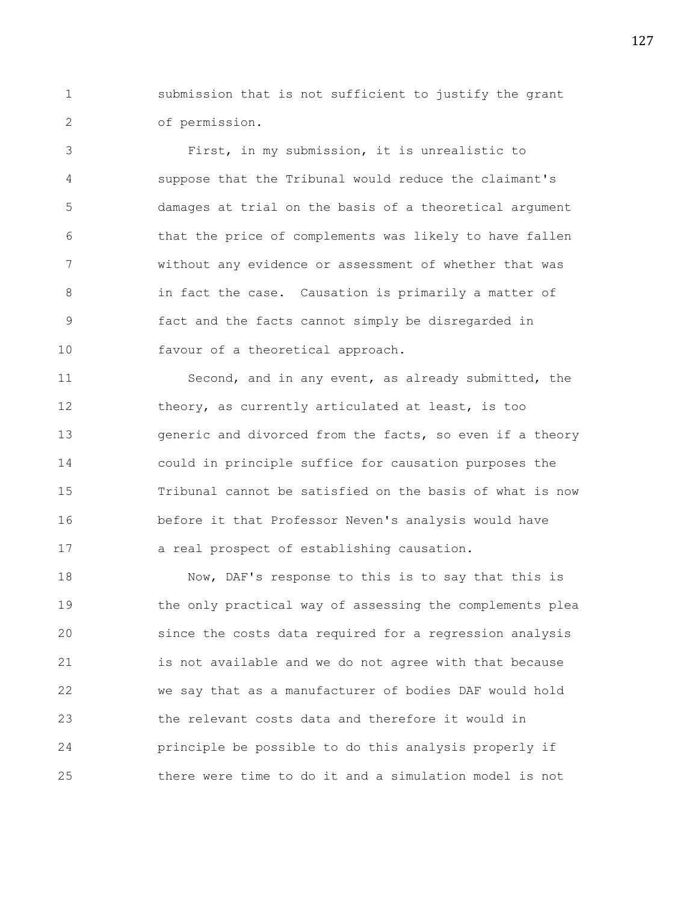1 submission that is not sufficient to justify the grant 2 of permission.

3 First, in my submission, it is unrealistic to 4 suppose that the Tribunal would reduce the claimant's 5 damages at trial on the basis of a theoretical argument 6 that the price of complements was likely to have fallen 7 without any evidence or assessment of whether that was 8 in fact the case. Causation is primarily a matter of 9 fact and the facts cannot simply be disregarded in 10 favour of a theoretical approach.

11 Second, and in any event, as already submitted, the 12 theory, as currently articulated at least, is too 13 generic and divorced from the facts, so even if a theory 14 could in principle suffice for causation purposes the 15 Tribunal cannot be satisfied on the basis of what is now 16 before it that Professor Neven's analysis would have 17 a real prospect of establishing causation.

18 Now, DAF's response to this is to say that this is 19 the only practical way of assessing the complements plea 20 since the costs data required for a regression analysis 21 is not available and we do not agree with that because 22 we say that as a manufacturer of bodies DAF would hold 23 the relevant costs data and therefore it would in 24 principle be possible to do this analysis properly if 25 there were time to do it and a simulation model is not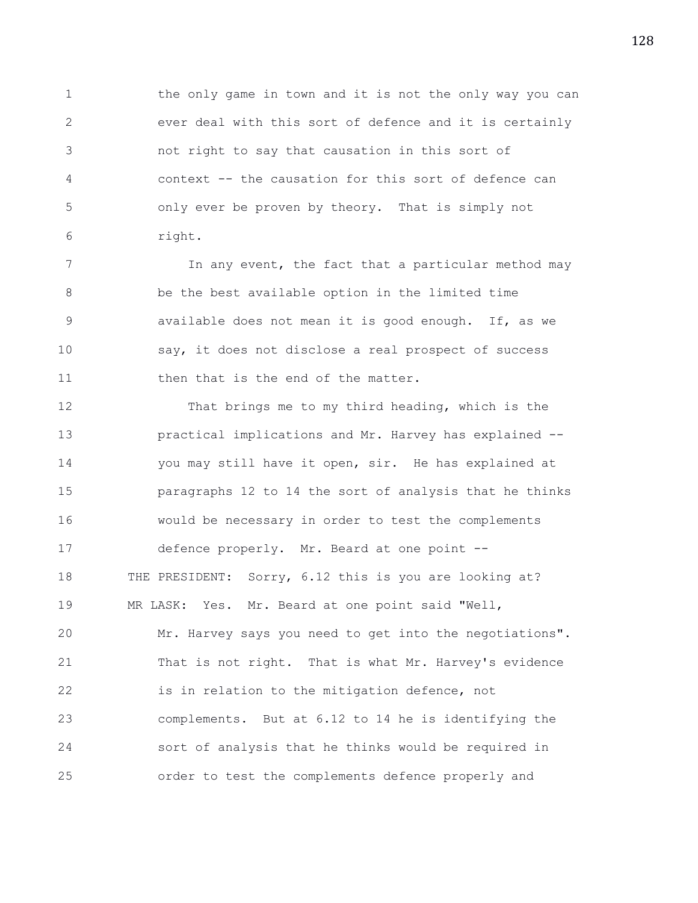1 the only game in town and it is not the only way you can 2 ever deal with this sort of defence and it is certainly 3 not right to say that causation in this sort of 4 context -- the causation for this sort of defence can 5 only ever be proven by theory. That is simply not 6 right.

7 In any event, the fact that a particular method may 8 be the best available option in the limited time 9 available does not mean it is good enough. If, as we 10 say, it does not disclose a real prospect of success 11 then that is the end of the matter.

12 That brings me to my third heading, which is the 13 practical implications and Mr. Harvey has explained -- 14 you may still have it open, sir. He has explained at 15 paragraphs 12 to 14 the sort of analysis that he thinks 16 would be necessary in order to test the complements 17 defence properly. Mr. Beard at one point -- 18 THE PRESIDENT: Sorry, 6.12 this is you are looking at? 19 MR LASK: Yes. Mr. Beard at one point said "Well, 20 Mr. Harvey says you need to get into the negotiations". 21 That is not right. That is what Mr. Harvey's evidence 22 is in relation to the mitigation defence, not 23 complements. But at 6.12 to 14 he is identifying the 24 sort of analysis that he thinks would be required in 25 order to test the complements defence properly and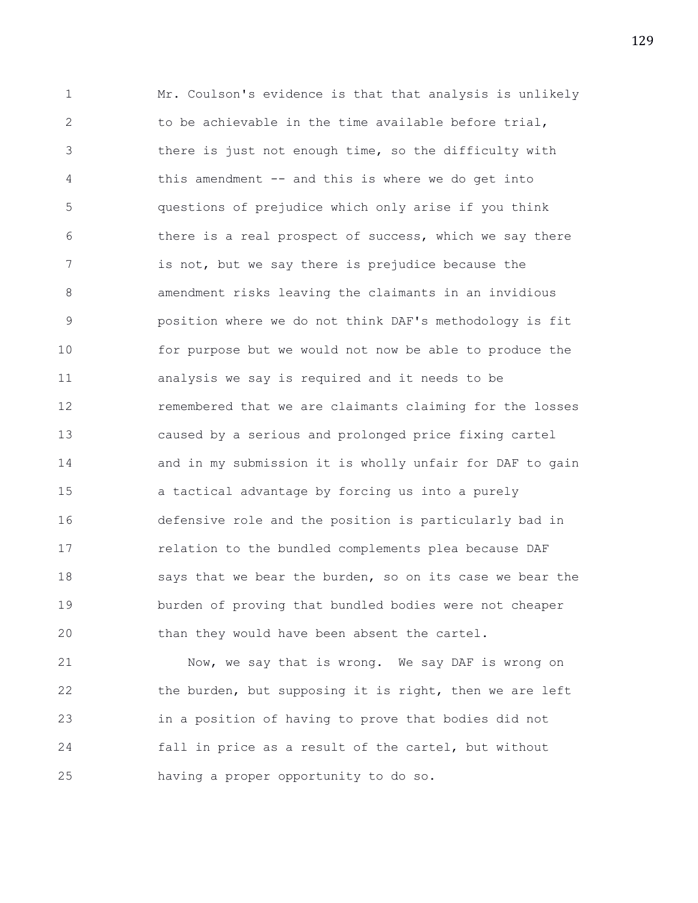1 Mr. Coulson's evidence is that that analysis is unlikely 2 to be achievable in the time available before trial, 3 there is just not enough time, so the difficulty with 4 this amendment -- and this is where we do get into 5 questions of prejudice which only arise if you think 6 there is a real prospect of success, which we say there 7 is not, but we say there is prejudice because the 8 amendment risks leaving the claimants in an invidious 9 position where we do not think DAF's methodology is fit 10 for purpose but we would not now be able to produce the 11 analysis we say is required and it needs to be 12 remembered that we are claimants claiming for the losses 13 caused by a serious and prolonged price fixing cartel 14 and in my submission it is wholly unfair for DAF to gain 15 a tactical advantage by forcing us into a purely 16 defensive role and the position is particularly bad in 17 relation to the bundled complements plea because DAF 18 says that we bear the burden, so on its case we bear the 19 burden of proving that bundled bodies were not cheaper 20 than they would have been absent the cartel.

21 Now, we say that is wrong. We say DAF is wrong on 22 the burden, but supposing it is right, then we are left 23 in a position of having to prove that bodies did not 24 fall in price as a result of the cartel, but without 25 having a proper opportunity to do so.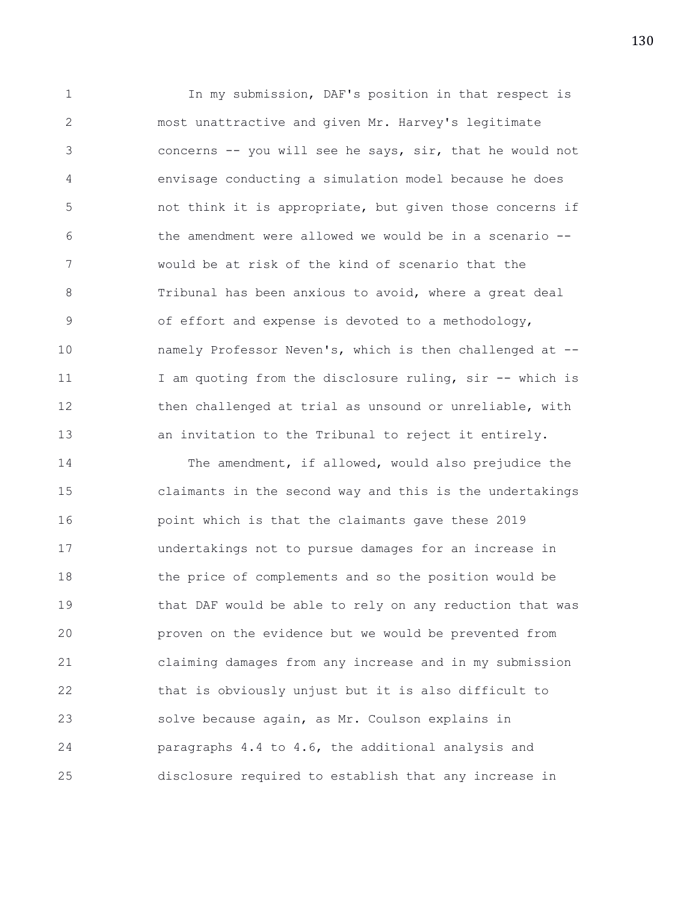1 In my submission, DAF's position in that respect is 2 most unattractive and given Mr. Harvey's legitimate 3 concerns -- you will see he says, sir, that he would not 4 envisage conducting a simulation model because he does 5 not think it is appropriate, but given those concerns if 6 the amendment were allowed we would be in a scenario -- 7 would be at risk of the kind of scenario that the 8 Tribunal has been anxious to avoid, where a great deal 9 of effort and expense is devoted to a methodology, 10 namely Professor Neven's, which is then challenged at -- 11 I am quoting from the disclosure ruling, sir -- which is 12 then challenged at trial as unsound or unreliable, with 13 an invitation to the Tribunal to reject it entirely.

14 The amendment, if allowed, would also prejudice the 15 claimants in the second way and this is the undertakings 16 point which is that the claimants gave these 2019 17 undertakings not to pursue damages for an increase in 18 the price of complements and so the position would be 19 that DAF would be able to rely on any reduction that was 20 proven on the evidence but we would be prevented from 21 claiming damages from any increase and in my submission 22 that is obviously unjust but it is also difficult to 23 solve because again, as Mr. Coulson explains in 24 paragraphs 4.4 to 4.6, the additional analysis and 25 disclosure required to establish that any increase in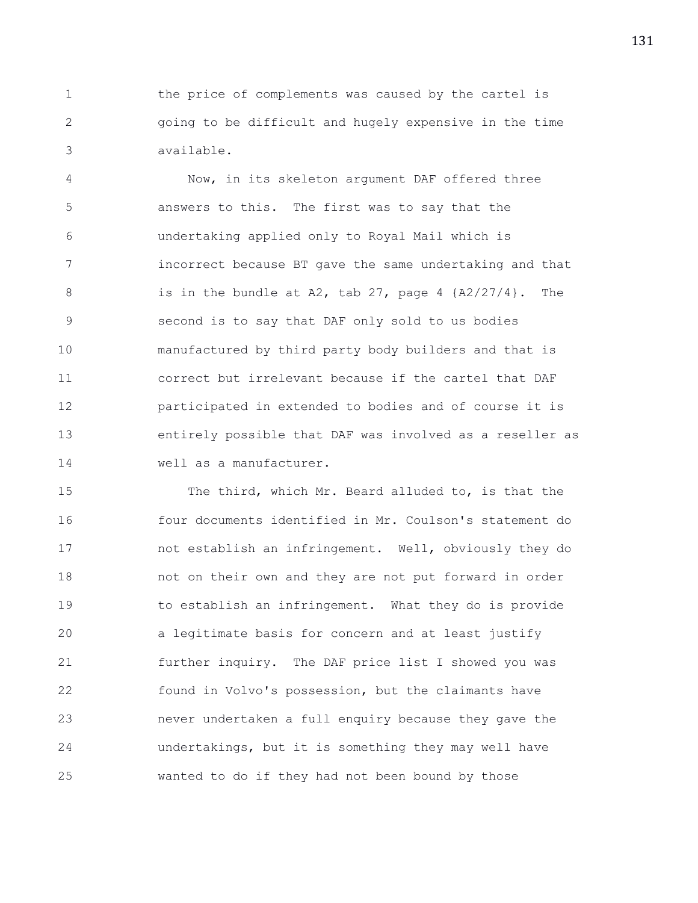1 the price of complements was caused by the cartel is 2 going to be difficult and hugely expensive in the time 3 available.

4 Now, in its skeleton argument DAF offered three 5 answers to this. The first was to say that the 6 undertaking applied only to Royal Mail which is 7 incorrect because BT gave the same undertaking and that 8 is in the bundle at A2, tab 27, page 4 {A2/27/4}. The 9 second is to say that DAF only sold to us bodies 10 manufactured by third party body builders and that is 11 correct but irrelevant because if the cartel that DAF 12 participated in extended to bodies and of course it is 13 entirely possible that DAF was involved as a reseller as 14 well as a manufacturer.

15 The third, which Mr. Beard alluded to, is that the 16 four documents identified in Mr. Coulson's statement do 17 not establish an infringement. Well, obviously they do 18 not on their own and they are not put forward in order 19 to establish an infringement. What they do is provide 20 a legitimate basis for concern and at least justify 21 further inquiry. The DAF price list I showed you was 22 found in Volvo's possession, but the claimants have 23 never undertaken a full enquiry because they gave the 24 undertakings, but it is something they may well have 25 wanted to do if they had not been bound by those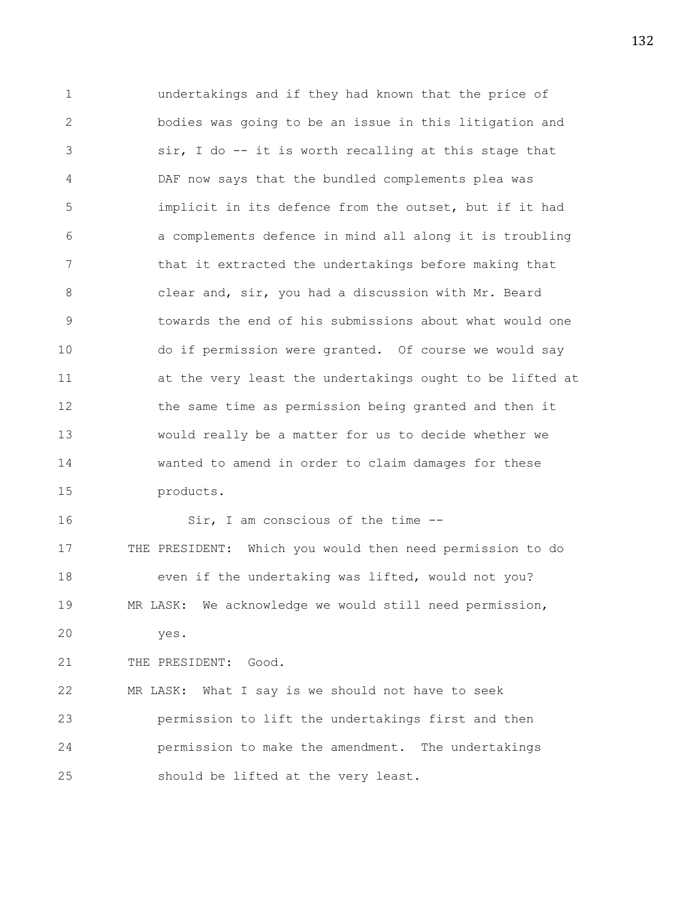1 undertakings and if they had known that the price of 2 bodies was going to be an issue in this litigation and 3 sir, I do -- it is worth recalling at this stage that 4 DAF now says that the bundled complements plea was 5 implicit in its defence from the outset, but if it had 6 a complements defence in mind all along it is troubling 7 that it extracted the undertakings before making that 8 clear and, sir, you had a discussion with Mr. Beard 9 towards the end of his submissions about what would one 10 do if permission were granted. Of course we would say 11 at the very least the undertakings ought to be lifted at 12 the same time as permission being granted and then it 13 would really be a matter for us to decide whether we 14 wanted to amend in order to claim damages for these 15 products. 16 Sir, I am conscious of the time --17 THE PRESIDENT: Which you would then need permission to do 18 even if the undertaking was lifted, would not you? 19 MR LASK: We acknowledge we would still need permission, 20 yes. 21 THE PRESIDENT: Good. 22 MR LASK: What I say is we should not have to seek 23 permission to lift the undertakings first and then 24 permission to make the amendment. The undertakings 25 should be lifted at the very least.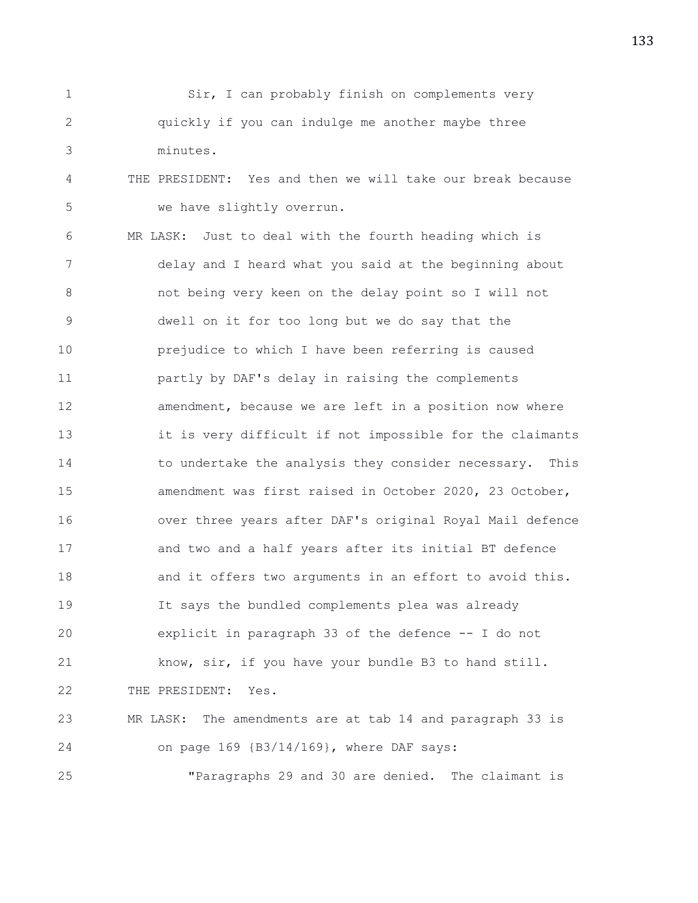| Sir, I can probably finish on complements very    |
|---------------------------------------------------|
| quickly if you can indulge me another maybe three |
| minutes.                                          |

4 THE PRESIDENT: Yes and then we will take our break because 5 we have slightly overrun.

6 MR LASK: Just to deal with the fourth heading which is 7 delay and I heard what you said at the beginning about 8 not being very keen on the delay point so I will not 9 dwell on it for too long but we do say that the 10 prejudice to which I have been referring is caused 11 partly by DAF's delay in raising the complements 12 amendment, because we are left in a position now where 13 it is very difficult if not impossible for the claimants 14 to undertake the analysis they consider necessary. This 15 amendment was first raised in October 2020, 23 October, 16 over three years after DAF's original Royal Mail defence 17 and two and a half years after its initial BT defence 18 and it offers two arguments in an effort to avoid this. 19 It says the bundled complements plea was already 20 explicit in paragraph 33 of the defence -- I do not 21 know, sir, if you have your bundle B3 to hand still. 22 THE PRESIDENT: Yes. 23 MR LASK: The amendments are at tab 14 and paragraph 33 is 24 on page 169 {B3/14/169}, where DAF says:

25 "Paragraphs 29 and 30 are denied. The claimant is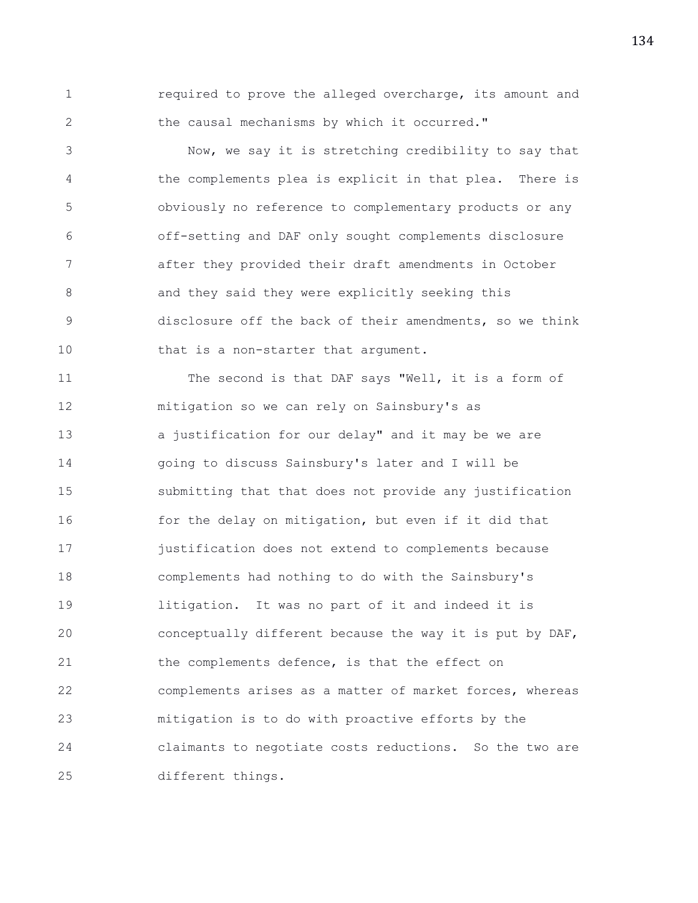1 required to prove the alleged overcharge, its amount and 2 the causal mechanisms by which it occurred."

3 Now, we say it is stretching credibility to say that 4 the complements plea is explicit in that plea. There is 5 obviously no reference to complementary products or any 6 off-setting and DAF only sought complements disclosure 7 after they provided their draft amendments in October 8 and they said they were explicitly seeking this 9 disclosure off the back of their amendments, so we think 10 that is a non-starter that argument.

11 The second is that DAF says "Well, it is a form of 12 mitigation so we can rely on Sainsbury's as 13 a justification for our delay" and it may be we are 14 going to discuss Sainsbury's later and I will be 15 submitting that that does not provide any justification 16 for the delay on mitigation, but even if it did that 17 justification does not extend to complements because 18 complements had nothing to do with the Sainsbury's 19 litigation. It was no part of it and indeed it is 20 conceptually different because the way it is put by DAF, 21 the complements defence, is that the effect on 22 complements arises as a matter of market forces, whereas 23 mitigation is to do with proactive efforts by the 24 claimants to negotiate costs reductions. So the two are 25 different things.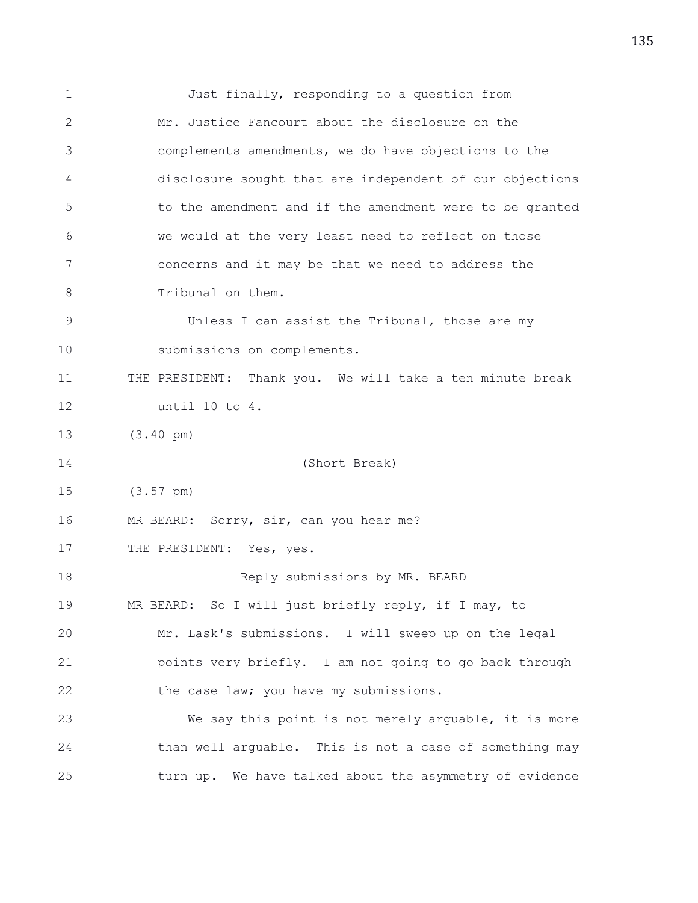1 Just finally, responding to a question from 2 Mr. Justice Fancourt about the disclosure on the 3 complements amendments, we do have objections to the 4 disclosure sought that are independent of our objections 5 to the amendment and if the amendment were to be granted 6 we would at the very least need to reflect on those 7 concerns and it may be that we need to address the 8 Tribunal on them. 9 Unless I can assist the Tribunal, those are my 10 submissions on complements. 11 THE PRESIDENT: Thank you. We will take a ten minute break 12 until 10 to 4. 13 (3.40 pm) 14 (Short Break) 15 (3.57 pm) 16 MR BEARD: Sorry, sir, can you hear me? 17 THE PRESIDENT: Yes, yes. 18 Reply submissions by MR. BEARD 19 MR BEARD: So I will just briefly reply, if I may, to 20 Mr. Lask's submissions. I will sweep up on the legal 21 points very briefly. I am not going to go back through 22 the case law; you have my submissions. 23 We say this point is not merely arguable, it is more 24 than well arguable. This is not a case of something may 25 turn up. We have talked about the asymmetry of evidence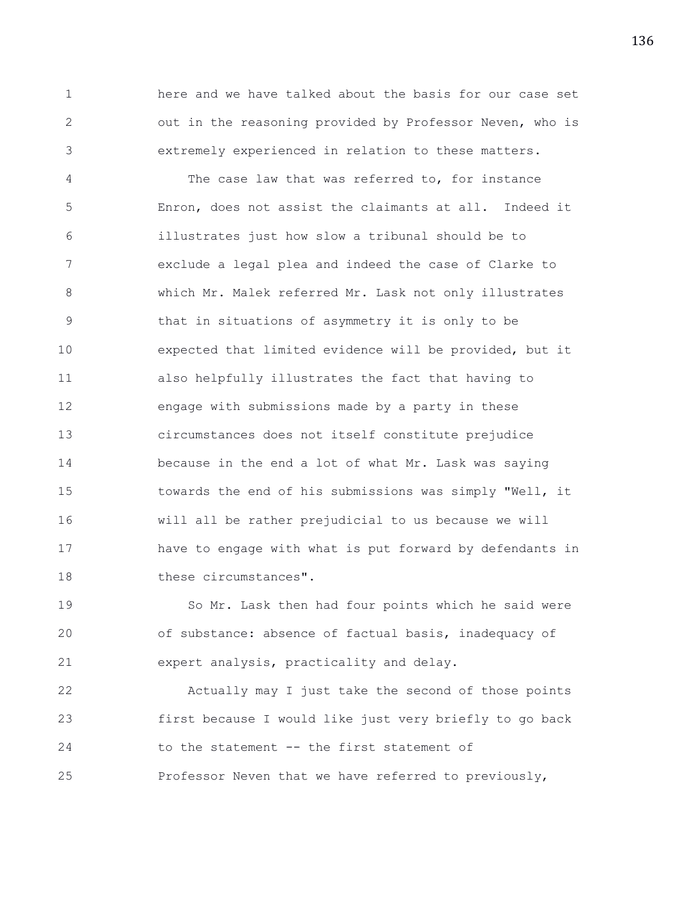1 here and we have talked about the basis for our case set 2 out in the reasoning provided by Professor Neven, who is 3 extremely experienced in relation to these matters.

4 The case law that was referred to, for instance 5 Enron, does not assist the claimants at all. Indeed it 6 illustrates just how slow a tribunal should be to 7 exclude a legal plea and indeed the case of Clarke to 8 which Mr. Malek referred Mr. Lask not only illustrates 9 that in situations of asymmetry it is only to be 10 expected that limited evidence will be provided, but it 11 also helpfully illustrates the fact that having to 12 engage with submissions made by a party in these 13 circumstances does not itself constitute prejudice 14 because in the end a lot of what Mr. Lask was saying 15 towards the end of his submissions was simply "Well, it 16 will all be rather prejudicial to us because we will 17 have to engage with what is put forward by defendants in 18 these circumstances".

19 So Mr. Lask then had four points which he said were 20 of substance: absence of factual basis, inadequacy of 21 expert analysis, practicality and delay.

22 Actually may I just take the second of those points 23 first because I would like just very briefly to go back 24 to the statement -- the first statement of 25 Professor Neven that we have referred to previously,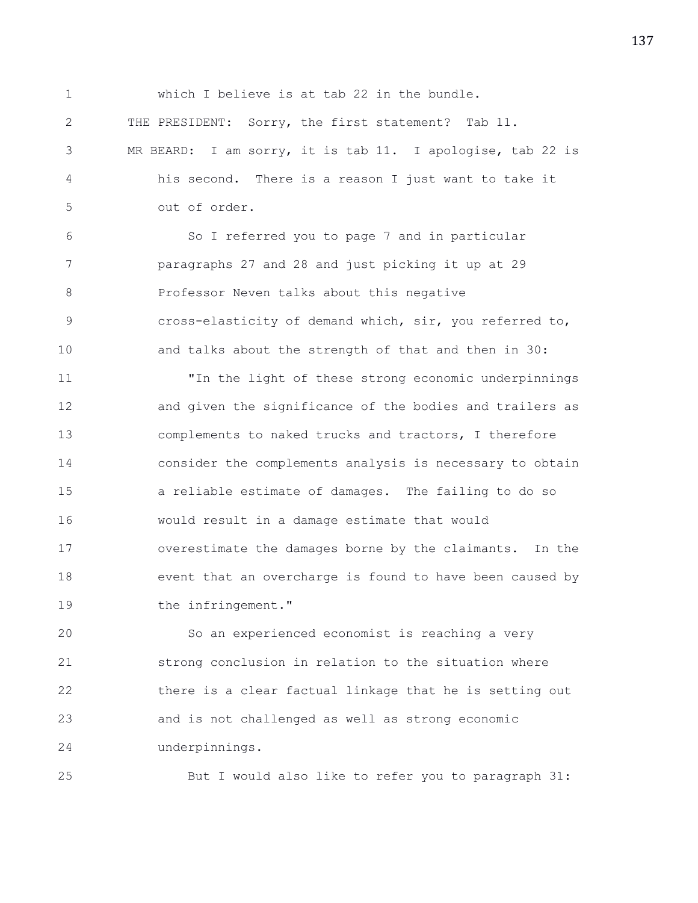1 which I believe is at tab 22 in the bundle. 2 THE PRESIDENT: Sorry, the first statement? Tab 11. 3 MR BEARD: I am sorry, it is tab 11. I apologise, tab 22 is 4 his second. There is a reason I just want to take it 5 out of order. 6 So I referred you to page 7 and in particular 7 paragraphs 27 and 28 and just picking it up at 29 8 Professor Neven talks about this negative 9 cross-elasticity of demand which, sir, you referred to, 10 and talks about the strength of that and then in 30: 11 "In the light of these strong economic underpinnings 12 and given the significance of the bodies and trailers as 13 complements to naked trucks and tractors, I therefore 14 consider the complements analysis is necessary to obtain 15 a reliable estimate of damages. The failing to do so 16 would result in a damage estimate that would 17 overestimate the damages borne by the claimants. In the 18 event that an overcharge is found to have been caused by 19 the infringement." 20 So an experienced economist is reaching a very

21 strong conclusion in relation to the situation where 22 there is a clear factual linkage that he is setting out 23 and is not challenged as well as strong economic 24 underpinnings.

25 But I would also like to refer you to paragraph 31: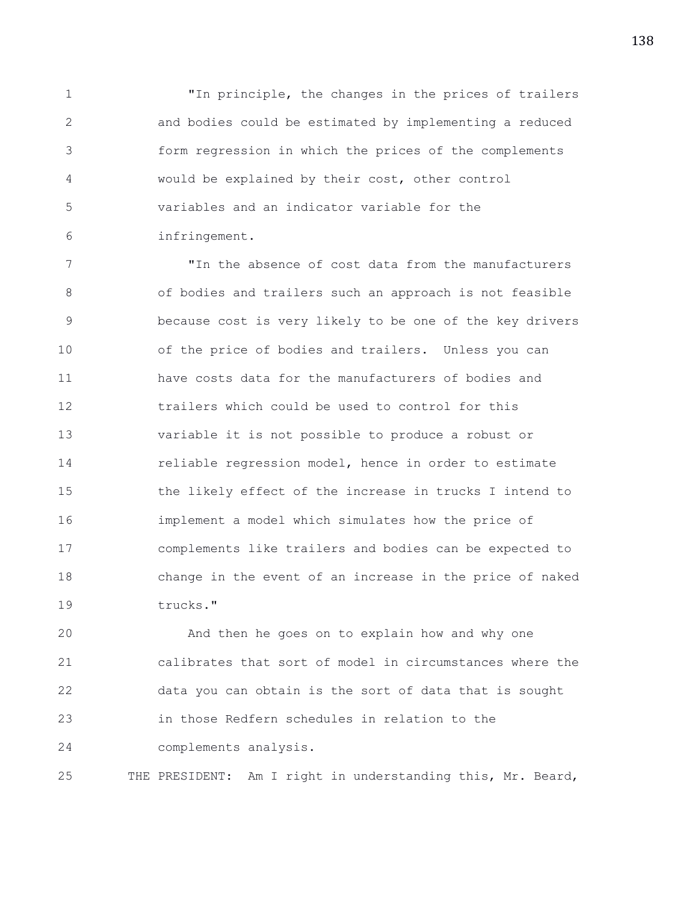1 "In principle, the changes in the prices of trailers 2 and bodies could be estimated by implementing a reduced 3 form regression in which the prices of the complements 4 would be explained by their cost, other control 5 variables and an indicator variable for the 6 infringement.

7 "In the absence of cost data from the manufacturers 8 of bodies and trailers such an approach is not feasible 9 because cost is very likely to be one of the key drivers 10 of the price of bodies and trailers. Unless you can 11 have costs data for the manufacturers of bodies and 12 trailers which could be used to control for this 13 variable it is not possible to produce a robust or 14 reliable regression model, hence in order to estimate 15 the likely effect of the increase in trucks I intend to 16 implement a model which simulates how the price of 17 complements like trailers and bodies can be expected to 18 change in the event of an increase in the price of naked 19 trucks."

20 And then he goes on to explain how and why one 21 calibrates that sort of model in circumstances where the 22 data you can obtain is the sort of data that is sought 23 in those Redfern schedules in relation to the 24 complements analysis.

25 THE PRESIDENT: Am I right in understanding this, Mr. Beard,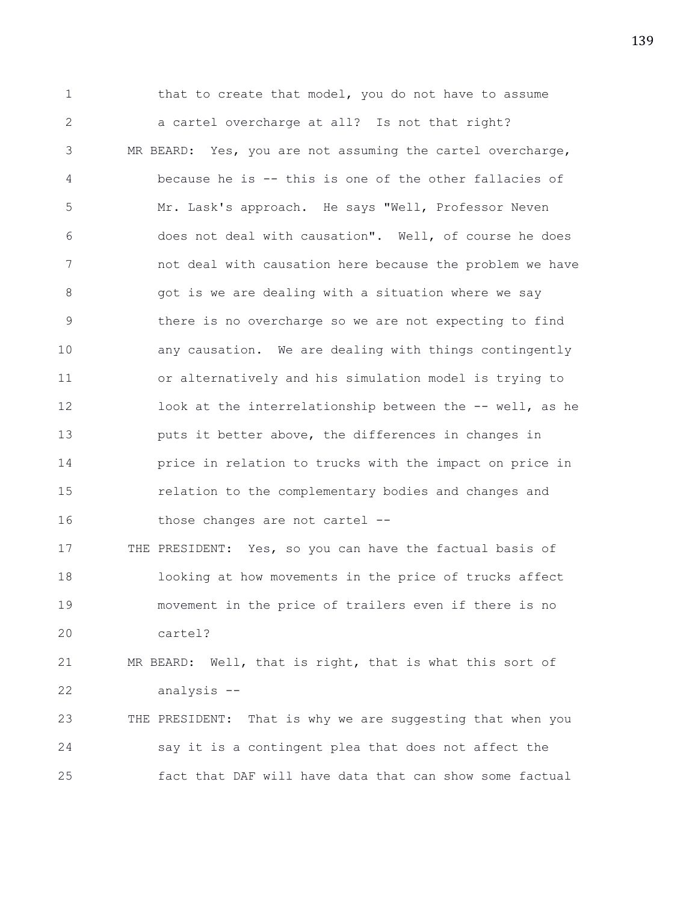1 that to create that model, you do not have to assume 2 a cartel overcharge at all? Is not that right? 3 MR BEARD: Yes, you are not assuming the cartel overcharge, 4 because he is -- this is one of the other fallacies of 5 Mr. Lask's approach. He says "Well, Professor Neven 6 does not deal with causation". Well, of course he does 7 not deal with causation here because the problem we have 8 8 got is we are dealing with a situation where we say 9 there is no overcharge so we are not expecting to find 10 any causation. We are dealing with things contingently 11 or alternatively and his simulation model is trying to 12 look at the interrelationship between the -- well, as he 13 puts it better above, the differences in changes in 14 price in relation to trucks with the impact on price in 15 relation to the complementary bodies and changes and 16 those changes are not cartel --17 THE PRESIDENT: Yes, so you can have the factual basis of 18 looking at how movements in the price of trucks affect 19 movement in the price of trailers even if there is no 20 cartel? 21 MR BEARD: Well, that is right, that is what this sort of 22 analysis -- 23 THE PRESIDENT: That is why we are suggesting that when you 24 say it is a contingent plea that does not affect the 25 fact that DAF will have data that can show some factual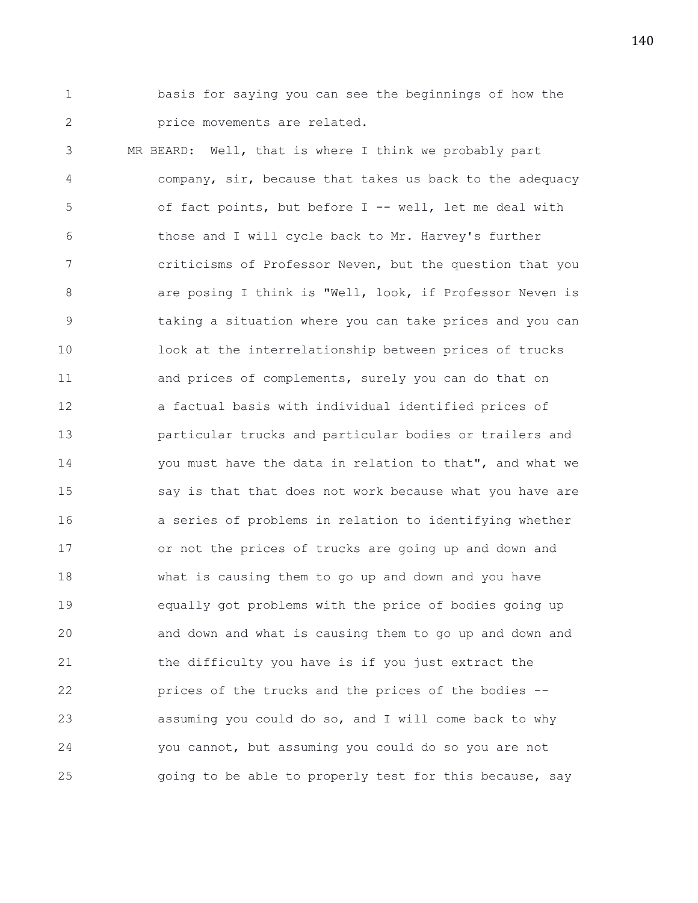1 basis for saying you can see the beginnings of how the 2 **price movements are related.** 

3 MR BEARD: Well, that is where I think we probably part 4 company, sir, because that takes us back to the adequacy 5 of fact points, but before I -- well, let me deal with 6 those and I will cycle back to Mr. Harvey's further 7 criticisms of Professor Neven, but the question that you 8 **8** are posing I think is "Well, look, if Professor Neven is 9 taking a situation where you can take prices and you can 10 look at the interrelationship between prices of trucks 11 and prices of complements, surely you can do that on 12 a factual basis with individual identified prices of 13 particular trucks and particular bodies or trailers and 14 you must have the data in relation to that", and what we 15 say is that that does not work because what you have are 16 a series of problems in relation to identifying whether 17 or not the prices of trucks are going up and down and 18 what is causing them to go up and down and you have 19 equally got problems with the price of bodies going up 20 and down and what is causing them to go up and down and 21 the difficulty you have is if you just extract the 22 prices of the trucks and the prices of the bodies -- 23 assuming you could do so, and I will come back to why 24 you cannot, but assuming you could do so you are not 25 going to be able to properly test for this because, say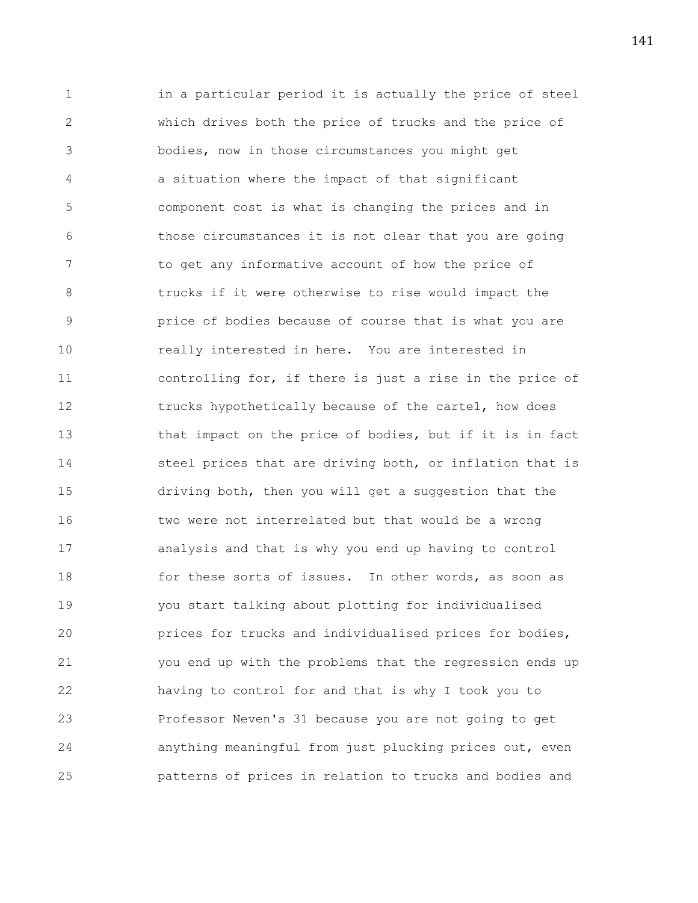1 in a particular period it is actually the price of steel 2 which drives both the price of trucks and the price of 3 bodies, now in those circumstances you might get 4 a situation where the impact of that significant 5 component cost is what is changing the prices and in 6 those circumstances it is not clear that you are going 7 to get any informative account of how the price of 8 trucks if it were otherwise to rise would impact the 9 price of bodies because of course that is what you are 10 really interested in here. You are interested in 11 controlling for, if there is just a rise in the price of 12 trucks hypothetically because of the cartel, how does 13 that impact on the price of bodies, but if it is in fact 14 steel prices that are driving both, or inflation that is 15 driving both, then you will get a suggestion that the 16 two were not interrelated but that would be a wrong 17 analysis and that is why you end up having to control 18 for these sorts of issues. In other words, as soon as 19 you start talking about plotting for individualised 20 prices for trucks and individualised prices for bodies, 21 you end up with the problems that the regression ends up 22 having to control for and that is why I took you to 23 Professor Neven's 31 because you are not going to get 24 anything meaningful from just plucking prices out, even 25 patterns of prices in relation to trucks and bodies and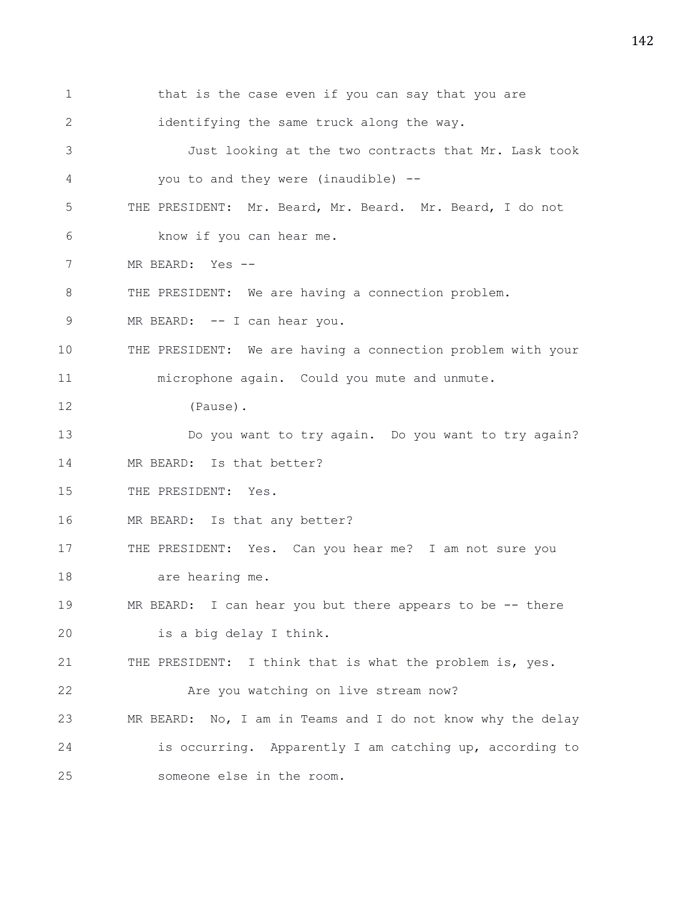1 that is the case even if you can say that you are 2 identifying the same truck along the way. 3 Just looking at the two contracts that Mr. Lask took 4 you to and they were (inaudible) -- 5 THE PRESIDENT: Mr. Beard, Mr. Beard. Mr. Beard, I do not 6 know if you can hear me. 7 MR BEARD: Yes -- 8 THE PRESIDENT: We are having a connection problem. 9 MR BEARD: -- I can hear you. 10 THE PRESIDENT: We are having a connection problem with your 11 microphone again. Could you mute and unmute. 12 (Pause). 13 Do you want to try again. Do you want to try again? 14 MR BEARD: Is that better? 15 THE PRESIDENT: Yes. 16 MR BEARD: Is that any better? 17 THE PRESIDENT: Yes. Can you hear me? I am not sure you 18 are hearing me. 19 MR BEARD: I can hear you but there appears to be -- there 20 is a big delay I think. 21 THE PRESIDENT: I think that is what the problem is, yes. 22 Are you watching on live stream now? 23 MR BEARD: No, I am in Teams and I do not know why the delay 24 is occurring. Apparently I am catching up, according to 25 someone else in the room.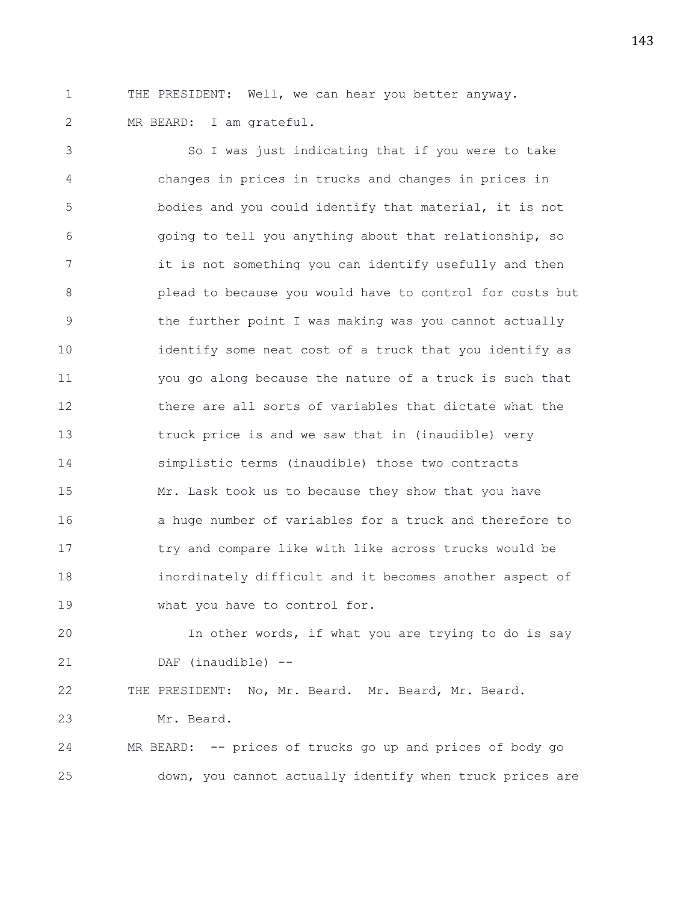1 THE PRESIDENT: Well, we can hear you better anyway. 2 MR BEARD: I am grateful.

3 So I was just indicating that if you were to take 4 changes in prices in trucks and changes in prices in 5 bodies and you could identify that material, it is not 6 going to tell you anything about that relationship, so 7 it is not something you can identify usefully and then 8 plead to because you would have to control for costs but 9 the further point I was making was you cannot actually 10 identify some neat cost of a truck that you identify as 11 you go along because the nature of a truck is such that 12 there are all sorts of variables that dictate what the 13 truck price is and we saw that in (inaudible) very 14 simplistic terms (inaudible) those two contracts 15 Mr. Lask took us to because they show that you have 16 a huge number of variables for a truck and therefore to 17 try and compare like with like across trucks would be 18 inordinately difficult and it becomes another aspect of 19 what you have to control for.

20 In other words, if what you are trying to do is say 21 DAF (inaudible) --

22 THE PRESIDENT: No, Mr. Beard. Mr. Beard, Mr. Beard.

23 Mr. Beard.

24 MR BEARD: -- prices of trucks go up and prices of body go 25 down, you cannot actually identify when truck prices are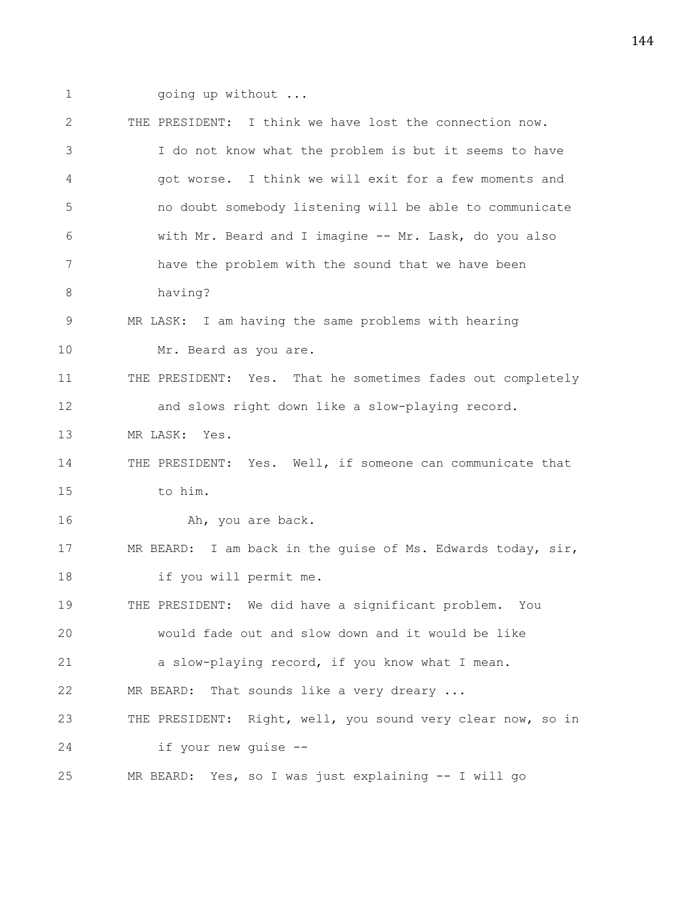- 
- 1 going up without ...

| $\overline{2}$ | THE PRESIDENT: I think we have lost the connection now.     |
|----------------|-------------------------------------------------------------|
| 3              | I do not know what the problem is but it seems to have      |
| 4              | got worse. I think we will exit for a few moments and       |
| 5              | no doubt somebody listening will be able to communicate     |
| 6              | with Mr. Beard and I imagine -- Mr. Lask, do you also       |
| 7              | have the problem with the sound that we have been           |
| 8              | having?                                                     |
| 9              | MR LASK: I am having the same problems with hearing         |
| 10             | Mr. Beard as you are.                                       |
| 11             | THE PRESIDENT: Yes. That he sometimes fades out completely  |
| 12             | and slows right down like a slow-playing record.            |
| 13             | MR LASK: Yes.                                               |
| 14             | THE PRESIDENT: Yes. Well, if someone can communicate that   |
| 15             | to him.                                                     |
| 16             | Ah, you are back.                                           |
| 17             | MR BEARD: I am back in the guise of Ms. Edwards today, sir, |
| 18             | if you will permit me.                                      |
| 19             | THE PRESIDENT: We did have a significant problem. You       |
| 20             | would fade out and slow down and it would be like           |
| 21             | a slow-playing record, if you know what I mean.             |
| 22             | That sounds like a very dreary<br>MR BEARD:                 |
| 23             | THE PRESIDENT: Right, well, you sound very clear now, so in |
| 24             | if your new quise --                                        |
| 25             | Yes, so I was just explaining -- I will go<br>MR BEARD:     |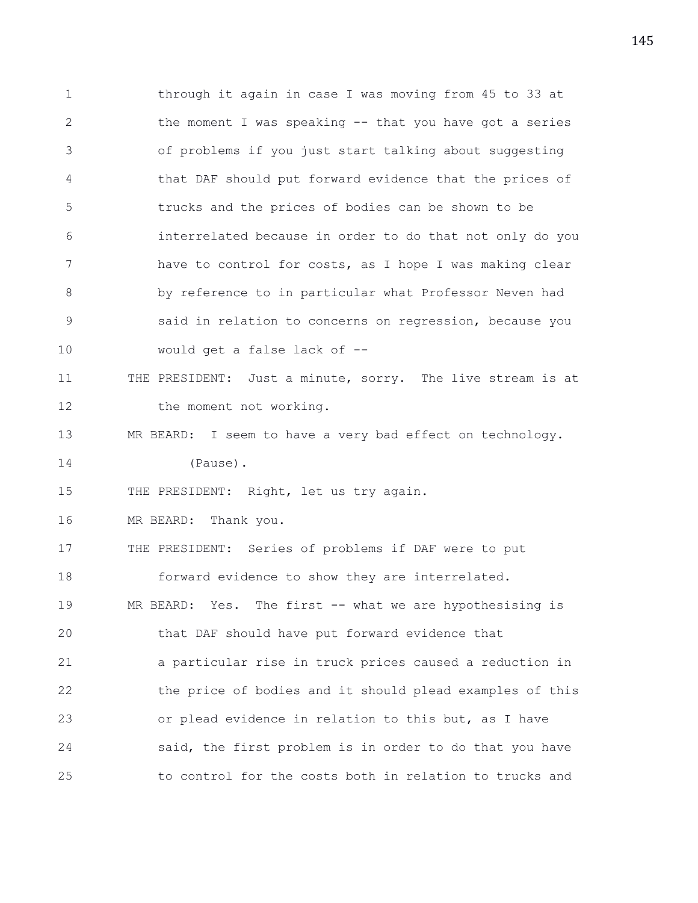1 through it again in case I was moving from 45 to 33 at 2 the moment I was speaking -- that you have got a series 3 of problems if you just start talking about suggesting 4 that DAF should put forward evidence that the prices of 5 trucks and the prices of bodies can be shown to be 6 interrelated because in order to do that not only do you 7 have to control for costs, as I hope I was making clear 8 by reference to in particular what Professor Neven had 9 said in relation to concerns on regression, because you 10 would get a false lack of -- 11 THE PRESIDENT: Just a minute, sorry. The live stream is at 12 the moment not working. 13 MR BEARD: I seem to have a very bad effect on technology. 14 (Pause). 15 THE PRESIDENT: Right, let us try again. 16 MR BEARD: Thank you. 17 THE PRESIDENT: Series of problems if DAF were to put 18 forward evidence to show they are interrelated. 19 MR BEARD: Yes. The first -- what we are hypothesising is 20 that DAF should have put forward evidence that 21 a particular rise in truck prices caused a reduction in 22 the price of bodies and it should plead examples of this 23 or plead evidence in relation to this but, as I have 24 said, the first problem is in order to do that you have 25 to control for the costs both in relation to trucks and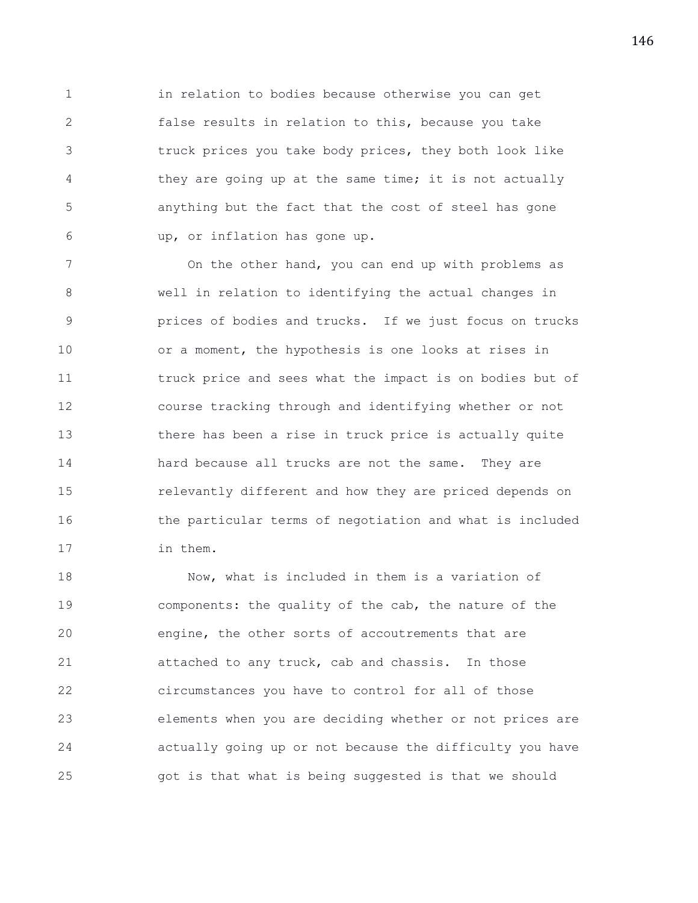1 in relation to bodies because otherwise you can get 2 false results in relation to this, because you take 3 truck prices you take body prices, they both look like 4 they are going up at the same time; it is not actually 5 anything but the fact that the cost of steel has gone 6 up, or inflation has gone up.

7 On the other hand, you can end up with problems as 8 well in relation to identifying the actual changes in 9 prices of bodies and trucks. If we just focus on trucks 10 or a moment, the hypothesis is one looks at rises in 11 truck price and sees what the impact is on bodies but of 12 course tracking through and identifying whether or not 13 there has been a rise in truck price is actually quite 14 hard because all trucks are not the same. They are 15 relevantly different and how they are priced depends on 16 the particular terms of negotiation and what is included 17 in them.

18 Now, what is included in them is a variation of 19 components: the quality of the cab, the nature of the 20 engine, the other sorts of accoutrements that are 21 attached to any truck, cab and chassis. In those 22 circumstances you have to control for all of those 23 elements when you are deciding whether or not prices are 24 actually going up or not because the difficulty you have 25 got is that what is being suggested is that we should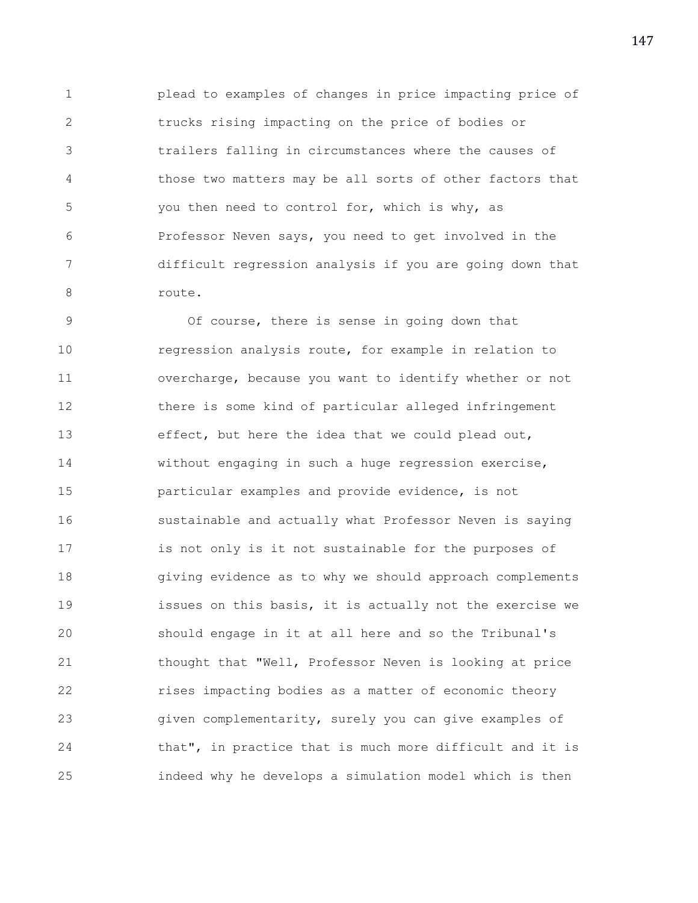1 plead to examples of changes in price impacting price of 2 trucks rising impacting on the price of bodies or 3 trailers falling in circumstances where the causes of 4 those two matters may be all sorts of other factors that 5 you then need to control for, which is why, as 6 Professor Neven says, you need to get involved in the 7 difficult regression analysis if you are going down that 8 route.

9 Of course, there is sense in going down that 10 regression analysis route, for example in relation to 11 overcharge, because you want to identify whether or not 12 there is some kind of particular alleged infringement 13 effect, but here the idea that we could plead out, 14 without engaging in such a huge regression exercise, 15 particular examples and provide evidence, is not 16 sustainable and actually what Professor Neven is saying 17 is not only is it not sustainable for the purposes of 18 giving evidence as to why we should approach complements 19 issues on this basis, it is actually not the exercise we 20 should engage in it at all here and so the Tribunal's 21 thought that "Well, Professor Neven is looking at price 22 rises impacting bodies as a matter of economic theory 23 given complementarity, surely you can give examples of 24 that", in practice that is much more difficult and it is 25 indeed why he develops a simulation model which is then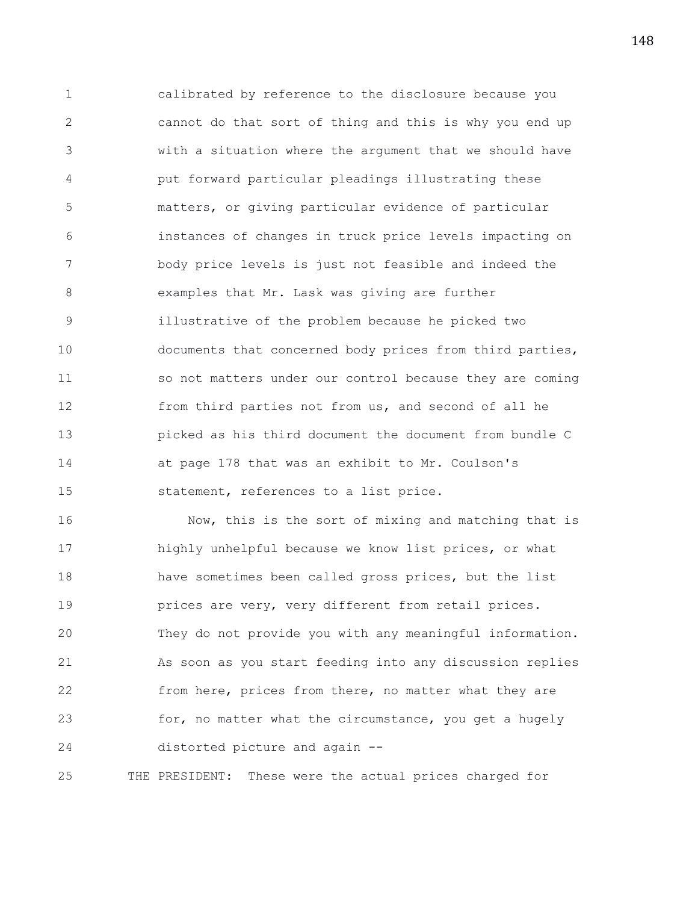1 calibrated by reference to the disclosure because you 2 cannot do that sort of thing and this is why you end up 3 with a situation where the argument that we should have 4 put forward particular pleadings illustrating these 5 matters, or giving particular evidence of particular 6 instances of changes in truck price levels impacting on 7 body price levels is just not feasible and indeed the 8 examples that Mr. Lask was giving are further 9 illustrative of the problem because he picked two 10 documents that concerned body prices from third parties, 11 so not matters under our control because they are coming 12 from third parties not from us, and second of all he 13 picked as his third document the document from bundle C 14 at page 178 that was an exhibit to Mr. Coulson's 15 statement, references to a list price.

16 Now, this is the sort of mixing and matching that is 17 highly unhelpful because we know list prices, or what 18 have sometimes been called gross prices, but the list 19 **prices are very, very different from retail prices.** 20 They do not provide you with any meaningful information. 21 As soon as you start feeding into any discussion replies 22 from here, prices from there, no matter what they are 23 for, no matter what the circumstance, you get a hugely 24 distorted picture and again --

25 THE PRESIDENT: These were the actual prices charged for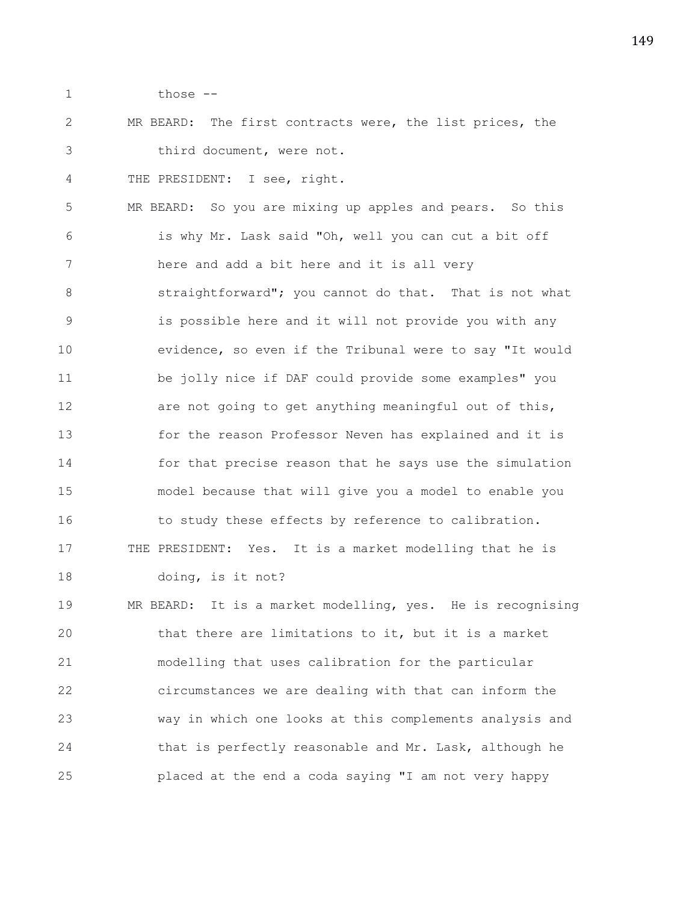1 those --

2 MR BEARD: The first contracts were, the list prices, the 3 third document, were not.

4 THE PRESIDENT: I see, right.

5 MR BEARD: So you are mixing up apples and pears. So this 6 is why Mr. Lask said "Oh, well you can cut a bit off 7 here and add a bit here and it is all very 8 **Straightforward";** you cannot do that. That is not what 9 is possible here and it will not provide you with any 10 evidence, so even if the Tribunal were to say "It would 11 be jolly nice if DAF could provide some examples" you 12 are not going to get anything meaningful out of this, 13 for the reason Professor Neven has explained and it is 14 for that precise reason that he says use the simulation 15 model because that will give you a model to enable you 16 to study these effects by reference to calibration. 17 THE PRESIDENT: Yes. It is a market modelling that he is 18 doing, is it not? 19 MR BEARD: It is a market modelling, yes. He is recognising

20 that there are limitations to it, but it is a market 21 modelling that uses calibration for the particular 22 circumstances we are dealing with that can inform the 23 way in which one looks at this complements analysis and 24 that is perfectly reasonable and Mr. Lask, although he 25 placed at the end a coda saying "I am not very happy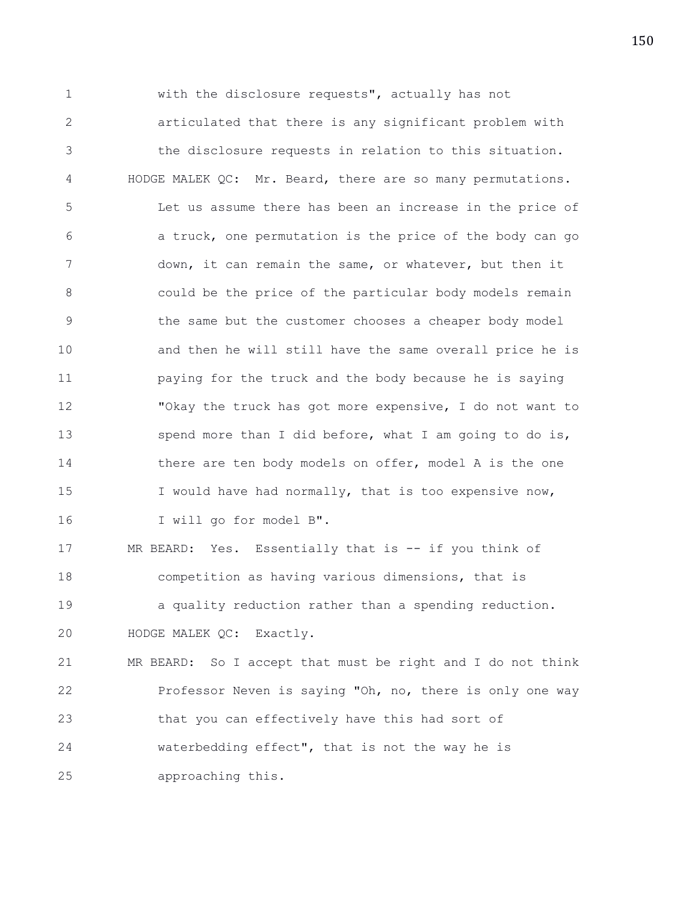1 with the disclosure requests", actually has not 2 articulated that there is any significant problem with 3 the disclosure requests in relation to this situation. 4 HODGE MALEK QC: Mr. Beard, there are so many permutations. 5 Let us assume there has been an increase in the price of 6 a truck, one permutation is the price of the body can go 7 down, it can remain the same, or whatever, but then it 8 could be the price of the particular body models remain 9 the same but the customer chooses a cheaper body model 10 and then he will still have the same overall price he is 11 paying for the truck and the body because he is saying 12 "Okay the truck has got more expensive, I do not want to 13 spend more than I did before, what I am going to do is, 14 there are ten body models on offer, model A is the one 15 I would have had normally, that is too expensive now, 16 I will go for model B". 17 MR BEARD: Yes. Essentially that is -- if you think of 18 competition as having various dimensions, that is 19 a quality reduction rather than a spending reduction. 20 HODGE MALEK QC: Exactly. 21 MR BEARD: So I accept that must be right and I do not think 22 Professor Neven is saying "Oh, no, there is only one way 23 that you can effectively have this had sort of

24 waterbedding effect", that is not the way he is

25 approaching this.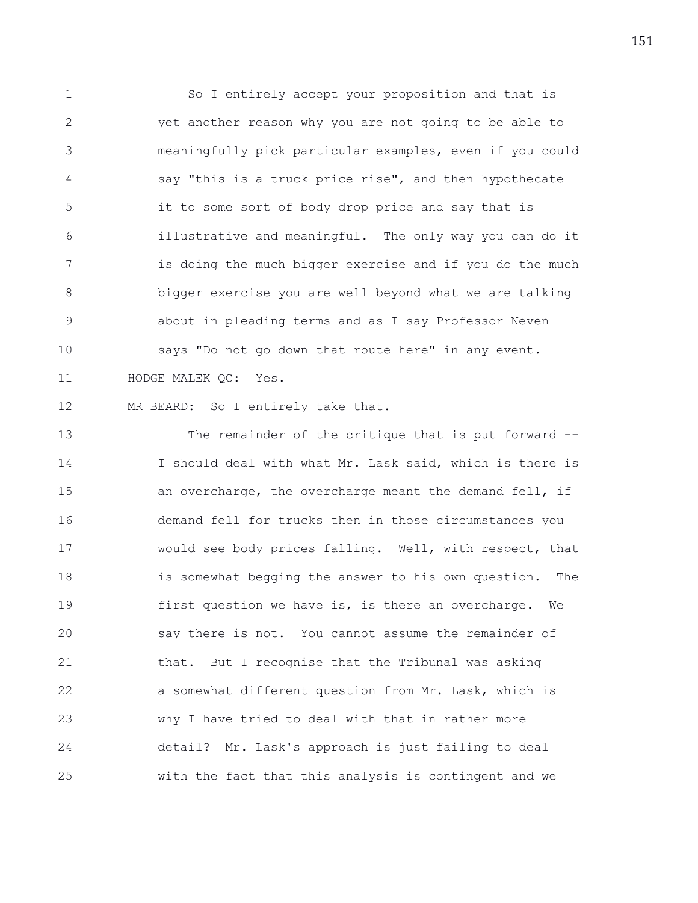1 So I entirely accept your proposition and that is 2 yet another reason why you are not going to be able to 3 meaningfully pick particular examples, even if you could 4 say "this is a truck price rise", and then hypothecate 5 it to some sort of body drop price and say that is 6 illustrative and meaningful. The only way you can do it 7 is doing the much bigger exercise and if you do the much 8 bigger exercise you are well beyond what we are talking 9 about in pleading terms and as I say Professor Neven 10 says "Do not go down that route here" in any event. 11 HODGE MALEK QC: Yes.

12 MR BEARD: So I entirely take that.

13 The remainder of the critique that is put forward -- 14 I should deal with what Mr. Lask said, which is there is 15 an overcharge, the overcharge meant the demand fell, if 16 demand fell for trucks then in those circumstances you 17 would see body prices falling. Well, with respect, that 18 is somewhat begging the answer to his own question. The 19 first question we have is, is there an overcharge. We 20 say there is not. You cannot assume the remainder of 21 that. But I recognise that the Tribunal was asking 22 a somewhat different question from Mr. Lask, which is 23 why I have tried to deal with that in rather more 24 detail? Mr. Lask's approach is just failing to deal 25 with the fact that this analysis is contingent and we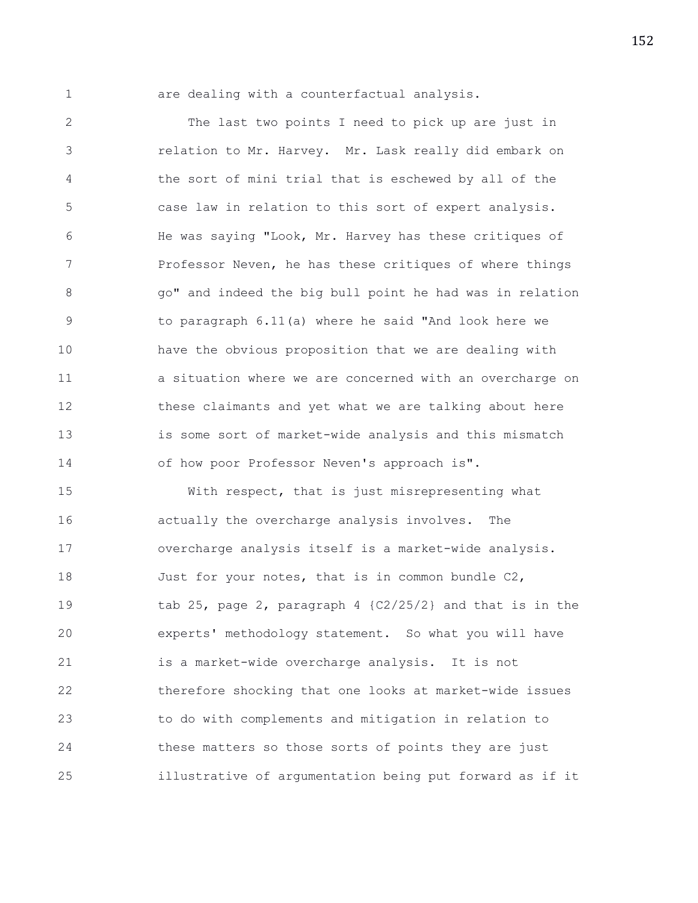1 are dealing with a counterfactual analysis.

2 The last two points I need to pick up are just in 3 relation to Mr. Harvey. Mr. Lask really did embark on 4 the sort of mini trial that is eschewed by all of the 5 case law in relation to this sort of expert analysis. 6 He was saying "Look, Mr. Harvey has these critiques of 7 Professor Neven, he has these critiques of where things 8 go" and indeed the big bull point he had was in relation 9 to paragraph 6.11(a) where he said "And look here we 10 have the obvious proposition that we are dealing with 11 a situation where we are concerned with an overcharge on 12 these claimants and yet what we are talking about here 13 is some sort of market-wide analysis and this mismatch 14 of how poor Professor Neven's approach is".

15 With respect, that is just misrepresenting what 16 actually the overcharge analysis involves. The 17 overcharge analysis itself is a market-wide analysis. 18 Just for your notes, that is in common bundle C2, 19 tab 25, page 2, paragraph 4 {C2/25/2} and that is in the 20 experts' methodology statement. So what you will have 21 is a market-wide overcharge analysis. It is not 22 therefore shocking that one looks at market-wide issues 23 to do with complements and mitigation in relation to 24 these matters so those sorts of points they are just 25 illustrative of argumentation being put forward as if it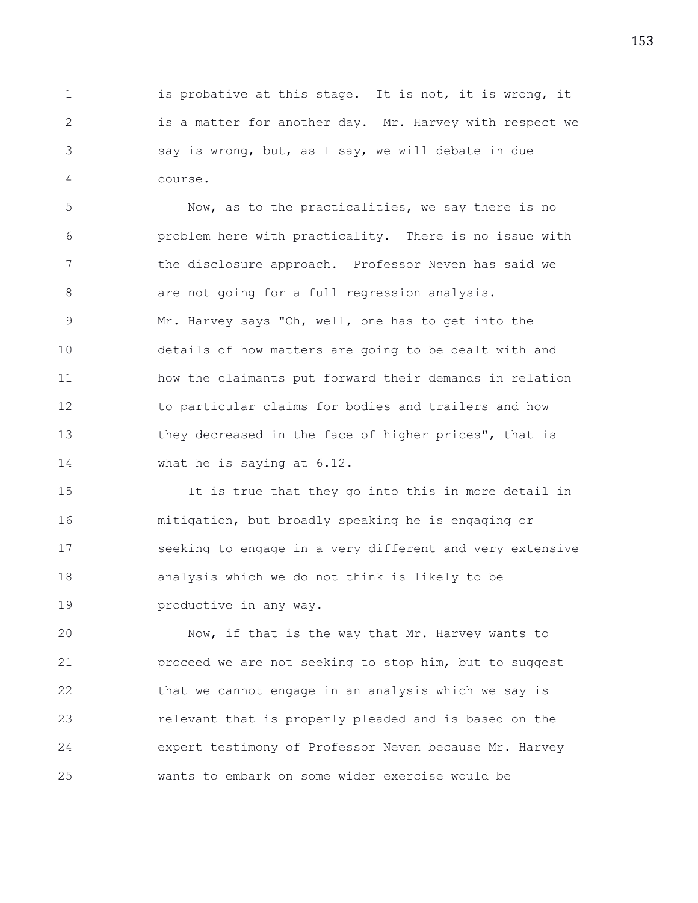1 is probative at this stage. It is not, it is wrong, it 2 is a matter for another day. Mr. Harvey with respect we 3 say is wrong, but, as I say, we will debate in due 4 course.

5 Now, as to the practicalities, we say there is no 6 problem here with practicality. There is no issue with 7 the disclosure approach. Professor Neven has said we 8 are not going for a full regression analysis. 9 Mr. Harvey says "Oh, well, one has to get into the 10 details of how matters are going to be dealt with and 11 how the claimants put forward their demands in relation 12 to particular claims for bodies and trailers and how 13 they decreased in the face of higher prices", that is 14 what he is saying at 6.12.

15 It is true that they go into this in more detail in 16 mitigation, but broadly speaking he is engaging or 17 seeking to engage in a very different and very extensive 18 analysis which we do not think is likely to be 19 **productive in any way.** 

20 Now, if that is the way that Mr. Harvey wants to 21 proceed we are not seeking to stop him, but to suggest 22 that we cannot engage in an analysis which we say is 23 relevant that is properly pleaded and is based on the 24 expert testimony of Professor Neven because Mr. Harvey 25 wants to embark on some wider exercise would be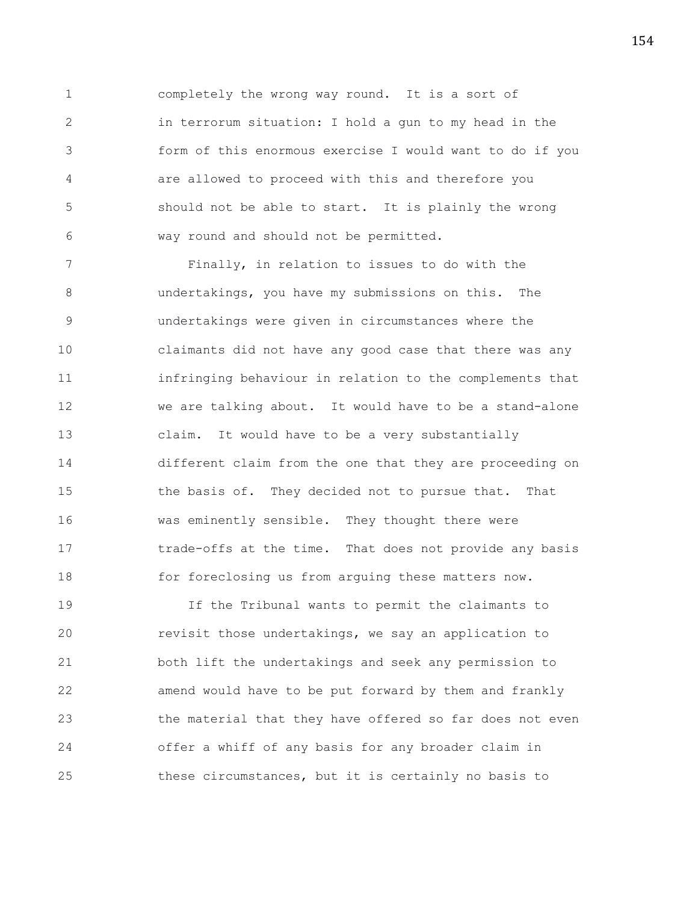1 completely the wrong way round. It is a sort of 2 in terrorum situation: I hold a gun to my head in the 3 form of this enormous exercise I would want to do if you 4 are allowed to proceed with this and therefore you 5 should not be able to start. It is plainly the wrong 6 way round and should not be permitted.

7 Finally, in relation to issues to do with the 8 undertakings, you have my submissions on this. The 9 undertakings were given in circumstances where the 10 claimants did not have any good case that there was any 11 infringing behaviour in relation to the complements that 12 we are talking about. It would have to be a stand-alone 13 claim. It would have to be a very substantially 14 different claim from the one that they are proceeding on 15 the basis of. They decided not to pursue that. That 16 was eminently sensible. They thought there were 17 trade-offs at the time. That does not provide any basis 18 for foreclosing us from arguing these matters now.

19 If the Tribunal wants to permit the claimants to 20 revisit those undertakings, we say an application to 21 both lift the undertakings and seek any permission to 22 amend would have to be put forward by them and frankly 23 the material that they have offered so far does not even 24 offer a whiff of any basis for any broader claim in 25 these circumstances, but it is certainly no basis to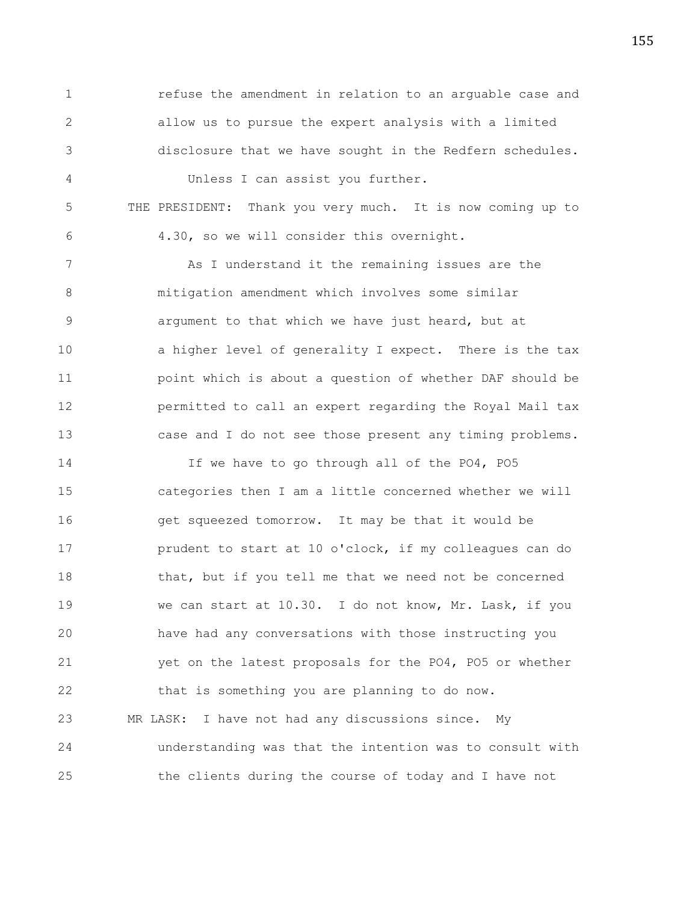1 refuse the amendment in relation to an arguable case and 2 allow us to pursue the expert analysis with a limited 3 disclosure that we have sought in the Redfern schedules.

4 Unless I can assist you further.

5 THE PRESIDENT: Thank you very much. It is now coming up to 6 4.30, so we will consider this overnight.

7 As I understand it the remaining issues are the 8 mitigation amendment which involves some similar 9 argument to that which we have just heard, but at 10 **a** higher level of generality I expect. There is the tax 11 point which is about a question of whether DAF should be 12 permitted to call an expert regarding the Royal Mail tax 13 case and I do not see those present any timing problems.

14 If we have to go through all of the PO4, PO5 15 categories then I am a little concerned whether we will 16 get squeezed tomorrow. It may be that it would be 17 **prudent to start at 10 o'clock, if my colleagues can do** 18 that, but if you tell me that we need not be concerned 19 we can start at 10.30. I do not know, Mr. Lask, if you 20 have had any conversations with those instructing you 21 yet on the latest proposals for the PO4, PO5 or whether 22 that is something you are planning to do now. 23 MR LASK: I have not had any discussions since. My 24 understanding was that the intention was to consult with 25 the clients during the course of today and I have not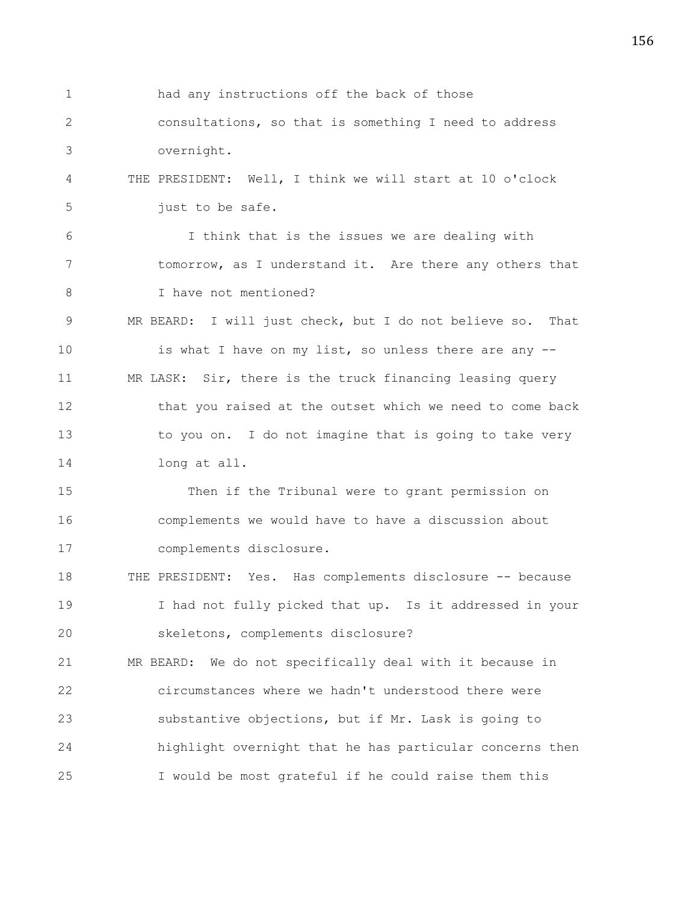1 had any instructions off the back of those 2 consultations, so that is something I need to address 3 overnight. 4 THE PRESIDENT: Well, I think we will start at 10 o'clock 5 just to be safe. 6 I think that is the issues we are dealing with 7 tomorrow, as I understand it. Are there any others that 8 I have not mentioned? 9 MR BEARD: I will just check, but I do not believe so. That 10 is what I have on my list, so unless there are any --11 MR LASK: Sir, there is the truck financing leasing query 12 that you raised at the outset which we need to come back 13 to you on. I do not imagine that is going to take very 14 long at all. 15 Then if the Tribunal were to grant permission on 16 complements we would have to have a discussion about 17 complements disclosure. 18 THE PRESIDENT: Yes. Has complements disclosure -- because 19 I had not fully picked that up. Is it addressed in your 20 skeletons, complements disclosure? 21 MR BEARD: We do not specifically deal with it because in 22 circumstances where we hadn't understood there were 23 substantive objections, but if Mr. Lask is going to 24 highlight overnight that he has particular concerns then 25 I would be most grateful if he could raise them this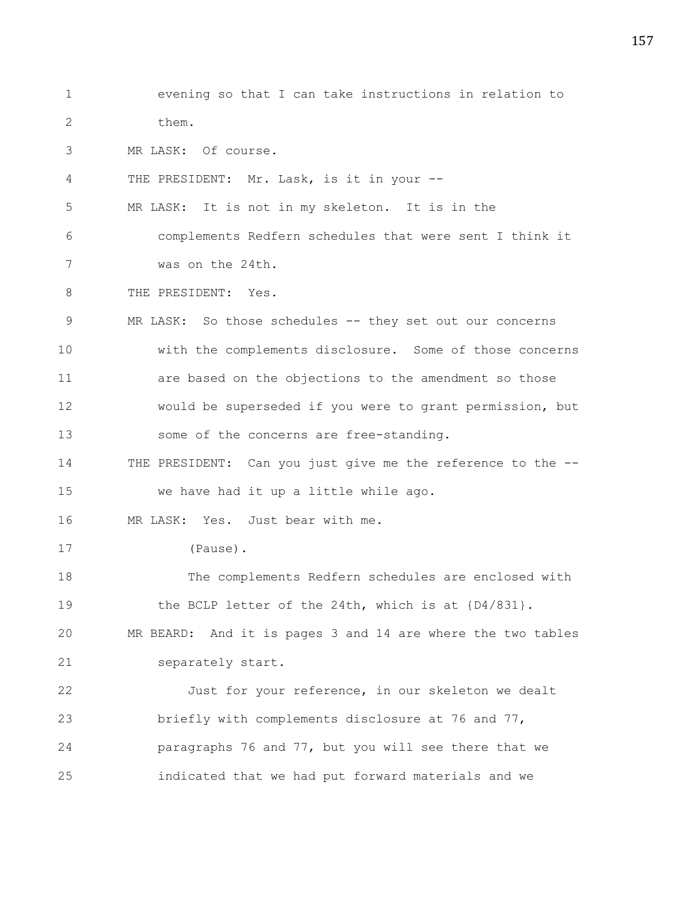1 evening so that I can take instructions in relation to 2 them. 3 MR LASK: Of course. 4 THE PRESIDENT: Mr. Lask, is it in your -- 5 MR LASK: It is not in my skeleton. It is in the 6 complements Redfern schedules that were sent I think it 7 was on the 24th. 8 THE PRESIDENT: Yes. 9 MR LASK: So those schedules -- they set out our concerns 10 with the complements disclosure. Some of those concerns 11 are based on the objections to the amendment so those 12 would be superseded if you were to grant permission, but 13 some of the concerns are free-standing. 14 THE PRESIDENT: Can you just give me the reference to the -- 15 we have had it up a little while ago. 16 MR LASK: Yes. Just bear with me. 17 (Pause). 18 The complements Redfern schedules are enclosed with 19 the BCLP letter of the 24th, which is at  $[D4/831]$ . 20 MR BEARD: And it is pages 3 and 14 are where the two tables 21 separately start. 22 Just for your reference, in our skeleton we dealt 23 briefly with complements disclosure at 76 and 77, 24 paragraphs 76 and 77, but you will see there that we 25 indicated that we had put forward materials and we